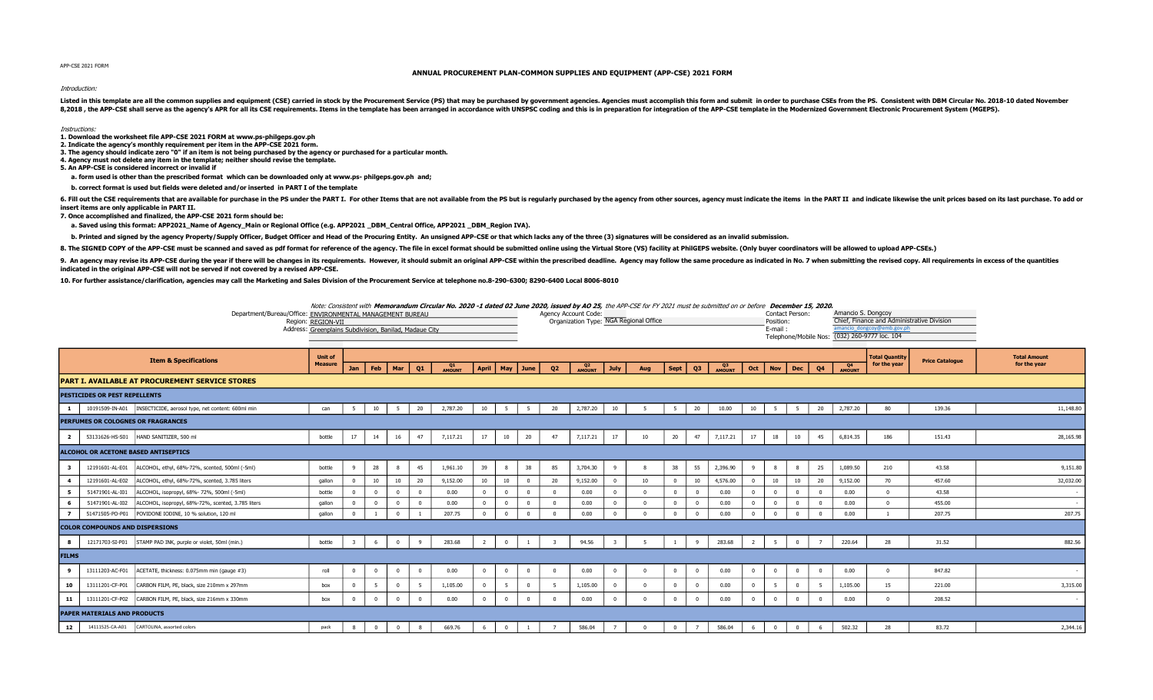APP-CSE 2021 FORM

## ANNUAL PROCUREMENT PLAN-COMMON SUPPLIES AND EQUIPMENT (APP-CSE) 2021 FORM

## Introduction:

Listed in this template are all the common supplies and equipment (CSE) carried in stock by the Procurement Service (PS) that may be purchased by government agencies. Agencies must accomplish this form and submit in order 8,2018, the APP-CSE shall serve as the agency's APR for all its CSE requirements. Items in the template has been arranged in accordance with UNSPSC coding and this is in preparation for integration of the APP-CSE template

## Instructions:

1. Download the worksheet file APP-CSE 2021 FORM at www.ps-philgeps.gov.ph

2. Indicate the agency's monthly requirement per item in the APP-CSE 2021 form. 3. The agency should indicate zero "0" if an item is not being purchased by the agency or purchased for a particular month.

4. Agency must not delete any item in the template; neither should revise the template.

5. An APP-CSE is considered incorrect or invalid if

a. form used is other than the prescribed format which can be downloaded only at www.ps- philgeps.gov.ph and;

b. correct format is used but fields were deleted and/or inserted in PART I of the template

6. Fill out the CSE requirements that are available for purchase in the PS under the PS under the PS under the PART I. For other Items that are not available from the PS wit is regularly purchased by the agency from other insert items are only applicable in PART II.

7. Once accomplished and finalized, the APP-CSE 2021 form should be:

a. Saved using this format: APP2021\_Name of Agency\_Main or Regional Office (e.g. APP2021 \_DBM\_Central Office, APP2021 \_DBM\_Region IVA).

b. Printed and signed by the agency Property/Supply Officer, Budget Officer and Head of the Procuring Entity. An unsigned APP-CSE or that which lacks any of the three (3) signatures will be considered as an invalid submiss

8. The SIGNED COPY of the APP-CSE must be scanned and saved as pdf format for reference of the agency. The file in excel format should be submitted online using the Virtual Store (VS) facility at PhilGEPS website. (Only bu

9. An agency may revise its APP-CSE during the year if there will be changes in its requirements. However, it should submit an original APP-CSE within the prescribed deadline. Agency may follow the same procedure as indica indicated in the original APP-CSE will not be served if not covered by a revised APP-CSE.

10. For further assistance/clarification, agencies may call the Marketing and Sales Division of the Procurement Service at telephone no.8-290-6300; 8290-6400 Local 8006-8010

| Note: Consistent with Memorandum Circular No. 2020 -1 dated 02 June 2020, issued by AO 25, the APP-CSE for FY 2021 must be submitted on or before December 15, 2020, Note: Consistent with Memorandum Circular No. 2020, I |                                        |                 |                                               |
|----------------------------------------------------------------------------------------------------------------------------------------------------------------------------------------------------------------------------|----------------------------------------|-----------------|-----------------------------------------------|
| Department/Bureau/Office: ENVIRONMENTAL MANAGEMENT BUREAU                                                                                                                                                                  | Agency Account Code:                   | Contact Person: | Amancio S. Dongcov                            |
| Region: REGION-VII                                                                                                                                                                                                         | Organization Type: NGA Regional Office | Position:       | Chief, Finance and Administrative Division    |
| Address: Greenplains Subdivision, Banilad, Madaue City                                                                                                                                                                     |                                        | E-mail          | amancio dongcoy@emb.gov.ph                    |
|                                                                                                                                                                                                                            |                                        |                 | Telephone/Mobile Nos: (032) 260-9777 loc. 104 |

|                |                                           | <b>Item &amp; Specifications</b>                                     | <b>Unit of</b><br><b>Measure</b> |                |             |                |                |              |                |             |                    |          |              |                |     |              |                |              |                |              |                |                |                          | <b>Total Quantity</b><br>for the year | <b>Price Catalogue</b> | <b>Total Amount</b><br>for the year |
|----------------|-------------------------------------------|----------------------------------------------------------------------|----------------------------------|----------------|-------------|----------------|----------------|--------------|----------------|-------------|--------------------|----------|--------------|----------------|-----|--------------|----------------|--------------|----------------|--------------|----------------|----------------|--------------------------|---------------------------------------|------------------------|-------------------------------------|
|                |                                           |                                                                      |                                  | Jan            |             | Feb   Mar      | Q1             | Q1<br>AMOUNT |                |             | April   May   June | Q2       | Q2<br>AMOUNT | July           | Aug | Sept         | Q3             | Q3<br>AMOUNT | Oct            |              | Nov Dec        | Q4             | Q <sub>4</sub><br>AMOUNT |                                       |                        |                                     |
|                |                                           | <b>PART I. AVAILABLE AT PROCUREMENT SERVICE STORES</b>               |                                  |                |             |                |                |              |                |             |                    |          |              |                |     |              |                |              |                |              |                |                |                          |                                       |                        |                                     |
|                | PESTICIDES OR PEST REPELLENTS             |                                                                      |                                  |                |             |                |                |              |                |             |                    |          |              |                |     |              |                |              |                |              |                |                |                          |                                       |                        |                                     |
| $\mathbf{1}$   |                                           | 10191509-IN-A01  INSECTICIDE, aerosol type, net content: 600ml min   | can                              | - 5            | 10          | - 5            | 20             | 2,787.20     | 10             | -5          | - 5                | 20       | 2,787.20     | 10             |     | - 5          | 20             | 10.00        | 10             | -5           | 5              | 20             | 2,787.20                 | 80                                    | 139.36                 | 11,148.80                           |
|                | <b>PERFUMES OR COLOGNES OR FRAGRANCES</b> |                                                                      |                                  |                |             |                |                |              |                |             |                    |          |              |                |     |              |                |              |                |              |                |                |                          |                                       |                        |                                     |
| $\overline{2}$ |                                           | 53131626-HS-S01 HAND SANITIZER, 500 ml                               | bottle                           | 17             | 14          | 16             | 47             | 7,117.21     | 17             | 10          | 20                 | 47       | 7,117.21     | 17             | 10  | 20           | 47             | 7,117.21     | 17             | 18           | 10             | 45             | 6,814.35                 | 186                                   | 151.43                 | 28,165.98                           |
|                |                                           | ALCOHOL OR ACETONE BASED ANTISEPTICS                                 |                                  |                |             |                |                |              |                |             |                    |          |              |                |     |              |                |              |                |              |                |                |                          |                                       |                        |                                     |
| 3              | 12191601-AL-E01                           | ALCOHOL, ethyl, 68%-72%, scented, 500ml (-5ml)                       | bottle                           | - 9            | 28          |                | 45             | 1,961.10     | 39             |             | 38                 | 85       | 3,704.30     | 9              |     | 38           | 55             | 2,396.90     |                |              | 8              | 25             | 1,089.50                 | 210                                   | 43.58                  | 9,151.80                            |
| $\overline{4}$ | 12191601-AL-E02                           | ALCOHOL, ethyl, 68%-72%, scented, 3.785 liters                       | gallon                           |                | 10          | 10             | 20             | 9,152.00     | 10             | 10          | $\Omega$           | 20       | 9,152.00     | $\overline{0}$ | 10  | $\Omega$     | 10             | 4,576.00     |                | 10           | 10             | 20             | 9,152.00                 | 70                                    | 457.60                 | 32,032.00                           |
| 5              | 51471901-AL-I01                           | ALCOHOL, isopropyl, 68%- 72%, 500ml (-5ml)                           | bottle                           |                |             |                | $\Omega$       | 0.00         |                |             | $\Omega$           |          | 0.00         | $\overline{0}$ |     | $\Omega$     | $\Omega$       | 0.00         |                |              | $\Omega$       |                | 0.00                     | $\Omega$                              | 43.58                  |                                     |
| - 6            |                                           | 51471901-AL-I02   ALCOHOL, isopropyl, 68%-72%, scented, 3.785 liters | gallon                           |                |             |                | $\mathbf{0}$   | 0.00         |                | $\Omega$    | $\overline{0}$     |          | 0.00         | $\overline{0}$ |     | $\Omega$     | $\Omega$       | 0.00         |                |              | $\Omega$       |                | 0.00                     | $\sqrt{2}$                            | 455.00                 |                                     |
| $\overline{7}$ |                                           | 51471505-PO-P01 POVIDONE IODINE, 10 % solution, 120 ml               | gallon                           | $\Omega$       |             | $\Omega$       |                | 207.75       |                | $\Omega$    | $\overline{0}$     |          | 0.00         | $\Omega$       |     | $\mathbf{0}$ | $\sqrt{2}$     | 0.00         |                |              | $\overline{0}$ |                | 0.00                     |                                       | 207.75                 | 207.75                              |
|                | <b>COLOR COMPOUNDS AND DISPERSIONS</b>    |                                                                      |                                  |                |             |                |                |              |                |             |                    |          |              |                |     |              |                |              |                |              |                |                |                          |                                       |                        |                                     |
| 8              |                                           | 12171703-SI-P01 STAMP PAD INK, purple or violet, 50ml (min.)         | bottle                           | - 3            |             | $\overline{0}$ | -9             | 283.68       | $\overline{2}$ | $^{\circ}$  |                    |          | 94.56        |                |     |              | -9             | 283.68       | $\overline{2}$ | -5           | $\overline{0}$ | $\overline{7}$ | 220.64                   | 28                                    | 31.52                  | 882.56                              |
| <b>FILMS</b>   |                                           |                                                                      |                                  |                |             |                |                |              |                |             |                    |          |              |                |     |              |                |              |                |              |                |                |                          |                                       |                        |                                     |
| 9              | 13111203-AC-F01                           | ACETATE, thickness: 0.075mm min (gauge #3)                           | roll                             | $\overline{0}$ |             | $\mathbf 0$    | $\overline{0}$ | 0.00         | $\mathbf 0$    | $^{\circ}$  | $\overline{0}$     | $\Omega$ | 0.00         | $\mathbf 0$    |     | $\mathbf{0}$ | $\overline{0}$ | 0.00         | $\mathbf 0$    |              | $\overline{0}$ |                | 0.00                     | $\Omega$                              | 847.82                 | $\overline{\phantom{a}}$            |
| 10             | 13111201-CF-P01                           | CARBON FILM, PE, black, size 210mm x 297mm                           | box                              |                | -5          | $^{\circ}$     | -5             | 1,105.00     | $^{\circ}$     |             | $\overline{0}$     | 5        | 1,105.00     | $\overline{0}$ |     | $\mathbf{0}$ | $\overline{0}$ | 0.00         |                |              | $\overline{0}$ | - 5            | 1,105.00                 | 15                                    | 221.00                 | 3,315.00                            |
| 11             | 13111201-CF-P02                           | CARBON FILM, PE, black, size 216mm x 330mm                           | box                              |                |             | $\Omega$       | $\Omega$       | 0.00         |                | $\Omega$    | $\overline{0}$     |          | 0.00         | $\overline{0}$ |     | $^{\circ}$   | $\Omega$       | 0.00         |                |              | $\Omega$       |                | 0.00                     | $\sqrt{2}$                            | 208.52                 | $\sim$                              |
|                | <b>PAPER MATERIALS AND PRODUCTS</b>       |                                                                      |                                  |                |             |                |                |              |                |             |                    |          |              |                |     |              |                |              |                |              |                |                |                          |                                       |                        |                                     |
| 12             | 14111525-CA-A01                           | CARTOLINA, assorted colors                                           | pack                             | - 8            | $\mathbf 0$ | $^{\circ}$     | 8              | 669.76       | 6              | $\mathbf 0$ | $\mathbf{1}$       |          | 586.04       | $\overline{7}$ |     | $\mathbf{0}$ |                | 586.04       | - 6            | $\mathbf{0}$ | $\overline{0}$ | - 6            | 502.32                   | 28                                    | 83.72                  | 2,344.16                            |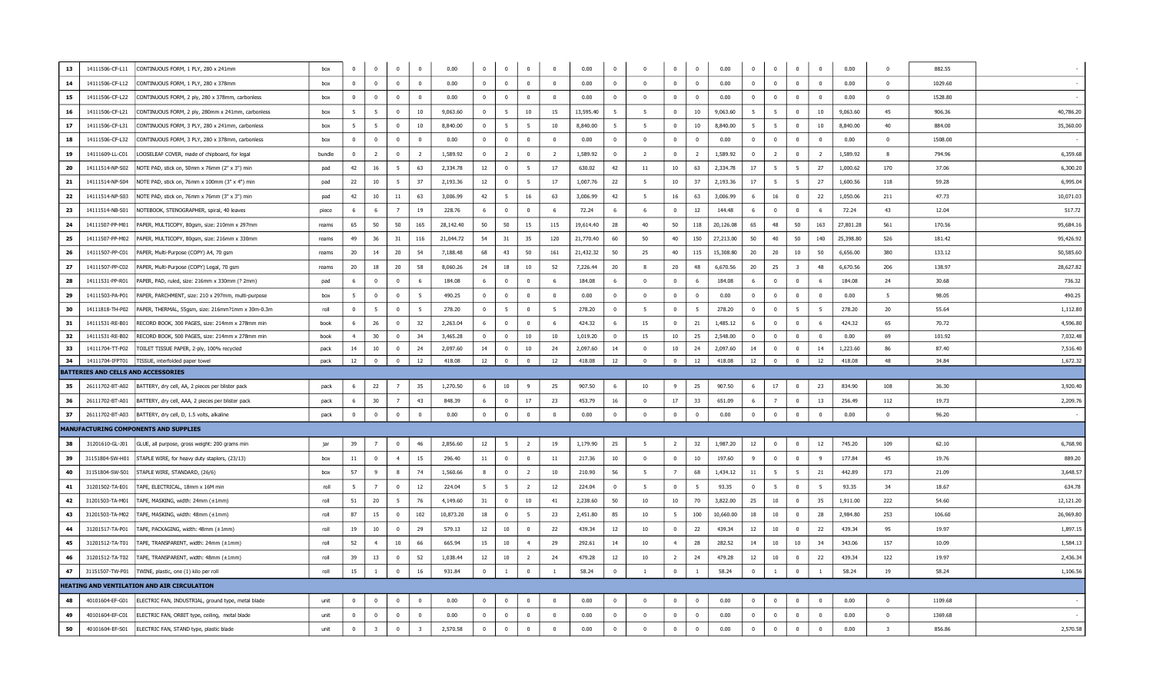| 13 | 14111506-CF-L11                     | CONTINUOUS FORM, 1 PLY, 280 x 241mm                | box    | $\overline{0}$ | $^{\circ}$              | $\mathbf 0$    | $\overline{0}$          | 0.00      | $\mathbf 0$    | $^{\circ}$      | $\Omega$        | $\mathbf{0}$   | 0.00      | $\overline{\mathbf{0}}$ | $\overline{0}$ | $\mathbf{0}$     | $\mathbf 0$             | 0.00      | $\mathbf 0$             | $\mathbf 0$    | $\overline{0}$          | $\bf{0}$       | 0.00      | $\Omega$       | 882.55  |           |
|----|-------------------------------------|----------------------------------------------------|--------|----------------|-------------------------|----------------|-------------------------|-----------|----------------|-----------------|-----------------|----------------|-----------|-------------------------|----------------|------------------|-------------------------|-----------|-------------------------|----------------|-------------------------|----------------|-----------|----------------|---------|-----------|
| 14 | 14111506-CF-L12                     | CONTINUOUS FORM, 1 PLY, 280 x 378mm                | box    | $\overline{0}$ | $^{\circ}$              | $\overline{0}$ | $\overline{0}$          | 0.00      | $\overline{0}$ | $\overline{0}$  | $\overline{0}$  | $\mathbf{0}$   | 0.00      | $\overline{0}$          | $\overline{0}$ | $\mathbf{0}$     | $\mathbf 0$             | 0.00      | $\overline{0}$          | $\overline{0}$ | $\overline{\mathbf{0}}$ | $\overline{0}$ | 0.00      | $\mathbf 0$    | 1029.60 |           |
| 15 | 14111506-CF-L22                     | CONTINUOUS FORM, 2 ply, 280 x 378mm, carbonless    | hox    | $\mathbf 0$    | $\Omega$                | $\Omega$       | $\overline{\mathbf{0}}$ | 0.00      | $\Omega$       | $\mathbf{0}$    | $\Omega$        | $\Omega$       | 0.00      | $\Omega$                | $\Omega$       | $\Omega$         | $\overline{0}$          | 0.00      | $\Omega$                | $\Omega$       | $\mathbf 0$             | $\overline{0}$ | 0.00      | $\Omega$       | 1528.80 |           |
| 16 | 14111506-CF-L21                     | CONTINUOUS FORM, 2 ply, 280mm x 241mm, carbonless  | box    | - 5            | 5                       | $\Omega$       | 10                      | 9,063.60  | $\mathbf{0}$   | 5               | 10 <sup>°</sup> | 15             | 13,595.40 | - 5                     | 5              | $\mathbf{0}$     | 10                      | 9,063.60  | - 5                     | 5              | $\overline{\mathbf{0}}$ | 10             | 9,063.60  | 45             | 906.36  | 40,786.20 |
| 17 | 14111506-CF-L31                     | CONTINUOUS FORM, 3 PLY, 280 x 241mm, carbonless    | box    | -5             | - 5                     | $\overline{0}$ | 10                      | 8,840.00  | $\bf{0}$       | 5               | -5              | 10             | 8,840.00  | 5                       | - 5            | $^{\circ}$       | 10                      | 8,840.00  | - 5                     | - 5            | 0                       | 10             | 8,840.00  | 40             | 884.00  | 35,360.00 |
| 18 | 14111506-CF-L32                     | CONTINUOUS FORM, 3 PLY, 280 x 378mm, carbonless    | hox    | $\overline{0}$ | $\overline{0}$          | $\Omega$       | $\overline{0}$          | 0.00      | $\Omega$       | $\mathbf{0}$    | $\Omega$        | $\Omega$       | 0.00      | $\Omega$                | $\Omega$       | $\Omega$         | $\overline{0}$          | 0.00      | $\Omega$                | $\Omega$       | $\overline{0}$          | $\overline{0}$ | 0.00      | $\Omega$       | 1508.00 |           |
| 19 | 14111609-LL-C01                     | LOOSELEAF COVER, made of chipboard, for legal      | bundle | $\bf{0}$       | $\overline{2}$          | $\overline{0}$ | $\overline{2}$          | 1,589.92  | $\overline{0}$ | $\overline{2}$  | $\overline{0}$  | $\overline{2}$ | 1,589.92  | $\overline{\mathbf{0}}$ | <sup>2</sup>   | $^{\circ}$       | $\overline{2}$          | 1,589.92  | $\overline{\mathbf{0}}$ | <sup>2</sup>   | $\overline{\mathbf{0}}$ | $\overline{2}$ | 1,589.92  | -8             | 794.96  | 6,359.68  |
| 20 | 14111514-NP-S02                     | NOTE PAD, stick on, 50mm x 76mm (2" x 3") min      | pad    | 42             | 16                      | -5             | 63                      | 2,334.78  | 12             | $\Omega$        | -5              | 17             | 630.02    | 42                      | 11             | 10               | 63                      | 2,334.78  | 17                      | 5              | 5                       | 27             | 1,000.62  | 170            | 37.06   | 6,300.20  |
| 21 | 14111514-NP-S04                     | NOTE PAD, stick on, 76mm x 100mm (3" x 4") min     | pad    | 22             | 10                      | -5             | 37                      | 2,193.36  | 12             | $\overline{0}$  | $\overline{5}$  | 17             | 1,007.76  | 22                      | - 5            | 10 <sub>10</sub> | 37                      | 2,193.36  | 17                      | 5 <sup>5</sup> | 5                       | 27             | 1,600.56  | 118            | 59.28   | 6,995.04  |
| 22 | 14111514-NP-S03                     | NOTE PAD, stick on, 76mm x 76mm (3" x 3") min      | pad    | 42             | 10                      | $11\,$         | 63                      | 3,006.99  | 42             | $5\overline{5}$ | 16              | 63             | 3,006.99  | 42                      | 5              | 16               | 63                      | 3,006.99  | 6                       | 16             | $\overline{0}$          | 22             | 1,050.06  | 211            | 47.73   | 10,071.03 |
| 23 | 14111514-NB-S01                     | NOTEBOOK, STENOGRAPHER, spiral, 40 leaves          | piece  | -6             | 6                       | $\overline{7}$ | 19                      | 228.76    | 6              | $\mathbf{0}$    | $\Omega$        | -6             | 72.24     | 6                       | -6             | $\Omega$         | 12                      | 144.48    | -6                      | $\Omega$       | $\overline{0}$          | -6             | 72.24     | 43             | 12.04   | 517.72    |
| 24 | 14111507-PP-M01                     | PAPER, MULTICOPY, 80gsm, size: 210mm x 297mm       | reams  | 65             | 50                      | 50             | 165                     | 28,142.40 | 50             | 50              | 15              | 115            | 19,614.40 | 28                      | 40             | 50               | 118                     | 20,126.08 | 65                      | 48             | 50                      | 163            | 27,801.28 | 561            | 170.56  | 95,684.16 |
| 25 | 14111507-PP-M02                     | PAPER, MULTICOPY, 80gsm, size: 216mm x 330mm       | reams  | 49             | 36                      | 31             | 116                     | 21,044.72 | 54             | 31              | 35              | 120            | 21,770.40 | 60                      | 50             | 40               | 150                     | 27,213.00 | 50                      | 40             | 50                      | 140            | 25,398.80 | 526            | 181.42  | 95,426.92 |
| 26 | 14111507-PP-C01                     | PAPER, Multi-Purpose (COPY) A4, 70 gsm             | reams  | 20             | 14                      | 20             | 54                      | 7,188.48  | 68             | 43              | 50              | 161            | 21,432.32 | 50                      | 25             | 40               | 115                     | 15,308.80 | 20                      | 20             | 10                      | 50             | 6,656.00  | 380            | 133.12  | 50,585.60 |
| 27 | 14111507-PP-C02                     | PAPER, Multi-Purpose (COPY) Legal, 70 gsm          | reams  | 20             | 18                      | 20             | 58                      | 8,060.26  | 24             | 18              | 10              | 52             | 7,226.44  | 20                      | -8             | 20               | 48                      | 6,670.56  | 20                      | 25             | $\overline{\mathbf{3}}$ | 48             | 6,670.56  | 206            | 138.97  | 28,627.82 |
| 28 | 14111531-PP-R01                     | PAPER, PAD, ruled, size: 216mm x 330mm (? 2mm)     | pad    | 6              | $\mathbf{0}$            | $\mathbf 0$    | 6                       | 184.08    | 6              | $^{\circ}$      | $\mathbf 0$     | 6              | 184.08    | 6                       | $\overline{0}$ | $\mathbf{0}$     | 6                       | 184.08    | 6                       | $\mathbf 0$    | $\overline{0}$          | 6              | 184.08    | 24             | 30.68   | 736.32    |
| 29 | 14111503-PA-P01                     | PAPER, PARCHMENT, size: 210 x 297mm, multi-purpose | box    | 5              | $^{\circ}$              | $\mathbf 0$    | 5                       | 490.25    | $\mathbf{0}$   | $\mathbf{0}$    | $\mathbf 0$     | $\mathbf{0}$   | 0.00      | $\overline{0}$          | $\overline{0}$ | $\mathbf{0}$     | $\overline{0}$          | 0.00      | $\overline{0}$          | $\mathbf 0$    | $\overline{0}$          | $\bf{0}$       | 0.00      | 5              | 98.05   | 490.25    |
| 30 | 14111818-TH-P02                     | PAPER, THERMAL, 55gsm, size: 216mm?1mm x 30m-0.3m  | roll   | $\mathbf 0$    | 5                       | $\Omega$       | 5                       | 278.20    | $\overline{0}$ | 5               | $\Omega$        | 5              | 278.20    | $\overline{0}$          | $\overline{5}$ | $\Omega$         | $5\overline{5}$         | 278.20    | $\overline{0}$          | $\Omega$       | 5                       | 5              | 278.20    | 20             | 55.64   | 1,112.80  |
| 31 | 14111531-RE-B01                     | RECORD BOOK, 300 PAGES, size: 214mm x 278mm min    | book   | - 6            | 26                      | $\overline{0}$ | 32                      | 2,263.04  | -6             | $^{\circ}$      | $\Omega$        | 6              | 424.32    | - 6                     | 15             | $^{\circ}$       | 21                      | 1,485.12  | 6                       | $\Omega$       | $\overline{\mathbf{0}}$ | - 6            | 424.32    | 65             | 70.72   | 4,596.80  |
| 32 | 14111531-RE-B02                     | RECORD BOOK, 500 PAGES, size: 214mm x 278mm min    | hook   | $\overline{4}$ | 30                      | $\Omega$       | 34                      | 3,465.28  | $\Omega$       | $\mathbf{0}$    | 10              | 10             | 1.019.20  | $\overline{0}$          | 15             | 10               | 25                      | 2,548.00  | $\overline{\mathbf{0}}$ | $\overline{0}$ | $\overline{0}$          | $\overline{0}$ | 0.00      | 69             | 101.92  | 7,032.48  |
| 33 | 14111704-TT-P02                     | TOILET TISSUE PAPER, 2-ply, 100% recycled          | pack   | 14             | 10                      | $\Omega$       | 24                      | 2,097.60  | 14             | $\mathbf{0}$    | 10              | 24             | 2,097.60  | 14                      | $\Omega$       | 10               | 24                      | 2,097.60  | 14                      | $\Omega$       | $\overline{0}$          | 14             | 1,223.60  | 86             | 87.40   | 7,516.40  |
| 34 | 14111704-IFPT01                     | TISSUE, interfolded paper towel                    | pack   | 12             | $\mathbf 0$             | $\Omega$       | 12                      | 418.08    | 12             | $\mathbf 0$     | $\Omega$        | 12             | 418.08    | 12                      | $\Omega$       | $\mathbf{0}$     | 12                      | 418.08    | 12                      | $\bf{0}$       | $\Omega$                | 12             | 418.08    | 48             | 34.84   | 1,672.32  |
|    | BATTERIES AND CELLS AND ACCESSORIES |                                                    |        |                |                         |                |                         |           |                |                 |                 |                |           |                         |                |                  |                         |           |                         |                |                         |                |           |                |         |           |
| 35 | 26111702-BT-A02                     | BATTERY, dry cell, AA, 2 pieces per blister pack   | pack   | 6              | 22                      |                | 35                      | 1,270.50  | 6              | 10              | $\mathbf{q}$    | 25             | 907.50    | 6                       | 10             | $\mathbf{Q}$     | 25                      | 907.50    | 6                       | 17             | $\overline{\mathbf{0}}$ | 23             | 834.90    | 108            | 36.30   | 3,920.4   |
| 36 | 26111702-BT-A01                     | BATTERY, dry cell, AAA, 2 pieces per blister pack  | pack   | 6              | 30                      | $\overline{7}$ | 43                      | 848.39    | 6              | $\mathbf{0}$    | 17              | 23             | 453.79    | 16                      | $\overline{0}$ | 17               | 33                      | 651.09    | 6                       | $\overline{7}$ | $\overline{\mathbf{0}}$ | 13             | 256.49    | 112            | 19.73   | 2,209.76  |
| 37 | 26111702-BT-A03                     | BATTERY, dry cell, D, 1.5 volts, alkaline          | pack   | $\mathbf 0$    | $\mathbf{0}$            | $\mathbf 0$    | $\overline{\mathbf{0}}$ | 0.00      | $\mathbf 0$    | $\mathbf{0}$    | $\Omega$        | $\mathbf{0}$   | 0.00      | $\overline{\mathbf{0}}$ | $\overline{0}$ | $\mathbf 0$      | $\overline{\mathbf{0}}$ | 0.00      | $\mathbf 0$             | $\Omega$       | $\mathbf 0$             | $\Omega$       | 0.00      | $\mathbf 0$    | 96.20   |           |
|    |                                     | <b>MANUFACTURING COMPONENTS AND SUPPLIES</b>       |        |                |                         |                |                         |           |                |                 |                 |                |           |                         |                |                  |                         |           |                         |                |                         |                |           |                |         |           |
| 38 | 31201610-GL-J01                     | GLUE, all purpose, gross weight: 200 grams min     | jar    | 39             | $\overline{7}$          | $\Omega$       | 46                      | 2,856.60  | 12             | 5               | $\overline{2}$  | 19             | 1,179.90  | 25                      | 5              | 2                | 32                      | 1,987.20  | 12                      | $\Omega$       | $\overline{\mathbf{0}}$ | 12             | 745.20    | 109            | 62.10   | 6,768.90  |
| 39 | 31151804-SW-H01                     | STAPLE WIRE, for heavy duty staplers, (23/13)      | box    | 11             | $\overline{0}$          | $\overline{4}$ | 15                      | 296.40    | 11             | $\overline{0}$  | $\bf{0}$        | 11             | 217.36    | 10                      | $\overline{0}$ | $\overline{0}$   | 10                      | 197.60    | -9                      | $\bf{0}$       | $\overline{0}$          | 9              | 177.84    | 45             | 19.76   | 889.20    |
| 40 | 31151804-SW-S01                     | STAPLE WIRE, STANDARD, (26/6)                      | box    | 57             | 9                       | 8              | 74                      | 1,560.66  | 8              | $^{\circ}$      | $\overline{2}$  | 10             | 210.90    | 56                      | 5              | $7^{\circ}$      | 68                      | 1,434.12  | 11                      | 5              | 5                       | 21             | 442.89    | 173            | 21.09   | 3,648.57  |
| 41 | 31201502-TA-E01                     | TAPE, ELECTRICAL, 18mm x 16M min                   | roll   | - 5            | $\overline{7}$          | $\Omega$       | 12                      | 224.04    | 5              | 5               | $\overline{z}$  | 12             | 224.04    | $\overline{0}$          | - 5            | $\mathbf{0}$     | 5                       | 93.35     | $\overline{0}$          | $\overline{5}$ | $\overline{\mathbf{0}}$ | - 5            | 93.35     | 34             | 18.67   | 634.78    |
| 42 | 31201503-TA-M01                     | TAPE, MASKING, width: 24mm (±1mm)                  | roll   | 51             | 20                      | 5              | 76                      | 4,149.60  | 31             | $^{\circ}$      | 10              | 41             | 2,238.60  | 50                      | 10             | 10               | 70                      | 3,822.00  | 25                      | 10             | $\overline{\mathbf{0}}$ | 35             | 1,911.00  | 222            | 54.60   | 12,121.20 |
| 43 | 31201503-TA-M02                     | TAPE, MASKING, width: 48mm (±1mm)                  | roll   | 87             | 15                      | $\mathbf 0$    | 102                     | 10,873.20 | 18             | $^{\circ}$      | -5              | 23             | 2,451.80  | 85                      | 10             | 5                | 100                     | 10,660.00 | 18                      | 10             | $\overline{0}$          | 28             | 2,984.80  | 253            | 106.60  | 26,969.80 |
| 44 | 31201517-TA-P01                     | TAPE, PACKAGING, width: 48mm (±1mm)                | roll   | 19             | $10\,$                  | $\Omega$       | 29                      | 579.13    | 12             | 10              | $\Omega$        | 22             | 439.34    | 12                      | 10             | $\Omega$         | 22                      | 439.34    | 12                      | 10             | $\overline{\mathbf{0}}$ | 22             | 439.34    | 95             | 19.97   | 1,897.15  |
| 45 | 31201512-TA-T01                     | TAPE, TRANSPARENT, width: 24mm (±1mm)              | roll   | 52             | $\overline{4}$          | 10             | 66                      | 665.94    | 15             | 10              | $\overline{4}$  | 29             | 292.61    | 14                      | 10             | $\overline{4}$   | 28                      | 282.52    | 14                      | 10             | 10                      | 34             | 343.06    | 157            | 10.09   | 1,584.13  |
| 46 | 31201512-TA-T02                     | TAPE, TRANSPARENT, width: 48mm (±1mm)              | roll   | 39             | 13                      | $\mathbf 0$    | 52                      | 1,038.44  | 12             | 10              | $\overline{2}$  | 24             | 479.28    | 12                      | 10             | $\overline{2}$   | 24                      | 479.28    | 12                      | 10             | $\mathbf{0}$            | 22             | 439.34    | 122            | 19.97   | 2,436.34  |
| 47 | 31151507-TW-P01                     | TWINE, plastic, one (1) kilo per roll              | roll   | 15             | $\overline{1}$          | $\Omega$       | 16                      | 931.84    | $\bf{0}$       | $\overline{1}$  | $\Omega$        | $\overline{1}$ | 58.24     | $\overline{0}$          | $\overline{1}$ | $\Omega$         | $\overline{1}$          | 58.24     | $\overline{\mathbf{0}}$ |                | $\overline{0}$          |                | 58.24     | 19             | 58.24   | 1,106.56  |
|    |                                     | HEATING AND VENTILATION AND AIR CIRCULATION        |        |                |                         |                |                         |           |                |                 |                 |                |           |                         |                |                  |                         |           |                         |                |                         |                |           |                |         |           |
| 48 | 40101604-EF-G01                     | ELECTRIC FAN, INDUSTRIAL, ground type, metal blade | unit   | $\bf{0}$       | $\overline{0}$          | $\overline{0}$ | $\overline{0}$          | 0.00      | $\bf{0}$       | $\mathbf{0}$    | $\overline{0}$  | $\overline{0}$ | 0.00      | $\overline{0}$          | $\overline{0}$ | $\overline{0}$   | $\overline{\mathbf{0}}$ | 0.00      | $\bf{0}$                | $\bf{0}$       | $\overline{\mathbf{0}}$ | $\overline{0}$ | 0.00      | $\overline{0}$ | 1109.68 |           |
| 49 | 40101604-EF-C01                     | ELECTRIC FAN, ORBIT type, ceiling, metal blade     | unit   | $\bf{0}$       | $^{\circ}$              | $\Omega$       | $\overline{0}$          | 0.00      | $\bf{0}$       | $\mathbf{0}$    | $\Omega$        | $\mathbf{0}$   | 0.00      | $\overline{0}$          | $\Omega$       | $\mathbf{0}$     | $\overline{0}$          | 0.00      | $\Omega$                | $\Omega$       | $\overline{0}$          | $\overline{0}$ | 0.00      | $\mathbf 0$    | 1369.68 |           |
| 50 | 40101604-EF-S01                     | ELECTRIC FAN, STAND type, plastic blade            | unit   | $\mathbf 0$    | $\overline{\mathbf{3}}$ | $\Omega$       | $\overline{3}$          | 2,570.58  | $\bf{0}$       | $\mathbf{0}$    | $\Omega$        | $^{\circ}$     | 0.00      | $\overline{\mathbf{0}}$ | $\Omega$       | $\Omega$         | $\overline{\mathbf{0}}$ | 0.00      | $\mathbf{0}$            | $\Omega$       | $\overline{0}$          | $\Omega$       | 0.00      | $\overline{3}$ | 856.86  | 2,570.58  |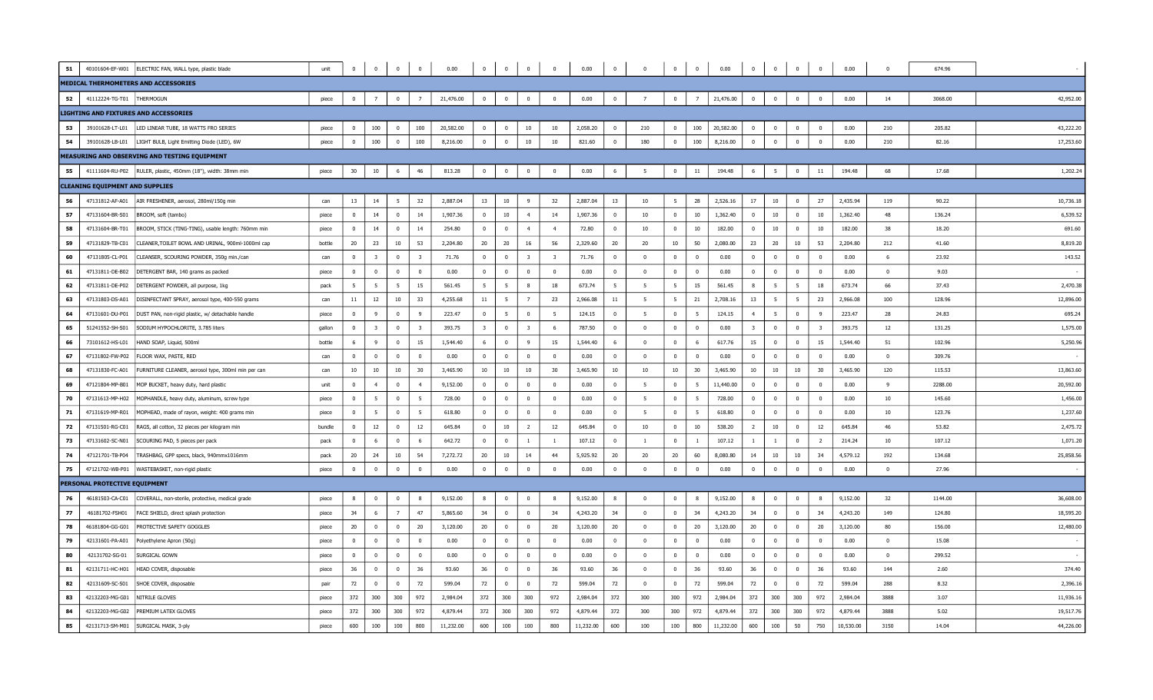| 51 |                                        | 40101604-EF-W01 ELECTRIC FAN, WALL type, plastic blade       | unit   | $\mathbf 0$    | $^{\circ}$     | $\mathbf 0$             | $\Omega$                | 0.00      | $\mathbf{0}$   | $\mathbf{0}$   | $\mathbf 0$             | $\overline{0}$ | 0.00      | $\bf{0}$                | $\Omega$                | $\mathbf{0}$   | $\mathbf{0}$   | 0.00      | $\Omega$         | $\overline{0}$ | $\overline{0}$ | $\overline{0}$          | 0.00      | $\Omega$       | 674.96  |           |
|----|----------------------------------------|--------------------------------------------------------------|--------|----------------|----------------|-------------------------|-------------------------|-----------|----------------|----------------|-------------------------|----------------|-----------|-------------------------|-------------------------|----------------|----------------|-----------|------------------|----------------|----------------|-------------------------|-----------|----------------|---------|-----------|
|    |                                        | MEDICAL THERMOMETERS AND ACCESSORIES                         |        |                |                |                         |                         |           |                |                |                         |                |           |                         |                         |                |                |           |                  |                |                |                         |           |                |         |           |
| 52 | 41112224-TG-T01   THERMOGUN            |                                                              | piece  | $\mathbf 0$    | $7^{\circ}$    | $\mathbf 0$             | $\overline{7}$          | 21,476.00 | $\mathbf{0}$   | $^{\circ}$     | $\mathbf 0$             | $\overline{0}$ | 0.00      | $\mathbf 0$             | $\overline{7}$          | $\mathbf{0}$   | $\overline{7}$ | 21,476.00 | $\Omega$         | $\overline{0}$ | $\mathbf{0}$   | $\mathbf 0$             | 0.00      | 14             | 3068.00 | 42,952.00 |
|    |                                        | LIGHTING AND FIXTURES AND ACCESSORIES                        |        |                |                |                         |                         |           |                |                |                         |                |           |                         |                         |                |                |           |                  |                |                |                         |           |                |         |           |
| 53 | 39101628-LT-L01                        | LED LINEAR TUBE, 18 WATTS FRO SERIES                         | piece  | $\mathbf 0$    | 100            | $\Omega$                | 100                     | 20,582.00 | $\mathbf{0}$   | $^{\circ}$     | 10                      | 10             | 2,058.20  | $\overline{\mathbf{0}}$ | 210                     | $\overline{0}$ | 100            | 20,582.00 |                  | $\overline{0}$ | $\overline{0}$ | $\overline{0}$          | 0.00      | 210            | 205.82  | 43,222.20 |
| 54 | 39101628-LB-L01                        | LIGHT BULB, Light Emitting Diode (LED), 6W                   | piece  | $\pmb{0}$      | 100            | $\mathbf 0$             | 100                     | 8,216.00  | $\overline{0}$ | $\mathbf 0$    | 10                      | $10\,$         | 821.60    | $\mathbf 0$             | 180                     | $\overline{0}$ | 100            | 8,216.00  | $\mathbf 0$      | $\mathbf 0$    | $\mathbf 0$    | $\overline{0}$          | 0.00      | 210            | 82.16   | 17,253.60 |
|    |                                        | MEASURING AND OBSERVING AND TESTING EQUIPMENT                |        |                |                |                         |                         |           |                |                |                         |                |           |                         |                         |                |                |           |                  |                |                |                         |           |                |         |           |
| 55 |                                        | 41111604-RU-P02 RULER, plastic, 450mm (18"), width: 38mm min | piece  | 30             | $10\,$         | 6                       | 46                      | 813.28    | $\overline{0}$ | $\mathbf 0$    | $\mathbf 0$             | $\overline{0}$ | 0.00      | 6                       | - 5                     | $\overline{0}$ | 11             | 194.48    | 6                | 5              | $\mathbf{0}$   | $11\,$                  | 194.48    | 68             | 17.68   | 1,202.24  |
|    | <b>CLEANING EQUIPMENT AND SUPPLIES</b> |                                                              |        |                |                |                         |                         |           |                |                |                         |                |           |                         |                         |                |                |           |                  |                |                |                         |           |                |         |           |
| 56 | 47131812-AF-A01                        | AIR FRESHENER, aerosol, 280ml/150g min                       | can    | 13             | 14             | - 5                     | 32                      | 2,887.04  | 13             | 10             | 9                       | 32             | 2,887.04  | 13                      | 10                      | 5              | 28             | 2,526.16  | 17               | 10             | $\bf{0}$       | 27                      | 2,435.94  | 119            | 90.22   | 10,736.18 |
| 57 | 47131604-BR-S01                        | BROOM, soft (tambo)                                          | piece  | $\overline{0}$ | 14             | $\overline{\mathbf{0}}$ | 14                      | 1,907.36  | $\overline{0}$ | 10             | $\overline{4}$          | 14             | 1,907.36  | $\overline{0}$          | 10                      | $\mathbf 0$    | 10             | 1,362.40  | $\mathbf{0}$     | 10             | $\mathbf{0}$   | 10                      | 1,362.40  | 48             | 136.24  | 6,539.52  |
| 58 | 47131604-BR-T01                        | BROOM, STICK (TING-TING), usable length: 760mm min           | piece  | $\overline{0}$ | 14             | $\overline{0}$          | 14                      | 254.80    | $\mathbf{0}$   | $\overline{0}$ | $\overline{4}$          | $\overline{4}$ | 72.80     | $\overline{0}$          | 10 <sup>10</sup>        | $\bf{0}$       | 10             | 182.00    | $^{\circ}$       | $10\,$         | $\overline{0}$ | 10                      | 182.00    | 38             | 18.20   | 691.60    |
| 59 | 47131829-TB-C01                        | CLEANER, TOILET BOWL AND URINAL, 900ml-1000ml cap            | bottle | 20             | 23             | 10                      | 53                      | 2,204.80  | 20             | 20             | 16                      | 56             | 2,329.60  | 20                      | 20                      | 10             | 50             | 2,080.00  | 23               | 20             | 10             | 53                      | 2,204.80  | 212            | 41.60   | 8,819.20  |
| 60 | 47131805-CL-P01                        | CLEANSER, SCOURING POWDER, 350q min./can                     | can    | $\Omega$       | $\overline{3}$ | $\overline{0}$          | $\overline{\mathbf{3}}$ | 71.76     | $\Omega$       | $\Omega$       | $\overline{\mathbf{3}}$ | $\overline{3}$ | 71.76     | $\Omega$                | $\overline{0}$          | $\Omega$       | $\overline{0}$ | 0.00      | $\Omega$         | $\overline{0}$ | $\overline{0}$ | $\overline{0}$          | 0.00      | -6             | 23.92   | 143.52    |
| 61 | 47131811-DE-B02                        | DETERGENT BAR, 140 grams as packed                           | piece  | $\mathbf 0$    | $^{\circ}$     | $\mathbf 0$             | $\bf{0}$                | 0.00      | $\overline{0}$ | $\overline{0}$ | $\mathbf 0$             | $\mathbf{0}$   | 0.00      | $\overline{0}$          | $\overline{0}$          | $\bf{0}$       | $\mathbf 0$    | 0.00      | $^{\circ}$       | $\mathbf 0$    | $\bf{0}$       | $\bf{0}$                | 0.00      | $\overline{0}$ | 9.03    |           |
| 62 | 47131811-DE-P02                        | DETERGENT POWDER, all purpose, 1kg                           | pack   | - 5            | 5              | $5^{\circ}$             | 15                      | 561.45    | 5              | 5              | 8                       | 18             | 673.74    | 5                       | 5                       | 5              | 15             | 561.45    | 8                | 5              | 5              | 18                      | 673.74    | 66             | 37.43   | 2,470.38  |
| 63 | 47131803-DS-A01                        | DISINFECTANT SPRAY, aerosol type, 400-550 grams              | can    | 11             | $12\,$         | $10\,$                  | 33                      | 4,255.68  | 11             | 5              | $\overline{7}$          | 23             | 2,966.08  | 11                      | 5                       | 5              | 21             | 2,708.16  | 13               | $\overline{5}$ | 5              | 23                      | 2,966.08  | 100            | 128.96  | 12,896.00 |
| 64 | 47131601-DU-P01                        | DUST PAN, non-rigid plastic, w/ detachable handle            | piece  | $\mathbf{0}$   | 9              | $\overline{\mathbf{0}}$ | 9                       | 223.47    | $\overline{0}$ | 5              | $\overline{\mathbf{0}}$ | 5              | 124.15    | $\overline{0}$          | 5                       | $\mathbf 0$    | 5              | 124.15    | $\overline{4}$   | 5              | $\overline{0}$ | $\overline{9}$          | 223.47    | 28             | 24.83   | 695.24    |
| 65 | 51241552-SH-S01                        | SODIUM HYPOCHLORITE, 3.785 liters                            | qallon | $\Omega$       | 3              | $\Omega$                | $\overline{\mathbf{3}}$ | 393.75    | -3             | $\Omega$       | $\overline{\mathbf{3}}$ | -6             | 787.50    | $\Omega$                | $\overline{0}$          | $\Omega$       | $\overline{0}$ | 0.00      | 3                | $\overline{0}$ | $\Omega$       | $\overline{\mathbf{3}}$ | 393.75    | 12             | 131.25  | 1,575.00  |
| 66 | 73101612-HS-L01                        | HAND SOAP, Liquid, 500ml                                     | bottle | - 6            | 9              | $\overline{\mathbf{0}}$ | 15                      | 1,544.40  | 6              | $\mathbf 0$    | 9                       | 15             | 1,544.40  | 6                       | $\overline{\mathbf{0}}$ | $\bf{0}$       | 6              | 617.76    | 15               | $\overline{0}$ | $\overline{0}$ | 15                      | 1,544.40  | 51             | 102.96  | 5,250.96  |
| 67 | 47131802-FW-P02                        | FLOOR WAX, PASTE, RED                                        | can    | $\overline{0}$ | $\Omega$       | $\overline{0}$          | $\bf{0}$                | 0.00      | $\mathbf{0}$   | $^{\circ}$     | $\overline{0}$          | $\Omega$       | 0.00      | $\overline{0}$          | $\overline{0}$          | $\mathbf 0$    | $\overline{0}$ | 0.00      | $\Omega$         | $\overline{0}$ | $\mathbf{0}$   | $\bf{0}$                | 0.00      | $\mathbf 0$    | 309.76  |           |
| 68 | 47131830-FC-A01                        | FURNITURE CLEANER, aerosol type, 300ml min per can           | can    | 10             | $10\,$         | $10\,$                  | 30                      | 3,465.90  | 10             | $10\,$         | $10\,$                  | 30             | 3,465.90  | 10                      | 10                      | 10             | 30             | 3,465.90  | 10 <sub>10</sub> | 10             | 10             | 30                      | 3,465.90  | 120            | 115.53  | 13,863.60 |
| 69 | 47121804-MP-B01                        | MOP BUCKET, heavy duty, hard plastic                         | unit   | $^{\circ}$     | $\overline{4}$ | $\mathbf 0$             | 4                       | 9,152.00  | $^{\circ}$     | $^{\circ}$     | $\mathbf 0$             | $\mathbf{0}$   | 0.00      | $\overline{0}$          | 5                       | $\mathbf 0$    | 5              | 11,440.00 | $^{\circ}$       | $\mathbf 0$    | $\mathbf{0}$   | $\overline{\mathbf{0}}$ | 0.00      | -9             | 2288.00 | 20,592.00 |
| 70 | 47131613-MP-H02                        | MOPHANDLE, heavy duty, aluminum, screw type                  | piece  | $\Omega$       | -5             | $\overline{0}$          | -5                      | 728.00    | $\Omega$       | $\Omega$       | $\overline{0}$          | $\Omega$       | 0.00      | $\overline{0}$          | - 5                     | $\mathbf 0$    | 5              | 728.00    | $\Omega$         | $\overline{0}$ | $\Omega$       | $\overline{0}$          | 0.00      | 10             | 145.60  | 1,456.00  |
| 71 | 47131619-MP-R01                        | MOPHEAD, made of rayon, weight: 400 grams min                | piece  | $\overline{0}$ | 5              | $\overline{0}$          | 5                       | 618.80    | $\overline{0}$ | $^{\circ}$     | $\overline{\mathbf{0}}$ | $\Omega$       | 0.00      | $\overline{0}$          | - 5                     | $\bf{0}$       | - 5            | 618.80    | $\mathbf{0}$     | $\overline{0}$ | $\overline{0}$ | $\overline{0}$          | 0.00      | 10             | 123.76  | 1,237.60  |
| 72 | 47131501-RG-C01                        | RAGS, all cotton, 32 pieces per kilogram min                 | bundle | $\overline{0}$ | 12             | $\mathbf 0$             | 12                      | 645.84    | $\mathbf{0}$   | $10\,$         | $\overline{2}$          | 12             | 645.84    | $\overline{0}$          | 10 <sup>10</sup>        | $\mathbf 0$    | 10             | 538.20    | $\overline{2}$   | 10             | $\mathbf{0}$   | 12                      | 645.84    | 46             | 53.82   | 2,475.72  |
| 73 | 47131602-SC-N01                        | SCOURING PAD, 5 pieces per pack                              | pack   | $\Omega$       | -6             | $\Omega$                | -6                      | 642.72    | $\mathbf{0}$   | $^{\circ}$     | $\overline{1}$          | $\overline{1}$ | 107.12    | $\overline{\mathbf{0}}$ | $\overline{1}$          | $\mathbf 0$    | <sup>1</sup>   | 107.12    | $\overline{1}$   | $\overline{1}$ | $\mathbf{0}$   | $\overline{2}$          | 214.24    | 10             | 107.12  | 1,071.20  |
| 74 | 47121701-TB-P04                        | TRASHBAG, GPP specs, black, 940mmx1016mm                     | pack   | 20             | 24             | 10                      | 54                      | 7,272.72  | 20             | 10             | 14                      | 44             | 5,925.92  | 20                      | 20                      | 20             | 60             | 8,080.80  | 14               | 10             | 10             | 34                      | 4,579.12  | 192            | 134.68  | 25,858.56 |
| 75 |                                        | 47121702-WB-P01   WASTEBASKET, non-rigid plastic             | piece  | $\mathbf 0$    | $\overline{0}$ | $\bf{0}$                | $\Omega$                | 0.00      | $\overline{0}$ | $\overline{0}$ | $\mathbf 0$             | $\mathbf{0}$   | 0.00      | $\mathbf 0$             | $\overline{0}$          | $\bf{0}$       | $\overline{0}$ | 0.00      | $\mathbf{0}$     | $\mathbf 0$    | $\overline{0}$ | $\mathbf 0$             | 0.00      | $\Omega$       | 27.96   |           |
|    | PERSONAL PROTECTIVE EQUIPMENT          |                                                              |        |                |                |                         |                         |           |                |                |                         |                |           |                         |                         |                |                |           |                  |                |                |                         |           |                |         |           |
| 76 | 46181503-CA-C01                        | COVERALL, non-sterile, protective, medical grade             | piece  | 8              | $^{\circ}$     | $^{\circ}$              | 8                       | 9,152.00  | 8              | $^{\circ}$     | $\mathbf 0$             | $\mathbf{R}$   | 9,152.00  | 8                       | $\overline{0}$          | $\mathbf{0}$   | 8              | 9,152.00  | 8                | $\mathbf{0}$   | $\mathbf{0}$   | 8                       | 9,152.00  | 32             | 1144.00 | 36,608.00 |
| 77 | 46181702-FSH01                         | FACE SHIELD, direct splash protection                        | piece  | 34             | 6              | $\overline{7}$          | 47                      | 5,865.60  | 34             | $\mathbf{0}$   | $\overline{0}$          | 34             | 4,243.20  | 34                      | $\overline{0}$          | $\mathbf{0}$   | 34             | 4,243.20  | 34               | $\overline{0}$ | $\mathbf{0}$   | 34                      | 4,243.20  | 149            | 124.80  | 18,595.20 |
| 78 | 46181804-GG-G01                        | PROTECTIVE SAFETY GOGGLES                                    | piece  | 20             | $^{\circ}$     | $\bf{0}$                | 20                      | 3,120.00  | 20             | $\overline{0}$ | $\bf{0}$                | 20             | 3,120.00  | 20                      | $\overline{0}$          | $\mathbf{0}$   | 20             | 3,120.00  | 20               | $\overline{0}$ | $\mathbf{0}$   | 20                      | 3,120.00  | 80             | 156.00  | 12,480.00 |
| 79 | 42131601-PA-A01                        | Polyethylene Apron (50g)                                     | piece  | $\overline{0}$ | $^{\circ}$     | $\mathbf 0$             | $\mathbf 0$             | 0.00      | $^{\circ}$     | $^{\circ}$     | $\overline{0}$          | $\overline{0}$ | 0.00      | $\overline{\mathbf{0}}$ | $\overline{0}$          | $\mathbf 0$    | $\overline{0}$ | 0.00      | $^{\circ}$       | $\overline{0}$ | $\mathbf{0}$   | $\overline{0}$          | 0.00      | $\overline{0}$ | 15.08   |           |
| 80 | 42131702-SG-01                         | SURGICAL GOWN                                                | piece  | $\Omega$       | $\Omega$       | $\Omega$                | $\overline{0}$          | 0.00      | $\overline{0}$ | $\Omega$       | $\Omega$                | $\Omega$       | 0.00      | $\Omega$                | $\Omega$                | $\overline{0}$ | $\overline{0}$ | 0.00      | $\Omega$         | $\overline{0}$ | $\overline{0}$ | $\overline{0}$          | 0.00      | $\overline{0}$ | 299.52  |           |
| 81 | 42131711-HC-H01                        | HEAD COVER, disposable                                       | piece  | 36             | $\overline{0}$ | $\overline{0}$          | 36                      | 93.60     | 36             | $\bf{0}$       | $\bf{0}$                | 36             | 93.60     | 36                      | $\overline{0}$          | $\overline{0}$ | 36             | 93.60     | 36               | $\overline{0}$ | $\overline{0}$ | 36                      | 93.60     | 144            | 2.60    | 374.40    |
| 82 | 42131609-SC-S01                        | SHOE COVER, disposable                                       | pair   | 72             | $\mathbf{0}$   | $\mathbf 0$             | 72                      | 599.04    | 72             | $^{\circ}$     | $\mathbf{0}$            | 72             | 599.04    | 72                      | $\overline{0}$          | $\mathbf 0$    | 72             | 599.04    | 72               | $\mathbf 0$    | $\mathbf{0}$   | 72                      | 599.04    | 288            | 8.32    | 2,396.16  |
| 83 | 42132203-MG-G01                        | NITRILE GLOVES                                               | piece  | 372            | 300            | 300                     | 972                     | 2,984.04  | 372            | 300            | 300                     | 972            | 2,984.04  | 372                     | 300                     | 300            | 972            | 2,984.04  | 372              | 300            | 300            | 972                     | 2,984.04  | 3888           | 3.07    | 11,936.16 |
| 84 | 42132203-MG-G02                        | PREMIUM LATEX GLOVES                                         | piece  | 372            | 300            | 300                     | 972                     | 4,879.44  | 372            | 300            | 300                     | 972            | 4,879.44  | 372                     | 300                     | 300            | 972            | 4,879.44  | 372              | 300            | 300            | 972                     | 4,879.44  | 3888           | 5.02    | 19,517.76 |
| 85 | 42131713-SM-M01                        | SURGICAL MASK, 3-ply                                         | niece  | 600            | 100            | 100                     | 800                     | 11,232.00 | 600            | 100            | 100                     | 800            | 11,232.00 | 600                     | 100                     | 100            | 800            | 11,232.00 | 600              | 100            | 50             | 750                     | 10,530.00 | 3150           | 14.04   | 44,226.00 |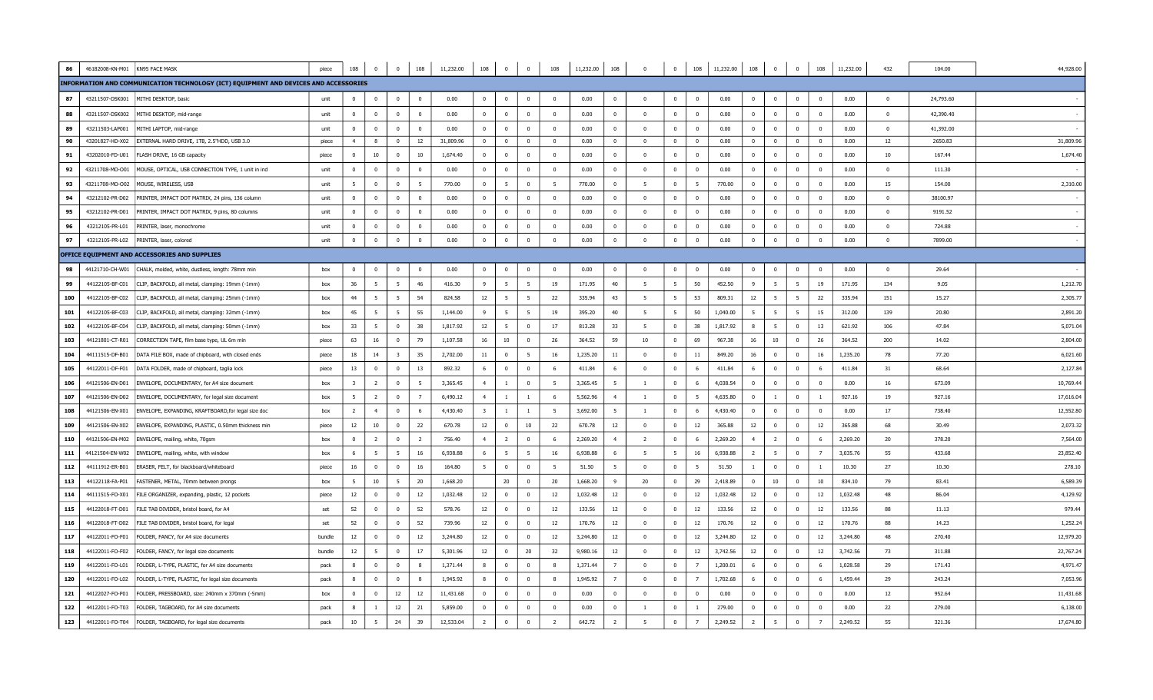| 86  | 46182008-KN-M01 | KN95 FACE MASK                                                                       | piece  | 108            | $\overline{0}$ | $\overline{0}$           | 108            | 11,232.00 | 108                     | $\overline{0}$          | $\overline{0}$           | 108                     | 11,232.00 108 |                | $\overline{\mathbf{0}}$ | $\overline{0}$          | 108             | 11,232.00 | 108            | $\overline{0}$          | $\mathbf{0}$   | 108                      | 11,232.00 | 432            | 104.00    | 44,928.00 |
|-----|-----------------|--------------------------------------------------------------------------------------|--------|----------------|----------------|--------------------------|----------------|-----------|-------------------------|-------------------------|--------------------------|-------------------------|---------------|----------------|-------------------------|-------------------------|-----------------|-----------|----------------|-------------------------|----------------|--------------------------|-----------|----------------|-----------|-----------|
|     |                 | INFORMATION AND COMMUNICATION TECHNOLOGY (ICT) EQUIPMENT AND DEVICES AND ACCESSORIES |        |                |                |                          |                |           |                         |                         |                          |                         |               |                |                         |                         |                 |           |                |                         |                |                          |           |                |           |           |
| 87  |                 | 43211507-DSK001 MITHI DESKTOP, basic                                                 | unit   | $\mathbf{0}$   | $\Omega$       | $\overline{0}$           | $\mathbf 0$    | 0.00      | $\mathbf{0}$            | $\Omega$                | $\overline{0}$           | $\Omega$                | 0.00          | $\mathbf{0}$   | $\Omega$                | $\overline{0}$          | $\mathbf{0}$    | 0.00      | $\mathbf{0}$   | $\mathbf 0$             | $\mathbf{0}$   | $\overline{0}$           | 0.00      | $\overline{0}$ | 24,793.60 |           |
| 88  | 43211507-DSK002 | MITHI DESKTOP, mid-range                                                             | unit   | $\mathbf{0}$   | $\mathbf{0}$   | $\overline{0}$           | $\overline{0}$ | 0.00      | $\overline{0}$          | $\mathbf{0}$            | $\mathbf 0$              | $\overline{0}$          | 0.00          | $\mathbf{0}$   | $\overline{0}$          | $\overline{0}$          | $\overline{0}$  | 0.00      | $\mathbf{0}$   | $\mathbf 0$             | $\mathbf{0}$   | $\overline{\mathbf{0}}$  | 0.00      | $\Omega$       | 42,390.40 |           |
| 89  | 43211503-LAP001 | MITHI LAPTOP, mid-range                                                              | unit   | $\overline{0}$ | $\Omega$       | $\overline{0}$           | $\overline{0}$ | 0.00      | $\overline{0}$          | $\overline{0}$          | $\overline{0}$           | $\Omega$                | 0.00          | $\mathbf{0}$   | $\overline{\mathbf{0}}$ | $\overline{0}$          | $\mathbf 0$     | 0.00      | $\overline{0}$ | $\bf{0}$                | $^{\circ}$     | $\overline{0}$           | 0.00      | $\overline{0}$ | 41,392.00 |           |
| 90  | 43201827-HD-X02 | EXTERNAL HARD DRIVE, 1TB, 2.5"HDD, USB 3.0                                           | piece  | $\overline{4}$ | 8              | $\overline{0}$           | 12             | 31,809.96 | $\mathbf{0}$            | $\mathbf{0}$            | $\overline{\mathbf{0}}$  | $\overline{0}$          | 0.00          | $\overline{0}$ | $\bf{0}$                | $\mathbf 0$             | $\mathbf{0}$    | 0.00      | $\mathbf{0}$   | $\overline{\mathbf{0}}$ | $\mathbf{0}$   | $\overline{\mathbf{0}}$  | 0.00      | 12             | 2650.83   | 31,809.96 |
| 91  | 43202010-FD-U01 | FLASH DRIVE, 16 GB capacity                                                          | piece  | $\Omega$       | 10             | $\overline{0}$           | 10             | 1,674.40  | $\mathbf{0}$            | $\Omega$                | $\overline{0}$           | $\Omega$                | 0.00          | $\mathbf{0}$   | $\mathbf 0$             | $\overline{0}$          | $\overline{0}$  | 0.00      | $\Omega$       | $\mathbf 0$             | $\Omega$       | $\overline{0}$           | 0.00      | 10             | 167.44    | 1,674.40  |
| 92  | 43211708-MO-O01 | MOUSE, OPTICAL, USB CONNECTION TYPE, 1 unit in ind                                   | unit   | $^{\circ}$     | $\mathbf{0}$   | $\overline{0}$           | $\overline{0}$ | 0.00      | $\mathbf{0}$            | $\overline{\mathbf{0}}$ | $\overline{\phantom{0}}$ | $\overline{0}$          | 0.00          | $^{\circ}$     | $\mathbf{0}$            | $\mathbf 0$             | $^{\circ}$      | 0.00      | $\overline{0}$ | $\mathbf 0$             | $^{\circ}$     | $\overline{\phantom{0}}$ | 0.00      | $\overline{0}$ | 111.30    |           |
| 93  | 43211708-MO-O02 | MOUSE, WIRELESS, USB                                                                 | unit   | -5             | $\mathbf{0}$   | $\overline{0}$           | - 5            | 770.00    | $\Omega$                | $-5$                    | $\overline{0}$           | - 5                     | 770.00        | $\Omega$       | 5                       | $\mathbf 0$             | 5               | 770.00    | $\Omega$       | $\overline{0}$          | $\Omega$       | $\overline{\mathbf{0}}$  | 0.00      | 15             | 154.00    | 2,310.00  |
| 94  | 43212102-PR-D02 | PRINTER, IMPACT DOT MATRIX, 24 pins, 136 column                                      | unit   | $\mathbf{0}$   | $\mathbf{0}$   | $\overline{0}$           | $\overline{0}$ | 0.00      | $\mathbf{0}$            | $\mathbf{0}$            | $\overline{0}$           | $\Omega$                | 0.00          | $\mathbf{0}$   | $\overline{0}$          | $\overline{0}$          | $\mathbf{0}$    | 0.00      | $\mathbf{0}$   | $\mathbf{0}$            | $\mathbf{0}$   | $\overline{\mathbf{0}}$  | 0.00      | $\overline{0}$ | 38100.97  |           |
| 95  | 43212102-PR-D01 | PRINTER, IMPACT DOT MATRIX, 9 pins, 80 columns                                       | unit   | $\overline{0}$ | $\mathbf{0}$   | $\mathbf 0$              | $\bf{0}$       | 0.00      | $\mathbf 0$             | $\overline{\mathbf{0}}$ | $\overline{\mathbf{0}}$  | $\overline{0}$          | 0.00          | $^{\circ}$     | $\mathbf{0}$            | $\mathbf{0}$            | $\mathbf 0$     | 0.00      | $\Omega$       | $\mathbf{0}$            | $^{\circ}$     | $\overline{\mathbf{0}}$  | 0.00      | $\overline{0}$ | 9191.52   |           |
| 96  | 43212105-PR-L01 | PRINTER, laser, monochrome                                                           | unit   | $^{\circ}$     | $\mathbf{0}$   | $\overline{\phantom{0}}$ | $\overline{0}$ | 0.00      | $\mathbf{0}$            | $\overline{0}$          | $\overline{\phantom{0}}$ | $\Omega$                | 0.00          | $\mathbf{0}$   | $\mathbf 0$             | $\overline{0}$          | $\mathbf{0}$    | 0.00      | $\overline{0}$ | $\mathbf 0$             | $^{\circ}$     | $\overline{\mathbf{0}}$  | 0.00      | $\overline{0}$ | 724.88    |           |
| 97  |                 | 43212105-PR-L02 PRINTER, laser, colored                                              | unit   | $\overline{0}$ | $\mathbf{0}$   | $\bf{0}$                 | $\bf{0}$       | 0.00      | $\overline{0}$          | $\mathbf{0}$            | $\overline{0}$           | $\mathbf 0$             | 0.00          | $\mathbf{0}$   | $\mathbf 0$             | $\bf{0}$                | $\mathbf{0}$    | 0.00      | $\mathbf{0}$   | $\overline{\mathbf{0}}$ | $\mathbf{0}$   | $\overline{0}$           | 0.00      | $\mathbf{0}$   | 7899.00   |           |
|     |                 | OFFICE EQUIPMENT AND ACCESSORIES AND SUPPLIES                                        |        |                |                |                          |                |           |                         |                         |                          |                         |               |                |                         |                         |                 |           |                |                         |                |                          |           |                |           |           |
| 98  | 44121710-CH-W01 | CHALK, molded, white, dustless, length: 78mm min                                     | box    | $\Omega$       | $\Omega$       | $\overline{0}$           | $\mathbf{0}$   | 0.00      | $\Omega$                | $\Omega$                | $\overline{\mathbf{0}}$  | $\Omega$                | 0.00          | $^{\circ}$     | $\Omega$                | $\mathbf{0}$            | $^{\circ}$      | 0.00      | $\Omega$       | $\mathbf 0$             | $\Omega$       | $\overline{0}$           | 0.00      | $\overline{0}$ | 29.64     |           |
| 99  | 44122105-BF-C01 | CLIP, BACKFOLD, all metal, clamping: 19mm (-1mm)                                     | box    | 36             | 5              | 5                        | 46             | 416.30    | 9                       | - 5                     | 5                        | 19                      | 171.95        | 40             | - 5                     | 5                       | 50              | 452.50    | 9              | - 5                     | 5              | 19                       | 171.95    | 134            | 9.05      | 1,212.70  |
| 100 | 44122105-BF-C02 | CLIP, BACKFOLD, all metal, clamping: 25mm (-1mm)                                     | hox    | 44             | 5              | 5                        | 54             | 824.58    | 12                      | $-5$                    | $5\overline{5}$          | 22                      | 335.94        | 43             | 5                       | 5                       | 53              | 809.31    | 12             | $-5$                    | -5             | 22                       | 335.94    | 151            | 15.27     | 2,305.77  |
| 101 | 44122105-BF-C03 | CLIP, BACKFOLD, all metal, clamping: 32mm (-1mm)                                     | box    | 45             | 5              | 5                        | 55             | 1,144.00  | 9                       | 5                       | $5^{\circ}$              | 19                      | 395.20        | 40             | 5                       | 5                       | 50              | 1,040.00  | 5              | 5                       | 5              | 15                       | 312.00    | 139            | 20.80     | 2,891.20  |
| 102 | 44122105-BF-C04 | CLIP, BACKFOLD, all metal, clamping: 50mm (-1mm)                                     | box    | 33             | -5             | $\mathbf 0$              | 38             | 1,817.92  | 12                      | -5                      | $\overline{0}$           | 17                      | 813.28        | 33             | - 5                     | $\overline{0}$          | 38              | 1,817.92  | -8             | 5                       | $\mathbf{0}$   | 13                       | 621.92    | 106            | 47.84     | 5,071.04  |
| 103 | 44121801-CT-R01 | CORRECTION TAPE, film base type, UL 6m min                                           | piece  | 63             | 16             | $\overline{0}$           | 79             | 1,107.58  | 16                      | 10                      | $\overline{\mathbf{0}}$  | 26                      | 364.52        | 59             | 10                      | $\overline{0}$          | 69              | 967.38    | 16             | 10                      | $\Omega$       | 26                       | 364.52    | 200            | 14.02     | 2,804.00  |
| 104 | 44111515-DF-B01 | DATA FILE BOX, made of chipboard, with closed ends                                   | piece  | 18             | 14             | $\overline{\mathbf{3}}$  | 35             | 2,702.00  | 11                      | $\overline{0}$          | 5                        | 16                      | 1,235.20      | 11             | $\mathbf{0}$            | $\overline{0}$          | 11              | 849.20    | 16             | $\overline{0}$          | $\mathbf{0}$   | 16                       | 1,235.20  | 78             | 77.20     | 6,021.60  |
| 105 | 44122011-DF-F01 | DATA FOLDER, made of chipboard, taglia lock                                          | piece  | 13             | $\Omega$       | $\overline{0}$           | 13             | 892.32    | 6                       | $\mathbf{0}$            | $\overline{0}$           | - 6                     | 411.84        | 6              | $\Omega$                | $\mathbf{0}$            | 6               | 411.84    | 6              | $\mathbf{0}$            | $\mathbf{0}$   | 6                        | 411.84    | 31             | 68.64     | 2,127.84  |
| 106 | 44121506-EN-D01 | ENVELOPE, DOCUMENTARY, for A4 size document                                          | box    | $\overline{3}$ | $\overline{2}$ | $\overline{0}$           | - 5            | 3,365.45  | $\overline{4}$          |                         | $\overline{\phantom{0}}$ | - 5                     | 3,365.45      | 5              | $\mathbf{1}$            | $\overline{0}$          | 6               | 4,038.54  | $\Omega$       | $\mathbf{0}$            | $\mathbf{0}$   | $\overline{\mathbf{0}}$  | 0.00      | 16             | 673.09    | 10,769.44 |
| 107 | 44121506-EN-D02 | ENVELOPE, DOCUMENTARY, for legal size document                                       | box    | - 5            | $\overline{2}$ | $\overline{\mathbf{0}}$  | $\overline{7}$ | 6,490.12  | $\overline{4}$          | $\overline{1}$          | $\overline{1}$           | 6                       | 5,562.96      | $\overline{4}$ | <sup>1</sup>            | $\mathbf 0$             | 5               | 4,635.80  | $\mathbf{0}$   | <sup>1</sup>            | $\mathbf 0$    | $\overline{1}$           | 927.16    | 19             | 927.16    | 17,616.04 |
| 108 | 44121506-EN-X01 | ENVELOPE, EXPANDING, KRAFTBOARD, for legal size doc                                  | box    | <sup>2</sup>   | $\overline{4}$ | $\overline{0}$           | 6              | 4,430.40  | $\overline{\mathbf{3}}$ | $\mathbf{1}$            | $\mathbf{1}$             | - 5                     | 3,692.00      | - 5            | <sup>1</sup>            | $\overline{\mathbf{0}}$ | 6               | 4,430.40  | $\mathbf{0}$   | $\mathbf{0}$            | $^{\circ}$     | $\overline{0}$           | 0.00      | 17             | 738.40    | 12,552.80 |
| 109 | 44121506-EN-X02 | ENVELOPE, EXPANDING, PLASTIC, 0.50mm thickness min                                   | piece  | 12             | 10             | $\overline{\mathbf{0}}$  | 22             | 670.78    | 12                      | $\overline{0}$          | 10                       | 22                      | 670.78        | 12             | $\overline{0}$          | $\bf{0}$                | 12              | 365.88    | 12             | $\overline{0}$          | $\mathbf{0}$   | 12                       | 365.88    | 68             | 30.49     | 2,073.32  |
| 110 | 44121506-EN-M02 | ENVELOPE, mailing, white, 70qsm                                                      | hox    | $\Omega$       | $\overline{2}$ | $\overline{0}$           | $\overline{2}$ | 756.40    | $\overline{4}$          | $\overline{2}$          | $\overline{0}$           | - 6                     | 2,269.20      | $\overline{4}$ | $\overline{2}$          | $\overline{0}$          | 6               | 2,269.20  |                | $\overline{2}$          | $\overline{0}$ | -6                       | 2,269.20  | 20             | 378.20    | 7,564.00  |
| 111 | 44121504-EN-W02 | ENVELOPE, mailing, white, with window                                                | box    | 6              | 5              | $5\overline{5}$          | 16             | 6,938.88  | -6                      | 5                       | 5                        | 16                      | 6,938.88      | 6              | 5                       | $5\overline{5}$         | 16              | 6,938.88  | $\overline{2}$ | $5\overline{5}$         | $\mathbf 0$    | $\overline{7}$           | 3,035.76  | 55             | 433.68    | 23,852.40 |
| 112 | 44111912-ER-B01 | ERASER, FELT, for blackboard/whiteboard                                              | piece  | 16             | $\mathbf{0}$   | $\mathbf 0$              | 16             | 164.80    | 5                       | $\mathbf{0}$            | $\overline{\mathbf{0}}$  | 5                       | 51.50         | 5              | $\overline{0}$          | $\overline{0}$          | 5               | 51.50     | <sup>1</sup>   | $\overline{0}$          | $\mathbf{0}$   | <sup>1</sup>             | 10.30     | 27             | 10.30     | 278.10    |
| 113 | 44122118-FA-P01 | FASTENER, METAL, 70mm between prongs                                                 | hox    | -5             | 10             | - 5                      | 20             | 1,668.20  |                         | 20                      | $\overline{0}$           | 20                      | 1,668.20      | $\overline{9}$ | 20                      | $\overline{0}$          | 29              | 2,418.89  | $\Omega$       | 10                      | $\Omega$       | 10                       | 834.10    | 79             | 83.41     | 6,589.39  |
| 114 | 44111515-FO-X01 | FILE ORGANIZER, expanding, plastic, 12 pockets                                       | piece  | 12             | $\Omega$       | $\overline{0}$           | 12             | 1,032.48  | 12                      | $\mathbf{0}$            | $\overline{\mathbf{0}}$  | 12                      | 1,032.48      | 12             | $\overline{\mathbf{0}}$ | $\overline{0}$          | 12              | 1,032.48  | 12             | $\overline{\mathbf{0}}$ | $\overline{0}$ | 12                       | 1,032.48  | 48             | 86.04     | 4,129.92  |
| 115 | 44122018-FT-D01 | FILE TAB DIVIDER, bristol board, for A4                                              | set    | 52             | $\mathbf{0}$   | $\overline{0}$           | 52             | 578.76    | 12                      | $\overline{\mathbf{0}}$ | $\overline{\mathbf{0}}$  | 12                      | 133.56        | 12             | $\mathbf{0}$            | $\mathbf{0}$            | 12              | 133.56    | 12             | $\overline{\mathbf{0}}$ | $^{\circ}$     | 12                       | 133.56    | 88             | 11.13     | 979.44    |
| 116 | 44122018-FT-D02 | FILE TAB DIVIDER, bristol board, for legal                                           | set    | 52             | $\Omega$       | $\overline{0}$           | 52             | 739.96    | 12                      | $\Omega$                | $\overline{0}$           | 12                      | 170.76        | 12             | $\Omega$                | $\overline{0}$          | 12              | 170.76    | 12             | $\mathbf 0$             | $\Omega$       | 12                       | 170.76    | 88             | 14.23     | 1,252.24  |
| 117 | 44122011-FO-F01 | FOLDER, FANCY, for A4 size documents                                                 | bundle | 12             | $\mathbf{0}$   | $\overline{0}$           | 12             | 3,244.80  | 12                      | $\mathbf{0}$            | $\overline{0}$           | 12                      | 3,244.80      | 12             | $\mathbf 0$             | $\overline{0}$          | 12              | 3,244.80  | 12             | $\overline{0}$          | $\mathbf 0$    | 12                       | 3,244.80  | 48             | 270.40    | 12,979.20 |
| 118 | 44122011-FO-F02 | FOLDER, FANCY, for legal size documents                                              | bundle | 12             | 5              | $\mathbf{0}$             | 17             | 5,301.96  | 12                      | $\overline{0}$          | 20                       | 32                      | 9,980.16      | 12             | $\Omega$                | $\mathbf 0$             | 12              | 3,742.56  | 12             | $\overline{0}$          | $\mathbf{0}$   | 12                       | 3,742.56  | 73             | 311.88    | 22,767.24 |
| 119 | 44122011-FO-L01 | FOLDER, L-TYPE, PLASTIC, for A4 size documents                                       | pack   | 8              | $\mathbf{0}$   | $\overline{\mathbf{0}}$  | 8              | 1,371.44  | 8                       | $\overline{\mathbf{0}}$ | $\overline{\mathbf{0}}$  | -8                      | 1,371.44      | $\overline{7}$ | $\mathbf{0}$            | $\mathbf 0$             | $\overline{7}$  | 1,200.01  | 6              | $\mathbf{0}$            | $^{\circ}$     | 6                        | 1,028.58  | 29             | 171.43    | 4,971.47  |
| 120 | 44122011-FO-L02 | FOLDER, L-TYPE, PLASTIC, for legal size documents                                    | pack   | 8              | $\mathbf{0}$   | $\overline{0}$           | 8              | 1,945.92  | 8                       | $\mathbf{0}$            | $\overline{0}$           | 8                       | 1,945.92      | $\overline{7}$ | $\overline{0}$          | $\overline{0}$          | $7\overline{ }$ | 1,702.68  | 6              | $\overline{\mathbf{0}}$ | $\mathbf{0}$   | 6                        | 1,459.44  | 29             | 243.24    | 7,053.96  |
| 121 | 44122027-FO-P01 | FOLDER, PRESSBOARD, size: 240mm x 370mm (-5mm)                                       | box    | $\Omega$       | $\Omega$       | 12                       | 12             | 11,431.68 | $\Omega$                | $\Omega$                | $\overline{0}$           | $\Omega$                | 0.00          | $\Omega$       | $\Omega$                | $\overline{0}$          | $\mathbf{0}$    | 0.00      | $\Omega$       | $\overline{0}$          | $\Omega$       | $\overline{0}$           | 0.00      | 12             | 952.64    | 11,431.68 |
| 122 | 44122011-FO-T03 | FOLDER, TAGBOARD, for A4 size documents                                              | pack   | 8              | $\overline{1}$ | 12                       | 21             | 5,859.00  | $\overline{0}$          | $\overline{\mathbf{0}}$ | $\overline{\phantom{0}}$ | $\overline{\mathbf{0}}$ | 0.00          | $^{\circ}$     | $\mathbf{1}$            | $\overline{\mathbf{0}}$ |                 | 279.00    | $\Omega$       | $\overline{\mathbf{0}}$ | $^{\circ}$     | $\overline{\mathbf{0}}$  | 0.00      | 22             | 279.00    | 6,138.00  |
| 123 | 44122011-FO-T04 | FOLDER, TAGBOARD, for legal size documents                                           | pack   | 10             | 5              | 24                       | 39             | 12,533.04 | $\overline{2}$          | $\mathbf{0}$            | $\overline{0}$           | $\overline{2}$          | 642.72        | $\overline{2}$ | - 5                     | $\overline{0}$          | $\overline{7}$  | 2,249.52  | $\overline{2}$ | 5                       | $\mathbf{0}$   | $\overline{7}$           | 2,249.52  | 55             | 321.36    | 17,674.80 |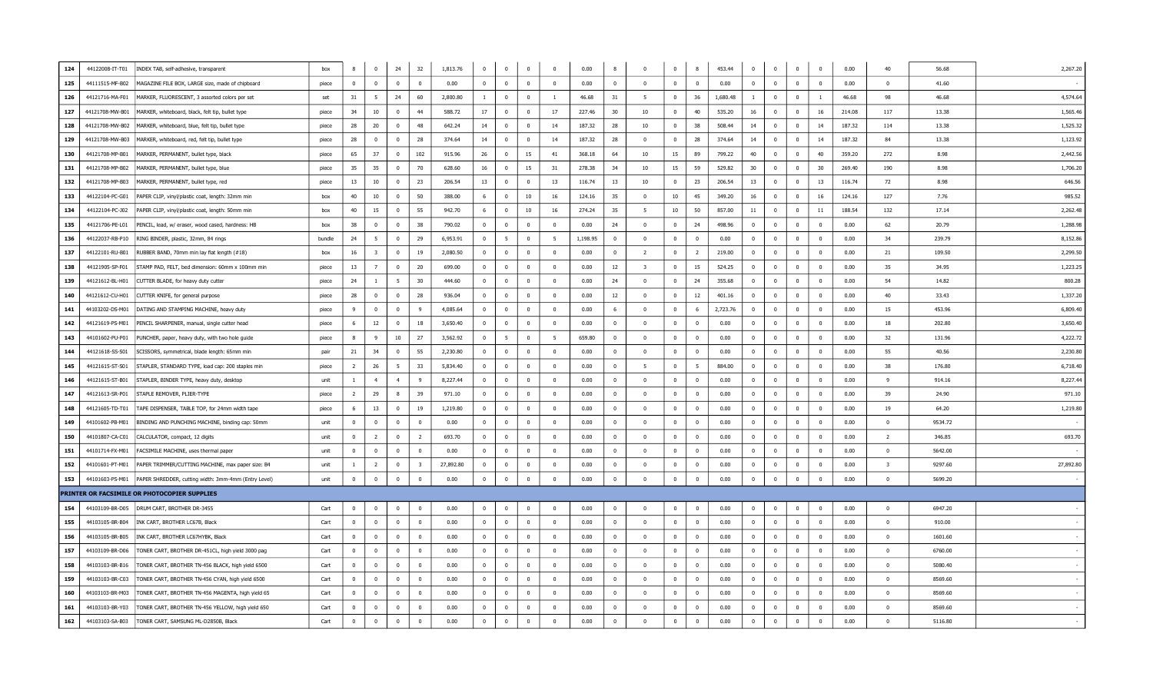| 124 | 44122008-IT-T01 | INDEX TAB, self-adhesive, transparent                | box    | 8                       | $\bf{0}$         | 24             | 32                      | 1,813.76  | $\mathbf 0$    | $\bf{0}$                | $\overline{0}$   | $^{\circ}$     | 0.00     | 8                       | $\mathbf{0}$            | $\mathbf{0}$     | 8              | 453.44   | $\overline{0}$          | $^{\circ}$     | $\bf{0}$                | $\overline{0}$ | 0.00   | 40                      | 56.68   | 2,267.20  |
|-----|-----------------|------------------------------------------------------|--------|-------------------------|------------------|----------------|-------------------------|-----------|----------------|-------------------------|------------------|----------------|----------|-------------------------|-------------------------|------------------|----------------|----------|-------------------------|----------------|-------------------------|----------------|--------|-------------------------|---------|-----------|
| 125 | 44111515-MF-B02 | MAGAZINE FILE BOX, LARGE size, made of chipboard     | piece  | $\mathbf 0$             | $\Omega$         | $\Omega$       | $\Omega$                | 0.00      | $\Omega$       | $\mathbf{0}$            | $\Omega$         | $\mathbf 0$    | 0.00     | $\overline{0}$          | $\Omega$                | $\mathbf{0}$     | $\overline{0}$ | 0.00     | $\Omega$                | $\Omega$       | $\Omega$                | $\Omega$       | 0.00   | $\Omega$                | 41.60   |           |
| 126 | 44121716-MA-F01 | MARKER, FLUORESCENT, 3 assorted colors per set       | set    | 31                      | - 5              | 24             | 60                      | 2,800.80  |                | $\overline{\mathbf{0}}$ | $\Omega$         | <sup>1</sup>   | 46.68    | 31                      | - 5                     | $\mathbf{0}$     | 36             | 1,680.48 | -1                      | $\Omega$       | $\overline{0}$          | $\overline{1}$ | 46.68  | 98                      | 46.68   | 4,574.64  |
| 127 | 44121708-MW-B01 | MARKER, whiteboard, black, felt tip, bullet type     | piece  | 34                      | 10               | $\Omega$       | 44                      | 588.72    | 17             | $\mathbf 0$             | $\Omega$         | 17             | 227.46   | 30                      | 10                      | $\mathbf{0}$     | 40             | 535.20   | 16                      | $\mathbf{0}$   | $\Omega$                | 16             | 214.08 | 117                     | 13.38   | 1,565.46  |
| 128 | 44121708-MW-B02 | MARKER, whiteboard, blue, felt tip, bullet type      | piece  | 28                      | 20               | $\mathbf{0}$   | 48                      | 642.24    | 14             | $\mathbf 0$             | $\overline{0}$   | 14             | 187.32   | 28                      | 10                      | $^{\circ}$       | 38             | 508.44   | 14                      | $\overline{0}$ | $\mathbf{0}$            | 14             | 187.32 | 114                     | 13.38   | 1,525.32  |
| 129 | 44121708-MW-B03 | MARKER, whiteboard, red, felt tip, bullet type       | piece  | 28                      | $\mathbf 0$      | $\mathbf{0}$   | 28                      | 374.64    | 14             | $\overline{0}$          | $\mathbf{0}$     | 14             | 187.32   | 28                      | $\mathbf{0}$            | $\mathbf{0}$     | 28             | 374.64   | 14                      | $^{\circ}$     | $\mathbf 0$             | 14             | 187.32 | 84                      | 13.38   | 1,123.92  |
| 130 | 44121708-MP-B01 | MARKER, PERMANENT, bullet type, black                | piece  | 65                      | 37               | $\Omega$       | 102                     | 915.96    | 26             | $\overline{0}$          | 15               | 41             | 368.18   | 64                      | 10                      | 15               | 89             | 799.22   | 40                      | $\Omega$       | $\Omega$                | 40             | 359.20 | 272                     | 8.98    | 2,442.56  |
| 131 | 44121708-MP-B02 | MARKER, PERMANENT, bullet type, blue                 | piece  | 35                      | 35               | $\overline{0}$ | 70                      | 628.60    | 16             | $\overline{0}$          | 15               | 31             | 278.38   | 34                      | 10                      | 15               | 59             | 529.82   | 30                      | $\mathbf{0}$   | $\overline{0}$          | 30             | 269.40 | 190                     | 8.98    | 1,706.20  |
| 132 | 44121708-MP-B03 | MARKER, PERMANENT, bullet type, red                  | piece  | 13                      | 10 <sup>10</sup> | $\Omega$       | 23                      | 206.54    | 13             | $\Omega$                | $\Omega$         | 13             | 116.74   | 13                      | 10                      | $\Omega$         | 23             | 206.54   | 13                      | $\Omega$       | $\Omega$                | 13             | 116.74 | 72                      | 8.98    | 646.56    |
| 133 | 44122104-PC-G01 | PAPER CLIP, vinyl/plastic coat, length: 32mm min     | box    | 40                      | 10               | $\mathbf{0}$   | 50                      | 388.00    | -6             | $\mathbf 0$             | 10               | 16             | 124.16   | 35                      | $^{\circ}$              | 10 <sub>10</sub> | 45             | 349.20   | 16                      | $^{\circ}$     | $\overline{0}$          | 16             | 124.16 | 127                     | 7.76    | 985.52    |
| 134 | 44122104-PC-J02 | PAPER CLIP, vinyl/plastic coat, length: 50mm min     | box    | 40                      | 15               | $\overline{0}$ | 55                      | 942.70    | 6              | $\overline{0}$          | 10 <sup>10</sup> | 16             | 274.24   | -35                     | - 5                     | 10               | 50             | 857.00   | 11                      | $\Omega$       | $\overline{0}$          | 11             | 188.54 | 132                     | 17.14   | 2,262.48  |
| 135 | 44121706-PE-L01 | PENCIL, lead, w/ eraser, wood cased, hardness: HB    | box    | 38                      | $\mathbf 0$      | $\overline{0}$ | 38                      | 790.02    | $\mathbf 0$    | $\overline{0}$          | $\mathbf{0}$     | $^{\circ}$     | 0.00     | -24                     | $\overline{0}$          | $\mathbf{0}$     | 24             | 498.96   | $\overline{0}$          | $\mathbf{0}$   | $\mathbf 0$             | $\overline{0}$ | 0.00   | 62                      | 20.79   | 1,288.98  |
| 136 | 44122037-RB-P10 | RING BINDER, plastic, 32mm, 84 rings                 | bundle | 24                      | 5                | $\Omega$       | 29                      | 6,953.91  | $\mathbf 0$    | 5                       | $\Omega$         | -5             | 1,198.95 | $\mathbf{0}$            | $\overline{0}$          | $\mathbf{0}$     | $\mathbf{0}$   | 0.00     | $\overline{0}$          | $\Omega$       | $\mathbf 0$             | $\mathbf 0$    | 0.00   | 34                      | 239.79  | 8,152.86  |
| 137 | 44122101-RU-B01 | RUBBER BAND, 70mm min lay flat length (#18)          | box    | 16                      | $\overline{3}$   | $\Omega$       | 19                      | 2,080.50  | $\Omega$       | $\overline{0}$          | $\Omega$         | $\Omega$       | 0.00     | $\mathbf{0}$            | $\overline{2}$          | $\Omega$         | $\overline{2}$ | 219.00   | $\overline{0}$          | $\Omega$       | $\Omega$                | $\Omega$       | 0.00   | 21                      | 109.50  | 2,299.50  |
| 138 | 44121905-SP-F01 | STAMP PAD, FELT, bed dimension: 60mm x 100mm min     | piece  | 13                      | $\overline{7}$   | $\Omega$       | 20                      | 699.00    | $\Omega$       | $\pmb{0}$               | $\Omega$         | $\Omega$       | 0.00     | 12                      | $\overline{\mathbf{3}}$ | $\overline{0}$   | 15             | 524.25   | $\overline{0}$          | $\Omega$       | $\overline{\mathbf{0}}$ | $\Omega$       | 0.00   | 35                      | 34.95   | 1,223.25  |
| 139 | 44121612-BL-H01 | CUTTER BLADE, for heavy duty cutter                  | piece  | 24                      | -1               | - 5            | 30                      | 444.60    | $\overline{0}$ | $\mathbf{0}$            | $\Omega$         | $^{\circ}$     | 0.00     | 24                      | $\Omega$                | $^{\circ}$       | 24             | 355.68   | $\overline{0}$          | $\overline{0}$ | $\overline{0}$          | $\overline{0}$ | 0.00   | 54                      | 14.82   | 800.28    |
| 140 | 44121612-CU-H01 | CUTTER KNIFE, for general purpose                    | piece  | 28                      | $\mathbf{0}$     | $\mathbf{0}$   | 28                      | 936.04    | $\mathbf{0}$   | $\mathbf 0$             | $\Omega$         | $\mathbf{0}$   | 0.00     | 12                      | $\overline{0}$          | $\mathbf{0}$     | 12             | 401.16   | $^{\circ}$              | $^{\circ}$     | $\mathbf{0}$            | $\overline{0}$ | 0.00   | 40                      | 33.43   | 1,337.20  |
| 141 | 44103202-DS-M01 | DATING AND STAMPING MACHINE, heavy duty              | piece  | $\mathbf{q}$            | $\Omega$         | $\Omega$       | $\overline{9}$          | 4,085.64  | $\Omega$       | $\overline{0}$          | $\Omega$         | $\Omega$       | 0.00     | - 6                     | $\Omega$                | $\Omega$         | 6              | 2,723.76 | $\Omega$                | $\Omega$       | $\Omega$                | $\Omega$       | 0.00   | 15                      | 453.96  | 6,809.40  |
| 142 | 44121619-PS-M01 | PENCIL SHARPENER, manual, single cutter head         | piece  | 6                       | 12               | $\overline{0}$ | 18                      | 3,650.40  | $\mathbf{0}$   | $\overline{0}$          | $\Omega$         | $\mathbf{0}$   | 0.00     | $\mathbf{0}$            | $\overline{0}$          | $\mathbf{0}$     | $\mathbf{0}$   | 0.00     | $\mathbf{0}$            | $\mathbf{0}$   | $\overline{0}$          | $\mathbf 0$    | 0.00   | 18                      | 202.80  | 3,650.40  |
| 143 | 44101602-PU-P01 | PUNCHER, paper, heavy duty, with two hole guide      | piece  | 8                       | $\mathbf{q}$     | 10             | 27                      | 3,562.92  | $\Omega$       | 5                       | $\overline{0}$   | -5             | 659.80   | $\mathbf{0}$            | $\Omega$                | $\Omega$         | $\mathbf{0}$   | 0.00     | $\Omega$                | $\overline{0}$ | $\overline{0}$          | $\overline{0}$ | 0.00   | 32                      | 131.96  | 4,222.72  |
| 144 | 44121618-SS-S01 | SCISSORS, symmetrical, blade length: 65mm min        | pair   | 21                      | 34               | $\mathbf{0}$   | 55                      | 2,230.80  | $^{\circ}$     | $\mathbf 0$             | $\overline{0}$   | $\mathbf 0$    | 0.00     | $\overline{0}$          | $^{\circ}$              | $\mathbf{0}$     | $\overline{0}$ | 0.00     | $\mathbf{0}$            | $\mathbf{0}$   | $\mathbf 0$             | $\overline{0}$ | 0.00   | 55                      | 40.56   | 2,230.80  |
| 145 | 44121615-ST-S01 | STAPLER, STANDARD TYPE, load cap: 200 staples min    | piece  | $\overline{2}$          | 26               | - 5            | 33                      | 5,834.40  | $\overline{0}$ | $\mathbf 0$             | $\Omega$         | $\mathbf{0}$   | 0.00     | $\mathbf{0}$            | 5                       | $\mathbf{0}$     | 5              | 884.00   | $\overline{0}$          | $\Omega$       | $\overline{0}$          | $\mathbf 0$    | 0.00   | 38                      | 176.80  | 6,718.40  |
| 146 | 44121615-ST-B01 | STAPLER, BINDER TYPE, heavy duty, desktop            | unit   | $\overline{1}$          | $\overline{4}$   | $\overline{4}$ | - 9                     | 8,227.44  | $\overline{0}$ | $\mathbf 0$             | $\Omega$         | $^{\circ}$     | 0.00     | $\mathbf{0}$            | $\Omega$                | $\mathbf{0}$     | $\overline{0}$ | 0.00     | $\overline{0}$          | $\mathbf{0}$   | $\overline{\mathbf{0}}$ | $\overline{0}$ | 0.00   | -9                      | 914.16  | 8,227.44  |
| 147 | 44121613-SR-P01 | STAPLE REMOVER, PLIER-TYPE                           | piece  | <sup>2</sup>            | 29               |                | 39                      | 971.10    |                | $\mathbf{0}$            |                  | $\mathbf 0$    | 0.00     | $\overline{\mathbf{0}}$ | $^{\circ}$              | $\mathbf{0}$     | $\overline{0}$ | 0.00     | $^{\circ}$              | $\Omega$       | $\mathbf 0$             | $\overline{0}$ | 0.00   | 39                      | 24.90   | 971.10    |
| 148 | 44121605-TD-T01 | TAPE DISPENSER, TABLE TOP, for 24mm width tape       | piece  | 6                       | 13               | $\Omega$       | 19                      | 1,219.80  | $\Omega$       | $\overline{0}$          | $\Omega$         | $\Omega$       | 0.00     | $\Omega$                | $\Omega$                | $\overline{0}$   | $\overline{0}$ | 0.00     | $\Omega$                | $\Omega$       | $\Omega$                | $\overline{0}$ | 0.00   | 19                      | 64.20   | 1,219.80  |
| 149 | 44101602-PB-M01 | BINDING AND PUNCHING MACHINE, binding cap: 50mm      | unit   | $\bf{0}$                | $\overline{0}$   | $\overline{0}$ | $\overline{0}$          | 0.00      | $\overline{0}$ | $\bf{0}$                | $\overline{0}$   | $\mathbf{0}$   | 0.00     | $\overline{0}$          | $^{\circ}$              | $\overline{0}$   | $\overline{0}$ | 0.00     | $\overline{0}$          | $\overline{0}$ | $\overline{0}$          | $\bf{0}$       | 0.00   | $\overline{0}$          | 9534.72 |           |
| 150 | 44101807-CA-C01 | CALCULATOR, compact, 12 digits                       | unit   | $\mathbf 0$             | $\overline{2}$   | $\mathbf{0}$   | $\overline{2}$          | 693.70    | $\mathbf{0}$   | $\mathbf{0}$            | $\mathbf{0}$     | $\mathbf 0$    | 0.00     | $\mathbf{0}$            | $\mathbf{0}$            | $\mathbf{0}$     | $\mathbf{0}$   | 0.00     | $\mathbf{0}$            | $\mathbf{0}$   | $\mathbf 0$             | $\mathbf 0$    | 0.00   | $\overline{2}$          | 346.85  | 693.70    |
| 151 | 44101714-FX-M01 | FACSIMILE MACHINE, uses thermal paper                | unit   | $\overline{\mathbf{0}}$ | 0                | $\overline{0}$ | $\mathbf{0}$            | 0.00      | $\mathbf{0}$   | $\mathbf 0$             | $\overline{0}$   | $\mathbf 0$    | 0.00     | $\overline{0}$          | $\mathbf{0}$            | $\mathbf{0}$     | $\overline{0}$ | 0.00     | $\overline{\mathbf{0}}$ | $\mathbf{0}$   | $\mathbf 0$             | $\mathbf 0$    | 0.00   | $\overline{0}$          | 5642.00 |           |
| 152 | 44101601-PT-M01 | PAPER TRIMMER/CUTTING MACHINE, max paper size: B4    | unit   | $\mathbf{1}$            | $\overline{2}$   | $\overline{0}$ | $\overline{\mathbf{3}}$ | 27,892.80 | $\mathbf 0$    | $\overline{0}$          | $\Omega$         | $\mathbf{0}$   | 0.00     | $\mathbf{0}$            | $\Omega$                | $\mathbf{0}$     | $\mathbf{0}$   | 0.00     | $\overline{0}$          | $\Omega$       | $\overline{0}$          | $\mathbf 0$    | 0.00   | $\overline{\mathbf{3}}$ | 9297.60 | 27,892.80 |
| 153 | 44101603-PS-M01 | PAPER SHREDDER, cutting width: 3mm-4mm (Entry Level) | unit   | $\bf{0}$                | $\pmb{0}$        | $\overline{0}$ | $\mathbf{0}$            | 0.00      | $\mathbf 0$    | $\pmb{0}$               | $\overline{0}$   | $\mathbf{0}$   | 0.00     | $\mathbf{0}$            | $^{\circ}$              | $\mathbf{0}$     | $\overline{0}$ | 0.00     | $\overline{0}$          | $\overline{0}$ | $\overline{\mathbf{0}}$ | $\overline{0}$ | 0.00   | $\mathbf{0}$            | 5699.20 |           |
|     |                 | PRINTER OR FACSIMILE OR PHOTOCOPIER SUPPLIES         |        |                         |                  |                |                         |           |                |                         |                  |                |          |                         |                         |                  |                |          |                         |                |                         |                |        |                         |         |           |
| 154 | 44103109-BR-D05 | DRUM CART, BROTHER DR-3455                           | Cart   | $\mathbf 0$             | $\mathbf 0$      | $\overline{0}$ | $\mathbf{0}$            | 0.00      | $\mathbf 0$    | $\overline{0}$          | $\Omega$         | $\mathbf 0$    | 0.00     | $\bf{0}$                | $\Omega$                | $\mathbf{0}$     | $\bf{0}$       | 0.00     | $\mathbf{0}$            | $\Omega$       | $\mathbf 0$             | $\overline{0}$ | 0.00   | $\mathbf{0}$            | 6947.20 |           |
| 155 | 44103105-BR-B04 | INK CART, BROTHER LC67B, Black                       | Cart   | $\overline{0}$          | $\mathbf 0$      | $\overline{0}$ | $\overline{0}$          | 0.00      | $\overline{0}$ | $\mathbf 0$             | $\Omega$         | $\overline{0}$ | 0.00     | $\bf{0}$                | $^{\circ}$              | $\mathbf{0}$     | $\bf{0}$       | 0.00     | $\overline{0}$          | $\Omega$       | $\overline{0}$          | $\overline{0}$ | 0.00   | $\overline{0}$          | 910.00  |           |
| 156 | 44103105-BR-B05 | INK CART, BROTHER LC67HYBK, Black                    | Cart   | $\Omega$                | $\mathbf{0}$     | $\overline{0}$ | $\Omega$                | 0.00      | $\mathbf 0$    | $\overline{0}$          | $\Omega$         | $\mathbf 0$    | 0.00     | $\Omega$                | $\overline{0}$          | $\mathbf{0}$     | $\mathbf{0}$   | 0.00     | $\overline{0}$          | $\Omega$       | $\mathbf{0}$            | $\mathbf 0$    | 0.00   | $\mathbf{0}$            | 1601.60 |           |
| 157 | 44103109-BR-D06 | TONER CART, BROTHER DR-451CL, high yield 3000 pag    | Cart   | $\Omega$                | $\mathbf 0$      | $\Omega$       | $\mathbf{0}$            | 0.00      | $\mathbf 0$    | $\overline{0}$          | $\Omega$         | $^{\circ}$     | 0.00     | $\mathbf{0}$            | $\Omega$                | $\mathbf{0}$     | $\overline{0}$ | 0.00     | $\overline{0}$          | $\mathbf{0}$   | $\mathbf 0$             | $\mathbf 0$    | 0.00   | $\mathbf{0}$            | 6760.00 |           |
| 158 | 44103103-BR-B16 | FONER CART, BROTHER TN-456 BLACK, high yield 6500    | Cart   | $\Omega$                | $\Omega$         | $\Omega$       | $\Omega$                | 0.00      | $\Omega$       | $\Omega$                | $\Omega$         | $\Omega$       | 0.00     | $\overline{0}$          | $\Omega$                | $\Omega$         | $\mathbf{0}$   | 0.00     | $\Omega$                | $\Omega$       | $\Omega$                | $\Omega$       | 0.00   | $\overline{0}$          | 5080.40 |           |
| 159 | 44103103-BR-C03 | TONER CART, BROTHER TN-456 CYAN, high yield 6500     | Cart   | $\Omega$                | $\mathbf 0$      | $\Omega$       | $\overline{\mathbf{0}}$ | 0.00      | $\overline{0}$ | $\mathbf 0$             | $\Omega$         | $^{\circ}$     | 0.00     | $\mathbf{0}$            | $\Omega$                | $\Omega$         | $\mathbf{0}$   | 0.00     | $\overline{0}$          | $\Omega$       | $\overline{0}$          | $\Omega$       | 0.00   | $\overline{0}$          | 8569.60 |           |
| 160 | 44103103-BR-M03 | TONER CART, BROTHER TN-456 MAGENTA, high yield 65    | Cart   | $\mathbf{0}$            | $\mathbf 0$      | $\mathbf{0}$   | $\mathbf{0}$            | 0.00      | $\mathbf{0}$   | $\mathbf 0$             | $\overline{0}$   | $\mathbf 0$    | 0.00     | $\overline{0}$          | $\mathbf{0}$            | $\bf{0}$         | $\overline{0}$ | 0.00     | $\overline{0}$          | $\mathbf{0}$   | $\overline{\mathbf{0}}$ | $\overline{0}$ | 0.00   | $\mathbf{0}$            | 8569.60 |           |
| 161 | 44103103-BR-Y03 | TONER CART, BROTHER TN-456 YELLOW, high yield 650    | Cart   | $\Omega$                | $\mathbf 0$      | $\Omega$       | $\mathbf 0$             | 0.00      | $\Omega$       | $\mathbf 0$             | $\Omega$         | $\Omega$       | 0.00     | $\mathbf{0}$            | $\Omega$                | $\mathbf{0}$     | $\mathbf{0}$   | 0.00     | $\Omega$                | $\Omega$       | $\mathbf 0$             | $\Omega$       | 0.00   | $\mathbf{0}$            | 8569.60 |           |
| 162 | 44103103-SA-B03 | TONER CART, SAMSUNG ML-D2850B, Black                 | Cart   | $\mathbf 0$             | $\mathbf 0$      | $\overline{0}$ | $\mathbf 0$             | 0.00      | $^{\circ}$     | $\mathbf{0}$            | $\Omega$         | $\mathbf{0}$   | 0.00     | $\mathbf{0}$            | $\Omega$                | $\mathbf{0}$     | $\overline{0}$ | 0.00     | $\mathbf 0$             | $\Omega$       | $\mathbf 0$             | $\Omega$       | 0.00   | $\Omega$                | 5116.80 |           |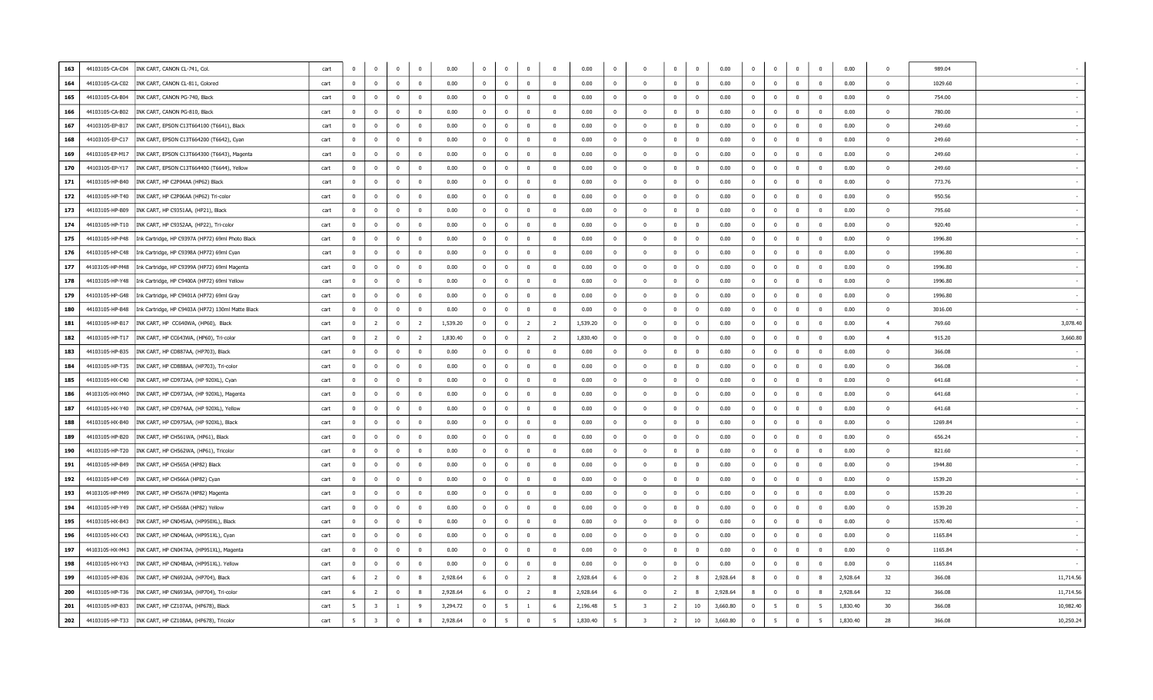| 163 | 44103105-CA-C04 | INK CART, CANON CL-741, Col.                      | cart | $\Omega$                | $\bf{0}$                | $\mathbf 0$    | $\mathbf{0}$            | 0.00     | $\mathbf{0}$            | $\bf{0}$       | $\mathbf 0$    | $\Omega$       | 0.00     | $\mathbf 0$             | $\overline{0}$          | $\overline{0}$ | $\overline{0}$          | 0.00     | $\Omega$       | $\overline{0}$          | $\mathbf{0}$   | $\mathbf 0$              | 0.00     | $\Omega$       | 989.04  |           |
|-----|-----------------|---------------------------------------------------|------|-------------------------|-------------------------|----------------|-------------------------|----------|-------------------------|----------------|----------------|----------------|----------|-------------------------|-------------------------|----------------|-------------------------|----------|----------------|-------------------------|----------------|--------------------------|----------|----------------|---------|-----------|
| 164 | 44103105-CA-C02 | INK CART, CANON CL-811, Colored                   | cart | $\overline{0}$          | $\Omega$                | $\bf{0}$       | $\overline{0}$          | 0.00     | $\mathbf{0}$            | $\mathbf{0}$   | $\mathbf 0$    | $\Omega$       | 0.00     | $\overline{0}$          | $\overline{0}$          | $\Omega$       | $\overline{\mathbf{0}}$ | 0.00     | $\Omega$       | $\overline{0}$          | $\Omega$       | $\overline{0}$           | 0.00     | $\Omega$       | 1029.60 |           |
| 165 | 44103105-CA-B04 | INK CART, CANON PG-740, Black                     | cart | $\overline{0}$          | $\mathbf{0}$            | $\bf{0}$       | $\overline{0}$          | 0.00     | $\mathbf{0}$            | $\bf{0}$       | $\bf{0}$       | $^{\circ}$     | 0.00     | 0                       | $\overline{\mathbf{0}}$ | $\overline{0}$ | $\mathbf{0}$            | 0.00     | $^{\circ}$     | $\overline{\mathbf{0}}$ | $\bf{0}$       | $\overline{0}$           | 0.00     | $\overline{0}$ | 754.00  |           |
| 166 | 44103105-CA-B02 | INK CART, CANON PG-810, Black                     | cart | $\overline{\mathbf{0}}$ | $\Omega$                | $\mathbf 0$    | $\Omega$                | 0.00     | $\mathbf{0}$            | $\bf{0}$       | $\mathbf 0$    | $\Omega$       | 0.00     | $\Omega$                | $\overline{0}$          | $\Omega$       | $\overline{\mathbf{0}}$ | 0.00     | $\Omega$       | $\overline{0}$          | $\mathbf{0}$   | $\overline{0}$           | 0.00     | $\Omega$       | 780.00  |           |
| 167 | 44103105-EP-B17 | INK CART, EPSON C13T664100 (T6641), Black         | cart | $\overline{0}$          | $\mathbf 0$             | $\mathbf{0}$   | $\mathbf{0}$            | 0.00     | $\overline{0}$          | $\bf{0}$       | $\overline{0}$ | $^{\circ}$     | 0.00     | $\overline{0}$          | $\overline{0}$          | $\mathbf 0$    | $\overline{0}$          | 0.00     | $\mathbf{0}$   | $\overline{\mathbf{0}}$ | $\overline{0}$ | $\overline{0}$           | 0.00     | $\mathbf 0$    | 249.60  |           |
| 168 | 44103105-EP-C17 | INK CART, EPSON C13T664200 (T6642), Cyan          | cart | $\overline{0}$          | $\Omega$                | $\mathbf 0$    | $\overline{0}$          | 0.00     | $\overline{0}$          | $\overline{0}$ | $\mathbf 0$    | $\Omega$       | 0.00     | $\mathbf{0}$            | $\overline{0}$          | $\Omega$       | $\Omega$                | 0.00     | $\Omega$       | $\overline{0}$          | $\overline{0}$ | $\overline{0}$           | 0.00     | $\Omega$       | 249.60  |           |
| 169 | 44103105-EP-M17 | INK CART, EPSON C13T664300 (T6643), Magenta       | cart | $\overline{0}$          | $\bf{0}$                | $\overline{0}$ | $\overline{0}$          | 0.00     | $\bf{0}$                | $\bf{0}$       | $\overline{0}$ | $^{\circ}$     | 0.00     | $\overline{\mathbf{0}}$ | $\overline{0}$          | $\overline{0}$ | $\overline{0}$          | 0.00     | $\mathbf{0}$   | $\overline{\mathbf{0}}$ | $\overline{0}$ | $\overline{0}$           | 0.00     | $\Omega$       | 249.60  |           |
| 170 | 44103105-EP-Y17 | INK CART, EPSON C13T664400 (T6644), Yellow        | cart | $\overline{0}$          | $\bf{0}$                | $\mathbf 0$    | $\mathbf{0}$            | 0.00     | $\mathbf 0$             | $\bf{0}$       | $\overline{0}$ | $\Omega$       | 0.00     | $\overline{0}$          | $\overline{\mathbf{0}}$ | $\mathbf 0$    | $\overline{0}$          | 0.00     | $\Omega$       | $\overline{\mathbf{0}}$ | $\mathbf{0}$   | $\overline{\mathbf{0}}$  | 0.00     | $\Omega$       | 249.60  |           |
| 171 | 44103105-HP-B40 | INK CART, HP C2P04AA (HP62) Black                 | cart | $\overline{0}$          | $\mathbf{0}$            | $\overline{0}$ | $\overline{0}$          | 0.00     | $\mathbf{0}$            | $\mathbf{0}$   | $\overline{0}$ | $\Omega$       | 0.00     | $\overline{0}$          | $\overline{0}$          | $\mathbf{0}$   | $\overline{0}$          | 0.00     | $^{\circ}$     | $\overline{\mathbf{0}}$ | $\bf{0}$       | $\overline{\mathbf{0}}$  | 0.00     | $\Omega$       | 773.76  |           |
| 172 | 44103105-HP-T40 | INK CART, HP C2P06AA (HP62) Tri-color             | cart | $\overline{\mathbf{0}}$ | $\mathbf 0$             | $\mathbf 0$    | $\mathbf{0}$            | 0.00     | $\mathbf 0$             | $\mathbf 0$    | $\mathbf 0$    | $\Omega$       | 0.00     | $\Omega$                | $\overline{0}$          | $\Omega$       | $\Omega$                | 0.00     | $\Omega$       | $\overline{0}$          | $\mathbf{0}$   | $\Omega$                 | 0.00     | $\Omega$       | 950.56  |           |
| 173 | 44103105-HP-B09 | INK CART, HP C9351AA, (HP21), Black               | cart | $\overline{0}$          | $\mathbf 0$             | $\mathbf 0$    | $\overline{0}$          | 0.00     | $\overline{\mathbf{0}}$ | $\bf{0}$       | $\mathbf 0$    | $\Omega$       | 0.00     | $\Omega$                | $\overline{0}$          | $\Omega$       | $\overline{0}$          | 0.00     | $\mathbf{0}$   | $\overline{0}$          | $\mathbf{0}$   | $\overline{0}$           | 0.00     | $\Omega$       | 795.60  |           |
| 174 | 44103105-HP-T10 | INK CART, HP C9352AA, (HP22), Tri-color           | cart | $\Omega$                | $\overline{0}$          | $\bf{0}$       | $\mathbf{0}$            | 0.00     | $\bf{0}$                | $\bf{0}$       | $\bf{0}$       | $\Omega$       | 0.00     | $\Omega$                | $\overline{0}$          | $\overline{0}$ | $\overline{0}$          | 0.00     | $\Omega$       | $\mathbf 0$             | $\bf{0}$       | $\Omega$                 | 0.00     | $\Omega$       | 920.40  |           |
| 175 | 44103105-HP-P48 | Ink Cartridge, HP C9397A (HP72) 69ml Photo Black  | cart | $\overline{\mathbf{0}}$ | $\mathbf{0}$            | $\mathbf 0$    | $\overline{0}$          | 0.00     | $\overline{0}$          | $\mathbf{0}$   | $\bf{0}$       | $\Omega$       | 0.00     | $\mathbf{0}$            | $\overline{0}$          | $\overline{0}$ | $\overline{0}$          | 0.00     | $\overline{0}$ | $\mathbf 0$             | $\bf{0}$       | $\overline{\mathbf{0}}$  | 0.00     | $\Omega$       | 1996.80 |           |
| 176 | 44103105-HP-C48 | Ink Cartridge, HP C9398A (HP72) 69ml Cyan         | cart | $\mathbf{0}$            | $\mathbf{0}$            | $\overline{0}$ | $\mathbf{0}$            | 0.00     | $\overline{0}$          | $\mathbf{0}$   | $\overline{0}$ | $^{\circ}$     | 0.00     | $\overline{0}$          | $\overline{0}$          | $\overline{0}$ | $\overline{0}$          | 0.00     | $^{\circ}$     | $\overline{\mathbf{0}}$ | $\mathbf{0}$   | $\mathbf 0$              | 0.00     | $\overline{0}$ | 1996.80 |           |
| 177 | 44103105-HP-M48 | Ink Cartridge, HP C9399A (HP72) 69ml Magenta      | cart | $\Omega$                | $\Omega$                | $\mathbf 0$    | $\Omega$                | 0.00     | $\mathbf{0}$            | $\Omega$       | $\mathbf 0$    | $\Omega$       | 0.00     | $\Omega$                | $\overline{0}$          | $\Omega$       | $\overline{0}$          | 0.00     | $\Omega$       | $\overline{0}$          | $\Omega$       | $\overline{0}$           | 0.00     | $\Omega$       | 1996.80 |           |
| 178 | 44103105-HP-Y48 | Ink Cartridge, HP C9400A (HP72) 69ml Yellow       | cart | $\overline{\mathbf{0}}$ | $\mathbf 0$             | $\mathbf{0}$   | $\mathbf{0}$            | 0.00     | $\overline{0}$          | $\mathbf 0$    | $\mathbf 0$    | $\Omega$       | 0.00     | $\overline{0}$          | $\overline{0}$          | $\mathbf 0$    | $\overline{0}$          | 0.00     | $\mathbf{0}$   | $\overline{0}$          | $\mathbf{0}$   | $\overline{0}$           | 0.00     | $\Omega$       | 1996.80 |           |
| 179 | 44103105-HP-G48 | Ink Cartridge, HP C9401A (HP72) 69ml Gray         | cart | $\overline{0}$          | $\Omega$                | $\overline{0}$ | $\overline{0}$          | 0.00     | $\overline{0}$          | $\overline{0}$ | $\overline{0}$ | $\Omega$       | 0.00     | $\Omega$                | $\overline{0}$          | $\Omega$       | $\Omega$                | 0.00     | $\Omega$       | $\overline{0}$          | $\overline{0}$ | $\overline{0}$           | 0.00     | $\overline{0}$ | 1996.80 |           |
| 180 | 44103105-HP-B48 | Ink Cartridge, HP C9403A (HP72) 130ml Matte Black | cart | $\mathbf 0$             | $\mathbf{0}$            | $\overline{0}$ | $\mathbf{0}$            | 0.00     | $\mathbf{0}$            | $\bf{0}$       | $\overline{0}$ | $\Omega$       | 0.00     | $\sqrt{ }$              | $\overline{\mathbf{0}}$ | $\Omega$       | $\overline{0}$          | 0.00     | $^{\circ}$     | $\mathbf 0$             | $\mathbf{0}$   | $\overline{0}$           | 0.00     | $\Omega$       | 3016.00 |           |
| 181 | 44103105-HP-B17 | INK CART, HP CC640WA, (HP60), Black               | cart | $\overline{0}$          | $\overline{2}$          | $\mathbf 0$    | $\overline{2}$          | 1,539.20 | $\mathbf{0}$            | $\mathbf 0$    | $\overline{2}$ | $\overline{2}$ | 1,539.20 | $\overline{0}$          | $\overline{\mathbf{0}}$ | $\mathbf 0$    | $\overline{0}$          | 0.00     | $\mathbf{0}$   | $\overline{0}$          | $\overline{0}$ | $\bf{0}$                 | 0.00     | $\overline{4}$ | 769.60  | 3,078.40  |
| 182 | 44103105-HP-T17 | INK CART, HP CC643WA, (HP60), Tri-color           | cart | $\overline{\mathbf{0}}$ | $\overline{2}$          | $\mathbf{0}$   | $\overline{2}$          | 1,830.40 | $\mathbf{0}$            | $\mathbf 0$    | $\overline{2}$ | $\overline{2}$ | 1,830.40 | $\overline{0}$          | $\overline{\mathbf{0}}$ | $\mathbf 0$    | $\overline{0}$          | 0.00     | $\mathbf{0}$   | $\overline{0}$          | $\mathbf{0}$   | $\overline{0}$           | 0.00     | $\overline{4}$ | 915.20  | 3,660.80  |
| 183 | 44103105-HP-B35 | INK CART, HP CD887AA, (HP703), Black              | cart | $\overline{0}$          | $\mathbf{0}$            | $\mathbf 0$    | $^{\circ}$              | 0.00     | $\mathbf{0}$            | $\mathbf{0}$   | $\mathbf 0$    | $\Omega$       | 0.00     | $\overline{0}$          | $\overline{0}$          | $\Omega$       | $\overline{0}$          | 0.00     | $\Omega$       | $\overline{0}$          | $\mathbf{0}$   | $\mathbf{0}$             | 0.00     | $\Omega$       | 366.08  |           |
| 184 | 44103105-HP-T35 | INK CART, HP CD888AA, (HP703), Tri-color          | cart | $\Omega$                | $\Omega$                | $\overline{0}$ | $\Omega$                | 0.00     | $\mathbf{0}$            | $\Omega$       | $\overline{0}$ | $\Omega$       | 0.00     | $\Omega$                | $\Omega$                | $\sqrt{2}$     | $\overline{0}$          | 0.00     | $\Omega$       | $\overline{0}$          | $\Omega$       | $\overline{0}$           | 0.00     | $\Omega$       | 366.08  |           |
| 185 | 44103105-HX-C40 | INK CART, HP CD972AA, (HP 920XL), Cyan            | cart | $\overline{\mathbf{0}}$ | $\mathbf 0$             | $\overline{0}$ | $\mathbf{0}$            | 0.00     | $\mathbf{0}$            | $\bf{0}$       | $\overline{0}$ | $^{\circ}$     | 0.00     | $\mathbf{0}$            | $\overline{\mathbf{0}}$ | $\overline{0}$ | $\mathbf{0}$            | 0.00     | $^{\circ}$     | $\overline{\mathbf{0}}$ | $\mathbf{0}$   | $\overline{0}$           | 0.00     | $\overline{0}$ | 641.68  |           |
| 186 | 44103105-HX-M40 | INK CART, HP CD973AA, (HP 920XL), Magenta         | cart | $\overline{\mathbf{0}}$ | $\mathbf 0$             | $\mathbf{0}$   | $\mathbf{0}$            | 0.00     | $\mathbf 0$             | $\mathbf 0$    | $\overline{0}$ | $\Omega$       | 0.00     | $\Omega$                | $\overline{\mathbf{0}}$ | $\overline{0}$ | $\overline{0}$          | 0.00     | $^{\circ}$     | $\overline{0}$          | $\mathbf{0}$   | $\mathbf 0$              | 0.00     | $\Omega$       | 641.68  |           |
| 187 | 44103105-HX-Y40 | INK CART, HP CD974AA, (HP 920XL), Yellow          | cart | $\overline{0}$          | $\mathbf 0$             | $\bf{0}$       | $\mathbf{0}$            | 0.00     | $\mathbf{0}$            | $\bf{0}$       | $\bf{0}$       | $\Omega$       | 0.00     | $\Omega$                | $\overline{\mathbf{0}}$ | $\Omega$       | $\overline{\mathbf{0}}$ | 0.00     | $^{\circ}$     | $\overline{\mathbf{0}}$ | $\mathbf{0}$   | $\overline{0}$           | 0.00     | $\Omega$       | 641.68  |           |
| 188 | 44103105-HX-B40 | INK CART, HP CD975AA, (HP 920XL), Black           | cart | $\overline{0}$          | $\bf{0}$                | $\mathbf 0$    | $\mathbf{0}$            | 0.00     | $\overline{0}$          | $\bf{0}$       | $\mathbf 0$    | $\Omega$       | 0.00     | $\Omega$                | $\overline{0}$          | $\Omega$       | $\overline{\mathbf{0}}$ | 0.00     | $\Omega$       | $\overline{0}$          | $\mathbf 0$    | $\overline{0}$           | 0.00     | $\Omega$       | 1269.84 |           |
| 189 | 44103105-HP-B20 | INK CART, HP CH561WA, (HP61), Black               | cart | $\Omega$                | $\Omega$                | $\bf{0}$       | $\mathbf{0}$            | 0.00     | $\overline{0}$          | $\bf{0}$       | $\bf{0}$       | $\Omega$       | 0.00     | $\overline{0}$          | $\overline{0}$          | $\bf{0}$       | $\overline{0}$          | 0.00     | $\Omega$       | $\mathbf 0$             | $\overline{0}$ | $\overline{0}$           | 0.00     | $\Omega$       | 656.24  |           |
| 190 | 44103105-HP-T20 | INK CART, HP CH562WA, (HP61), Tricolor            | cart | $\overline{0}$          | $\mathbf 0$             | $\bf{0}$       | $\mathbf{0}$            | 0.00     | $\mathbf 0$             | $\mathbf 0$    | $\bf{0}$       | $^{\circ}$     | 0.00     | $\mathbf 0$             | $\overline{0}$          | $\overline{0}$ | $\overline{0}$          | 0.00     | $^{\circ}$     | $\overline{\mathbf{0}}$ | $\bf{0}$       | $\overline{0}$           | 0.00     | $\overline{0}$ | 821.60  |           |
| 191 | 44103105-HP-B49 | INK CART, HP CH565A (HP82) Black                  | cart | $\overline{\mathbf{0}}$ | $\Omega$                | $\mathbf 0$    | $\mathbf{0}$            | 0.00     | $\bf{0}$                | $\mathbf 0$    | $\mathbf 0$    | $\Omega$       | 0.00     | $\overline{0}$          | $\overline{\mathbf{0}}$ | $\Omega$       | $\overline{0}$          | 0.00     | $\Omega$       | $\overline{0}$          | $\mathbf{0}$   | $\overline{\mathbf{0}}$  | 0.00     | $\Omega$       | 1944.80 |           |
| 192 | 44103105-HP-C49 | INK CART, HP CH566A (HP82) Cyan                   | cart | $\overline{0}$          | $\mathbf 0$             | $\mathbf{0}$   | $\overline{\mathbf{0}}$ | 0.00     | $\overline{0}$          | $\mathbf 0$    | $\overline{0}$ | $^{\circ}$     | 0.00     | $\overline{0}$          | $\overline{0}$          | $\mathbf 0$    | $\overline{0}$          | 0.00     | $\mathbf{0}$   | $\overline{0}$          | $\overline{0}$ | $\overline{0}$           | 0.00     | $\overline{0}$ | 1539.20 |           |
| 193 | 44103105-HP-M49 | INK CART, HP CH567A (HP82) Magenta                | cart | $\overline{0}$          | $\Omega$                | $\mathbf 0$    | $\overline{0}$          | 0.00     | $\Omega$                | $\Omega$       | $\mathbf 0$    | $\Omega$       | 0.00     | $\Omega$                | $\overline{0}$          | $\Omega$       | $\Omega$                | 0.00     | $\Omega$       | $\overline{0}$          | $\Omega$       | $\Omega$                 | 0.00     | $\Omega$       | 1539.20 |           |
| 194 | 44103105-HP-Y49 | INK CART, HP CH568A (HP82) Yellow                 | cart | $\overline{\mathbf{0}}$ | $\bf{0}$                | $\overline{0}$ | $\overline{0}$          | 0.00     | $\bf{0}$                | $\bf{0}$       | $\bf{0}$       | $\Omega$       | 0.00     | $\Omega$                | $\overline{0}$          | $\overline{0}$ | $\overline{\mathbf{0}}$ | 0.00     | $\mathbf{0}$   | $\overline{\mathbf{0}}$ | $\overline{0}$ | $\overline{0}$           | 0.00     | $\Omega$       | 1539.20 |           |
| 195 | 44103105-HX-B43 | INK CART, HP CN045AA, (HP950XL), Black            | cart | $\overline{0}$          | $\bf{0}$                | $\mathbf 0$    | $\mathbf{0}$            | 0.00     | $\mathbf{0}$            | $\bf{0}$       | $\overline{0}$ | $\Omega$       | 0.00     | $\overline{\mathbf{0}}$ | $\overline{0}$          | $\mathbf 0$    | $\overline{\mathbf{0}}$ | 0.00     | $\mathbf 0$    | $\overline{0}$          | $\mathbf{0}$   | $\overline{\mathbf{0}}$  | 0.00     | $\mathbf 0$    | 1570.40 |           |
| 196 | 44103105-HX-C43 | INK CART, HP CN046AA, (HP951XL), Cyan             | cart | $\overline{0}$          | $\mathbf{0}$            | $\overline{0}$ | $\mathbf{0}$            | 0.00     | $\overline{0}$          | $\bf{0}$       | $\overline{0}$ | $\Omega$       | 0.00     | $\overline{0}$          | $\overline{0}$          | $\overline{0}$ | $\overline{0}$          | 0.00     | $\overline{0}$ | $\overline{\mathbf{0}}$ | $\overline{0}$ | $\overline{\phantom{0}}$ | 0.00     | $\overline{0}$ | 1165.84 |           |
| 197 | 44103105-HX-M43 | INK CART, HP CN047AA, (HP951XL), Magenta          | cart | $\overline{0}$          | $\mathbf{0}$            | $\mathbf{0}$   | $\mathbf{0}$            | 0.00     | $\mathbf{0}$            | $\mathbf{0}$   | $\mathbf 0$    | $\Omega$       | 0.00     | $\overline{0}$          | $\overline{0}$          | $\mathbf 0$    | $\mathbf 0$             | 0.00     | $\Omega$       | $\overline{0}$          | $\mathbf{0}$   | $\overline{0}$           | 0.00     | $\mathbf 0$    | 1165.84 |           |
| 198 | 44103105-HX-Y43 | INK CART, HP CN048AA, (HP951XL). Yellow           | cart | $\Omega$                | $\Omega$                | $\mathbf{0}$   | $\Omega$                | 0.00     | $\overline{0}$          | $\Omega$       | $\mathbf 0$    | $\Omega$       | 0.00     | $\overline{\mathbf{0}}$ | $\Omega$                | $\Omega$       | $\overline{0}$          | 0.00     | $\Omega$       | $\overline{0}$          | $\mathbf{0}$   | $\overline{0}$           | 0.00     | $\Omega$       | 1165.84 |           |
| 199 | 44103105-HP-B36 | INK CART, HP CN692AA, (HP704), Black              | cart | 6                       | $\overline{2}$          | $\bf{0}$       | 8                       | 2,928.64 | 6                       | $\bf{0}$       | $\overline{2}$ | 8              | 2,928.64 | - 6                     | $\overline{0}$          | $\overline{2}$ | 8                       | 2,928.64 | 8              | $\overline{\mathbf{0}}$ | $\overline{0}$ | 8                        | 2,928.64 | 32             | 366.08  | 11,714.56 |
| 200 | 44103105-HP-T36 | INK CART, HP CN693AA, (HP704), Tri-color          | cart | - 6                     | $\overline{2}$          | $\bf{0}$       | 8                       | 2,928.64 | 6                       | $\mathbf{0}$   | $\overline{2}$ | 8              | 2,928.64 | - 6                     | $\overline{0}$          | $\overline{2}$ | 8                       | 2,928.64 | 8              | $\mathbf 0$             | $\mathbf{0}$   | 8                        | 2,928.64 | 32             | 366.08  | 11,714.56 |
| 201 | 44103105-HP-B33 | INK CART, HP CZ107AA, (HP678), Black              | cart | - 5                     | 3                       | <sup>1</sup>   | -9                      | 3,294.72 | 0                       | -5             | <sup>1</sup>   |                | 2,196.48 | - 5                     | $\overline{\mathbf{3}}$ | 2              | 10                      | 3,660.80 | $\mathbf{0}$   | - 5                     | $\mathbf{0}$   | 5                        | 1,830.40 | 30             | 366.08  | 10,982.40 |
| 202 | 44103105-HP-T33 | INK CART, HP CZ108AA, (HP678), Tricolor           | cart | 5                       | $\overline{\mathbf{3}}$ | $\mathbf 0$    | 8                       | 2,928.64 | $\mathbf{0}$            | 5              | $\mathbf 0$    | -5             | 1,830.40 | - 5                     | $\overline{3}$          | $\overline{2}$ | 10                      | 3,660.80 | $\mathbf{0}$   | 5                       | $\mathbf{0}$   | 5                        | 1,830.40 | 28             | 366.08  | 10,250.24 |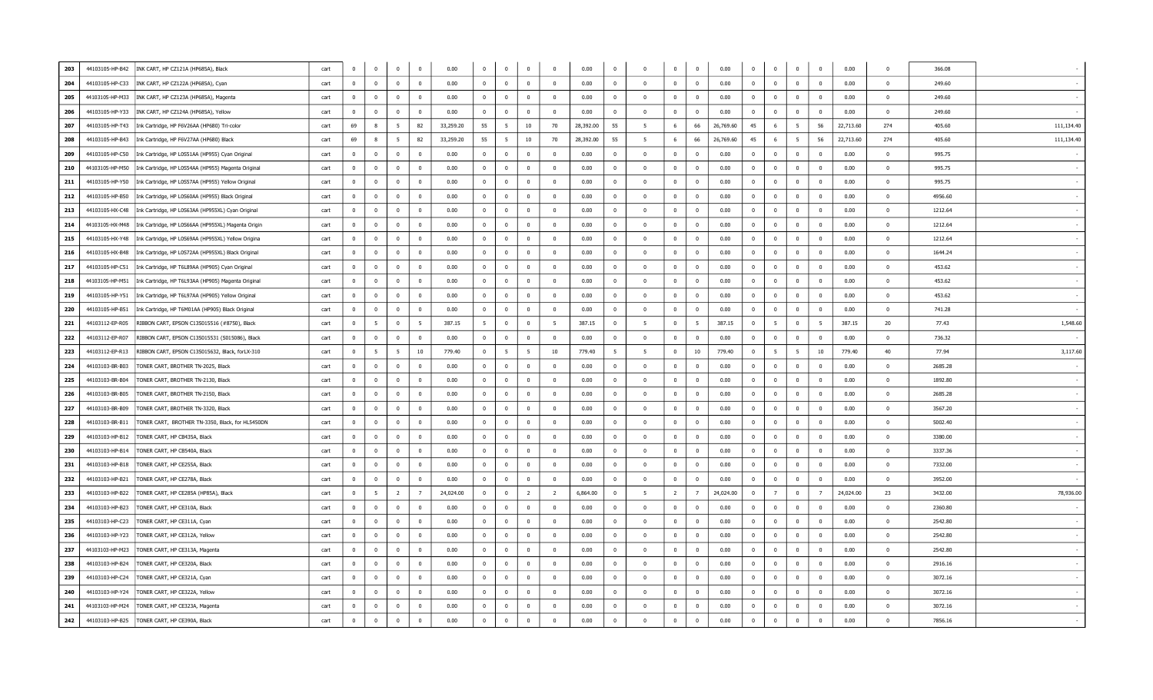| 203 | 44103105-HP-B42 | INK CART, HP CZ121A (HP685A), Black                | cart | $\overline{0}$          | $\mathbf 0$    | $\overline{0}$ | $\mathbf{0}$   | 0.00      | $\mathbf{0}$   | $\bf{0}$       | $\mathbf 0$    | $\Omega$       | 0.00      | $\overline{0}$          | $\overline{0}$          | $\mathbf 0$    | $\bf{0}$                | 0.00      | $\mathbf{0}$   | $\overline{\mathbf{0}}$ | $\overline{0}$ | $\mathbf 0$             | 0.00      | $\Omega$       | 366.08  |            |
|-----|-----------------|----------------------------------------------------|------|-------------------------|----------------|----------------|----------------|-----------|----------------|----------------|----------------|----------------|-----------|-------------------------|-------------------------|----------------|-------------------------|-----------|----------------|-------------------------|----------------|-------------------------|-----------|----------------|---------|------------|
| 204 | 44103105-HP-C33 | INK CART, HP CZ122A (HP685A), Cyan                 | cart | $\overline{0}$          | $\Omega$       | $\mathbf 0$    | $\Omega$       | 0.00      | $\mathbf{0}$   | $\Omega$       | $\mathbf 0$    | $\Omega$       | 0.00      | $\Omega$                | $\overline{0}$          | $\Omega$       | $\overline{0}$          | 0.00      | $\Omega$       | $\overline{0}$          | $\mathbf{0}$   | $\Omega$                | 0.00      | $\Omega$       | 249.60  |            |
| 205 | 44103105-HP-M33 | INK CART, HP CZ123A (HP685A), Magenta              | cart | $\overline{\mathbf{0}}$ | $\mathbf 0$    | $\mathbf{0}$   | $\mathbf{0}$   | 0.00      | $\mathbf 0$    | $\mathbf 0$    | $\overline{0}$ | $\Omega$       | 0.00      | $\Omega$                | $\overline{0}$          | $\Omega$       | $\overline{0}$          | 0.00      | $\mathbf{0}$   | $\overline{\mathbf{0}}$ | $\mathbf{0}$   | $\overline{0}$          | 0.00      | $\Omega$       | 249.60  |            |
| 206 | 44103105-HP-Y33 | INK CART, HP CZ124A (HP685A), Yellow               | cart | $\overline{0}$          | $\overline{0}$ | $\bf{0}$       | $\mathbf{0}$   | 0.00      | $\Omega$       | $\overline{0}$ | $\overline{0}$ | $\Omega$       | 0.00      | $\Omega$                | $\overline{0}$          | $\Omega$       | $\Omega$                | 0.00      | $\Omega$       | $\overline{0}$          | $\overline{0}$ | $\overline{0}$          | 0.00      | $\overline{0}$ | 249.60  |            |
| 207 | 44103105-HP-T43 | Ink Cartridge, HP F6V26AA (HP680) Tri-color        | cart | 69                      | 8              | 5              | 82             | 33,259.20 | 55             | 5              | 10             | 70             | 28,392.00 | 55                      | 5                       | 6              | 66                      | 26,769.60 | 45             | 6                       | 5              | 56                      | 22,713.60 | 274            | 405.60  | 111,134.40 |
| 208 | 44103105-HP-B43 | Ink Cartridge, HP F6V27AA (HP680) Black            | cart | 69                      | 8              | 5              | 82             | 33,259.20 | 55             | 5              | 10             | 70             | 28,392.00 | 55                      | 5                       | 6              | 66                      | 26,769.60 | 45             | 6                       | 5              | 56                      | 22,713.60 | 274            | 405.60  | 111,134.40 |
| 209 | 44103105-HP-C50 | Ink Cartridge, HP L0S51AA (HP955) Cyan Original    | cart | $\overline{0}$          | $\mathbf{0}$   | $\mathbf{0}$   | $^{\circ}$     | 0.00      | $\mathbf 0$    | $\mathbf 0$    | $\overline{0}$ | $\Omega$       | 0.00      | $\overline{\mathbf{0}}$ | $\overline{0}$          | $\Omega$       | $\overline{0}$          | 0.00      | $^{\circ}$     | $\overline{0}$          | $\mathbf{0}$   | $\overline{0}$          | 0.00      | $\Omega$       | 995.75  |            |
| 210 | 44103105-HP-M50 | Ink Cartridge, HP L0S54AA (HP955) Magenta Original | cart | $\overline{0}$          | $\mathbf 0$    | $\mathbf{0}$   | $\mathbf{0}$   | 0.00      | $\mathbf 0$    | $\mathbf 0$    | $\mathbf 0$    | $\Omega$       | 0.00      | $\overline{0}$          | $\overline{0}$          | $\mathbf 0$    | $\overline{0}$          | 0.00      | $\Omega$       | $\overline{0}$          | $\overline{0}$ | $\bf{0}$                | 0.00      | $\Omega$       | 995.75  |            |
| 211 | 44103105-HP-Y50 | Ink Cartridge, HP L0S57AA (HP955) Yellow Original  | cart | $\overline{\mathbf{0}}$ | $\mathbf{0}$   | $\bf{0}$       | $\mathbf{0}$   | 0.00      | $\overline{0}$ | $\mathbf 0$    | $\mathbf 0$    | $\Omega$       | 0.00      | $\overline{\mathbf{0}}$ | $\overline{0}$          | $\Omega$       | $\mathbf{0}$            | 0.00      | $\Omega$       | $\overline{0}$          | $\mathbf{0}$   | $\overline{0}$          | 0.00      | $\Omega$       | 995.75  |            |
| 212 | 44103105-HP-B50 | Ink Cartridge, HP L0S60AA (HP955) Black Original   | cart | $\overline{\mathbf{0}}$ | $\mathbf 0$    | $\mathbf{0}$   | $\mathbf{0}$   | 0.00      | $\overline{0}$ | $\mathbf{0}$   | $\mathbf 0$    | $\Omega$       | 0.00      | $\Omega$                | $\overline{\mathbf{0}}$ | $\Omega$       | $\Omega$                | 0.00      | $\Omega$       | $\overline{0}$          | $\mathbf{0}$   | $\Omega$                | 0.00      | $\Omega$       | 4956.60 |            |
| 213 | 44103105-HX-C48 | Ink Cartridge, HP L0S63AA (HP955XL) Cyan Original  | cart | $\overline{\mathbf{0}}$ | $\overline{0}$ | $\bf{0}$       | $\mathbf{0}$   | 0.00      | $\bf{0}$       | $\bf{0}$       | $\mathbf 0$    | $\Omega$       | 0.00      | $\Omega$                | $\overline{0}$          | $\Omega$       | $\overline{0}$          | 0.00      | $\Omega$       | $\mathbf 0$             | $\Omega$       | $\Omega$                | 0.00      | $\Omega$       | 1212.64 |            |
| 214 | 44103105-HX-M48 | Ink Cartridge, HP L0S66AA (HP955XL) Magenta Origin | cart | $\overline{0}$          | $\bf{0}$       | $\bf{0}$       | $\mathbf{0}$   | 0.00      | $\bf{0}$       | $\bf{0}$       | $\bf{0}$       | $\Omega$       | 0.00      | $\Omega$                | $\overline{\mathbf{0}}$ | $\Omega$       | $\overline{0}$          | 0.00      | $\Omega$       | $\overline{\mathbf{0}}$ | $\mathbf{0}$   | $\Omega$                | 0.00      | $\Omega$       | 1212.64 |            |
| 215 | 44103105-HX-Y48 | Ink Cartridge, HP L0S69AA (HP955XL) Yellow Origina | cart | $\overline{0}$          | $\mathbf{0}$   | $\mathbf 0$    | $\overline{0}$ | 0.00      | $\overline{0}$ | $\mathbf{0}$   | $\mathbf 0$    | $\Omega$       | 0.00      | $\overline{0}$          | $\overline{0}$          | $\overline{0}$ | $\mathbf 0$             | 0.00      | $^{\circ}$     | $\mathbf 0$             | $\bf{0}$       | $\overline{0}$          | 0.00      | $\Omega$       | 1212.64 |            |
| 216 | 44103105-HX-B48 | Ink Cartridge, HP L0S72AA (HP955XL) Black Original | cart | $\overline{0}$          | $^{\circ}$     | $\mathbf{0}$   | $\mathbf{0}$   | 0.00      | $\mathbf 0$    | $\mathbf{0}$   | $\overline{0}$ | $^{\circ}$     | 0.00      | $\overline{0}$          | $\overline{\mathbf{0}}$ | $\overline{0}$ | $\overline{0}$          | 0.00      | $^{\circ}$     | $\overline{\mathbf{0}}$ | $\mathbf{0}$   | $\overline{0}$          | 0.00      | $\overline{0}$ | 1644.24 |            |
| 217 | 44103105-HP-C51 | Ink Cartridge, HP T6L89AA (HP905) Cyan Original    | cart | $\overline{0}$          | $\Omega$       | $\overline{0}$ | $\Omega$       | 0.00      | $\mathbf 0$    | $\Omega$       | $\mathbf 0$    | $\Omega$       | 0.00      | $\Omega$                | $\overline{0}$          | $\Omega$       | $\overline{0}$          | 0.00      | $\Omega$       | $\overline{0}$          | $\Omega$       | $\overline{0}$          | 0.00      | $\Omega$       | 453.62  |            |
| 218 | 44103105-HP-M51 | Ink Cartridge, HP T6L93AA (HP905) Magenta Original | cart | $\overline{0}$          | $\mathbf 0$    | $\bf{0}$       | $\mathbf{0}$   | 0.00      | $\overline{0}$ | $\mathbf 0$    | $\overline{0}$ | $^{\circ}$     | 0.00      | $\overline{0}$          | $\overline{0}$          | $\mathbf 0$    | $\overline{0}$          | 0.00      | $\mathbf{0}$   | $\overline{0}$          | $\overline{0}$ | $\overline{0}$          | 0.00      | $\mathbf 0$    | 453.62  |            |
| 219 | 44103105-HP-Y51 | Ink Cartridge, HP T6L97AA (HP905) Yellow Original  | cart | $\overline{0}$          | $\Omega$       | $\overline{0}$ | $\Omega$       | 0.00      | $\Omega$       | $\Omega$       | $\overline{0}$ | $\Omega$       | 0.00      | $\Omega$                | $\overline{0}$          | $\Omega$       | $\Omega$                | 0.00      | $\Omega$       | $\overline{0}$          | $\Omega$       | $\Omega$                | 0.00      | $\Omega$       | 453.62  |            |
| 220 | 44103105-HP-B51 | Ink Cartridge, HP T6M01AA (HP905) Black Original   | cart | $\overline{\mathbf{0}}$ | $\mathbf 0$    | $\overline{0}$ | $\mathbf{0}$   | 0.00      | $\overline{0}$ | $\mathbf 0$    | $\mathbf 0$    | $\Omega$       | 0.00      | $\Omega$                | $\overline{0}$          | $\Omega$       | $\overline{0}$          | 0.00      | $\mathbf{0}$   | $\overline{0}$          | $\mathbf{0}$   | $\overline{0}$          | 0.00      | $\Omega$       | 741.28  |            |
| 221 | 44103112-EP-R05 | RIBBON CART, EPSON C13S015516 (#8750), Black       | cart | $\overline{0}$          | 5              | $\mathbf 0$    | 5              | 387.15    | -5             | $\bf{0}$       | $\mathbf 0$    | -5             | 387.15    | $\Omega$                | 5                       | $\mathbf 0$    | $5\overline{5}$         | 387.15    | $\mathbf 0$    | 5                       | $\mathbf{0}$   | - 5                     | 387.15    | 20             | 77.43   | 1,548.60   |
| 222 | 44103112-EP-R07 | RIBBON CART, EPSON C13S015531 (S015086), Black     | cart | $\overline{0}$          | $\mathbf{0}$   | $\overline{0}$ | $\mathbf{0}$   | 0.00      | $\overline{0}$ | $\bf{0}$       | $\overline{0}$ | $^{\circ}$     | 0.00      | $\overline{0}$          | $\overline{0}$          | $\mathbf{0}$   | $\overline{0}$          | 0.00      | $^{\circ}$     | $\mathbf 0$             | $\overline{0}$ | $\overline{\mathbf{0}}$ | 0.00      | $\overline{0}$ | 736.32  |            |
| 223 | 44103112-EP-R13 | RIBBON CART, EPSON C13S015632, Black, forLX-310    | cart | $\overline{0}$          | -5             | 5              | 10             | 779.40    | $\mathbf 0$    | 5              | 5              | 10             | 779.40    | - 5                     | 5                       | $\overline{0}$ | 10                      | 779.40    | $^{\circ}$     | 5                       | 5              | 10                      | 779.40    | 40             | 77.94   | 3,117.60   |
| 224 | 44103103-BR-B03 | TONER CART, BROTHER TN-2025, Black                 | cart | $\overline{0}$          | $\mathbf{0}$   | $\overline{0}$ | $^{\circ}$     | 0.00      | $\mathbf{0}$   | $\mathbf 0$    | $\overline{0}$ | $\Omega$       | 0.00      | $\overline{\mathbf{0}}$ | $\overline{\mathbf{0}}$ | $\Omega$       | $\overline{\mathbf{0}}$ | 0.00      | $\Omega$       | $\overline{0}$          | $\mathbf{0}$   | $\overline{\mathbf{0}}$ | 0.00      | $\Omega$       | 2685.28 |            |
| 225 | 44103103-BR-B04 | TONER CART, BROTHER TN-2130, Black                 | cart | $\Omega$                | $\mathbf 0$    | $\overline{0}$ | $\mathbf{0}$   | 0.00      | $\mathbf{0}$   | $\mathbf 0$    | $\mathbf 0$    | $\Omega$       | 0.00      | $\overline{0}$          | $\overline{\mathbf{0}}$ | $\Omega$       | $\overline{0}$          | 0.00      | $\Omega$       | $\overline{0}$          | $\mathbf{0}$   | $\mathbf 0$             | 0.00      | $\mathbf 0$    | 1892.80 |            |
| 226 | 44103103-BR-B05 | TONER CART, BROTHER TN-2150, Black                 | cart | $\overline{0}$          | $\mathbf{0}$   | $\overline{0}$ | $\overline{0}$ | 0.00      | $\mathbf{0}$   | $\mathbf 0$    | $\mathbf 0$    | $\Omega$       | 0.00      | $\Omega$                | $\overline{\mathbf{0}}$ | $\overline{0}$ | $\overline{0}$          | 0.00      | $\Omega$       | $\overline{0}$          | $\mathbf{0}$   | $\Omega$                | 0.00      | $\Omega$       | 2685.28 |            |
| 227 | 44103103-BR-B09 | TONER CART, BROTHER TN-3320, Black                 | cart | $\overline{\mathbf{0}}$ | $\mathbf 0$    | $\overline{0}$ | $\mathbf{0}$   | 0.00      | $\mathbf 0$    | $\mathbf 0$    | $\overline{0}$ |                | 0.00      | $\Omega$                | $\overline{\mathbf{0}}$ | $\Omega$       | $\overline{0}$          | 0.00      | $\mathbf{0}$   | $\overline{\mathbf{0}}$ | $\mathbf{0}$   | $\mathbf 0$             | 0.00      | $\Omega$       | 3567.20 |            |
| 228 | 44103103-BR-B11 | TONER CART, BROTHER TN-3350, Black, for HL5450DN   | cart | $\Omega$                | $\overline{0}$ | $\mathbf 0$    | $\overline{0}$ | 0.00      | $\overline{0}$ | $\overline{0}$ | $\mathbf 0$    | $\Omega$       | 0.00      | $\Omega$                | $\overline{\mathbf{0}}$ | $\Omega$       | $\overline{0}$          | 0.00      | $\Omega$       | $\overline{0}$          | $\overline{0}$ | $\overline{0}$          | 0.00      | $\Omega$       | 5002.40 |            |
| 229 | 44103103-HP-B12 | TONER CART, HP CB435A, Black                       | cart | $\overline{\mathbf{0}}$ | $\bf{0}$       | $\bf{0}$       | $\mathbf{0}$   | 0.00      | $\overline{0}$ | $\bf{0}$       | $\bf{0}$       | $\Omega$       | 0.00      | $\overline{0}$          | $\overline{\mathbf{0}}$ | $\bf{0}$       | $\overline{\mathbf{0}}$ | 0.00      | $\mathbf 0$    | $\overline{\mathbf{0}}$ | $\overline{0}$ | $\mathbf 0$             | 0.00      | $\Omega$       | 3380.00 |            |
| 230 | 44103103-HP-B14 | TONER CART, HP CB540A, Black                       | cart | $\overline{0}$          | $\bf{0}$       | $\mathbf 0$    | $\bf{0}$       | 0.00      | $\mathbf{0}$   | $\bf{0}$       | $\mathbf 0$    | $^{\circ}$     | 0.00      | $\overline{0}$          | $\overline{0}$          | $\overline{0}$ | $\overline{0}$          | 0.00      | $\overline{0}$ | $\overline{0}$          | $\mathbf{0}$   | $\mathbf{0}$            | 0.00      | $\overline{0}$ | 3337.36 |            |
| 231 | 44103103-HP-B18 | TONER CART, HP CE255A, Black                       | cart | $\overline{0}$          | $\mathbf{0}$   | $\overline{0}$ | $\overline{0}$ | 0.00      | $\mathbf 0$    | $\mathbf{0}$   | $\overline{0}$ | $\Omega$       | 0.00      | $\overline{\mathbf{0}}$ | $\overline{\mathbf{0}}$ | $\overline{0}$ | $\mathbf 0$             | 0.00      | $^{\circ}$     | $\overline{\mathbf{0}}$ | $\mathbf{0}$   | $\mathbf 0$             | 0.00      | $\overline{0}$ | 7332.00 |            |
| 232 | 44103103-HP-B21 | TONER CART, HP CE278A, Black                       | cart | $\overline{\mathbf{0}}$ | $\mathbf 0$    | $\overline{0}$ | $\mathbf{0}$   | 0.00      | $\mathbf{0}$   | $\mathbf 0$    | $\mathbf{0}$   | $\Omega$       | 0.00      | $\overline{0}$          | $\overline{\mathbf{0}}$ | $\mathbf 0$    | $\overline{0}$          | 0.00      | $\mathbf{0}$   | $\overline{0}$          | $\overline{0}$ | $\bf{0}$                | 0.00      | $\Omega$       | 3952.00 |            |
| 233 | 44103103-HP-B22 | TONER CART, HP CE285A (HP85A), Black               | cart | $\overline{\mathbf{0}}$ | -5             | $\overline{2}$ | $7^{\circ}$    | 24,024.00 | $\overline{0}$ | $\bf{0}$       | $\overline{2}$ | $\overline{2}$ | 6,864.00  | $\overline{\mathbf{0}}$ | - 5                     | $\overline{2}$ | $\overline{7}$          | 24,024.00 | $\overline{0}$ | $\overline{7}$          | $\mathbf{0}$   | $\overline{7}$          | 24,024.00 | 23             | 3432.00 | 78,936.00  |
| 234 | 44103103-HP-B23 | TONER CART, HP CE310A, Black                       | cart | $\overline{0}$          | $\mathbf 0$    | $\mathbf 0$    | $\mathbf{0}$   | 0.00      | $\mathbf{0}$   | $\mathbf 0$    | $\mathbf 0$    | $\Omega$       | 0.00      | $\Omega$                | $\overline{\mathbf{0}}$ | $\Omega$       | $\Omega$                | 0.00      | $\Omega$       | $\overline{0}$          | $\mathbf{0}$   | $\Omega$                | 0.00      | $\Omega$       | 2360.80 |            |
| 235 | 44103103-HP-C23 | TONER CART, HP CE311A, Cyan                        | cart | $\overline{0}$          | $\Omega$       | $\mathbf 0$    | $\Omega$       | 0.00      | $\mathbf{0}$   | $\bf{0}$       | $\mathbf 0$    | $\Omega$       | 0.00      | $\Omega$                | $\overline{0}$          | $\Omega$       | $\overline{0}$          | 0.00      | $\Omega$       | $\overline{\mathbf{0}}$ | $\mathbf{0}$   | $\mathbf 0$             | 0.00      | $\Omega$       | 2542.80 |            |
| 236 | 44103103-HP-Y23 | TONER CART, HP CE312A, Yellow                      | cart | $\overline{0}$          | $\overline{0}$ | $\bf{0}$       | $\mathbf{0}$   | 0.00      | $\bf{0}$       | $\bf{0}$       | $\bf{0}$       | $\Omega$       | 0.00      | $\Omega$                | $\overline{0}$          | $\Omega$       | $\overline{0}$          | 0.00      | $\Omega$       | $\overline{\mathbf{0}}$ | $\bf{0}$       | $\overline{0}$          | 0.00      | $\Omega$       | 2542.80 |            |
| 237 | 44103103-HP-M23 | TONER CART, HP CE313A, Magenta                     | cart | $\Omega$                | $\Omega$       | $\mathbf 0$    | $\overline{0}$ | 0.00      | $\mathbf{0}$   | $\Omega$       | $\bf{0}$       | $\Omega$       | 0.00      | $\overline{0}$          | $\overline{\mathbf{0}}$ | $\Omega$       | $\mathbf 0$             | 0.00      | $\Omega$       | $\mathbf 0$             | $\bf{0}$       | $\Omega$                | 0.00      | $\Omega$       | 2542.80 |            |
| 238 | 44103103-HP-B24 | TONER CART, HP CE320A, Black                       | cart | $\overline{0}$          | $^{\circ}$     | $\overline{0}$ | $\mathbf{0}$   | 0.00      | $^{\circ}$     | $^{\circ}$     | $\mathbf{0}$   | $^{\circ}$     | 0.00      | $\overline{0}$          | $\overline{\mathbf{0}}$ | $\mathbf{0}$   | $\overline{0}$          | 0.00      | $^{\circ}$     | $\overline{\mathbf{0}}$ | $\overline{0}$ | $\overline{\mathbf{0}}$ | 0.00      | $\overline{0}$ | 2916.16 |            |
| 239 | 44103103-HP-C24 | TONER CART, HP CE321A, Cyan                        | cart | $\overline{\mathbf{0}}$ | $\Omega$       | $\mathbf 0$    | $\Omega$       | 0.00      | $\mathbf{0}$   | $\Omega$       | $\mathbf 0$    | $\Omega$       | 0.00      | $\overline{\mathbf{0}}$ | $\overline{\mathbf{0}}$ | $\Omega$       | $\overline{\mathbf{0}}$ | 0.00      | $\Omega$       | $\overline{0}$          | $\mathbf{0}$   | $\overline{0}$          | 0.00      | $\Omega$       | 3072.16 |            |
| 240 | 44103103-HP-Y24 | TONER CART, HP CE322A, Yellow                      | cart | $\overline{\mathbf{0}}$ | $\mathbf 0$    | $\mathbf{0}$   | $\mathbf{0}$   | 0.00      | $\mathbf{0}$   | $\mathbf 0$    | $\overline{0}$ | $^{\circ}$     | 0.00      | $\overline{0}$          | $\overline{0}$          | $\mathbf 0$    | $\overline{0}$          | 0.00      | $\mathbf{0}$   | $\overline{\mathbf{0}}$ | $\mathbf{0}$   | $\overline{0}$          | 0.00      | $\overline{0}$ | 3072.16 |            |
| 241 | 44103103-HP-M24 | TONER CART, HP CE323A, Magenta                     | cart | $\overline{\mathbf{0}}$ | $\Omega$       | $\mathbf 0$    | $\Omega$       | 0.00      | $\Omega$       | $\Omega$       | $\mathbf 0$    | $\Omega$       | 0.00      | $\Omega$                | $\overline{0}$          | $\Omega$       | $\Omega$                | 0.00      | $\Omega$       | $\overline{0}$          | $\Omega$       | $\Omega$                | 0.00      | $\Omega$       | 3072.16 |            |
| 242 | 44103103-HP-B25 | TONER CART, HP CE390A, Black                       | cart | $\overline{0}$          | $^{\circ}$     | $\overline{0}$ | $\Omega$       | 0.00      | $\Omega$       | $\mathbf 0$    | $\overline{0}$ |                | 0.00      | $\mathbf 0$             | $\overline{0}$          | $\Omega$       | $\Omega$                | 0.00      | $\Omega$       | $\overline{0}$          | $\mathbf{0}$   | $\Omega$                | 0.00      | $\Omega$       | 7856.16 |            |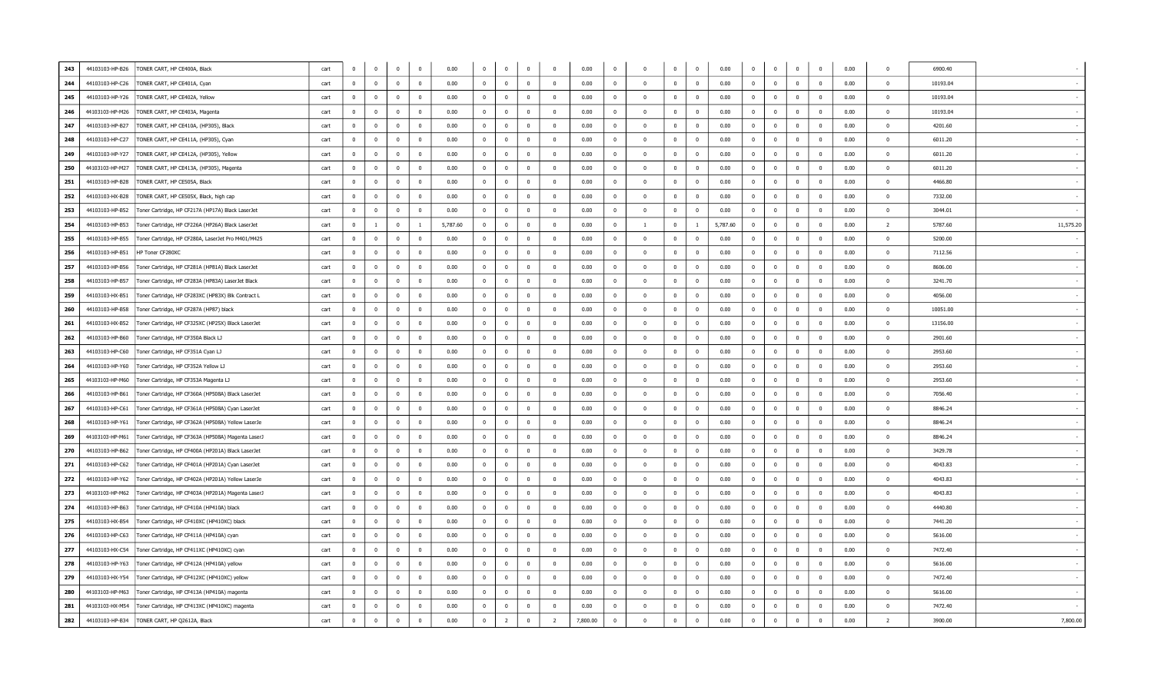| 243<br>44103103-HP-B26 | TONER CART, HP CE400A, Black                       | cart | $\mathbf 0$    | $\mathbf{0}$   | $\mathbf 0$    | $\overline{\mathbf{0}}$ | 0.00     | $\overline{\mathbf{0}}$ | $\bf{0}$       | $\mathbf 0$    | $\Omega$       | 0.00     | $\Omega$                | $\Omega$                | $\Omega$       | $\mathbf 0$    | 0.00     | $\Omega$       | $\overline{0}$          | $\mathbf{0}$            | $\mathbf 0$              | 0.00 | $\Omega$       | 6900.40  |           |
|------------------------|----------------------------------------------------|------|----------------|----------------|----------------|-------------------------|----------|-------------------------|----------------|----------------|----------------|----------|-------------------------|-------------------------|----------------|----------------|----------|----------------|-------------------------|-------------------------|--------------------------|------|----------------|----------|-----------|
| 244<br>44103103-HP-C26 | TONER CART, HP CE401A, Cyan                        | cart | $\mathbf 0$    | $\Omega$       | $\mathbf{0}$   | $\overline{\mathbf{0}}$ | 0.00     | $\overline{0}$          | $\bf{0}$       | $\overline{0}$ | $\Omega$       | 0.00     | $\overline{0}$          | $\overline{0}$          | $\mathbf{0}$   | $\mathbf 0$    | 0.00     | $\Omega$       | $\overline{0}$          | $\Omega$                | $\overline{0}$           | 0.00 | $\Omega$       | 10193.04 |           |
| 245<br>44103103-HP-Y26 | TONER CART, HP CE402A, Yellow                      | cart | $\overline{0}$ | $\Omega$       | $\Omega$       | $\overline{0}$          | 0.00     | $\overline{0}$          | $\bf{0}$       | $\mathbf{0}$   | $\Omega$       | 0.00     | $\Omega$                | $\overline{0}$          | $\Omega$       | $\Omega$       | 0.00     | $\Omega$       | $\overline{\mathbf{0}}$ | $\overline{0}$          | $\Omega$                 | 0.00 | $\Omega$       | 10193.04 |           |
| 246<br>44103103-HP-M26 | TONER CART, HP CE403A, Magenta                     | cart | $\mathbf{0}$   | $\mathbf{0}$   | $\Omega$       | $\sqrt{ }$              | 0.00     | $\overline{0}$          | $\bf{0}$       | $\overline{0}$ | $\Omega$       | 0.00     | $\overline{0}$          | $\mathbf{0}$            | $^{\circ}$     | $\mathbf 0$    | 0.00     | $\Omega$       | $\overline{\mathbf{0}}$ | $\mathbf{0}$            | $\overline{\mathbf{0}}$  | 0.00 | $\Omega$       | 10193.04 |           |
| 247<br>44103103-HP-B27 | TONER CART, HP CE410A, (HP305), Black              | cart | $\mathbf{0}$   | $\mathbf{0}$   | $\mathbf{0}$   | $\overline{\mathbf{0}}$ | 0.00     | $\overline{0}$          | $\bf{0}$       | $\overline{0}$ | $^{\circ}$     | 0.00     | $\mathbf{0}$            | $\mathbf{0}$            | $\mathbf{0}$   | $\mathbf{0}$   | 0.00     | $\mathbf{0}$   | $\overline{\mathbf{0}}$ | $\overline{0}$          | $\overline{0}$           | 0.00 | $\overline{0}$ | 4201.60  |           |
| 248<br>44103103-HP-C27 | TONER CART, HP CE411A, (HP305), Cyan               | cart | $\overline{0}$ | $\mathbf{0}$   | $\Omega$       | $\overline{\mathbf{0}}$ | 0.00     | $\overline{0}$          | $\mathbf 0$    | $\mathbf 0$    | $\Omega$       | 0.00     | $\Omega$                | $\Omega$                | $\mathbf{0}$   | $\mathbf{0}$   | 0.00     | $\Omega$       | $\overline{0}$          | $\mathbf{0}$            | $\overline{0}$           | 0.00 | $\Omega$       | 6011.20  |           |
| 249<br>44103103-HP-Y27 | TONER CART, HP CE412A, (HP305), Yellow             | cart | $\mathbf{0}$   | $^{\circ}$     | $\Omega$       | $\overline{0}$          | 0.00     | $\overline{0}$          | $\mathbf 0$    | $\overline{0}$ | $\mathbf{0}$   | 0.00     | $\mathbf{0}$            | $\mathbf{0}$            | $\overline{0}$ | $^{\circ}$     | 0.00     | $^{\circ}$     | $\overline{\mathbf{0}}$ | $\overline{0}$          | $\overline{0}$           | 0.00 | $\overline{0}$ | 6011.20  |           |
| 250<br>44103103-HP-M27 | TONER CART, HP CE413A, (HP305), Magenta            | cart | $\overline{0}$ | $\overline{0}$ | $\Omega$       | $\overline{0}$          | 0.00     | $\overline{0}$          | $\overline{0}$ | $\overline{0}$ | $\Omega$       | 0.00     | $\Omega$                | $\Omega$                | $\Omega$       | $\Omega$       | 0.00     | $\overline{0}$ | $\overline{0}$          | $\overline{0}$          | $\overline{0}$           | 0.00 | $\Omega$       | 6011.20  |           |
| 251<br>44103103-HP-B28 | TONER CART, HP CE505A, Black                       | cart | $\overline{0}$ | $\overline{0}$ | $\overline{0}$ | $\overline{\mathbf{0}}$ | 0.00     | $\overline{0}$          | $\bf{0}$       | $\overline{0}$ | $^{\circ}$     | 0.00     | $\overline{0}$          | $\overline{0}$          | $\overline{0}$ | $\mathbf{0}$   | 0.00     | $\bf{0}$       | $\overline{\mathbf{0}}$ | $\overline{0}$          | $\overline{0}$           | 0.00 | $\Omega$       | 4466.80  |           |
| 252<br>44103103-HX-B28 | TONER CART, HP CE505X, Black, high cap             | cart | $\mathbf 0$    | $\mathbf 0$    | $\overline{0}$ | $\overline{\mathbf{0}}$ | 0.00     | $\overline{\mathbf{0}}$ | $\bf{0}$       | $\mathbf 0$    | $\Omega$       | 0.00     | $\Omega$                | $\mathbf{0}$            | $\Omega$       | $\Omega$       | 0.00     | $\mathbf 0$    | $\overline{\mathbf{0}}$ | $\mathbf{0}$            | $\Omega$                 | 0.00 | $\Omega$       | 7332.00  |           |
| 253<br>44103103-HP-B52 | Foner Cartridge, HP CF217A (HP17A) Black LaserJet  | cart | $\bf{0}$       | $^{\circ}$     | $\overline{0}$ | $\overline{\mathbf{0}}$ | 0.00     | $\overline{0}$          | $\bf{0}$       | $\overline{0}$ | $^{\circ}$     | 0.00     | $\overline{\mathbf{0}}$ | $\overline{\mathbf{0}}$ | $\overline{0}$ | $\mathbf{0}$   | 0.00     | $^{\circ}$     | $\overline{\mathbf{0}}$ | $\overline{0}$          | $\overline{\phantom{0}}$ | 0.00 | $\Omega$       | 3044.01  |           |
| 254<br>44103103-HP-B53 | Toner Cartridge, HP CF226A (HP26A) Black LaserJet  | cart | $\mathbf{0}$   | $\mathbf{1}$   | $\Omega$       | $\overline{1}$          | 5,787.60 | $\overline{0}$          | $\bf{0}$       | $\overline{0}$ | $\Omega$       | 0.00     | $\Omega$                | <sup>1</sup>            | $\mathbf{0}$   | $\overline{1}$ | 5,787.60 | $\Omega$       | $\overline{\mathbf{0}}$ | $\mathbf{0}$            | $\mathbf 0$              | 0.00 | $\overline{2}$ | 5787.60  | 11,575.20 |
| 255<br>44103103-HP-B55 | Toner Cartridge, HP CF280A, LaserJet Pro M401/M425 | cart | $\mathbf{0}$   | $^{\circ}$     | $\mathbf{0}$   | $\overline{\mathbf{0}}$ | 0.00     | $\overline{0}$          | $\bf{0}$       | $\overline{0}$ | $^{\circ}$     | 0.00     | $\overline{\mathbf{0}}$ | $\mathbf{0}$            | $\mathbf{0}$   | $\mathbf{0}$   | 0.00     | $\overline{0}$ | $\overline{\mathbf{0}}$ | $\overline{\mathbf{0}}$ | $\overline{0}$           | 0.00 | $\Omega$       | 5200.00  |           |
| 256<br>44103103-HP-B51 | HP Toner CF280XC                                   | cart | $\overline{0}$ | $^{\circ}$     | $^{\circ}$     | $\overline{0}$          | 0.00     | $\overline{0}$          | $\bf{0}$       | $\overline{0}$ | $\Omega$       | 0.00     | $\overline{0}$          | $\mathbf{0}$            | $\Omega$       | $\mathbf 0$    | 0.00     | $\Omega$       | $\overline{0}$          | $\mathbf{0}$            | $\mathbf 0$              | 0.00 | $\Omega$       | 7112.56  |           |
| 257<br>44103103-HP-B56 | Foner Cartridge, HP CF281A (HP81A) Black LaserJet  | cart | $\mathbf{0}$   | $\Omega$       | $\Omega$       | $\overline{\mathbf{0}}$ | 0.00     | $\overline{\mathbf{0}}$ | $\mathbf 0$    | $\overline{0}$ | $\Omega$       | 0.00     | $\overline{\mathbf{0}}$ | $\Omega$                | $\Omega$       | $\mathbf 0$    | 0.00     | $\Omega$       | $\overline{0}$          | $\overline{0}$          | $\overline{0}$           | 0.00 | $\Omega$       | 8606.00  |           |
| 258<br>44103103-HP-B57 | Toner Cartridge, HP CF283A (HP83A) LaserJet Black  | cart | $\mathbf 0$    | $\mathbf{0}$   | $\Omega$       | $\Omega$                | 0.00     | $\overline{0}$          | $\bf{0}$       | $\mathbf 0$    | $\Omega$       | 0.00     | $\Omega$                | $\Omega$                | $\Omega$       | $\Omega$       | 0.00     | $\Omega$       | $\overline{0}$          | $\Omega$                | $\Omega$                 | 0.00 | $\Omega$       | 3241.70  |           |
| 259<br>44103103-HX-B51 | Toner Cartridge, HP CF283XC (HP83X) Blk Contract L | cart | $\overline{0}$ | $^{\circ}$     | $\Omega$       | $\overline{0}$          | 0.00     | $\overline{0}$          | $\mathbf{0}$   | $\overline{0}$ | $\Omega$       | 0.00     | $\overline{\mathbf{0}}$ | $\overline{0}$          | $\mathbf{0}$   | $^{\circ}$     | 0.00     | $\overline{0}$ | $\overline{\mathbf{0}}$ | $\overline{0}$          | $\overline{0}$           | 0.00 | $\Omega$       | 4056.00  |           |
| 260<br>44103103-HP-B58 | Toner Cartridge, HP CF287A (HP87) black            | cart | $\overline{0}$ | $^{\circ}$     | $\mathbf 0$    | $\overline{\mathbf{0}}$ | 0.00     | $\overline{0}$          | $\overline{0}$ | $\overline{0}$ | $\mathbf{0}$   | 0.00     | $\Omega$                | $\overline{0}$          | $\overline{0}$ | $\mathbf{0}$   | 0.00     | $^{\circ}$     | $\overline{\mathbf{0}}$ | $\overline{0}$          | $\overline{0}$           | 0.00 | $\Omega$       | 10051.00 |           |
| 261<br>44103103-HX-B52 | Toner Cartridge, HP CF325XC (HP25X) Black LaserJet | cart | $\overline{0}$ | $\Omega$       | $\Omega$       | $\Omega$                | 0.00     | $\overline{0}$          | $\bf{0}$       | $\overline{0}$ | $\Omega$       | 0.00     | $\Omega$                | $\Omega$                | $\Omega$       | $\Omega$       | 0.00     | $\Omega$       | $\overline{0}$          | $\Omega$                | $\overline{0}$           | 0.00 | $\Omega$       | 13156.00 |           |
| 262<br>44103103-HP-B60 | Toner Cartridge, HP CF350A Black LJ                | cart | $\mathbf{0}$   | $\mathbf{0}$   | $\mathbf{0}$   | $\overline{0}$          | 0.00     | $\overline{0}$          | $\mathbf 0$    | $\overline{0}$ | $^{\circ}$     | 0.00     | $\overline{0}$          | $\overline{0}$          | $\mathbf{0}$   | $\mathbf{0}$   | 0.00     | $\mathbf 0$    | $\overline{0}$          | $\mathbf{0}$            | $\overline{0}$           | 0.00 | $\mathbf 0$    | 2901.60  |           |
| 263<br>44103103-HP-C60 | Toner Cartridge, HP CF351A Cyan LJ                 | cart | $\overline{0}$ | $\Omega$       | $\mathbf{0}$   | $\overline{0}$          | 0.00     | $\overline{0}$          | $\mathbf{0}$   | $\overline{0}$ | $\Omega$       | 0.00     | $\Omega$                | $\mathbf{0}$            | $\Omega$       | $\Omega$       | 0.00     | $\Omega$       | $\overline{0}$          | $\overline{0}$          | $\overline{0}$           | 0.00 | $\Omega$       | 2953.60  |           |
| 264<br>44103103-HP-Y60 | oner Cartridge, HP CF352A Yellow LJ                | cart | $\mathbf 0$    | $\mathbf 0$    | $\Omega$       | $\overline{\mathbf{0}}$ | 0.00     | $\overline{\mathbf{0}}$ | $\mathbf 0$    | $\overline{0}$ | $\Omega$       | 0.00     | $\mathbf 0$             | $\overline{0}$          | $\Omega$       | $\pmb{0}$      | 0.00     | $\Omega$       | $\overline{\mathbf{0}}$ | $\mathbf 0$             | $\mathbf 0$              | 0.00 | $\Omega$       | 2953.60  |           |
| 265<br>44103103-HP-M60 | Toner Cartridge, HP CF353A Magenta LJ              | cart | $\overline{0}$ | $\mathbf{0}$   | $\overline{0}$ | $\overline{\mathbf{0}}$ | 0.00     | $\overline{\mathbf{0}}$ | $\mathbf 0$    | $\overline{0}$ | $\overline{0}$ | 0.00     | $\overline{0}$          | $\overline{0}$          | $\overline{0}$ | $\mathbf{0}$   | 0.00     | $\mathbf 0$    | $\overline{\mathbf{0}}$ | $\overline{0}$          | $\overline{0}$           | 0.00 | $\Omega$       | 2953.60  |           |
| 266<br>44103103-HP-B61 | Toner Cartridge, HP CF360A (HP508A) Black LaserJet | cart | $\mathbf{0}$   | $^{\circ}$     | $\mathbf{0}$   | $\overline{0}$          | 0.00     | $\overline{0}$          | $\bf{0}$       | $\overline{0}$ | $\Omega$       | 0.00     | $\overline{\mathbf{0}}$ | $\mathbf{0}$            | $\mathbf{0}$   | $\mathbf{0}$   | 0.00     | $\overline{0}$ | $\overline{\mathbf{0}}$ | $\overline{0}$          | $\overline{0}$           | 0.00 | $\Omega$       | 7056.40  |           |
| 267<br>44103103-HP-C61 | Toner Cartridge, HP CF361A (HP508A) Cyan LaserJet  | cart | $\overline{0}$ | $^{\circ}$     | $^{\circ}$     | $\overline{\mathbf{0}}$ | 0.00     | $\overline{0}$          | $\overline{0}$ | $\overline{0}$ |                | 0.00     | $\Omega$                | $\overline{\mathbf{0}}$ | $\overline{0}$ | $\Omega$       | 0.00     | $^{\circ}$     | $\overline{0}$          | $\overline{0}$          | $\overline{0}$           | 0.00 | $\Omega$       | 8846.24  |           |
| 268<br>44103103-HP-Y61 | Toner Cartridge, HP CF362A (HP508A) Yellow LaserJe | cart | $\overline{0}$ | $\overline{0}$ | $\mathbf{0}$   | $\overline{0}$          | 0.00     | $\overline{0}$          | $\bf{0}$       | $\overline{0}$ | $\Omega$       | 0.00     | $\Omega$                | $\Omega$                | $\Omega$       | $\Omega$       | 0.00     | $\Omega$       | $\overline{0}$          | $\mathbf 0$             | $\overline{0}$           | 0.00 | $\Omega$       | 8846.24  |           |
| 269<br>44103103-HP-M61 | Toner Cartridge, HP CF363A (HP508A) Magenta LaserJ | cart | $\overline{0}$ | $\mathbf{0}$   | $\mathbf{0}$   | $\overline{\mathbf{0}}$ | 0.00     | $\overline{0}$          | $\mathbf 0$    | $\overline{0}$ | $^{\circ}$     | 0.00     | $\mathbf{0}$            | $\overline{0}$          | $\mathbf{0}$   | $\mathbf{0}$   | 0.00     | $\mathbf 0$    | $\overline{0}$          | $\overline{0}$          | $\mathbf 0$              | 0.00 | $\mathbf 0$    | 8846.24  |           |
| 270<br>44103103-HP-B62 | Toner Cartridge, HP CF400A (HP201A) Black LaserJet | cart | $\overline{0}$ | $\overline{0}$ | $\mathbf{0}$   | $\overline{0}$          | 0.00     | $\overline{0}$          | $\overline{0}$ | $\mathbf 0$    | $\Omega$       | 0.00     | $\Omega$                | $\mathbf{0}$            | $\Omega$       | $\Omega$       | 0.00     | $\Omega$       | $\overline{0}$          | $\overline{0}$          | $\overline{0}$           | 0.00 | $\Omega$       | 3429.78  |           |
| 271<br>44103103-HP-C62 | oner Cartridge, HP CF401A (HP201A) Cyan LaserJet   | cart | $\overline{0}$ | $\mathbf 0$    | $\Omega$       | $\overline{\mathbf{0}}$ | 0.00     | $\mathbf 0$             | $\mathbf 0$    | $\overline{0}$ | $\mathbf 0$    | 0.00     | $\mathbf 0$             | $\Omega$                | $\Omega$       | $\pmb{0}$      | 0.00     | $\mathbf 0$    | $\overline{0}$          | $\mathbf 0$             | $\mathbf 0$              | 0.00 | $\Omega$       | 4043.83  |           |
| 272<br>44103103-HP-Y62 | Toner Cartridge, HP CF402A (HP201A) Yellow LaserJe | cart | $\mathbf{0}$   | $\mathbf{0}$   | $\mathbf{0}$   | $\overline{\mathbf{0}}$ | 0.00     | $\overline{0}$          | $\mathbf 0$    | $\overline{0}$ | $\overline{0}$ | 0.00     | $\mathbf{0}$            | $\mathbf{0}$            | $\mathbf{0}$   | $\mathbf 0$    | 0.00     | $\mathbf 0$    | $\overline{\mathbf{0}}$ | $\overline{0}$          | $\overline{0}$           | 0.00 | $\Omega$       | 4043.83  |           |
| 273<br>44103103-HP-M62 | Toner Cartridge, HP CF403A (HP201A) Magenta LaserJ | cart | $\overline{0}$ | $^{\circ}$     | $\Omega$       | $\overline{\mathbf{0}}$ | 0.00     | $\overline{\mathbf{0}}$ | $\bf{0}$       | $\overline{0}$ | $\mathbf{0}$   | 0.00     | $\overline{\mathbf{0}}$ | $\mathbf{0}$            | $\mathbf{0}$   | 0              | 0.00     | $\overline{0}$ | $\overline{0}$          | $\mathbf{0}$            | $\overline{0}$           | 0.00 | $\Omega$       | 4043.83  |           |
| 274<br>44103103-HP-B63 | Toner Cartridge, HP CF410A (HP410A) black          | cart | $\bf{0}$       | $^{\circ}$     | $\Omega$       | $\overline{0}$          | 0.00     | $\overline{\mathbf{0}}$ | $\mathbf 0$    | $\overline{0}$ | $\Omega$       | 0.00     | $\Omega$                | $\mathbf{0}$            | $\Omega$       | $\Omega$       | 0.00     | $\mathbf{0}$   | $\overline{0}$          | $\mathbf{0}$            | $\Omega$                 | 0.00 | $\Omega$       | 4440.80  |           |
| 275<br>44103103-HX-B54 | Toner Cartridge, HP CF410XC (HP410XC) black        | cart | $\overline{0}$ | $^{\circ}$     | $\Omega$       | $\overline{\mathbf{0}}$ | 0.00     | $\overline{0}$          | $\mathbf 0$    | $\Omega$       | $\Omega$       | 0.00     | $\Omega$                | $\bf{0}$                | $\Omega$       | $\Omega$       | 0.00     | $^{\circ}$     | $\overline{0}$          | $\mathbf{0}$            | $\overline{0}$           | 0.00 | $\Omega$       | 7441.20  |           |
| 276<br>44103103-HP-C63 | Toner Cartridge, HP CF411A (HP410A) cyan           | cart | $\overline{0}$ | $\overline{0}$ | $\Omega$       | $\overline{0}$          | 0.00     | $\overline{0}$          | $\bf{0}$       | $\mathbf 0$    | $\Omega$       | 0.00     | $\Omega$                | $\mathbf{0}$            | $\Omega$       | $\mathbf 0$    | 0.00     | $\Omega$       | $\overline{0}$          | $\mathbf 0$             | $\overline{0}$           | 0.00 | $\Omega$       | 5616.00  |           |
| 277<br>44103103-HX-C54 | Toner Cartridge, HP CF411XC (HP410XC) cyan         | cart | $\overline{0}$ | $\Omega$       | $\Omega$       | $\overline{\mathbf{0}}$ | 0.00     | $\overline{0}$          | $\bf{0}$       | $\bf{0}$       | $\Omega$       | 0.00     | $\overline{\mathbf{0}}$ | $\Omega$                | $\overline{0}$ | $\mathbf 0$    | 0.00     | $\Omega$       | $\overline{\mathbf{0}}$ | $\overline{0}$          | $\overline{0}$           | 0.00 | $\Omega$       | 7472.40  |           |
| 278<br>44103103-HP-Y63 | Toner Cartridge, HP CF412A (HP410A) yellow         | cart | $\mathbf{0}$   | $^{\circ}$     | $\mathbf 0$    | $\overline{\mathbf{0}}$ | 0.00     | $\mathbf 0$             | $\bf{0}$       | $\mathbf 0$    | $^{\circ}$     | 0.00     | $\mathbf{0}$            | $\overline{\mathbf{0}}$ | $\overline{0}$ | $^{\circ}$     | 0.00     | $^{\circ}$     | $\overline{\mathbf{0}}$ | $\mathbf 0$             | $\overline{0}$           | 0.00 | $\overline{0}$ | 5616.00  |           |
| 279<br>44103103-HX-Y54 | Toner Cartridge, HP CF412XC (HP410XC) yellow       | cart | $\bf{0}$       | $\mathbf{0}$   | $\Omega$       | $\overline{\mathbf{0}}$ | 0.00     | $\overline{\mathbf{0}}$ | $\mathbf 0$    | $\overline{0}$ | $\Omega$       | 0.00     | $\overline{\mathbf{0}}$ | $\Omega$                | $\Omega$       | $\mathbf{0}$   | 0.00     | $\Omega$       | $\overline{0}$          | $\overline{0}$          | $\overline{0}$           | 0.00 | $\Omega$       | 7472.40  |           |
| 280<br>44103103-HP-M63 | Toner Cartridge, HP CF413A (HP410A) magenta        | cart | $\overline{0}$ | $\mathbf{0}$   | $\overline{0}$ | $\overline{0}$          | 0.00     | $\overline{0}$          | $\mathbf 0$    | $\overline{0}$ | $^{\circ}$     | 0.00     | $\overline{0}$          | $\overline{0}$          | $\mathbf{0}$   | $\mathbf 0$    | 0.00     | $\mathbf{0}$   | $\overline{\mathbf{0}}$ | $\overline{0}$          | $\overline{0}$           | 0.00 | $\overline{0}$ | 5616.00  |           |
| 281<br>44103103-HX-M54 | Toner Cartridge, HP CF413XC (HP410XC) magenta      | cart | $\bf{0}$       | $\Omega$       | $\Omega$       | $\Omega$                | 0.00     | $\overline{0}$          | $\overline{0}$ | $\Omega$       | $\Omega$       | 0.00     | $\Omega$                | $\Omega$                | $\Omega$       | $\Omega$       | 0.00     | $\Omega$       | $\overline{0}$          | $\Omega$                | $\Omega$                 | 0.00 | $\Omega$       | 7472.40  |           |
| 282<br>44103103-HP-B34 | TONER CART, HP Q2612A, Black                       | cart | $\bf{0}$       | $\mathbf 0$    | $\Omega$       | $\Omega$                | 0.00     | $\overline{0}$          | $\overline{2}$ | $\Omega$       |                | 7,800.00 | $\Omega$                | $\Omega$                | $\Omega$       | $\Omega$       | 0.00     | $\mathbf 0$    | $\overline{0}$          | $\overline{0}$          | $\Omega$                 | 0.00 | $\overline{2}$ | 3900.00  | 7,800.00  |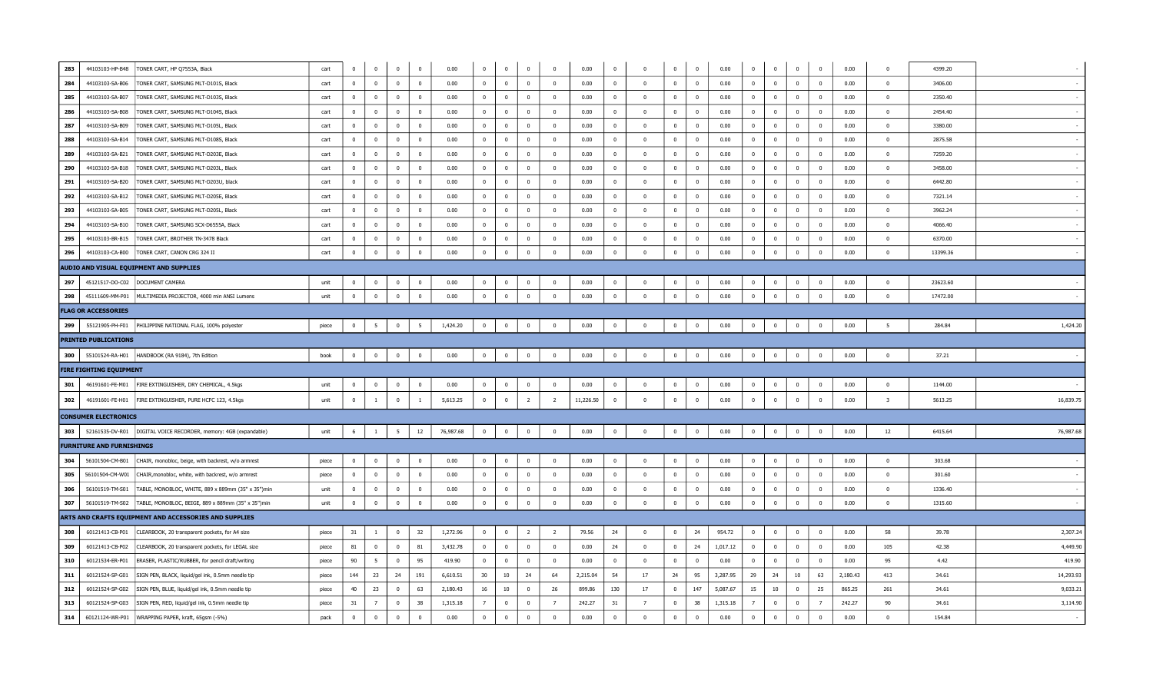| 283 | 44103103-HP-B48                  | TONER CART, HP Q7553A, Black                                       | cart  | $\overline{\mathbf{0}}$ | $\bf{0}$       | $\bf{0}$        | $\mathbf{0}$            | 0.00      | $\mathbf 0$             | $\bf{0}$       | $\bf{0}$       | $\mathbf{0}$   | 0.00      | $^{\circ}$              | $\bf{0}$                | $\mathbf{0}$   | $\mathbf 0$             | 0.00     | $\mathbf{0}$   | $\bf{0}$       | $\bf{0}$                | $\overline{0}$          | 0.00     | $\Omega$                | 4399.20  |           |
|-----|----------------------------------|--------------------------------------------------------------------|-------|-------------------------|----------------|-----------------|-------------------------|-----------|-------------------------|----------------|----------------|----------------|-----------|-------------------------|-------------------------|----------------|-------------------------|----------|----------------|----------------|-------------------------|-------------------------|----------|-------------------------|----------|-----------|
| 284 | 44103103-SA-B06                  | TONER CART, SAMSUNG MLT-D101S, Black                               | cart  | $\overline{0}$          | $\mathbf 0$    | $\mathbf 0$     | $\overline{0}$          | 0.00      | $\overline{0}$          | $\bf{0}$       | $\mathbf 0$    | $\mathbf 0$    | 0.00      | $\overline{\mathbf{0}}$ | $\overline{\mathbf{0}}$ | $\mathbf{0}$   | $\mathbf{0}$            | 0.00     | $\mathbf{0}$   | $\mathbf 0$    | $\mathbf 0$             | $\overline{\mathbf{0}}$ | 0.00     | $\Omega$                | 3406.00  |           |
| 285 | 44103103-SA-B07                  | TONER CART, SAMSUNG MLT-D103S, Black                               | cart  | $\overline{\mathbf{0}}$ | $\bf{0}$       | $\overline{0}$  | $\overline{0}$          | 0.00      | $\overline{0}$          | $\bf{0}$       | $\overline{0}$ | $\mathbf{0}$   | 0.00      | $\overline{\mathbf{0}}$ | $\overline{\mathbf{0}}$ | $\bf{0}$       | $\overline{\mathbf{0}}$ | 0.00     | $\bf{0}$       | $\overline{0}$ | $\overline{0}$          | $\overline{0}$          | 0.00     | $\mathbf{0}$            | 2350.40  |           |
| 286 | 44103103-SA-B08                  | TONER CART, SAMSUNG MLT-D104S, Black                               | cart  | $\overline{0}$          | $\bf{0}$       | $\mathbf 0$     | $\overline{0}$          | 0.00      | $\overline{0}$          | $\bf{0}$       | $\mathbf 0$    | $\mathbf{0}$   | 0.00      | $\overline{0}$          | $\mathbf{0}$            | $\mathbf{0}$   | $\overline{0}$          | 0.00     | $\mathbf{0}$   | $\mathbf 0$    | $\mathbf{0}$            | $\overline{0}$          | 0.00     | $\Omega$                | 2454.40  |           |
| 287 | 44103103-SA-B09                  | TONER CART, SAMSUNG MLT-D105L, Black                               | cart  | $\overline{0}$          | $\bf{0}$       | $\bf{0}$        | $\overline{0}$          | 0.00      | $\overline{0}$          | $\bf{0}$       | $\bf{0}$       | $\mathbf{0}$   | 0.00      | $\overline{0}$          | $\overline{0}$          | $\overline{0}$ | $\overline{0}$          | 0.00     | $\overline{0}$ | $\bf{0}$       | $\overline{0}$          | $\overline{\mathbf{0}}$ | 0.00     | $\mathbf{0}$            | 3380.00  |           |
| 288 | 44103103-SA-B14                  | TONER CART, SAMSUNG MLT-D108S, Black                               | cart  | $\overline{0}$          | $\bf{0}$       | $\mathbf 0$     | $\overline{0}$          | 0.00      | $\overline{0}$          | $\bf{0}$       | $\mathbf 0$    | $\mathbf{0}$   | 0.00      | $\overline{0}$          | $\overline{\mathbf{0}}$ | $\mathbf{0}$   | $\mathbf{0}$            | 0.00     | $\mathbf{0}$   | $\mathbf 0$    | $\mathbf{0}$            | $\overline{0}$          | 0.00     | $\mathbf{0}$            | 2875.58  |           |
| 289 | 44103103-SA-B21                  | TONER CART, SAMSUNG MLT-D203E, Black                               | cart  | $\overline{\mathbf{0}}$ | $\bf{0}$       | $\overline{0}$  | $\overline{0}$          | 0.00      | $\overline{\mathbf{0}}$ | $\bf{0}$       | $\bf{0}$       | $\mathbf{0}$   | 0.00      | $\overline{0}$          | $\bf{0}$                | $\overline{0}$ | $\overline{\mathbf{0}}$ | 0.00     | $\bf{0}$       | $\bf{0}$       | $\bf{0}$                | $\overline{\mathbf{0}}$ | 0.00     | $\overline{0}$          | 7259.20  |           |
| 290 | 44103103-SA-B18                  | TONER CART, SAMSUNG MLT-D203L, Black                               | cart  | $\overline{0}$          | $\bf{0}$       | $\bf{0}$        | $\overline{0}$          | 0.00      | $\overline{0}$          | $\bf{0}$       | $\mathbf 0$    | $\mathbf 0$    | 0.00      | $\overline{0}$          | $\mathbf{0}$            | $\mathbf{0}$   | $\overline{0}$          | 0.00     | $\mathbf{0}$   | $\mathbf{0}$   | $\mathbf{0}$            | $\overline{0}$          | 0.00     | $\Omega$                | 3458.00  |           |
| 291 | 44103103-SA-B20                  | TONER CART, SAMSUNG MLT-D203U, black                               | cart  | $\overline{0}$          | $\bf{0}$       | $\overline{0}$  | $\overline{0}$          | 0.00      | $\overline{0}$          | $\bf{0}$       | $\bf{0}$       | $\overline{0}$ | 0.00      | $\overline{0}$          | $\overline{0}$          | $\overline{0}$ | $\overline{0}$          | 0.00     | $\bf{0}$       | $\overline{0}$ | $\bf{0}$                | $\overline{\mathbf{0}}$ | 0.00     | $\overline{0}$          | 6442.80  |           |
| 292 | 44103103-SA-B12                  | TONER CART, SAMSUNG MLT-D205E, Black                               | cart  | $\overline{0}$          | $\bf{0}$       | $\mathbf 0$     | $\overline{0}$          | 0.00      | $\overline{0}$          | $\bf{0}$       | $\mathbf 0$    | $\mathbf 0$    | 0.00      | $\mathbf{0}$            | $\overline{\mathbf{0}}$ | $\mathbf{0}$   | $\overline{0}$          | 0.00     | $\mathbf{0}$   | $\mathbf 0$    | $\mathbf 0$             | $\overline{\mathbf{0}}$ | 0.00     | $\Omega$                | 7321.14  |           |
| 293 | 44103103-SA-B05                  | TONER CART, SAMSUNG MLT-D205L, Black                               | cart  | $\overline{\mathbf{0}}$ | $\bf{0}$       | $\mathbf 0$     | $\overline{0}$          | 0.00      | $\overline{0}$          | $\bf{0}$       | $\bf{0}$       | $\mathbf{0}$   | 0.00      | $\overline{\mathbf{0}}$ | $\overline{0}$          | $\overline{0}$ | $\overline{\mathbf{0}}$ | 0.00     | $\overline{0}$ | $\bf{0}$       | $\bf{0}$                | $\overline{\mathbf{0}}$ | 0.00     | $\mathbf{0}$            | 3962.24  |           |
| 294 | 44103103-SA-B10                  | TONER CART, SAMSUNG SCX-D6555A, Black                              | cart  | $\overline{0}$          | $\bf{0}$       | $\mathbf 0$     | $\overline{0}$          | 0.00      | $\overline{0}$          | $\bf{0}$       | $\mathbf 0$    | $\mathbf 0$    | 0.00      | $\mathbf{0}$            | $\bf{0}$                | $\mathbf{0}$   | $\overline{0}$          | 0.00     | $\mathbf{0}$   | $\mathbf{0}$   | $\mathbf{0}$            | $\overline{0}$          | 0.00     | $\Omega$                | 4066.40  |           |
| 295 | 44103103-BR-B15                  | TONER CART, BROTHER TN-3478 Black                                  | cart  | $\overline{\mathbf{0}}$ | $\bf{0}$       | $\bf{0}$        | $\overline{0}$          | 0.00      | $\overline{0}$          | $\bf{0}$       | $\bf{0}$       | $\overline{0}$ | 0.00      | $\overline{0}$          | $\overline{0}$          | $\overline{0}$ | $\overline{0}$          | 0.00     | $\bf{0}$       | $\bf{0}$       | $\bf{0}$                | $\overline{\mathbf{0}}$ | 0.00     | $\mathbf{0}$            | 6370.00  |           |
| 296 | 44103103-CA-B00                  | TONER CART, CANON CRG 324 II                                       | cart  | $\overline{\mathbf{0}}$ | $\bf{0}$       | $\mathbf 0$     | $\overline{\mathbf{0}}$ | 0.00      | $\mathbf 0$             | $\bf{0}$       | $\mathbf 0$    | $\mathbf 0$    | 0.00      | $\overline{0}$          | $\mathbf{0}$            | $\mathbf{0}$   | $\mathbf{0}$            | 0.00     | $\mathbf{0}$   | $\mathbf 0$    | $\mathbf 0$             | $\overline{0}$          | 0.00     | $\Omega$                | 13399.36 |           |
|     |                                  | AUDIO AND VISUAL EQUIPMENT AND SUPPLIES                            |       |                         |                |                 |                         |           |                         |                |                |                |           |                         |                         |                |                         |          |                |                |                         |                         |          |                         |          |           |
| 297 | 45121517-DO-C02                  | DOCUMENT CAMERA                                                    | unit  | $\overline{\mathbf{0}}$ | $\mathbf 0$    | $\overline{0}$  | $\mathbf{0}$            | 0.00      | $\overline{0}$          | $\bf{0}$       | $\bf{0}$       | $\overline{0}$ | 0.00      | $\mathbf 0$             | $\overline{0}$          | $\mathbf{0}$   | $\mathbf 0$             | 0.00     | $\overline{0}$ | $\mathbf 0$    | $\mathbf 0$             | $\mathbf 0$             | 0.00     | $\Omega$                | 23623.60 |           |
| 298 | 45111609-MM-P01                  | MULTIMEDIA PROJECTOR, 4000 min ANSI Lumens                         | unit  | $\overline{0}$          | $\bf{0}$       | $\mathbf 0$     | $\mathbf{0}$            | 0.00      | $\mathbf{0}$            | $\bf{0}$       | $\mathbf 0$    | $\mathbf 0$    | 0.00      | $\mathbf{0}$            | $\overline{\mathbf{0}}$ | $\mathbf{0}$   | $\mathbf{0}$            | 0.00     | $\mathbf{0}$   | $\mathbf 0$    | $\mathbf 0$             | $\overline{0}$          | 0.00     | $\Omega$                | 17472.00 |           |
|     | <b>FLAG OR ACCESSORIES</b>       |                                                                    |       |                         |                |                 |                         |           |                         |                |                |                |           |                         |                         |                |                         |          |                |                |                         |                         |          |                         |          |           |
| 299 | 55121905-PH-F01                  | PHILIPPINE NATIONAL FLAG, 100% polyester                           | piece | $\overline{0}$          | -5             | $\mathbf 0$     | 5                       | 1,424.20  | $\overline{0}$          | $\mathbf{0}$   | $\overline{0}$ | $\mathbf 0$    | 0.00      | $\mathbf{0}$            | $\overline{0}$          | $\mathbf{0}$   | $\overline{\mathbf{0}}$ | 0.00     | $\mathbf{0}$   | $\overline{0}$ | $\mathbf{0}$            | $\overline{0}$          | 0.00     | 5                       | 284.84   | 1,424.20  |
|     | <b>PRINTED PUBLICATIONS</b>      |                                                                    |       |                         |                |                 |                         |           |                         |                |                |                |           |                         |                         |                |                         |          |                |                |                         |                         |          |                         |          |           |
| 300 |                                  | 55101524-RA-H01 HANDBOOK (RA 9184), 7th Edition                    | book  | $\overline{0}$          | $\bf{0}$       | $\bf{0}$        | $\Omega$                | 0.00      | $\overline{0}$          | $\bf{0}$       | $\mathbf 0$    | $\mathbf 0$    | 0.00      | $\mathbf{0}$            | $\overline{\mathbf{0}}$ | $\mathbf{0}$   | $\mathbf{0}$            | 0.00     | $\mathbf{0}$   | $\mathbf 0$    | $\mathbf 0$             | $\Omega$                | 0.00     | $\overline{0}$          | 37.21    |           |
|     | <b>FIRE FIGHTING EQUIPMENT</b>   |                                                                    |       |                         |                |                 |                         |           |                         |                |                |                |           |                         |                         |                |                         |          |                |                |                         |                         |          |                         |          |           |
| 301 | 46191601-FE-M01                  | FIRE EXTINGUISHER, DRY CHEMICAL, 4.5kgs                            | unit  | $\overline{\mathbf{0}}$ | $\mathbf 0$    | $\mathbf{0}$    | $\mathbf{0}$            | 0.00      | $\mathbf{0}$            | $\mathbf 0$    | $\mathbf 0$    | $\overline{0}$ | 0.00      | $\mathbf{0}$            | $\overline{0}$          | $\overline{0}$ | 0                       | 0.00     | $^{\circ}$     | $\mathbf 0$    | $\mathbf{0}$            | $\overline{0}$          | 0.00     | $\mathbf{0}$            | 1144.00  |           |
| 302 | 46191601-FE-H01                  | FIRE EXTINGUISHER, PURE HCFC 123, 4.5kgs                           | unit  | $\Omega$                | $\mathbf{1}$   | $\overline{0}$  |                         | 5,613.25  | $\overline{0}$          | $\overline{0}$ | $\overline{2}$ | $\overline{2}$ | 11,226.50 | $\overline{\mathbf{0}}$ | $\overline{0}$          | $\mathbf{0}$   | $\overline{0}$          | 0.00     | $\overline{0}$ | $\overline{0}$ | $\Omega$                | $\overline{0}$          | 0.00     | $\overline{\mathbf{3}}$ | 5613.25  | 16,839.75 |
|     | <b>CONSUMER ELECTRONICS</b>      |                                                                    |       |                         |                |                 |                         |           |                         |                |                |                |           |                         |                         |                |                         |          |                |                |                         |                         |          |                         |          |           |
| 303 |                                  | 52161535-DV-R01   DIGITAL VOICE RECORDER, memory: 4GB (expandable) | unit  | 6                       | $\mathbf{1}$   | $5\overline{5}$ | 12                      | 76,987.68 | $\overline{0}$          | $\overline{0}$ | $\bf{0}$       | $\bf{0}$       | 0.00      | $\bf{0}$                | $\overline{\mathbf{0}}$ | $\overline{0}$ | $\overline{0}$          | 0.00     | $\overline{0}$ | $\mathbf 0$    | $\bf{0}$                | $\overline{\mathbf{0}}$ | 0.00     | 12                      | 6415.64  | 76,987.68 |
|     | <b>FURNITURE AND FURNISHINGS</b> |                                                                    |       |                         |                |                 |                         |           |                         |                |                |                |           |                         |                         |                |                         |          |                |                |                         |                         |          |                         |          |           |
| 304 | 56101504-CM-B01                  | CHAIR, monobloc, beige, with backrest, w/o armrest                 | piece | $\overline{\mathbf{0}}$ | $\mathbf 0$    | $\mathbf 0$     | $\overline{0}$          | 0.00      | $\overline{0}$          | $\bf{0}$       | $\bf{0}$       | $\mathbf 0$    | 0.00      | $\overline{0}$          | $\overline{\mathbf{0}}$ | $\mathbf{0}$   | $\overline{0}$          | 0.00     | $\mathbf{0}$   | $\mathbf 0$    | $\mathbf 0$             | $\overline{\mathbf{0}}$ | 0.00     | $\Omega$                | 303.68   |           |
| 305 | 56101504-CM-W01                  | CHAIR, monobloc, white, with backrest, w/o armrest                 | piece | $\overline{0}$          | $\mathbf 0$    | $\overline{0}$  | $\overline{0}$          | 0.00      | $\overline{0}$          | $\mathbf 0$    | $\mathbf 0$    | $\mathbf 0$    | 0.00      | $\overline{\mathbf{0}}$ | $\overline{0}$          | $\mathbf{0}$   | $\overline{\mathbf{0}}$ | 0.00     | $\mathbf{0}$   | $\mathbf 0$    | $\overline{\mathbf{0}}$ | $\overline{\mathbf{0}}$ | 0.00     | $\mathbf{0}$            | 301.60   |           |
| 306 | 56101519-TM-S01                  | TABLE, MONOBLOC, WHITE, 889 x 889mm (35" x 35")min                 | unit  | $\bf{0}$                | $\bf{0}$       | $\mathbf 0$     | $\overline{0}$          | 0.00      | $\overline{0}$          | $\bf{0}$       | $\mathbf 0$    | $\Omega$       | 0.00      | $\overline{0}$          | $\overline{0}$          | $\mathbf{0}$   | $\overline{0}$          | 0.00     | $\mathbf{0}$   | $\mathbf 0$    | $\mathbf{0}$            | $\overline{0}$          | 0.00     | $\Omega$                | 1336.40  |           |
| 307 | 56101519-TM-S02                  | TABLE, MONOBLOC, BEIGE, 889 x 889mm (35" x 35")min                 | unit  | $\overline{0}$          | $\mathbf{0}$   | $\overline{0}$  | $\overline{\mathbf{0}}$ | 0.00      | $\overline{0}$          | $\overline{0}$ | $\overline{0}$ | $\mathbf 0$    | 0.00      | $\bf{0}$                | $\overline{\mathbf{0}}$ | $\overline{0}$ | $\overline{0}$          | 0.00     | $\overline{0}$ | $\overline{0}$ | $\overline{0}$          | $\overline{\mathbf{0}}$ | 0.00     | $\mathbf{0}$            | 1315.60  |           |
|     |                                  | ARTS AND CRAFTS EQUIPMENT AND ACCESSORIES AND SUPPLIES             |       |                         |                |                 |                         |           |                         |                |                |                |           |                         |                         |                |                         |          |                |                |                         |                         |          |                         |          |           |
| 308 | 60121413-CB-P01                  | CLEARBOOK, 20 transparent pockets, for A4 size                     | piece | 31                      | $\overline{1}$ | $\overline{0}$  | 32                      | 1,272.96  | $\overline{0}$          | $\bf{0}$       | $\overline{2}$ | $\overline{2}$ | 79.56     | 24                      | $\overline{\mathbf{0}}$ | $\mathbf{0}$   | 24                      | 954.72   | $\overline{0}$ | $\overline{0}$ | $\Omega$                | $\overline{0}$          | 0.00     | 58                      | 39.78    | 2,307.24  |
| 309 | 60121413-CB-P02                  | CLEARBOOK, 20 transparent pockets, for LEGAL size                  | piece | 81                      | $\mathbf 0$    | $\overline{0}$  | 81                      | 3,432.78  | $\overline{0}$          | $\bf{0}$       | $\overline{0}$ | $\mathbf 0$    | 0.00      | 24                      | $\overline{0}$          | $\mathbf{0}$   | 24                      | 1,017.12 | $\mathbf{0}$   | $\mathbf{0}$   | $\mathbf 0$             | $\overline{\mathbf{0}}$ | 0.00     | 105                     | 42.38    | 4,449.90  |
| 310 | 60121534-ER-P01                  | ERASER, PLASTIC/RUBBER, for pencil draft/writing                   | piece | 90                      | 5              | $\mathbf 0$     | 95                      | 419.90    | $\overline{0}$          | $\overline{0}$ | $\mathbf{0}$   | $\overline{0}$ | 0.00      | $\overline{0}$          | $\overline{0}$          | $\mathbf{0}$   | $\overline{0}$          | 0.00     | $\Omega$       | $\mathbf{0}$   | $\mathbf{0}$            | $\overline{0}$          | 0.00     | 95                      | 4.42     | 419.90    |
| 311 | 60121524-SP-G01                  | SIGN PEN, BLACK, liquid/gel ink, 0.5mm needle tip                  | piece | 144                     | 23             | 24              | 191                     | 6,610.51  | 30 <sub>2</sub>         | 10             | 24             | 64             | 2,215.04  | 54                      | 17                      | 24             | 95                      | 3,287.95 | 29             | 24             | 10                      | 63                      | 2,180.43 | 413                     | 34.61    | 14,293.93 |
| 312 | 60121524-SP-G02                  | SIGN PEN, BLUE, liquid/gel ink, 0.5mm needle tip                   | piece | 40                      | 23             | $\bf{0}$        | 63                      | 2,180.43  | 16                      | 10             | $\mathbf{0}$   | 26             | 899.86    | 130                     | 17                      | $\mathbf{0}$   | 147                     | 5,087.67 | 15             | 10             | $\Omega$                | 25                      | 865.25   | 261                     | 34.61    | 9,033.21  |
| 313 | 60121524-SP-G03                  | SIGN PEN, RED, liquid/gel ink, 0.5mm needle tip                    | piece | 31                      | $\overline{7}$ | $\mathbf 0$     | 38                      | 1,315.18  | $\overline{7}$          | $\mathbf 0$    | $\overline{0}$ | $\overline{7}$ | 242.27    | 31                      | $\overline{7}$          | $\overline{0}$ | 38                      | 1,315.18 |                | $\mathbf{0}$   | $\overline{0}$          | $\overline{7}$          | 242.27   | 90                      | 34.61    | 3,114.90  |
| 314 | 60121124-WR-P01                  | WRAPPING PAPER, kraft, 65gsm (-5%)                                 | pack  | $\overline{0}$          | $\bf{0}$       | $\mathbf 0$     | $\overline{0}$          | 0.00      | $\mathbf 0$             | $\bf{0}$       | $\overline{0}$ | $\Omega$       | 0.00      | $\mathbf{0}$            | $\overline{0}$          | $\mathbf{0}$   | $\mathbf 0$             | 0.00     | $\mathbf{0}$   | $\mathbf{0}$   | $\overline{0}$          | $\Omega$                | 0.00     | $\Omega$                | 154.84   |           |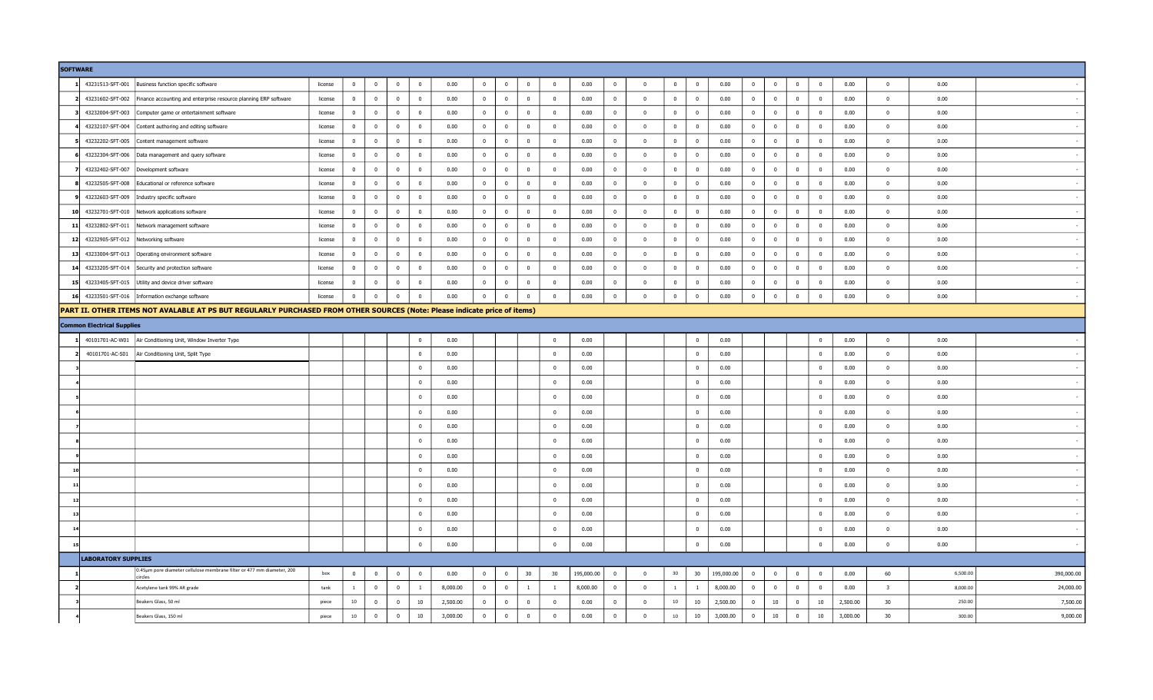|                 | <b>SOFTWARE</b>                         |                                                                                                                           |         |                |                         |                |                         |          |                |                         |                         |                         |            |                |                          |                         |                |            |                |                         |                |                          |          |                         |          |            |
|-----------------|-----------------------------------------|---------------------------------------------------------------------------------------------------------------------------|---------|----------------|-------------------------|----------------|-------------------------|----------|----------------|-------------------------|-------------------------|-------------------------|------------|----------------|--------------------------|-------------------------|----------------|------------|----------------|-------------------------|----------------|--------------------------|----------|-------------------------|----------|------------|
|                 |                                         | 43231513-SFT-001 Business function specific software                                                                      | license | $\mathbf 0$    | $\overline{0}$          | $\mathbf{0}$   | $\overline{0}$          | 0.00     | $\mathbf{0}$   | $\,$ 0 $\,$             | $\overline{0}$          | $\overline{0}$          | 0.00       | $\bf{0}$       | $\overline{\phantom{0}}$ | $\overline{0}$          | $\bf{0}$       | 0.00       | $\overline{0}$ | $\overline{\mathbf{0}}$ | $\overline{0}$ | $\bf{0}$                 | 0.00     | $\overline{0}$          | 0.00     |            |
|                 | 43231602-SFT-002                        | Finance accounting and enterprise resource planning ERP software                                                          | license | $\mathbf 0$    | $\overline{0}$          | $\mathbf{0}$   | $\overline{\mathbf{0}}$ | 0.00     | $\overline{0}$ | $\overline{0}$          | $\mathbf{0}$            | $\mathbf 0$             | 0.00       | $\overline{0}$ | $\overline{\mathbf{0}}$  | $\overline{0}$          | $\overline{0}$ | 0.00       | $\mathbf{0}$   | $\mathbf{0}$            | $\mathbf{0}$   | $\mathbf{0}$             | 0.00     | $\mathbf 0$             | 0.00     |            |
|                 | 43232004-SFT-003                        | Computer game or entertainment software                                                                                   | license | $\overline{0}$ | $\overline{0}$          | $\overline{0}$ | $\overline{\mathbf{0}}$ | 0.00     | $\overline{0}$ | $\,$ 0 $\,$             | $\overline{0}$          | $\overline{\mathbf{0}}$ | 0.00       | $\overline{0}$ | $\overline{\phantom{0}}$ | $\overline{0}$          | $\overline{0}$ | 0.00       | $\bf{0}$       | $\overline{\mathbf{0}}$ | $\bf{0}$       | $\overline{\mathbf{0}}$  | 0.00     | $\overline{0}$          | 0.00     |            |
|                 |                                         | 43232107-SFT-004 Content authoring and editing software                                                                   | license | $\overline{0}$ | $\mathbf{0}$            | $\overline{0}$ | $\overline{\mathbf{0}}$ | 0.00     | $\mathbf{0}$   | $\overline{0}$          | $\overline{0}$          | $\overline{0}$          | 0.00       | $\mathbf{0}$   | $\overline{\mathbf{0}}$  | $\overline{0}$          | $\mathbf{0}$   | 0.00       | $\overline{0}$ | $\overline{0}$          | $\mathbf{0}$   | $\overline{0}$           | 0.00     | $\overline{0}$          | 0.00     |            |
|                 |                                         | 43232202-SFT-005 Content management software                                                                              | license | $\mathbf 0$    | $\overline{0}$          | $\mathbf{0}$   | $\overline{\mathbf{0}}$ | 0.00     | $\overline{0}$ | $\overline{\mathbf{0}}$ | $\overline{0}$          | $\mathbf{0}$            | 0.00       | $\bf{0}$       | $\overline{0}$           | $\overline{0}$          | $\overline{0}$ | 0.00       | $\mathbf{0}$   | $\overline{0}$          | $\mathbf 0$    | $\overline{\mathbf{0}}$  | 0.00     | $\overline{0}$          | 0.00     |            |
|                 |                                         | 43232304-SFT-006 Data management and query software                                                                       | license | $\overline{0}$ | $\overline{0}$          | $\overline{0}$ | $\overline{0}$          | 0.00     | $\overline{0}$ | $\overline{0}$          | $\mathbf{0}$            | $\overline{0}$          | 0.00       | $\mathbf{0}$   | $\overline{\mathbf{0}}$  | $\overline{0}$          | $\overline{0}$ | 0.00       | $\overline{0}$ | $\overline{0}$          | $\mathbf{0}$   | $\overline{0}$           | 0.00     | $\overline{0}$          | 0.00     |            |
|                 | 43232402-SFT-007                        | Development software                                                                                                      | license | $\mathbf 0$    | $\overline{0}$          | $\mathbf{0}$   | $\overline{\mathbf{0}}$ | 0.00     | $\mathbf{0}$   | $\overline{\mathbf{0}}$ | $\overline{0}$          | $\overline{0}$          | 0.00       | $\overline{0}$ | $\overline{0}$           | $\bf{0}$                | $\overline{0}$ | 0.00       | $\overline{0}$ | $\mathbf{0}$            | $\bf{0}$       | $\overline{0}$           | 0.00     | $\overline{0}$          | 0.00     |            |
|                 | 43232505-SFT-008                        | Educational or reference software                                                                                         | license | $\Omega$       | $\overline{\mathbf{0}}$ | $\mathbf{0}$   | $\overline{0}$          | 0.00     | $\mathbf{0}$   | $\overline{\mathbf{0}}$ | $\mathbf{0}$            | $\overline{0}$          | 0.00       | $\Omega$       | $\overline{\phantom{0}}$ | $\overline{0}$          | $\overline{0}$ | 0.00       | $\overline{0}$ | $\overline{\mathbf{0}}$ | $\mathbf{0}$   | $\overline{0}$           | 0.00     | $\overline{0}$          | 0.00     |            |
|                 |                                         | 43232603-SFT-009   Industry specific software                                                                             | license | $\overline{0}$ | $\overline{0}$          | $\overline{0}$ | $\overline{0}$          | 0.00     | $\overline{0}$ | $\overline{\mathbf{0}}$ | $\overline{0}$          | $\mathbf 0$             | 0.00       | $\mathbf{0}$   | $\overline{\mathbf{0}}$  | $\overline{0}$          | $\bf{0}$       | 0.00       | $\mathbf{0}$   | $\bf{0}$                | $\bf{0}$       | $\overline{\mathbf{0}}$  | 0.00     | $\mathbf 0$             | 0.00     |            |
| 10 <sup>1</sup> |                                         | 43232701-SFT-010 Network applications software                                                                            | license | $\overline{0}$ | $\overline{0}$          | $\overline{0}$ | $\overline{\mathbf{0}}$ | 0.00     | $\overline{0}$ | $\overline{0}$          | $\overline{0}$          | $\overline{0}$          | 0.00       | $\overline{0}$ | $\overline{0}$           | $\overline{0}$          | $\overline{0}$ | 0.00       | $\overline{0}$ | $\overline{0}$          | $\mathbf{0}$   | $\overline{\mathbf{0}}$  | 0.00     | $\overline{0}$          | 0.00     |            |
|                 | 43232802-SFT-011                        | Network management software                                                                                               | license | $^{\circ}$     | $\overline{0}$          | $\overline{0}$ | $\overline{\mathbf{0}}$ | 0.00     | $\overline{0}$ | $\overline{\mathbf{0}}$ | $\bf{0}$                | $\mathbf 0$             | 0.00       | $\bf{0}$       | $\overline{\mathbf{0}}$  | $\bf{0}$                | $\bf{0}$       | 0.00       | $\overline{0}$ | $\mathbf 0$             | $\bf{0}$       | $\overline{\mathbf{0}}$  | 0.00     | $\overline{0}$          | 0.00     |            |
|                 | 12 43232905-SFT-012 Networking software |                                                                                                                           | license | $\overline{0}$ | $\overline{0}$          | $\mathbf{0}$   | $\overline{\mathbf{0}}$ | 0.00     | $\overline{0}$ | $\overline{0}$          | $\overline{0}$          | $\overline{0}$          | 0.00       | $\mathbf{0}$   | $\overline{\phantom{0}}$ | $\overline{0}$          | $\overline{0}$ | 0.00       | $\overline{0}$ | $\overline{0}$          | $\mathbf{0}$   | $\overline{0}$           | 0.00     | $\overline{0}$          | 0.00     |            |
| 13 <sup>1</sup> |                                         | 43233004-SFT-013 Operating environment software                                                                           | license | $\mathbf 0$    | $\overline{0}$          | $\overline{0}$ | $\overline{\mathbf{0}}$ | 0.00     | $\mathbf{0}$   | $\mathbf 0$             | $\overline{\mathbf{0}}$ | $\overline{0}$          | 0.00       | $\mathbf{0}$   | $\overline{\phantom{0}}$ | $\bf{0}$                | $\bf{0}$       | 0.00       | $\mathbf{0}$   | $\overline{0}$          | $\mathbf{0}$   | $\overline{0}$           | 0.00     | $\overline{0}$          | 0.00     |            |
| 14              |                                         | 43233205-SFT-014 Security and protection software                                                                         | license | $\overline{0}$ | $\overline{0}$          | $\mathbf{0}$   | $\overline{0}$          | 0.00     | $\mathbf{0}$   | $\overline{\mathbf{0}}$ | $\mathbf{0}$            | $\overline{0}$          | 0.00       | $\overline{0}$ | $\overline{\mathbf{0}}$  | $\overline{0}$          | $\bf{0}$       | 0.00       | $\overline{0}$ | $\overline{0}$          | $\mathbf{0}$   | $\overline{\mathbf{0}}$  | 0.00     | $\overline{0}$          | 0.00     |            |
| 15              |                                         | 43233405-SFT-015 Utility and device driver software                                                                       | license | $\overline{0}$ | $\overline{0}$          | $\overline{0}$ | $\overline{\mathbf{0}}$ | 0.00     | $\overline{0}$ | $\overline{\mathbf{0}}$ | $\overline{0}$          | $\mathbf 0$             | 0.00       | $\overline{0}$ | $\overline{\mathbf{0}}$  | $\bf{0}$                | $\bf{0}$       | 0.00       | $\mathbf{0}$   | $\mathbf 0$             | $\bf{0}$       | $\overline{\phantom{0}}$ | 0.00     | $\overline{0}$          | 0.00     |            |
|                 |                                         | 16 43233501-SFT-016 Information exchange software                                                                         | license | $\mathbf 0$    | $\overline{\mathbf{0}}$ | $\overline{0}$ | $\overline{\mathbf{0}}$ | 0.00     | $\mathbf{0}$   | $\overline{\mathbf{0}}$ | $\overline{0}$          | $\overline{0}$          | 0.00       | $\overline{0}$ | $\overline{\mathbf{0}}$  | $\overline{\mathbf{0}}$ | $\bf{0}$       | 0.00       | $\mathbf{0}$   | $\overline{0}$          | $\mathbf 0$    | $\overline{0}$           | 0.00     | $\overline{0}$          | 0.00     |            |
|                 |                                         | PART II. OTHER ITEMS NOT AVALABLE AT PS BUT REGULARLY PURCHASED FROM OTHER SOURCES (Note: Please indicate price of items) |         |                |                         |                |                         |          |                |                         |                         |                         |            |                |                          |                         |                |            |                |                         |                |                          |          |                         |          |            |
|                 | <b>Common Electrical Supplies</b>       |                                                                                                                           |         |                |                         |                |                         |          |                |                         |                         |                         |            |                |                          |                         |                |            |                |                         |                |                          |          |                         |          |            |
|                 |                                         | 40101701-AC-W01   Air Conditioning Unit, Window Inverter Type                                                             |         |                |                         |                | $\overline{0}$          | 0.00     |                |                         |                         | $\overline{0}$          | 0.00       |                |                          |                         | $\bf{0}$       | 0.00       |                |                         |                | $\bf{0}$                 | 0.00     | $\overline{0}$          | 0.00     |            |
|                 | 40101701-AC-S01                         | Air Conditioning Unit, Split Type                                                                                         |         |                |                         |                | $\overline{0}$          | 0.00     |                |                         |                         | $\mathbf 0$             | 0.00       |                |                          |                         | $\mathbf 0$    | 0.00       |                |                         |                | $\mathbf 0$              | 0.00     | $\mathbf 0$             | 0.00     |            |
|                 |                                         |                                                                                                                           |         |                |                         |                | $\overline{\mathbf{0}}$ | 0.00     |                |                         |                         | $\overline{0}$          | 0.00       |                |                          |                         | $\bf{0}$       | 0.00       |                |                         |                | $\overline{0}$           | 0.00     | $\overline{0}$          | 0.00     |            |
|                 |                                         |                                                                                                                           |         |                |                         |                | $\overline{0}$          | 0.00     |                |                         |                         | $\overline{0}$          | 0.00       |                |                          |                         | $\mathbf 0$    | 0.00       |                |                         |                | $\overline{0}$           | 0.00     | $\overline{0}$          | 0.00     |            |
|                 |                                         |                                                                                                                           |         |                |                         |                | $\overline{0}$          | 0.00     |                |                         |                         | $\overline{0}$          | 0.00       |                |                          |                         | $\mathbf 0$    | 0.00       |                |                         |                | $\overline{0}$           | 0.00     | $\overline{0}$          | 0.00     |            |
|                 |                                         |                                                                                                                           |         |                |                         |                | $\overline{0}$          | 0.00     |                |                         |                         | $\overline{\mathbf{0}}$ | 0.00       |                |                          |                         | $\bf{0}$       | 0.00       |                |                         |                | $\overline{0}$           | 0.00     | $\overline{0}$          | 0.00     |            |
|                 |                                         |                                                                                                                           |         |                |                         |                | $\overline{0}$          | 0.00     |                |                         |                         | $\mathbf{0}$            | 0.00       |                |                          |                         | $\bf{0}$       | 0.00       |                |                         |                | $\mathbf{0}$             | 0.00     | $\overline{0}$          | 0.00     |            |
|                 |                                         |                                                                                                                           |         |                |                         |                | $\overline{\mathbf{0}}$ | 0.00     |                |                         |                         | $\overline{0}$          | 0.00       |                |                          |                         | $\overline{0}$ | 0.00       |                |                         |                | $\mathbf 0$              | 0.00     | $\overline{0}$          | 0.00     |            |
|                 |                                         |                                                                                                                           |         |                |                         |                | $\overline{0}$          | 0.00     |                |                         |                         | $\mathbf 0$             | 0.00       |                |                          |                         | $\mathbf 0$    | 0.00       |                |                         |                | $\Omega$                 | 0.00     | $\overline{0}$          | 0.00     |            |
| 10              |                                         |                                                                                                                           |         |                |                         |                | $\overline{\mathbf{0}}$ | 0.00     |                |                         |                         | $\overline{0}$          | 0.00       |                |                          |                         | $\bf{0}$       | 0.00       |                |                         |                | $\overline{\mathbf{0}}$  | 0.00     | $\overline{0}$          | 0.00     |            |
| 11              |                                         |                                                                                                                           |         |                |                         |                | $\overline{0}$          | 0.00     |                |                         |                         | $\bf{0}$                | 0.00       |                |                          |                         | $\bf{0}$       | 0.00       |                |                         |                | $\bf{0}$                 | 0.00     | $\bf{0}$                | 0.00     |            |
| $12$            |                                         |                                                                                                                           |         |                |                         |                | $\overline{0}$          | 0.00     |                |                         |                         | $\overline{0}$          | 0.00       |                |                          |                         | $\overline{0}$ | 0.00       |                |                         |                | $\overline{0}$           | 0.00     | $\overline{\mathbf{0}}$ | 0.00     |            |
| 13              |                                         |                                                                                                                           |         |                |                         |                | $\overline{0}$          | 0.00     |                |                         |                         | $\overline{0}$          | 0.00       |                |                          |                         | $\overline{0}$ | 0.00       |                |                         |                | $\overline{0}$           | 0.00     | $\overline{0}$          | 0.00     |            |
| 14              |                                         |                                                                                                                           |         |                |                         |                | $\overline{\mathbf{0}}$ | 0.00     |                |                         |                         | $\Omega$                | 0.00       |                |                          |                         | $\mathbf 0$    | 0.00       |                |                         |                | $\mathbf 0$              | 0.00     | $\mathbf 0$             | 0.00     |            |
| 15              |                                         |                                                                                                                           |         |                |                         |                | $\overline{\mathbf{0}}$ | 0.00     |                |                         |                         | $\overline{0}$          | 0.00       |                |                          |                         | $\bf{0}$       | 0.00       |                |                         |                | $\bf{0}$                 | 0.00     | $\overline{0}$          | 0.00     |            |
|                 | <b>LABORATORY SUPPLIES</b>              |                                                                                                                           |         |                |                         |                |                         |          |                |                         |                         |                         |            |                |                          |                         |                |            |                |                         |                |                          |          |                         |          |            |
|                 |                                         | 0.45µm pore diameter cellulose membrane filter or 477 mm diameter, 200<br>circles                                         | box     | $\mathbf 0$    | $\overline{0}$          | $\overline{0}$ | $\overline{0}$          | 0.00     | $\overline{0}$ | $\mathbf 0$             | 30                      | 30                      | 195,000.00 | $\overline{0}$ | $\overline{\phantom{0}}$ | 30 <sup>°</sup>         | 30             | 195,000.00 | $\overline{0}$ | $\overline{0}$          | $\overline{0}$ | $\overline{0}$           | 0.00     | 60                      | 6,500.00 | 390,000.00 |
|                 |                                         | Acetylene tank 99% AR grade                                                                                               | tank    | $\overline{1}$ | $\overline{0}$          | $\overline{0}$ | $\mathbf{1}$            | 8,000.00 | $\bf{0}$       | $\overline{0}$          | $\mathbf{1}$            | $\mathbf{1}$            | 8,000.00   | $\overline{0}$ | $\overline{\mathbf{0}}$  | $\mathbf{1}$            | $\mathbf{1}$   | 8,000.00   | $\overline{0}$ | $\overline{0}$          | $\overline{0}$ | $\overline{\mathbf{0}}$  | 0.00     | $\mathbf{3}$            | 8,000.00 | 24,000.00  |
|                 |                                         | Beakers Glass, 50 ml                                                                                                      | piece   | 10             | $\mathbf{0}$            | $\mathbf{0}$   | $10\,$                  | 2,500.00 | $\mathbf{0}$   | $\overline{\mathbf{0}}$ | $\mathbf{0}$            | $\mathbf{0}$            | 0.00       | $\Omega$       | $\overline{0}$           | 10                      | 10             | 2,500.00   | $\Omega$       | 10                      | $\mathbf 0$    | 10                       | 2,500.00 | 30                      | 250.00   | 7,500.00   |
|                 |                                         | Beakers Glass, 150 ml                                                                                                     | piece   | $10\,$         | $\overline{0}$          | $\overline{0}$ | 10                      | 3,000.00 | $\mathbf{0}$   | $\mathbf 0$             | $\mathbf 0$             | $\Omega$                | 0.00       | $\mathbf{0}$   | $\overline{\mathbf{0}}$  | $10\,$                  | $10\,$         | 3,000.00   | $\overline{0}$ | 10                      | $\bf{0}$       | 10                       | 3,000.00 | 30                      | 300.00   | 9,000.00   |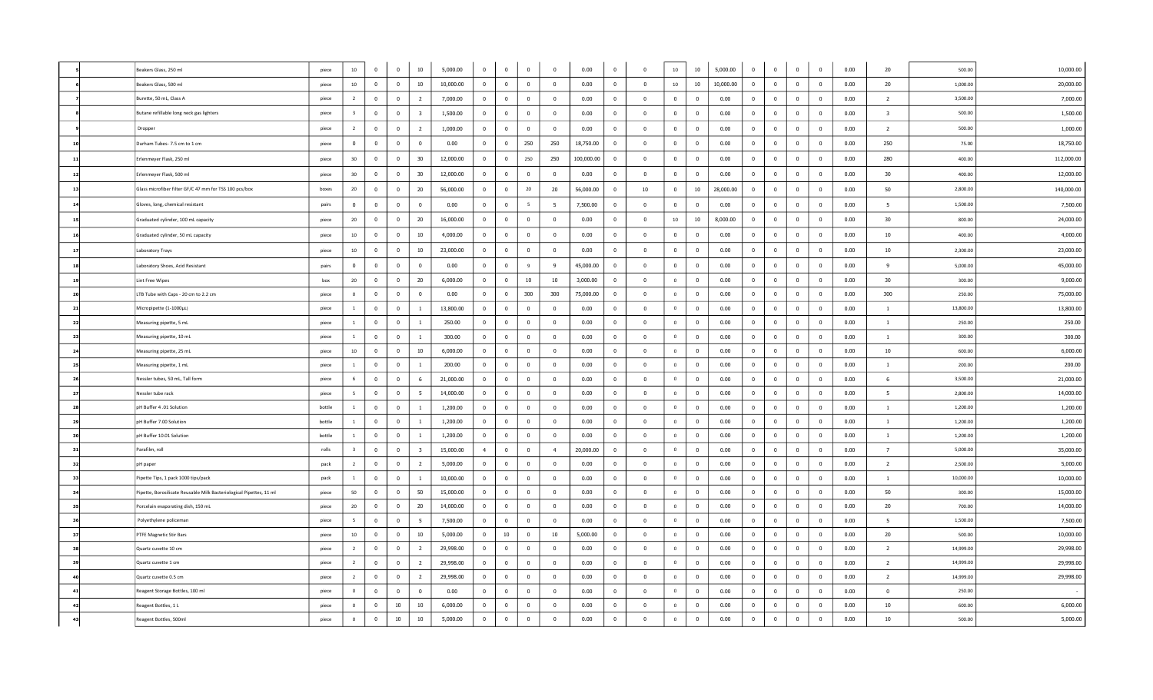|     | Beakers Glass, 250 ml                                               | piece  | $10\,$                  | $\overline{0}$ | $\overline{0}$          | 10                      | 5,000.00  | $\overline{0}$ | $\overline{0}$ | $\overline{0}$          | $\overline{0}$   | 0.00       | $\mathbf 0$             | $\mathbf 0$             | $10\,$         | 10                       | 5,000.00  | $\mathbf 0$    | $\overline{0}$          | $\overline{0}$ | $\mathbf 0$             | 0.00 | 20                      | 500.00    | 10,000.00  |
|-----|---------------------------------------------------------------------|--------|-------------------------|----------------|-------------------------|-------------------------|-----------|----------------|----------------|-------------------------|------------------|------------|-------------------------|-------------------------|----------------|--------------------------|-----------|----------------|-------------------------|----------------|-------------------------|------|-------------------------|-----------|------------|
|     | Beakers Glass, 500 ml                                               | piece  | 10                      | $\overline{0}$ | $\bf{0}$                | 10                      | 10,000.00 | $\mathbf{0}$   | $\bf{0}$       | $\bf{0}$                | $\Omega$         | 0.00       | $\mathbf{0}$            | $\Omega$                | $10\,$         | 10                       | 10,000.00 | $\mathbf 0$    | $\overline{0}$          | $\overline{0}$ | $\overline{\mathbf{0}}$ | 0.00 | 20                      | 1,000.00  | 20,000.00  |
|     | Burette, 50 mL, Class A                                             | piece  | $\overline{2}$          | $\mathbf{0}$   | $\mathbf 0$             | $\overline{2}$          | 7,000.00  | $\bf{0}$       | $\bf{0}$       | $\bf{0}$                | $\overline{0}$   | 0.00       | $\bf{0}$                | $\mathbf 0$             | $\mathbf{0}$   | $\mathbf 0$              | 0.00      | $\mathbf{0}$   | $\overline{\mathbf{0}}$ | $\bf{0}$       | $\overline{\mathbf{0}}$ | 0.00 | $\overline{2}$          | 3,500.00  | 7,000.00   |
|     | Butane refillable long neck gas lighters                            | piece  | $\overline{\mathbf{3}}$ | $\overline{0}$ | $\overline{\mathbf{0}}$ | $\overline{\mathbf{3}}$ | 1,500.00  | $\bf{0}$       | $\mathbf{0}$   | $\overline{0}$          | $\overline{0}$   | 0.00       | $\bf{0}$                | $\overline{\mathbf{0}}$ | $\mathbf{0}$   | $\overline{\mathbf{0}}$  | 0.00      | $\mathbf{0}$   | $\overline{\mathbf{0}}$ | $\overline{0}$ | $\overline{0}$          | 0.00 | $\overline{\mathbf{3}}$ | 500.00    | 1,500.00   |
|     | Dropper                                                             | piece  | $\overline{2}$          | $\mathbf{0}$   | $\mathbf 0$             | $\overline{2}$          | 1,000.00  | $\mathbf{0}$   | $\mathbf 0$    | $\mathbf 0$             | $\Omega$         | 0.00       | $\mathbf{0}$            | $\mathbf 0$             | $\mathbf 0$    | $\mathbf 0$              | 0.00      | $\mathbf 0$    | $\overline{0}$          | $\mathbf{0}$   | $\overline{0}$          | 0.00 | $\overline{2}$          | 500.00    | 1,000.00   |
| 10  | Durham Tubes-7.5 cm to 1 cm                                         | piece  | $\mathbf{0}$            | $\mathbf{0}$   | $\mathbf 0$             | $\overline{0}$          | 0.00      | $\mathbf{0}$   | $\mathbf 0$    | 250                     | 250              | 18,750.00  | $\overline{0}$          | $\overline{0}$          | $\mathbf 0$    | $\overline{0}$           | 0.00      | $\mathbf 0$    | $\overline{0}$          | $\mathbf{0}$   | $\overline{0}$          | 0.00 | 250                     | 75.00     | 18,750.00  |
| 11  | Erlenmeyer Flask, 250 ml                                            | piece  | 30                      | $\overline{0}$ | $\bf{0}$                | 30                      | 12,000.00 | $\overline{0}$ | $\overline{0}$ | 250                     | 250              | 100,000.00 | $\overline{0}$          | $\mathbf 0$             | $\bf{0}$       | $\mathbf 0$              | 0.00      | $\bf{0}$       | $\overline{\mathbf{0}}$ | $\mathbf 0$    | $\overline{\mathbf{0}}$ | 0.00 | 280                     | 400.00    | 112,000.00 |
| 12  | Erlenmeyer Flask, 500 ml                                            | piece  | 30                      | $\mathbf{0}$   | $\mathbf 0$             | 30                      | 12,000.00 | $\mathbf{0}$   | $\overline{0}$ | $\overline{0}$          | $\Omega$         | 0.00       | $\overline{0}$          | $\mathbf 0$             | $\mathbf 0$    | $\overline{\mathbf{0}}$  | 0.00      | $\mathbf 0$    | $\overline{0}$          | $\overline{0}$ | $\overline{\mathbf{0}}$ | 0.00 | 30                      | 400.00    | 12,000.00  |
| 13  | Glass microfiber filter GF/C 47 mm for TSS 100 pcs/box              | boxes  | $20\degree$             | $\mathbf{0}$   | $\mathbf 0$             | 20                      | 56,000.00 | $\mathbf{0}$   | $\mathbf{0}$   | 20                      | 20               | 56,000.00  | $\overline{0}$          | 10                      | $\mathbf{0}$   | 10                       | 28,000.00 | $\mathbf 0$    | $\overline{0}$          | $\mathbf 0$    | $\mathbf 0$             | 0.00 | 50                      | 2,800.00  | 140,000.00 |
| 14  | Gloves, long, chemical resistant                                    | pairs  | $\bf{0}$                | $\mathbf{0}$   | $\mathbf 0$             | $\overline{0}$          | 0.00      | $\bf{0}$       | $\mathbf 0$    | 5                       | 5                | 7,500.00   | $\bf{0}$                | $\Omega$                | $\mathbf 0$    | $\mathbf 0$              | 0.00      | $\bf{0}$       | $\overline{\mathbf{0}}$ | $\overline{0}$ | $\mathbf 0$             | 0.00 | $5\overline{5}$         | 1,500.00  | 7,500.00   |
| 15  | Graduated cylinder, 100 mL capacity                                 | piece  | $20\degree$             | $\mathbf{0}$   | $\mathbf 0$             | 20                      | 16,000.00 | $\mathbf{0}$   | $\mathbf 0$    | $\mathbf 0$             | $\mathbf 0$      | 0.00       | $\mathbf{0}$            | $\mathbf 0$             | 10             | 10                       | 8,000.00  | $\mathbf 0$    | $\overline{0}$          | $\mathbf{0}$   | $\mathbf 0$             | 0.00 | 30                      | 800.00    | 24,000.00  |
| 16  | Graduated cylinder, 50 mL capacity                                  | piece  | 10                      | $\overline{0}$ | $\mathbf 0$             | 10                      | 4,000.00  | $\mathbf{0}$   | $\overline{0}$ | $\overline{\mathbf{0}}$ | $\Omega$         | 0.00       | $\bf{0}$                | $\mathbf 0$             | $\mathbf 0$    | $\overline{\mathbf{0}}$  | 0.00      | $\mathbf 0$    | $\overline{0}$          | $\mathbf 0$    | $\overline{0}$          | 0.00 | 10                      | 400.00    | 4,000.00   |
| 17  | Laboratory Trays                                                    | piece  | $10\,$                  | $\overline{0}$ | $\Omega$                | 10                      | 23,000.00 | $\mathbf{0}$   | $\bf{0}$       | $\mathbf 0$             | $\mathbf 0$      | 0.00       | $\overline{0}$          | $\Omega$                | $\mathbf 0$    | $\overline{0}$           | 0.00      | $\mathbf 0$    | $\overline{0}$          | $\mathbf{0}$   | $\overline{0}$          | 0.00 | 10 <sup>10</sup>        | 2,300.00  | 23,000.00  |
| 18  | Laboratory Shoes, Acid Resistant                                    | pairs  | $\mathbf{0}$            | $\mathbf{0}$   | $\mathbf 0$             | $\overline{0}$          | 0.00      | $\mathbf{0}$   | $\mathbf 0$    | 9                       | 9                | 45,000.00  | $\bf{0}$                | $\overline{0}$          | $\mathbf 0$    | $\overline{0}$           | 0.00      | $\mathbf 0$    | $\overline{0}$          | $\mathbf{0}$   | $\overline{0}$          | 0.00 | 9                       | 5,000.00  | 45,000.00  |
| 19  | Lint Free Wipes                                                     | box    | $20\degree$             | $\overline{0}$ | $\overline{0}$          | 20                      | 6,000.00  | $\mathbf{0}$   | $\mathbf 0$    | 10                      | 10 <sub>10</sub> | 3,000.00   | $\overline{0}$          | $\overline{0}$          | $\circ$        | $\overline{0}$           | 0.00      | $\mathbf 0$    | $\overline{0}$          | $\overline{0}$ | $\overline{0}$          | 0.00 | 30                      | 300.00    | 9,000.00   |
| 20  | LTB Tube with Caps - 20 cm to 2.2 cm                                | piece  | $\overline{0}$          | $\mathbf{0}$   | $\bf{0}$                | $\overline{0}$          | 0.00      | $\mathbf{0}$   | $\overline{0}$ | 300                     | 300              | 75,000.00  | $\overline{\mathbf{0}}$ | $\overline{0}$          | $\overline{0}$ | $\overline{\mathbf{0}}$  | 0.00      | $\overline{0}$ | $\overline{\mathbf{0}}$ | $\overline{0}$ | $\overline{\mathbf{0}}$ | 0.00 | 300                     | 250.00    | 75,000.00  |
| 21  | Micropipette (1-1000µL)                                             | piece  | <sup>1</sup>            | $\mathbf{0}$   | $\overline{\mathbf{0}}$ | -1                      | 13,800.00 | $\overline{0}$ | $\overline{0}$ | $\overline{\mathbf{0}}$ | $\overline{0}$   | 0.00       | $\overline{0}$          | $\overline{0}$          | $\mathbf{0}$   | $\overline{0}$           | 0.00      | $\mathbf{0}$   | $\overline{\mathbf{0}}$ | $\overline{0}$ | $\overline{0}$          | 0.00 | <sup>1</sup>            | 13,800.00 | 13,800.00  |
| 22  | Measuring pipette, 5 mL                                             | piece  | $\overline{1}$          | $\mathbf{0}$   | $\overline{0}$          | $\overline{1}$          | 250.00    | $\overline{0}$ | $\overline{0}$ | $\mathbf 0$             | $\Omega$         | 0.00       | $\overline{0}$          | $\overline{0}$          | $\overline{0}$ | $\overline{0}$           | 0.00      | $\mathbf{0}$   | $\overline{\mathbf{0}}$ | $\mathbf{0}$   | $\overline{0}$          | 0.00 | $\mathbf{1}$            | 250.00    | 250.00     |
| 23  | Measuring pipette, 10 mL                                            | piece  | <sup>1</sup>            | $\mathbf{0}$   | $\mathbf 0$             | $\overline{1}$          | 300.00    | $\mathbf{0}$   | $\mathbf 0$    | $\mathbf 0$             | $\mathbf 0$      | 0.00       | $\mathbf{0}$            | $\mathbf 0$             | $\circ$        | $\mathbf 0$              | 0.00      | $\mathbf 0$    | $\overline{0}$          | $\mathbf{0}$   | $\overline{0}$          | 0.00 | $\mathbf{1}$            | 300.00    | 300.00     |
| 24  | Measuring pipette, 25 mL                                            | piece  | 10                      | $\mathbf{0}$   | $\mathbf{0}$            | 10                      | 6,000.00  | $\Omega$       | $\overline{0}$ | $\mathbf 0$             | $\Omega$         | 0.00       | $\Omega$                | $\overline{0}$          | $\overline{0}$ | $\overline{0}$           | 0.00      | $\Omega$       | $\overline{0}$          | $\mathbf{0}$   | $\mathbf{0}$            | 0.00 | 10                      | 600.00    | 6,000.00   |
| 25  | Measuring pipette, 1 mL                                             | piece  | $\mathbf{1}$            | $\mathbf{0}$   | $\overline{0}$          | -1                      | 200.00    | $\mathbf{0}$   | $\mathbf 0$    | $\overline{0}$          | $\mathbf 0$      | 0.00       | $\overline{0}$          | $\mathbf 0$             | $\circ$        | $\overline{\mathbf{0}}$  | 0.00      | $\mathbf 0$    | $\overline{0}$          | $\mathbf{0}$   | $\overline{0}$          | 0.00 | $\mathbf{1}$            | 200.00    | 200.00     |
| 26  | Nessler tubes, 50 mL, Tall form                                     | piece  | 6                       | $\mathbf{0}$   | $\overline{0}$          | 6                       | 21,000.00 | $\Omega$       | $\overline{0}$ | $\overline{0}$          | $\Omega$         | 0.00       | $\overline{0}$          | $\overline{0}$          | $\overline{0}$ | $\bf{0}$                 | 0.00      | $\overline{0}$ | $\overline{0}$          | $\overline{0}$ | $\bf{0}$                | 0.00 | - 6                     | 3,500.00  | 21,000.00  |
| 27  | Nessler tube rack                                                   | piece  | -5                      | $\overline{0}$ | $\mathbf 0$             | 5                       | 14,000.00 | $\overline{0}$ | $\bf{0}$       | $\bf{0}$                | $\Omega$         | 0.00       | $\overline{0}$          | $\overline{0}$          | $\circ$        | $\overline{\mathbf{0}}$  | 0.00      | $\bf{0}$       | $\overline{\mathbf{0}}$ | $\overline{0}$ | $\overline{0}$          | 0.00 | 5                       | 2,800.00  | 14,000.00  |
| 28  | nH Buffer 4 .01 Solution                                            | bottle | $\overline{1}$          | $\overline{0}$ | $\mathbf 0$             | $\overline{1}$          | 1,200.00  | $\Omega$       | $\overline{0}$ | $\mathbf 0$             | $\Omega$         | 0.00       | $\Omega$                | $\overline{\mathbf{0}}$ | $\Omega$       | $\Omega$                 | 0.00      | $\Omega$       | $\overline{\mathbf{0}}$ | $\mathbf{0}$   | $\Omega$                | 0.00 | $\overline{1}$          | 1,200.00  | 1,200.00   |
| 29  | pH Buffer 7.00 Solution                                             | bottle | <sup>1</sup>            | $\overline{0}$ | $\overline{\mathbf{0}}$ | $\mathbf{1}$            | 1,200.00  | $\overline{0}$ | $\mathbf 0$    | $\overline{\mathbf{0}}$ | $\overline{0}$   | 0.00       | $\overline{\mathbf{0}}$ | $\overline{\mathbf{0}}$ | $\circ$        | $\overline{\mathbf{0}}$  | 0.00      | $\mathbf{0}$   | $\overline{\mathbf{0}}$ | $\overline{0}$ | $\overline{\mathbf{0}}$ | 0.00 | $\overline{1}$          | 1,200.00  | 1,200.00   |
| 30  | pH Buffer 10.01 Solution                                            | bottle | $\mathbf{1}$            | $\mathbf{0}$   | $\mathbf 0$             | $\overline{1}$          | 1,200.00  | $\mathbf{0}$   | $\mathbf 0$    | $\overline{0}$          | $\mathbf 0$      | 0.00       | $\bf{0}$                | $\overline{0}$          | $\overline{0}$ | $\overline{\mathbf{0}}$  | 0.00      | $\mathbf 0$    | $\overline{0}$          | $\overline{0}$ | $\overline{0}$          | 0.00 | $\mathbf{1}$            | 1,200.00  | 1,200.00   |
| 31  | Parafilm, roll                                                      | rolls  | $\overline{\mathbf{3}}$ | $\overline{0}$ | $\bf{0}$                | $\overline{\mathbf{3}}$ | 15,000.00 | $\overline{4}$ | $\overline{0}$ | $\bf{0}$                | $\overline{4}$   | 20,000.00  | $\overline{\mathbf{0}}$ | $\overline{\mathbf{0}}$ | $\overline{0}$ | $\overline{\mathbf{0}}$  | 0.00      | $\bf{0}$       | $\overline{\mathbf{0}}$ | $\overline{0}$ | $\overline{\mathbf{0}}$ | 0.00 | $\overline{7}$          | 5,000.00  | 35,000.00  |
| 32  | pH paper                                                            | pack   | $\overline{2}$          | $\mathbf{0}$   | $\mathbf 0$             | $\overline{2}$          | 5,000.00  | $\mathbf{0}$   | $\mathbf 0$    | $\overline{0}$          | $\mathbf 0$      | 0.00       | $\mathbf{0}$            | $\overline{0}$          | $\circ$        | $\overline{0}$           | 0.00      | $\mathbf 0$    | $\overline{0}$          | $\mathbf{0}$   | $\overline{0}$          | 0.00 | $\overline{2}$          | 2,500.00  | 5,000.00   |
| -33 | Pipette Tips, 1 pack 1000 tips/pack                                 | pack   | 1                       | $\mathbf{0}$   | $\overline{\mathbf{0}}$ | $\mathbf{1}$            | 10,000.00 | $\bf{0}$       | $\mathbf 0$    | $\overline{\mathbf{0}}$ | $\overline{0}$   | 0.00       | $\overline{\mathbf{0}}$ | $\overline{0}$          | $\mathbf{0}$   | $\overline{\phantom{0}}$ | 0.00      | $\overline{0}$ | $\overline{\mathbf{0}}$ | $\overline{0}$ | $\overline{0}$          | 0.00 | <sup>1</sup>            | 10,000.00 | 10,000.00  |
| 34  | Pipette, Borosilicate Reusable Milk Bacteriological Pipettes, 11 ml | piece  | 50                      | $\mathbf{0}$   | $\mathbf 0$             | 50                      | 15,000.00 | $\mathbf{0}$   | $\mathbf 0$    | $\mathbf 0$             | $\mathbf 0$      | 0.00       | $\mathbf{0}$            | $\mathbf 0$             | $\overline{0}$ | $\overline{0}$           | 0.00      | $\mathbf 0$    | $\overline{0}$          | $\mathbf{0}$   | $\overline{0}$          | 0.00 | 50                      | 300.00    | 15,000.00  |
| 35  | Porcelain evaporating dish, 150 mL                                  | piece  | 20                      | $\mathbf{0}$   | $\bf{0}$                | 20                      | 14,000.00 | $\bf{0}$       | $\overline{0}$ | $\overline{\mathbf{0}}$ | $\Omega$         | 0.00       | $\overline{0}$          | $\overline{\mathbf{0}}$ | $\overline{0}$ | $\overline{\mathbf{0}}$  | 0.00      | $\overline{0}$ | $\overline{\mathbf{0}}$ | $\overline{0}$ | $\overline{\mathbf{0}}$ | 0.00 | 20                      | 700.00    | 14,000.00  |
| 36  | Polyethylene policeman                                              | piece  | 5                       | $\mathbf{0}$   | $\mathbf 0$             | - 5                     | 7,500.00  | $\mathbf{0}$   | $\bf{0}$       | $\mathbf{0}$            | $\Omega$         | 0.00       | $\mathbf 0$             | $\mathbf 0$             | $\circ$        | $\overline{0}$           | 0.00      | $\mathbf 0$    | $\overline{0}$          | $\mathbf{0}$   | $\overline{0}$          | 0.00 | - 5                     | 1,500.00  | 7,500.00   |
| 37  | PTFE Magnetic Stir Bars                                             | piece  | $10\,$                  | $\mathbf{0}$   | $\bf{0}$                | 10                      | 5,000.00  | $\mathbf{0}$   | $10\,$         | $\bf{0}$                | 10               | 5,000.00   | $\overline{\mathbf{0}}$ | $\overline{\mathbf{0}}$ | $\overline{0}$ | $\overline{\mathbf{0}}$  | 0.00      | $\mathbf 0$    | $\overline{\mathbf{0}}$ | $\overline{0}$ | $\overline{0}$          | 0.00 | 20                      | 500.00    | 10,000.00  |
| 38  | Quartz cuvette 10 cm                                                | piece  | $\overline{2}$          | $\overline{0}$ | $\mathbf 0$             | $\overline{2}$          | 29,998.00 | $\mathbf{0}$   | $\bf{0}$       | $\mathbf 0$             | $\Omega$         | 0.00       | $\overline{0}$          | $\mathbf 0$             | $\overline{0}$ | $\overline{0}$           | 0.00      | $\mathbf 0$    | $\overline{0}$          | $\mathbf{0}$   | $\overline{\mathbf{0}}$ | 0.00 | $\overline{2}$          | 14,999.00 | 29,998.00  |
| 39  | Quartz cuvette 1 cm                                                 | piece  | $\overline{2}$          | $\mathbf{0}$   | $\mathbf 0$             | $\overline{2}$          | 29,998.00 | $\mathbf{0}$   | $\bf{0}$       | $\bf{0}$                | $\Omega$         | 0.00       | $\mathbf{0}$            | $\overline{0}$          | $\overline{0}$ | $\overline{\mathbf{0}}$  | 0.00      | $\mathbf 0$    | $\mathbf 0$             | $\overline{0}$ | $\overline{0}$          | 0.00 | $\overline{2}$          | 14,999.00 | 29,998.00  |
| 40  | Quartz cuvette 0.5 cm                                               | piece  | 2                       | $\mathbf{0}$   | $\mathbf 0$             | $\overline{2}$          | 29,998.00 | $\mathbf{0}$   | $\bf{0}$       | $\mathbf{0}$            | $\Omega$         | 0.00       | $\overline{0}$          | $\mathbf 0$             | $\circ$        | $\overline{0}$           | 0.00      | $\mathbf 0$    | $\overline{0}$          | $\mathbf{0}$   | $\overline{\mathbf{0}}$ | 0.00 | $\overline{2}$          | 14,999.00 | 29,998.00  |
| 41  | Reagent Storage Bottles, 100 ml                                     | piece  | $\Omega$                | $\mathbf{0}$   | $\overline{0}$          | $\overline{0}$          | 0.00      | $\overline{0}$ | $\overline{0}$ | $\bf{0}$                | $\Omega$         | 0.00       | $\overline{0}$          | $\overline{0}$          | $\overline{0}$ | $\overline{\mathbf{0}}$  | 0.00      | $\Omega$       | $\mathbf 0$             | $\overline{0}$ | $\overline{0}$          | 0.00 | $\overline{0}$          | 250.00    |            |
| 42  | Reagent Bottles, 1 L                                                | piece  | $\overline{0}$          | $\mathbf{0}$   | 10 <sup>10</sup>        | 10                      | 6,000.00  | $\bf{0}$       | $\mathbf 0$    | $\mathbf 0$             | $\Omega$         | 0.00       | $\pmb{0}$               | $\mathbf{0}$            | $\circ$        | $\bf{0}$                 | 0.00      | $\bf{0}$       | $\overline{\mathbf{0}}$ | $\overline{0}$ | $\mathbf 0$             | 0.00 | 10                      | 600.00    | 6,000.00   |
| 43  | Reagent Bottles, 500ml                                              | piece  | $\Omega$                | $\mathbf 0$    | $10\,$                  | $10\,$                  | 5,000.00  | $\bf{0}$       | $\bf{0}$       | $\mathbf 0$             | $\Omega$         | 0.00       | $\Omega$                | $\Omega$                | $\circ$        | 0                        | 0.00      | $\Omega$       | $\mathbf 0$             | $\overline{0}$ | $\Omega$                | 0.00 | 10                      | 500.00    | 5,000.00   |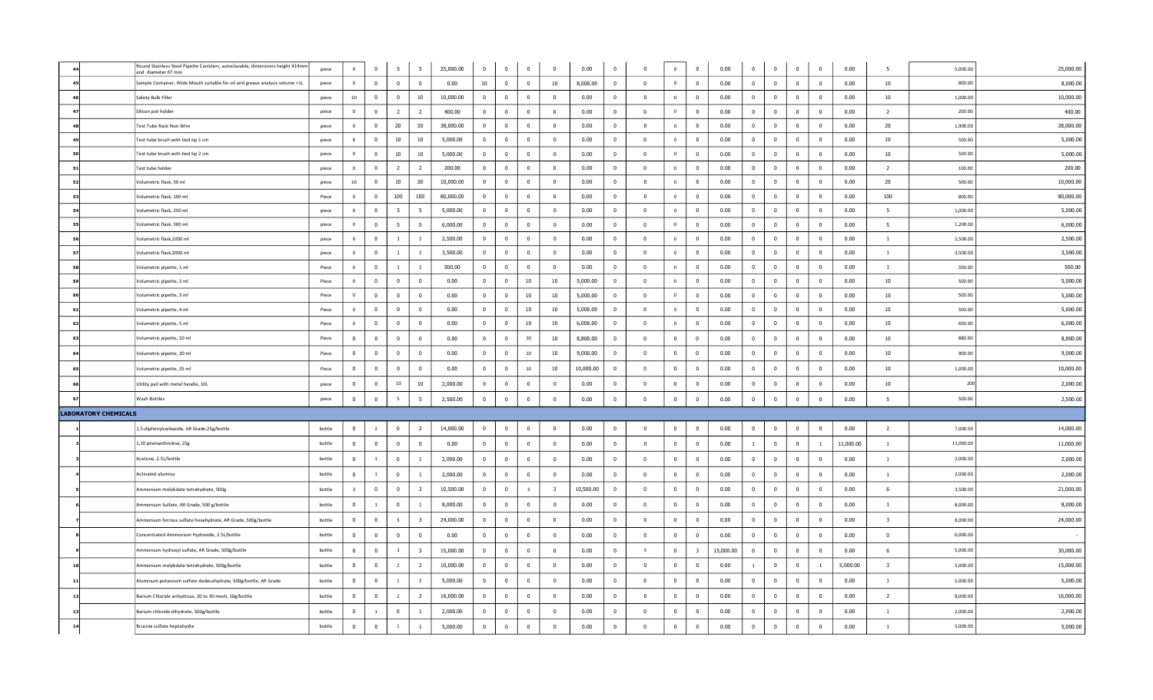|                             | Round Stainless Steel Pipette Canisters, autoclavable, dimensions height 414mm<br>and diameter 67 mm | piece  | $\circ$                 | $\mathbf 0$    | 5                       | 5                       | 25,000.00 | $\bf{0}$       | $\overline{0}$          | $\mathbf 0$              | $\Omega$                | 0.00      | $\bf{0}$       | $\Omega$                | $\overline{0}$ | $\bf{0}$                | 0.00      | $\mathbf{0}$   | $\,$ 0                  | $\Omega$       | $\overline{0}$           | 0.00      | 5                       | 5,000.00  | 25,000.00 |
|-----------------------------|------------------------------------------------------------------------------------------------------|--------|-------------------------|----------------|-------------------------|-------------------------|-----------|----------------|-------------------------|--------------------------|-------------------------|-----------|----------------|-------------------------|----------------|-------------------------|-----------|----------------|-------------------------|----------------|--------------------------|-----------|-------------------------|-----------|-----------|
|                             | Sample Container, Wide Mouth suitable for oil and grease analysis volume >1L                         | piece  | $\circ$                 | $\mathbf{0}$   | $\overline{0}$          | $\mathbf{0}$            | 0.00      | 10             | $\mathbf{0}$            | $\overline{0}$           | 10                      | 8,000.00  | $\overline{0}$ | $\overline{0}$          | $\overline{0}$ | $\Omega$                | 0.00      | $\Omega$       | $\overline{0}$          | $\Omega$       | $\overline{0}$           | 0.00      | 10                      | 800.00    | 8,000.00  |
|                             | Safety Bulb Filler                                                                                   | piece  | $10\,$                  | $\overline{0}$ | $\bf{0}$                | 10                      | 10,000.00 | $\overline{0}$ | $\overline{\mathbf{0}}$ | $\overline{\mathbf{0}}$  | $\Omega$                | 0.00      | $\mathbf 0$    | $\mathbf 0$             | $\mathbf 0$    | $\mathbf 0$             | 0.00      | $\mathbf 0$    | $\overline{\mathbf{0}}$ | $\overline{0}$ | $\overline{\mathbf{0}}$  | 0.00      | 10                      | 1,000.00  | 10,000.00 |
|                             | Silicon pot holder                                                                                   | piece  | $\circ$                 | $\overline{0}$ | $\overline{2}$          | $\overline{2}$          | 400.00    | $\mathbf{0}$   | $\overline{0}$          | $\overline{\mathbf{0}}$  | $\overline{0}$          | 0.00      | $\mathbf{0}$   | $\overline{0}$          | $\circ$        | $\overline{0}$          | 0.00      | $\mathbf{0}$   | $\overline{\mathbf{0}}$ | $\bf{0}$       | $\overline{0}$           | 0.00      | $\overline{2}$          | 200.00    | 400.00    |
|                             | Test Tube Rack Non Wire                                                                              | piece  | $\mathbf{0}$            | $\mathbf{0}$   | 20                      | 20                      | 38,000.00 | $\mathbf{0}$   | $\mathbf{0}$            | $\bf{0}$                 | $\overline{0}$          | 0.00      | $\mathbf{0}$   | $\mathbf 0$             | $\overline{0}$ | $\mathbf 0$             | 0.00      | $\mathbf{0}$   | $\bf{0}$                | $\overline{0}$ | $\overline{\mathbf{0}}$  | 0.00      | 20                      | 1,900.00  | 38,000.00 |
|                             | Fest tube brush with tied tip 1 cm                                                                   | piece  | $\mathbf{0}$            | $\mathbf{0}$   | 10                      | 10                      | 5,000.00  | $\mathbf{0}$   | $\mathbf{0}$            | $\overline{0}$           | $\overline{0}$          | 0.00      | $\mathbf{0}$   | $\mathbf 0$             | $\overline{0}$ | $\overline{0}$          | 0.00      | $\overline{0}$ | $\mathbf 0$             | $\mathbf{0}$   | $\overline{\mathbf{0}}$  | 0.00      | 10                      | 500.00    | 5,000.00  |
|                             | Test tube brush with tied tip 2 cm                                                                   | piece  | $\circ$                 | $\overline{0}$ | 10                      | 10                      | 5,000.00  | $\mathbf{0}$   | $\overline{0}$          | $\overline{0}$           | $\mathbf 0$             | 0.00      | $\mathbf{0}$   | $\mathbf{0}$            | $\overline{0}$ | $\overline{0}$          | 0.00      | $\mathbf{0}$   | $\overline{0}$          | $\bf{0}$       | $\overline{\mathbf{0}}$  | 0.00      | 10                      | 500.00    | 5,000.00  |
| 51                          | Test tube holder                                                                                     | piece  | $\circ$                 | $\mathbf{0}$   | $\overline{2}$          | $\overline{2}$          | 200.00    | $^{\circ}$     | $\overline{0}$          | $\overline{\mathbf{0}}$  | $\Omega$                | 0.00      | $\mathbf{0}$   | $\overline{0}$          | $\overline{0}$ | $\mathbf{0}$            | 0.00      | $\overline{0}$ | $\overline{\mathbf{0}}$ | $\overline{0}$ | $\overline{0}$           | 0.00      | $\overline{2}$          | 100.00    | 200.00    |
| 52                          | Volumetric flask, 50 ml                                                                              | piece  | 10 <sub>1</sub>         | $\mathbf{0}$   | 10                      | 20                      | 10,000.00 | $\mathbf{0}$   | $\mathbf{0}$            | $\overline{\phantom{0}}$ | $^{\circ}$              | 0.00      | $\mathbf{0}$   | $\mathbf 0$             | $\overline{0}$ | $\mathbf 0$             | 0.00      | $\overline{0}$ | $\mathbf 0$             | $\mathbf{0}$   | $\overline{\phantom{0}}$ | 0.00      | 20                      | 500.00    | 10,000.00 |
| 53                          | Volumetric flask, 100 ml                                                                             | Piece  | $\circ$                 | $\mathbf{0}$   | 100                     | 100                     | 80,000.00 | $\Omega$       | $\mathbf{0}$            | $\overline{0}$           | $\Omega$                | 0.00      | $\Omega$       | $\overline{0}$          | $\circ$        | $\overline{0}$          | 0.00      | $\Omega$       | $\overline{0}$          | $\overline{0}$ | $\overline{0}$           | 0.00      | 100                     | 800.00    | 80,000.00 |
| 54                          | Volumetric flask, 250 ml                                                                             | piece  | $\circ$                 | $\mathbf{0}$   | 5                       | 5                       | 5,000.00  | $^{\circ}$     | $\mathbf{0}$            | $\overline{0}$           | $\overline{0}$          | 0.00      | $\overline{0}$ | $\mathbf 0$             | $\overline{0}$ | $\mathbf 0$             | 0.00      | $\mathbf{0}$   | $\overline{0}$          | $\overline{0}$ | $\overline{\mathbf{0}}$  | 0.00      | - 5                     | 1,000.00  | 5,000.00  |
| 55                          | Volumetric flask, 500 ml                                                                             | piece  | $\circ$                 | $\mathbf{0}$   | $5\overline{5}$         | $5\overline{5}$         | 6,000.00  | $\overline{0}$ | $\overline{0}$          | $\overline{\mathbf{0}}$  | $\overline{0}$          | 0.00      | $\overline{0}$ | $\mathbf{0}$            | $\mathbf 0$    | $\overline{0}$          | 0.00      | $\overline{0}$ | $\mathbf{0}$            | $\overline{0}$ | $\overline{\mathbf{0}}$  | 0.00      | 5                       | 1,200.00  | 6,000.00  |
| 56                          | Volumetric flask.1000 ml                                                                             | piece  | $\circ$                 | $\overline{0}$ | $\overline{1}$          | $\overline{1}$          | 2,500.00  | $\mathbf{0}$   | $\Omega$                | $\overline{0}$           | $\Omega$                | 0.00      | $\mathbf{0}$   | $\mathbf 0$             | $\circ$        | $\bf{0}$                | 0.00      | $\Omega$       | $\overline{\mathbf{0}}$ | $\Omega$       | $\overline{\mathbf{0}}$  | 0.00      | $\overline{1}$          | 2,500.00  | 2,500.00  |
| -57                         | Volumetric flask, 2000 ml                                                                            | piece  | $\circ$                 | $\overline{0}$ | $\mathbf{1}$            | $\mathbf{1}$            | 3,500.00  | $\overline{0}$ | $\overline{0}$          | $\overline{0}$           | $\overline{0}$          | 0.00      | $\overline{0}$ | $\overline{0}$          | $\overline{0}$ | $\overline{0}$          | 0.00      | $\overline{0}$ | $\overline{\mathbf{0}}$ | $\overline{0}$ | $\overline{\mathbf{0}}$  | 0.00      | $\mathbf{1}$            | 3,500.00  | 3,500.00  |
|                             | Volumetric pipette, 1 ml                                                                             | Piece  | $\overline{0}$          | $\mathbf{0}$   | $\mathbf{1}$            | $\mathbf{1}$            | 500.00    | $\mathbf{0}$   | $\mathbf{0}$            | $\mathbf{0}$             | $\overline{0}$          | 0.00      | $\mathbf{0}$   | $\mathbf{0}$            | $\overline{0}$ | $\overline{0}$          | 0.00      | $\overline{0}$ | $\mathbf{0}$            | $\overline{0}$ | $\overline{0}$           | 0.00      | $\mathbf{1}$            | 500.00    | 500.00    |
| 59                          | √olumetric pipette, 2 ml                                                                             | Piece  | $\Omega$                | $\mathbf{0}$   | $\mathbf 0$             | $\overline{0}$          | 0.00      | $\Omega$       | $\mathbf{0}$            | 10                       | 10                      | 5,000.00  | $\overline{0}$ | $\,$ 0                  | $\overline{0}$ | $\bf{0}$                | 0.00      | $\Omega$       | $\overline{0}$          | $\Omega$       | $\overline{\mathbf{0}}$  | 0.00      | 10 <sup>10</sup>        | 500.00    | 5,000.00  |
|                             | Volumetric pipette, 3 ml                                                                             | Piece  | $\overline{0}$          | $\mathbf{0}$   | $\mathbf 0$             | $\overline{0}$          | 0.00      | $\mathbf{0}$   | $\mathbf{0}$            | 10                       | 10                      | 5,000.00  | $^{\circ}$     | $\overline{0}$          | $\overline{0}$ | $\mathbf{0}$            | 0.00      | $\mathbf{0}$   | $\overline{\mathbf{0}}$ | $\mathbf{0}$   | $\overline{\mathbf{0}}$  | 0.00      | 10                      | 500.00    | 5,000.00  |
| 61                          | Volumetric pipette, 4 ml                                                                             | Piece  | $\overline{0}$          | $\overline{0}$ | $\mathbf 0$             | $\overline{0}$          | 0.00      | $\mathbf{0}$   | $\overline{0}$          | 10                       | 10                      | 5,000.00  | $\overline{0}$ | $\mathbf{0}$            | $\mathbf 0$    | $\mathbf 0$             | 0.00      | $\mathbf{0}$   | $\mathbf 0$             | $\bf{0}$       | $\overline{\mathbf{0}}$  | 0.00      | 10                      | 500.00    | 5,000.00  |
| 62                          | Volumetric pipette, 5 ml                                                                             | Piece  | $\circ$                 | $\mathbf{0}$   | $\overline{0}$          | $\overline{0}$          | 0.00      | $\mathbf{0}$   | $\Omega$                | 10                       | 10                      | 6,000.00  | $^{\circ}$     | $\mathbf 0$             | $\circ$        | $\overline{0}$          | 0.00      | $\overline{0}$ | $\mathbf{0}$            | $\mathbf{0}$   | $\overline{\mathbf{0}}$  | 0.00      | 10                      | 600.00    | 6,000.00  |
|                             | Volumetric pipette, 10 ml                                                                            | Piece  | $\mathbf{0}$            | $\mathbf{0}$   | $\overline{0}$          | $\overline{0}$          | 0.00      | $\mathbf{0}$   | $\mathbf{0}$            | 10                       | 10                      | 8,800.00  | $\overline{0}$ | $\mathbf 0$             | $\overline{0}$ | $\mathbf{0}$            | 0.00      | $\mathbf{0}$   | $\overline{0}$          | $\mathbf{0}$   | $\overline{0}$           | 0.00      | 10                      | 880.00    | 8,800.00  |
|                             | Volumetric pipette, 20 ml                                                                            | Piece  | $\bf{0}$                | $\mathbf{0}$   | $\mathbf 0$             | $\overline{0}$          | 0.00      | $\overline{0}$ | $\overline{0}$          | 10                       | 10                      | 9,000.00  | $\bf{0}$       | $\mathbf 0$             | $\bf{0}$       | $\mathbf{0}$            | 0.00      | $\overline{0}$ | $\,$ 0                  | $\overline{0}$ | $\overline{\mathbf{0}}$  | 0.00      | 10                      | 900.00    | 9,000.00  |
|                             | Volumetric pipette, 25 ml                                                                            | Piece  | $\overline{0}$          | $\mathbf{0}$   | $\overline{0}$          | $\overline{0}$          | 0.00      | $\overline{0}$ | $\overline{0}$          | $10\,$                   | 10                      | 10,000.00 | $\overline{0}$ | $\mathbf 0$             | $\bf{0}$       | $\overline{0}$          | 0.00      | $\overline{0}$ | $\mathbf{0}$            | $\overline{0}$ | $\overline{\mathbf{0}}$  | 0.00      | 10                      | 1,000.00  | 10,000.00 |
|                             | Utility pail with metal handle, 10L                                                                  | piece  | $\mathbf{0}$            | $\mathbf{0}$   | 10 <sub>1</sub>         | 10                      | 2,000.00  | $\mathbf{0}$   | $\overline{0}$          | $\overline{\mathbf{0}}$  | $\overline{0}$          | 0.00      | $\mathbf{0}$   | $\mathbf 0$             | $\overline{0}$ | $\overline{0}$          | 0.00      | $\overline{0}$ | $\overline{\mathbf{0}}$ | $\mathbf 0$    | $\overline{\phantom{0}}$ | 0.00      | 10                      | 200       | 2,000.00  |
|                             | Wash Bottles                                                                                         | piece  | $\mathbf{0}$            | $\mathbf{0}$   | 5                       | 5                       | 2,500.00  | $\overline{0}$ | $\mathbf{0}$            | $\overline{\mathbf{0}}$  | $\overline{0}$          | 0.00      | $\overline{0}$ | $\mathbf 0$             | $\overline{0}$ | $\overline{0}$          | 0.00      | $\overline{0}$ | $\mathbf{0}$            | $^{\circ}$     | $\overline{\mathbf{0}}$  | 0.00      | -5                      | 500.00    | 2,500.00  |
| <b>LABORATORY CHEMICALS</b> |                                                                                                      |        |                         |                |                         |                         |           |                |                         |                          |                         |           |                |                         |                |                         |           |                |                         |                |                          |           |                         |           |           |
|                             | 1,5-diphenylcarbazide, AR Grade,25g/bottle                                                           | bottle | $\mathbf{0}$            | $\overline{2}$ | $\mathbf 0$             | $\overline{2}$          | 14,000.00 | $\mathbf{0}$   | $\mathbf{0}$            | $\overline{0}$           | $\overline{0}$          | 0.00      | $\mathbf{0}$   | $\mathbf{0}$            | $\mathbf{0}$   | $\mathbf{0}$            | 0.00      | $\mathbf{0}$   | $\mathbf 0$             | $\mathbf{0}$   | $\overline{0}$           | 0.00      | $\overline{2}$          | 7,000.00  | 14,000.00 |
|                             | 1,10 phenanthroline, 25g                                                                             | bottle | $\mathbf{0}$            | $\overline{0}$ | $\mathbf 0$             | $\overline{0}$          | 0.00      | $\mathbf{0}$   | $\mathbf{0}$            | $\overline{0}$           | $\overline{0}$          | 0.00      | $\mathbf{0}$   | $\mathbf 0$             | $\mathbf{0}$   | $\mathbf{0}$            | 0.00      | $\overline{1}$ | $\mathbf{0}$            | $\mathbf{0}$   | $\overline{1}$           | 11,000.00 | $\overline{1}$          | 11,000.00 | 11,000.00 |
|                             | Acetone, 2.5L/bottle                                                                                 | bottle | $\mathbf{0}$            | $\mathbf{1}$   | $\mathbf{0}$            | $\overline{1}$          | 2,000.00  | $\mathbf{0}$   | $\mathbf{0}$            | $\overline{0}$           | $\overline{0}$          | 0.00      | $\mathbf{0}$   | $\mathbf 0$             | $\overline{0}$ | $\bf{0}$                | 0.00      | $\Omega$       | $\mathbf 0$             | $\mathbf{0}$   | $\overline{\phantom{0}}$ | 0.00      | $\overline{1}$          | 2,000.00  | 2,000.00  |
|                             | <b>Activated alumina</b>                                                                             | bottle | $\mathbf{0}$            | $\mathbf{1}$   | $\mathbf 0$             | -1                      | 2,000.00  | $\mathbf{0}$   | $\mathbf{0}$            | $\overline{\mathbf{0}}$  | $\mathbf{0}$            | 0.00      | $\overline{0}$ | $\mathbf 0$             | $\mathbf 0$    | $\mathbf 0$             | 0.00      | $\mathbf{0}$   | $\mathbf 0$             | $\bf{0}$       | $\overline{\mathbf{0}}$  | 0.00      | -1                      | 2,000.00  | 2,000.00  |
|                             | mmonium molybdate tetrahydrate, 500g                                                                 | bottle | $\overline{\mathbf{3}}$ | $\mathbf{0}$   | $\mathbf 0$             | $\overline{\mathbf{3}}$ | 10,500.00 | $\mathbf{0}$   | $\mathbf{0}$            | $\overline{\mathbf{3}}$  |                         | 10,500.00 | $\mathbf 0$    | $\mathbf 0$             | $\mathbf 0$    | $\mathbf 0$             | 0.00      | $\overline{0}$ | $\mathbf 0$             | $\mathbf{0}$   | $\overline{\mathbf{0}}$  | 0.00      | 6                       | 3,500.00  | 21,000.00 |
|                             | mmonium Sulfate, AR Grade, 500 g/bottle                                                              | bottle | $\mathbf{0}$            | $\mathbf{1}$   | $\mathbf 0$             | -1                      | 8,000.00  | $\mathbf{0}$   | $\mathbf{0}$            | $\overline{0}$           | $\overline{0}$          | 0.00      | $\overline{0}$ | $\mathbf 0$             | $\overline{0}$ | $\mathbf{0}$            | 0.00      | $\overline{0}$ | $\mathbf 0$             | $\mathbf 0$    | $\overline{\phantom{0}}$ | 0.00      | $\mathbf{1}$            | 8,000.00  | 8,000.00  |
|                             | mmonium ferrous sulfate hexahydrate, AR Grade, 500g/bottle                                           | bottle | $\mathbf{0}$            | $\mathbf{0}$   | $\overline{\mathbf{3}}$ | $\overline{\mathbf{3}}$ | 24,000.00 | $\mathbf{0}$   | $\mathbf{0}$            | $\overline{\phantom{0}}$ | $\overline{0}$          | 0.00      | $\overline{0}$ | $\mathbf 0$             | $\overline{0}$ | $\bf{0}$                | 0.00      | $\overline{0}$ | $\mathbf 0$             | $\mathbf{0}$   | $\overline{\phantom{0}}$ | 0.00      | $\overline{\mathbf{3}}$ | 8,000.00  | 24,000.00 |
|                             | Concentrated Ammonium Hydroxide, 2.5L/bottle                                                         | bottle | $\bf{0}$                | $\overline{0}$ | $\bf{0}$                | $\overline{0}$          | 0.00      | $\bf{0}$       | $\overline{0}$          | $\overline{\mathbf{0}}$  | $\overline{0}$          | 0.00      | $\overline{0}$ | $\overline{\mathbf{0}}$ | $\bf{0}$       | $\overline{\mathbf{0}}$ | 0.00      | $\mathbf 0$    | $\,$ 0                  | $\overline{0}$ | $\overline{\mathbf{0}}$  | 0.00      | $\overline{0}$          | 6,000.00  |           |
|                             | mmonium hydroxyl sulfate, AR Grade, 500g/bottle.                                                     | bottle | $\bf{0}$                | $\overline{0}$ | $\overline{\mathbf{3}}$ | $\overline{\mathbf{3}}$ | 15,000.00 | $\overline{0}$ | $\mathbf{0}$            | $\mathbf 0$              | $\overline{0}$          | 0.00      | $\overline{0}$ | $\overline{\mathbf{3}}$ | $\overline{0}$ | $\overline{\mathbf{3}}$ | 15,000.00 | $\overline{0}$ | $\,$ 0                  | $\bf{0}$       | $\overline{\mathbf{0}}$  | 0.00      | -6                      | 5,000.00  | 30,000.00 |
|                             | mmonium molybdate tetrahydrate, 500g/bottle                                                          | bottle | $\Omega$                | $\mathbf{0}$   | $\overline{2}$          | $\overline{2}$          | 10,000.00 | $\Omega$       | $\overline{0}$          | $\overline{\mathbf{0}}$  | $\Omega$                | 0.00      | $\Omega$       | $\overline{\mathbf{0}}$ | $\bf{0}$       | $\bf{0}$                | 0.00      | $\overline{1}$ | $\,$ 0                  | $\bf{0}$       | $\overline{1}$           | 5,000.00  | $\mathbf{R}$            | 5,000.00  | 15,000.00 |
|                             | Aluminum potassium sulfate dodecahydrate, 500g/bottle, AR Grade                                      | bottle | $\mathbf{0}$            | $\mathbf{0}$   | $\overline{1}$          | $\mathbf{1}$            | 5,000.00  | $\Omega$       | $\Omega$                | $\overline{\mathbf{0}}$  | $\Omega$                | 0.00      | $\Omega$       | $\overline{0}$          | $\bf{0}$       | $\overline{0}$          | 0.00      | $\Omega$       | $\overline{\mathbf{0}}$ | $\overline{0}$ | $\overline{\mathbf{0}}$  | 0.00      | $\overline{1}$          | 5,000.00  | 5,000.00  |
|                             | Barium Chloride anhydrous, 20 to 30 mesh, 10g/bottle                                                 | bottle | $\Omega$                | $\overline{0}$ | 2                       | $\overline{2}$          | 16,000.00 | $\Omega$       | $\mathbf{0}$            | $\overline{\mathbf{0}}$  | $\Omega$                | 0.00      | $\Omega$       | $\mathbf{0}$            | $\mathbf{0}$   | $\mathbf{0}$            | 0.00      | $\Omega$       | $\overline{0}$          | $\mathbf{0}$   | $\overline{\mathbf{0}}$  | 0.00      | $\overline{2}$          | 8,000.00  | 16,000.00 |
|                             | Barium chloride dihydrate, 500g/bottle                                                               | bottle | $\Omega$                | $\overline{1}$ | $\Omega$                | $\overline{1}$          | 2,000.00  | $\Omega$       | $\mathbf{0}$            | $\overline{0}$           | $\overline{0}$          | 0.00      | $\Omega$       | $\Omega$                | $\mathbf{0}$   | $\mathbf{0}$            | 0.00      | $\Omega$       | $\overline{0}$          | $\Omega$       | $\overline{\mathbf{0}}$  | 0.00      | $\overline{1}$          | 2,000.00  | 2,000.00  |
| 14                          | Brucine sulfate heptahydte                                                                           | bottle | $\mathbf{0}$            | $\mathbf{0}$   | <sup>1</sup>            | -1                      | 5,000.00  | $\mathbf{0}$   | $\mathbf{0}$            | $\overline{0}$           | $\overline{\mathbf{0}}$ | 0.00      | $\mathbf{0}$   | $\mathbf 0$             | $\overline{0}$ | $\overline{0}$          | 0.00      | $\mathbf{0}$   | $\overline{0}$          | $\mathbf{0}$   | $\overline{0}$           | 0.00      | $\mathbf{1}$            | 5,000.00  | 5,000.00  |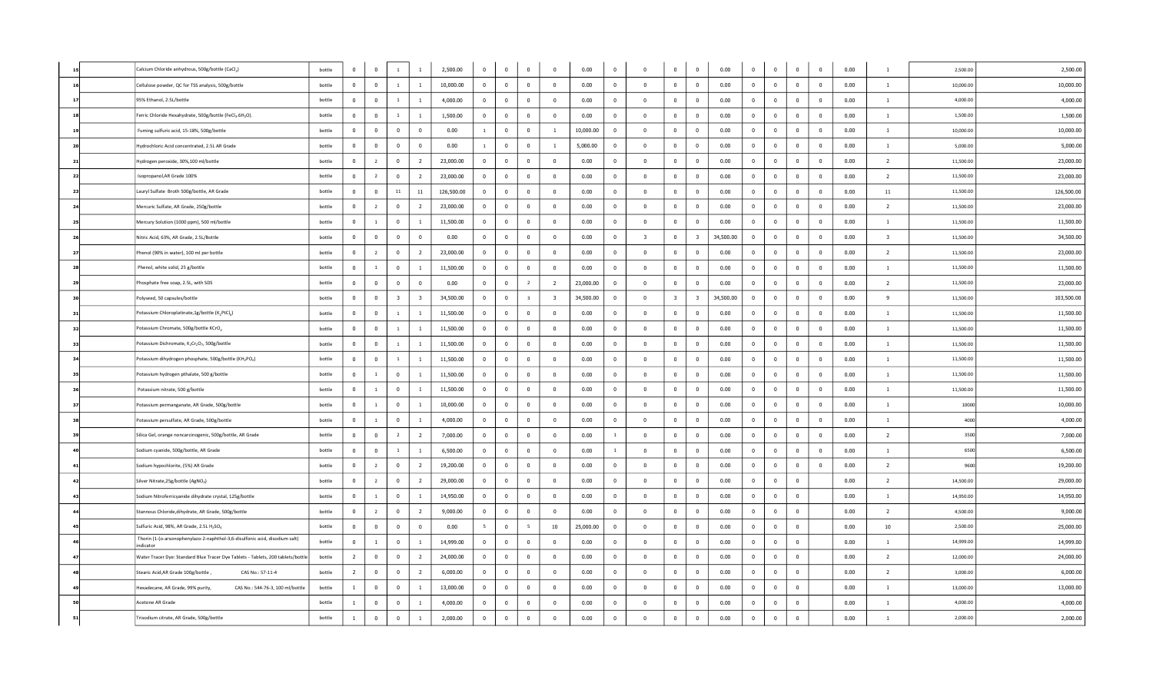|      |      | Calcium Chloride anhydrous, 500g/bottle (CaCl2)                                          | bottle | $\mathbf 0$    | $^{\circ}$     | $\overline{1}$          |                         | 2,500.00   | $\mathbf{0}$    | $\bf{0}$       | $\mathbf 0$             | $\mathbf{0}$            | 0.00      | $\mathbf 0$             | $\overline{0}$          | $\overline{0}$          | $\mathbf{0}$             | 0.00      | $\mathbf{0}$ | $\Omega$       | $\overline{\mathbf{0}}$ | $\mathbf{0}$   | 0.00 | $\mathbf{1}$            | 2,500.00  | 2,500.00   |
|------|------|------------------------------------------------------------------------------------------|--------|----------------|----------------|-------------------------|-------------------------|------------|-----------------|----------------|-------------------------|-------------------------|-----------|-------------------------|-------------------------|-------------------------|--------------------------|-----------|--------------|----------------|-------------------------|----------------|------|-------------------------|-----------|------------|
|      | 16   | Cellulose powder, QC for TSS analysis, 500g/bottle                                       | bottle | 0              | $\mathbf 0$    | $\overline{1}$          | $\mathbf{1}$            | 10,000.00  | $\overline{0}$  | $\bf{0}$       | $\overline{0}$          | $\mathbf{0}$            | 0.00      | $\mathbf 0$             | $\overline{\mathbf{0}}$ | $\bf{0}$                | $\overline{\phantom{0}}$ | 0.00      | $\mathbf 0$  | $\overline{0}$ | $\overline{\mathbf{0}}$ | $\overline{0}$ | 0.00 | $\mathbf{1}$            | 10,000.00 | 10,000.00  |
|      | 17   | 95% Ethanol, 2.5L/bottle                                                                 | bottle | $\mathbf 0$    | $^{\circ}$     | $\overline{1}$          | $\mathbf{1}$            | 4,000.00   | $\mathbf 0$     | $\bf{0}$       | $\overline{0}$          | $\overline{0}$          | 0.00      | $\mathbf 0$             | $\overline{0}$          | $\overline{0}$          | $\overline{\mathbf{0}}$  | 0.00      | $\mathbf{0}$ | $\mathbf 0$    | $\overline{0}$          | $\overline{0}$ | 0.00 | $\mathbf{1}$            | 4,000.00  | 4,000.00   |
|      | 18   | Ferric Chloride Hexahydrate, 500g/bottle (FeCl3.6H2O).                                   | bottle | $\mathbf 0$    | $^{\circ}$     | $\overline{1}$          | $\mathbf{1}$            | 1,500.00   | $\mathbf 0$     | $\mathbf 0$    | $\mathbf 0$             | $\mathbf 0$             | 0.00      | $\mathbf 0$             | $\overline{0}$          | $\mathbf{0}$            | $\overline{0}$           | 0.00      | $\mathbf{0}$ | $\bf{0}$       | $\overline{0}$          | $\overline{0}$ | 0.00 | $\mathbf{1}$            | 1,500.00  | 1,500.00   |
|      |      | Fuming sulfuric acid, 15-18%, 500g/bottle                                                | bottle | $\Omega$       | $\Omega$       | $\overline{0}$          | $\mathbf{0}$            | 0.00       | $\mathbf{1}$    | $\bf{0}$       | $\bf{0}$                | $\overline{1}$          | 10,000.00 | $\mathbf 0$             | $\Omega$                | $\bf{0}$                | $\overline{\mathbf{0}}$  | 0.00      | $\Omega$     | $\bf{0}$       | $\overline{\mathbf{0}}$ | $\bf{0}$       | 0.00 | $\mathbf{1}$            | 10,000.00 | 10,000.00  |
|      | 20   | Hydrochloric Acid concentrated, 2.5L AR Grade                                            | bottle | $\mathbf 0$    | $^{\circ}$     | $\overline{\mathbf{0}}$ | $\overline{0}$          | 0.00       | 1               | $\bf{0}$       | $\overline{0}$          | <sup>1</sup>            | 5,000.00  | 0                       | $\overline{0}$          | $\overline{0}$          | $\overline{\mathbf{0}}$  | 0.00      | $\mathbf{0}$ | $\mathbf{0}$   | $\overline{\mathbf{0}}$ | $\overline{0}$ | 0.00 | $\mathbf{1}$            | 5,000.00  | 5,000.00   |
| 21   |      | Hydrogen peroxide, 30%,100 ml/bottle                                                     | bottle | $\mathbf 0$    | 2              | $\overline{\mathbf{0}}$ | $\overline{2}$          | 23,000.00  | $\mathbf{0}$    | $\mathbf 0$    | $\mathbf 0$             | $\overline{0}$          | 0.00      | $\overline{0}$          | $\bf{0}$                | $\mathbf{0}$            | $\overline{0}$           | 0.00      | $\mathbf{0}$ | $\mathbf 0$    | $\overline{0}$          | $\overline{0}$ | 0.00 | 2                       | 11,500.00 | 23,000.00  |
|      | 22   | Isopropanol, AR Grade 100%                                                               | bottle | $\mathbf 0$    | $\overline{2}$ | $\overline{0}$          | $\overline{2}$          | 23,000.00  | $\overline{0}$  | $\bf{0}$       | $\bf{0}$                | $\bf{0}$                | 0.00      | $\mathbf 0$             | $\overline{0}$          | $\overline{0}$          | $\overline{\mathbf{0}}$  | 0.00      | $\mathbf 0$  | $\overline{0}$ | $\mathbf{0}$            | $\bf{0}$       | 0.00 | $\overline{2}$          | 11,500.00 | 23,000.00  |
|      | 23   | Lauryl Sulfate Broth 500g/bottle, AR Grade                                               | bottle | $\overline{0}$ | $^{\circ}$     | 11                      | 11                      | 126,500.00 | $\mathbf{0}$    | $\mathbf 0$    | $\mathbf 0$             | $\mathbf{0}$            | 0.00      | $\overline{0}$          | $\bf{0}$                | $\mathbf{0}$            | $\mathbf{0}$             | 0.00      | $\mathbf{0}$ | $\mathbf 0$    | $\overline{0}$          | $\overline{0}$ | 0.00 | 11                      | 11,500.00 | 126,500.00 |
|      | 24   | Mercuric Sulfate, AR Grade, 250g/bottle                                                  | bottle | $\mathbf 0$    | 2              | $\overline{\mathbf{0}}$ | $\overline{2}$          | 23,000.00  | $\mathbf{0}$    | $\mathbf 0$    | $\mathbf 0$             | $\mathbf{0}$            | 0.00      | $\overline{0}$          | $\mathbf{0}$            | $\mathbf{0}$            | $\overline{0}$           | 0.00      | $\mathbf{0}$ | $\mathbf 0$    | $\overline{0}$          | $\overline{0}$ | 0.00 | 2                       | 11,500.00 | 23,000.00  |
|      | 25   | Mercury Solution (1000 ppm), 500 ml/bottle                                               | bottle | $\Omega$       | $\overline{1}$ | $\overline{\mathbf{0}}$ | $\overline{1}$          | 11,500.00  | $\mathbf{0}$    | $\bf{0}$       | $\mathbf 0$             | $\Omega$                | 0.00      | $\overline{0}$          | $\overline{0}$          | $\mathbf{0}$            | $\mathbf 0$              | 0.00      | $\Omega$     | $\overline{0}$ | $\mathbf{0}$            | $\mathbf 0$    | 0.00 | $\mathbf{1}$            | 11,500.00 | 11,500.00  |
|      | 26   | Nitric Acid, 63%, AR Grade, 2.5L/Bottle                                                  | bottle | $\overline{0}$ | $\mathbf{0}$   | $\overline{0}$          | $\overline{0}$          | 0.00       | $\overline{0}$  | $\mathbf 0$    | $\overline{0}$          | $\overline{0}$          | 0.00      | $\overline{0}$          | $\overline{\mathbf{3}}$ | $\mathbf{0}$            | $\overline{\mathbf{3}}$  | 34,500.00 | $\mathbf{0}$ | $\mathbf 0$    | $\overline{0}$          | $\overline{0}$ | 0.00 | $\overline{\mathbf{3}}$ | 11,500.00 | 34,500.00  |
| - 27 |      | Phenol (90% in water), 100 ml per bottle                                                 | bottle | $\Omega$       | $\overline{2}$ | $\overline{\mathbf{0}}$ | $\overline{2}$          | 23,000.00  | $\overline{0}$  | $\bf{0}$       | $\mathbf{0}$            | $\Omega$                | 0.00      | $\bf{0}$                | $\overline{\mathbf{0}}$ | $\mathbf{0}$            | $\overline{\mathbf{0}}$  | 0.00      | $\Omega$     | $\overline{0}$ | $\overline{0}$          | $\mathbf 0$    | 0.00 | 2                       | 11,500.00 | 23,000.00  |
|      | 28   | Phenol, white solid, 25 g/bottle                                                         | hottle | $\overline{0}$ | $\overline{1}$ | $\overline{\mathbf{0}}$ | $\mathbf{1}$            | 11,500.00  | $\mathbf{0}$    | $\bf{0}$       | $\mathbf 0$             | $\Omega$                | 0.00      | $\overline{0}$          | $\overline{0}$          | $\mathbf{0}$            | $\overline{0}$           | 0.00      | $\Omega$     | $\overline{0}$ | $\mathbf 0$             | $\mathbf 0$    | 0.00 | $\mathbf{1}$            | 11,500.00 | 11,500.00  |
|      | - 29 | Phosphate free soap, 2.5L, with SDS                                                      | hottle | $\mathbf 0$    | $\overline{0}$ | $\mathbf 0$             | $\bf{0}$                | 0.00       | $\overline{0}$  | $\bf{0}$       | $\overline{2}$          | $\overline{2}$          | 23,000.00 | $\mathbf 0$             | $\overline{0}$          | $\overline{0}$          | $\overline{0}$           | 0.00      | $\mathbf 0$  | $\mathbf 0$    | $\overline{0}$          | $\bf{0}$       | 0.00 | $\overline{2}$          | 11,500.00 | 23,000.00  |
|      | 30   | Polyseed, 50 capsules/bottle                                                             | bottle | $\mathbf{0}$   | $\mathbf{0}$   | $\overline{\mathbf{3}}$ | $\overline{\mathbf{3}}$ | 34,500.00  | $\overline{0}$  | $\bf{0}$       | $\overline{\mathbf{3}}$ | $\overline{\mathbf{3}}$ | 34,500.00 | $\overline{0}$          | $\overline{\mathbf{0}}$ | $\overline{\mathbf{3}}$ | $\overline{\mathbf{3}}$  | 34,500.00 | $\mathbf 0$  | $\bf{0}$       | $\mathbf{0}$            | $\overline{0}$ | 0.00 | 9                       | 11,500.00 | 103,500.00 |
| -31  |      | Potassium Chloroplatinate, 1g/bottle (K2PtCl6)                                           | bottle | $\overline{0}$ | $\mathbf{0}$   | $\overline{1}$          | $\mathbf{1}$            | 11,500.00  | $\overline{0}$  | $\bf{0}$       | $\mathbf 0$             | $\Omega$                | 0.00      | $\bf{0}$                | $\overline{\mathbf{0}}$ | $\overline{0}$          | $\overline{\phantom{0}}$ | 0.00      | $\mathbf{0}$ | $\overline{0}$ | $\overline{0}$          | $\overline{0}$ | 0.00 | $\mathbf{1}$            | 11,500.00 | 11,500.00  |
|      | 32   | Potassium Chromate, 500g/bottle KCrO <sub>4</sub>                                        | bottle | $\overline{0}$ | $\mathbf{0}$   | $\overline{1}$          | $\mathbf{1}$            | 11,500.00  | $\overline{0}$  | $\bf{0}$       | $\bf{0}$                | $\mathbf{0}$            | 0.00      | $\bf{0}$                | $\overline{0}$          | $\overline{0}$          | $\overline{0}$           | 0.00      | $\mathbf{0}$ | $\bf{0}$       | $\mathbf 0$             | $\bf{0}$       | 0.00 | $\mathbf{1}$            | 11,500.00 | 11,500.00  |
|      | 33   | Potassium Dichromate, K2Cr2O7, 500g/bottle                                               | bottle | $\overline{0}$ | $\overline{0}$ | $\overline{1}$          | $\mathbf{1}$            | 11,500.00  | $\overline{0}$  | $\bf{0}$       | $\bf{0}$                | $^{\circ}$              | 0.00      | $\mathbf 0$             | $\bf{0}$                | $\overline{0}$          | $\overline{\mathbf{0}}$  | 0.00      | $\mathbf 0$  | $\mathbf 0$    | $\overline{0}$          | $\overline{0}$ | 0.00 | $\mathbf{1}$            | 11,500.00 | 11,500.00  |
| 34   |      | Potassium dihydrogen phosphate, 500g/bottle (KH <sub>2</sub> PO <sub>4</sub> )           | bottle | $\overline{0}$ | $^{\circ}$     | $\overline{1}$          | $\mathbf{1}$            | 11,500.00  | $\mathbf{0}$    | $\bf{0}$       | $\mathbf 0$             | $^{\circ}$              | 0.00      | $\mathbf 0$             | $\overline{0}$          | $\mathbf{0}$            | $\overline{\mathbf{0}}$  | 0.00      | $\mathbf{0}$ | $\overline{0}$ | $\overline{\mathbf{0}}$ | $\overline{0}$ | 0.00 | $\mathbf{1}$            | 11,500.00 | 11,500.00  |
|      | 35   | Potassium hydrogen pthalate, 500 g/bottle                                                | bottle | $\mathbf{0}$   | $\overline{1}$ | $\overline{\mathbf{0}}$ | $\mathbf{1}$            | 11,500.00  | $\overline{0}$  | $\bf{0}$       | $\mathbf 0$             | $\mathbf 0$             | 0.00      | $\mathbf{0}$            | $\mathbf{0}$            | $\mathbf{0}$            | $\overline{\mathbf{0}}$  | 0.00      | $\mathbf{0}$ | $\mathbf 0$    | $\overline{0}$          | $\mathbf 0$    | 0.00 | $\mathbf{1}$            | 11,500.00 | 11,500.00  |
|      | 36   | Potassium nitrate, 500 g/bottle                                                          | bottle | $\overline{0}$ | $\mathbf{1}$   | $\overline{0}$          | $\mathbf{1}$            | 11,500.00  | $\mathbf{0}$    | $\bf{0}$       | $\overline{0}$          | $^{\circ}$              | 0.00      | $\overline{0}$          | $\overline{0}$          | $\overline{0}$          | $\overline{\mathbf{0}}$  | 0.00      | $\mathbf{0}$ | $\mathbf 0$    | $\overline{0}$          | $\overline{0}$ | 0.00 | $\mathbf{1}$            | 11,500.00 | 11,500.00  |
| 37   |      | Potassium permanganate, AR Grade, 500g/bottle                                            | bottle | $\mathbf{0}$   | $\mathbf{1}$   | $\mathbf 0$             | $\mathbf{1}$            | 10,000.00  | $\mathbf{0}$    | $\bf{0}$       | $\mathbf 0$             | $\mathbf{0}$            | 0.00      | $\mathbf{0}$            | $\overline{0}$          | $\bf{0}$                | $\overline{\mathbf{0}}$  | 0.00      | $\mathbf{0}$ | $\mathbf 0$    | $\overline{\mathbf{0}}$ | $\overline{0}$ | 0.00 | $\mathbf{1}$            | 10000     | 10,000.00  |
|      | 38   | Potassium persulfate, AR Grade, 500g/bottle                                              | bottle | $\mathbf{0}$   | $\mathbf{1}$   | $\overline{\mathbf{0}}$ | $\overline{1}$          | 4,000.00   | $\mathbf{0}$    | $\bf{0}$       | $\mathbf 0$             | $\Omega$                | 0.00      | $\mathbf 0$             | $\overline{0}$          | $\mathbf{0}$            | $\overline{\mathbf{0}}$  | 0.00      | $\mathbf 0$  | $\Omega$       | $\mathbf 0$             | $\mathbf 0$    | 0.00 | $\mathbf{1}$            | 4000      | 4,000.00   |
|      | 39   | Silica Gel, orange noncarcinogenic, 500g/bottle, AR Grade                                | bottle | $\mathbf 0$    | $\mathbf 0$    | $\overline{2}$          | $\overline{2}$          | 7,000.00   | $\mathbf{0}$    | $\bf{0}$       | $\bf{0}$                | $^{\circ}$              | 0.00      | $\overline{1}$          | $\overline{\mathbf{0}}$ | $\bf{0}$                | $\overline{\mathbf{0}}$  | 0.00      | $\mathbf 0$  | $\mathbf 0$    | $\mathbf 0$             | $\bf{0}$       | 0.00 | $\overline{2}$          | 3500      | 7,000.00   |
|      |      | Sodium cyanide, 500g/bottle, AR Grade                                                    | bottle | $\mathbf{0}$   | $\mathbf{0}$   | $\overline{1}$          | $\mathbf{1}$            | 6,500.00   | $\mathbf{0}$    | $\bf{0}$       | $\mathbf 0$             | $\mathbf 0$             | 0.00      | $\overline{1}$          | $\bf{0}$                | $\mathbf{0}$            | $\overline{\mathbf{0}}$  | 0.00      | $\mathbf{0}$ | $\mathbf 0$    | $\overline{\mathbf{0}}$ | $\mathbf 0$    | 0.00 | $\mathbf{1}$            | 6500      | 6,500.00   |
|      |      | Sodium hypochlorite, (5%) AR Grade                                                       | bottle | $\mathbf{0}$   | $\overline{2}$ | $\overline{\mathbf{0}}$ | $\overline{2}$          | 19,200.00  | $\mathbf{0}$    | $\bf{0}$       | $\mathbf 0$             | $\Omega$                | 0.00      | $\bf{0}$                | $\bf{0}$                | $\mathbf{0}$            | $\overline{\mathbf{0}}$  | 0.00      | $\mathbf 0$  | $\overline{0}$ | $\overline{0}$          | $\mathbf 0$    | 0.00 | $\overline{2}$          | 9600      | 19,200.00  |
|      | 42   | Silver Nitrate, 25g/bottle (AgNO <sub>3</sub> )                                          | bottle | $\mathbf{0}$   | $\overline{2}$ | $\overline{\mathbf{0}}$ | $\overline{2}$          | 29,000.00  | $\mathbf{0}$    | $\overline{0}$ | $\overline{0}$          | $\Omega$                | 0.00      | $\mathbf 0$             | $\mathbf 0$             | $\mathbf{0}$            | $\overline{0}$           | 0.00      | $\Omega$     | $\mathbf 0$    | $\overline{0}$          |                | 0.00 | $\overline{2}$          | 14,500.00 | 29,000.00  |
|      | 43   | Sodium Nitroferricyanide dihydrate crystal, 125g/bottle                                  | bottle | $\mathbf{0}$   | $\mathbf{1}$   | $\overline{\mathbf{0}}$ | $\mathbf{1}$            | 14,950.00  | $\mathbf{0}$    | $\bf{0}$       | $\mathbf 0$             | $\mathbf 0$             | 0.00      | $\mathbf{0}$            | $\mathbf{0}$            | $\mathbf{0}$            | $\overline{\mathbf{0}}$  | 0.00      | $\mathbf{0}$ | $\mathbf 0$    | $\overline{\mathbf{0}}$ |                | 0.00 | $\mathbf{1}$            | 14,950.00 | 14,950.00  |
|      | 44   | Stannous Chloride, dihydrate, AR Grade, 500g/bottle                                      | bottle | $\overline{0}$ | $\overline{2}$ | $\overline{\mathbf{0}}$ | $\overline{2}$          | 9,000.00   | $\overline{0}$  | $\bf{0}$       | $\mathbf 0$             | $\Omega$                | 0.00      | $\bf{0}$                | $\overline{0}$          | $\mathbf{0}$            | $\overline{0}$           | 0.00      | $\mathbf{0}$ | $\overline{0}$ | $\overline{\mathbf{0}}$ |                | 0.00 | $\overline{2}$          | 4,500.00  | 9,000.00   |
|      |      | Sulfuric Acid, 98%, AR Grade, 2.5L H <sub>2</sub> SO <sub>4</sub>                        | bottle | $\overline{0}$ | $\mathbf{0}$   | $\overline{\mathbf{0}}$ | $\overline{0}$          | 0.00       | $5\overline{5}$ | $\mathbf{0}$   | 5 <sup>5</sup>          | 10                      | 25,000.00 | $\overline{0}$          | $\overline{0}$          | $\overline{0}$          | $\overline{\mathbf{0}}$  | 0.00      | $\Omega$     | $\overline{0}$ | $\overline{0}$          |                | 0.00 | 10 <sub>10</sub>        | 2,500.00  | 25,000.00  |
|      |      | Thorin (1-(o-arsonophenylazo-2-naphthol-3,6-disulfonic acid, disodium salt)<br>indicator | bottle | $\mathbf 0$    | $\overline{1}$ | $\mathbf 0$             | $\mathbf{1}$            | 14,999.00  | $\mathbf{0}$    | $\bf{0}$       | $\mathbf 0$             | $\Omega$                | 0.00      | $\overline{\mathbf{0}}$ | $\bf{0}$                | $\bf{0}$                | $\overline{\mathbf{0}}$  | 0.00      | $\mathbf{0}$ | $\overline{0}$ | $\overline{\mathbf{0}}$ |                | 0.00 | $\mathbf{1}$            | 14,999.00 | 14,999.00  |
|      |      | Water Tracer Dye: Standard Blue Tracer Dye Tablets - Tablets, 200 tablets/bottle         | bottle | $\overline{2}$ | $\mathbf{0}$   | $\overline{\mathbf{0}}$ | $\overline{2}$          | 24,000.00  | $\mathbf{0}$    | $\bf{0}$       | $\bf{0}$                | $\Omega$                | 0.00      | $\overline{0}$          | $\mathbf{0}$            | $\bf{0}$                | $\overline{\mathbf{0}}$  | 0.00      | $\mathbf 0$  | $\overline{0}$ | $\overline{\mathbf{0}}$ |                | 0.00 | $\overline{2}$          | 12,000.00 | 24,000.00  |
|      |      | Stearic Acid, AR Grade 100g/bottle<br>CAS No.: 57-11-4                                   | bottle | $\overline{2}$ | $\mathbf{0}$   | $\,0\,$                 | $\overline{2}$          | 6,000.00   | $\mathbf{0}$    | $\mathbf 0$    | $\mathbf 0$             | $^{\circ}$              | 0.00      | $\overline{\mathbf{0}}$ | $\mathbf{0}$            | $\mathbf 0$             | $\,$ 0                   | 0.00      | $\mathbf{0}$ | $\overline{0}$ | $\overline{\mathbf{0}}$ |                | 0.00 | $\overline{2}$          | 3,000.00  | 6,000.00   |
|      |      | Hexadecane, AR Grade, 99% purity,<br>CAS No.: 544-76-3, 100 ml/bottle                    | bottle | $\mathbf{1}$   | $\mathbf{0}$   | $\overline{\mathbf{0}}$ | $\mathbf{1}$            | 13,000.00  | $\overline{0}$  | $\mathbf 0$    | $\mathbb O$             | $\mathbf{0}$            | 0.00      | $\bf{0}$                | $\overline{0}$          | $\mathbf 0$             | $\mathbf 0$              | 0.00      | $\bf{0}$     | $\mathbf 0$    | $\overline{\mathbf{0}}$ |                | 0.00 | $\mathbf{1}$            | 13,000.00 | 13,000.00  |
|      |      | Acetone AR Grade                                                                         | bottle | <sup>1</sup>   | $\mathbf{0}$   | $\overline{0}$          | $\mathbf{1}$            | 4,000.00   | $\mathbf{0}$    | $\bf{0}$       | $\bf{0}$                | $^{\circ}$              | 0.00      | $\overline{\mathbf{0}}$ | $\mathbf{0}$            | $\overline{0}$          | $\overline{\mathbf{0}}$  | 0.00      | $\mathbf{0}$ | $\Omega$       | $\overline{\mathbf{0}}$ |                | 0.00 | $\mathbf{1}$            | 4,000.00  | 4,000.00   |
|      |      | Trisodium citrate, AR Grade, 500g/bottle                                                 | bottle | $\mathbf{1}$   | $\overline{0}$ | $\mathbf 0$             | $\mathbf{1}$            | 2,000.00   | $\overline{0}$  | $\bf{0}$       | $\mathbf 0$             | $\mathbf{0}$            | 0.00      | $\,$ 0                  | $\mathbf{0}$            | $\overline{0}$          | $\,$ 0                   | 0.00      | $\mathbf 0$  | $\mathbf 0$    | $\bf{0}$                |                | 0.00 | $\mathbf{1}$            | 2,000.00  | 2,000.00   |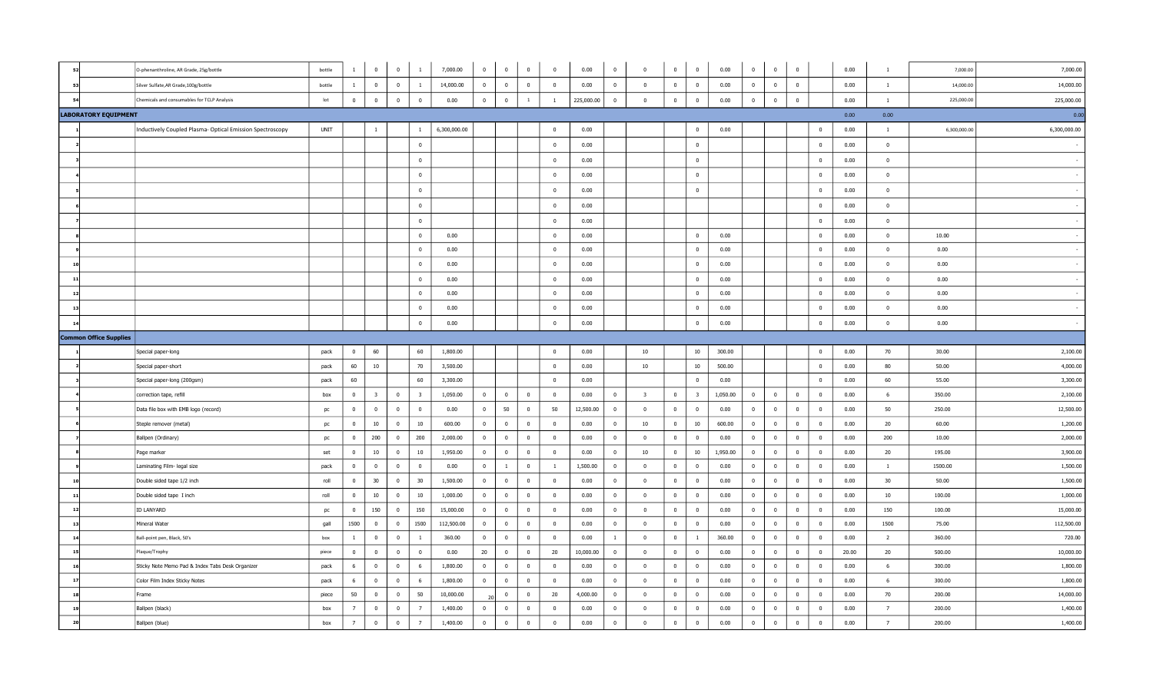| 52           |                               | O-phenanthroline, AR Grade, 25g/bottle                    | bottle |                | $\mathbf 0$             | $\bf{0}$       | <sup>1</sup>            | 7,000.00     | $\overline{0}$ | $\mathbf{0}$   | $\overline{\mathbf{0}}$ | $\overline{0}$          | 0.00       | $\overline{0}$          | $^{\circ}$               | $\mathbf 0$             | $\mathbf 0$             | 0.00     | $\mathbf 0$    | $\mathbf 0$             | $\overline{0}$ |                          | 0.00  | $\overline{1}$ | 7,000.00     | 7,000.00     |
|--------------|-------------------------------|-----------------------------------------------------------|--------|----------------|-------------------------|----------------|-------------------------|--------------|----------------|----------------|-------------------------|-------------------------|------------|-------------------------|--------------------------|-------------------------|-------------------------|----------|----------------|-------------------------|----------------|--------------------------|-------|----------------|--------------|--------------|
| 53           |                               | Silver Sulfate, AR Grade, 100g/bottle                     | bottle | $\overline{1}$ | $\overline{\mathbf{0}}$ | $\overline{0}$ | <sup>1</sup>            | 14,000.00    | $\overline{0}$ | $\mathbf{0}$   | $\overline{\mathbf{0}}$ | $\overline{0}$          | 0.00       | $\overline{0}$          | $\mathbf 0$              | $\mathbf{0}$            | $\overline{0}$          | 0.00     | $\mathbf{0}$   | $\overline{\mathbf{0}}$ | $\overline{0}$ |                          | 0.00  | $\mathbf{1}$   | 14,000.00    | 14,000.00    |
| 54           |                               | Chemicals and consumables for TCLP Analysis               | lot    | $^{\circ}$     | $\mathbf 0$             | $\mathbb O$    | $\overline{0}$          | 0.00         | $\overline{0}$ | $\mathbf 0$    | $\,$ 1 $\,$             | <sup>1</sup>            | 225,000.00 | $\overline{0}$          | $\overline{\mathbf{0}}$  | $\mathbb O$             | $\overline{0}$          | 0.00     | $\mathbf 0$    | $\mathbf 0$             | $\mathbb O$    |                          | 0.00  | $\mathbf{1}$   | 225,000.00   | 225,000.00   |
|              | <b>LABORATORY EQUIPMENT</b>   |                                                           |        |                |                         |                |                         |              |                |                |                         |                         |            |                         |                          |                         |                         |          |                |                         |                |                          | 0.00  | 0.00           |              | 0.00         |
|              |                               | Inductively Coupled Plasma- Optical Emission Spectroscopy | UNIT   |                | $\mathbf{1}$            |                | $\mathbf{1}$            | 6,300,000.00 |                |                |                         | $\bf{0}$                | 0.00       |                         |                          |                         | $\overline{0}$          | 0.00     |                |                         |                | $\mathbf 0$              | 0.00  | $\mathbf{1}$   | 6,300,000.00 | 6,300,000.00 |
|              |                               |                                                           |        |                |                         |                | $\overline{0}$          |              |                |                |                         | $\mathbf 0$             | 0.00       |                         |                          |                         | $\mathbf{0}$            |          |                |                         |                | $\mathbf{0}$             | 0.00  | $\mathbf{0}$   |              |              |
|              |                               |                                                           |        |                |                         |                | $\overline{0}$          |              |                |                |                         | $\overline{0}$          | 0.00       |                         |                          |                         | $\overline{0}$          |          |                |                         |                | $\mathbf 0$              | 0.00  | $\overline{0}$ |              |              |
|              |                               |                                                           |        |                |                         |                | $\overline{0}$          |              |                |                |                         | $\mathbf 0$             | 0.00       |                         |                          |                         | $\overline{0}$          |          |                |                         |                | $\mathbf 0$              | 0.00  | $\mathbf{0}$   |              |              |
|              |                               |                                                           |        |                |                         |                | $\overline{0}$          |              |                |                |                         | $\overline{0}$          | 0.00       |                         |                          |                         | $\bf{0}$                |          |                |                         |                | $\mathbf 0$              | 0.00  | $\mathbf{0}$   |              |              |
|              |                               |                                                           |        |                |                         |                | $\mathbf{0}$            |              |                |                |                         | $\bf{0}$                | 0.00       |                         |                          |                         |                         |          |                |                         |                | $\mathbf{0}$             | 0.00  | $\bf{0}$       |              |              |
|              |                               |                                                           |        |                |                         |                | $\overline{0}$          |              |                |                |                         | $\overline{0}$          | 0.00       |                         |                          |                         |                         |          |                |                         |                | $\mathbf 0$              | 0.00  | $\mathbf{0}$   |              |              |
|              |                               |                                                           |        |                |                         |                | $\overline{0}$          | 0.00         |                |                |                         | $\overline{\mathbf{0}}$ | 0.00       |                         |                          |                         | $\overline{0}$          | 0.00     |                |                         |                | $\overline{0}$           | 0.00  | $\overline{0}$ | 10.00        |              |
|              |                               |                                                           |        |                |                         |                | $\mathbf{0}$            | 0.00         |                |                |                         | $\overline{0}$          | 0.00       |                         |                          |                         | $\mathbf{0}$            | 0.00     |                |                         |                | $\overline{0}$           | 0.00  | $\mathbf{0}$   | 0.00         |              |
| 10           |                               |                                                           |        |                |                         |                | $\mathbf{0}$            | 0.00         |                |                |                         | $\mathbf 0$             | 0.00       |                         |                          |                         | $\overline{0}$          | 0.00     |                |                         |                | $\overline{0}$           | 0.00  | $\mathbf{0}$   | 0.00         |              |
| 11           |                               |                                                           |        |                |                         |                | $\overline{\mathbf{0}}$ | 0.00         |                |                |                         | $\overline{0}$          | 0.00       |                         |                          |                         | $\overline{0}$          | 0.00     |                |                         |                | $\mathbf 0$              | 0.00  | $\overline{0}$ | 0.00         |              |
| 12           |                               |                                                           |        |                |                         |                | $\overline{0}$          | 0.00         |                |                |                         | $\overline{0}$          | 0.00       |                         |                          |                         | $\overline{0}$          | 0.00     |                |                         |                | $\overline{0}$           | 0.00  | $\overline{0}$ | 0.00         |              |
| 13           |                               |                                                           |        |                |                         |                | $\overline{\mathbf{0}}$ | 0.00         |                |                |                         | $\mathbf 0$             | 0.00       |                         |                          |                         | $\overline{\mathbf{0}}$ | 0.00     |                |                         |                | $\overline{0}$           | 0.00  | $\mathbf{0}$   | 0.00         |              |
| $\mathbf{1}$ |                               |                                                           |        |                |                         |                | $\overline{0}$          | 0.00         |                |                |                         | $\bf{0}$                | 0.00       |                         |                          |                         | $\overline{0}$          | 0.00     |                |                         |                | $\bf{0}$                 | 0.00  | $\bf{0}$       | 0.00         |              |
|              | <b>Common Office Supplies</b> |                                                           |        |                |                         |                |                         |              |                |                |                         |                         |            |                         |                          |                         |                         |          |                |                         |                |                          |       |                |              |              |
|              |                               | Special paper-long                                        | pack   | $\mathbf{0}$   | 60                      |                | 60                      | 1,800.00     |                |                |                         | $\overline{0}$          | 0.00       |                         | 10                       |                         | 10                      | 300.00   |                |                         |                | $\mathbf 0$              | 0.00  | 70             | 30.00        | 2,100.00     |
|              |                               | Special paper-short                                       | pack   | 60             | 10                      |                | 70                      | 3,500.00     |                |                |                         | $\mathbf 0$             | 0.00       |                         | 10                       |                         | 10                      | 500.00   |                |                         |                | $\mathbf{0}$             | 0.00  | 80             | 50.00        | 4,000.00     |
|              |                               | Special paper-long (200gsm)                               | pack   | 60             |                         |                | 60                      | 3,300.00     |                |                |                         | $\overline{0}$          | 0.00       |                         |                          |                         | $\overline{\mathbf{0}}$ | 0.00     |                |                         |                | $\mathbf{0}$             | 0.00  | 60             | 55.00        | 3,300.00     |
|              |                               | correction tape, refill                                   | box    | $^{\circ}$     | $\overline{\mathbf{3}}$ | $\bf{0}$       | $\overline{\mathbf{3}}$ | 1,050.00     | $\overline{0}$ | $\mathbf{0}$   | $\overline{\mathbf{0}}$ | $\bf{0}$                | 0.00       | $\bf{0}$                | $\overline{\mathbf{3}}$  | $\bf{0}$                | $\overline{\mathbf{3}}$ | 1,050.00 | $^{\circ}$     | $\overline{0}$          | $\bf{0}$       | $\mathbf 0$              | 0.00  | -6             | 350.00       | 2,100.00     |
|              |                               | Data file box with EMB logo (record)                      | pc     | $\bf{0}$       | $\overline{0}$          | $\bf{0}$       | $\overline{0}$          | 0.00         | $\overline{0}$ | 50             | $\overline{0}$          | 50                      | 12,500.00  | $\overline{\mathbf{0}}$ | $\overline{0}$           | $\overline{0}$          | $\overline{\mathbf{0}}$ | 0.00     | $\bf{0}$       | $\overline{\mathbf{0}}$ | $\overline{0}$ | $\overline{\mathbf{0}}$  | 0.00  | 50             | 250.00       | 12,500.00    |
|              |                               | Steple remover (metal)                                    | pc     | $\mathbf{0}$   | 10                      | $\mathbf{0}$   | 10                      | 600.00       | $\overline{0}$ | $\overline{0}$ | $\overline{0}$          | $\overline{0}$          | 0.00       | $\overline{0}$          | $10\,$                   | $\overline{0}$          | 10                      | 600.00   | $\mathbf{0}$   | $\overline{\mathbf{0}}$ | $\mathbf{0}$   | $\overline{0}$           | 0.00  | 20             | 60.00        | 1,200.00     |
|              |                               | Ballpen (Ordinary)                                        | pc     | $\overline{0}$ | 200                     | $\overline{0}$ | 200                     | 2,000.00     | $\overline{0}$ | $\overline{0}$ | $\overline{0}$          | $\overline{0}$          | 0.00       | $\overline{0}$          | $\overline{\mathbf{0}}$  | $\overline{0}$          | $\overline{0}$          | 0.00     | $\overline{0}$ | $\overline{0}$          | $\overline{0}$ | $\overline{\mathbf{0}}$  | 0.00  | 200            | 10.00        | 2,000.00     |
|              |                               | Page marker                                               | set    | $\mathbf 0$    | 10                      | $\mathbf{0}$   | 10                      | 1,950.00     | $\mathbf{0}$   | $\mathbf{0}$   | $\mathbf{0}$            | $\mathbf 0$             | 0.00       | $\overline{0}$          | 10                       | $\mathbf 0$             | 10                      | 1,950.00 | $\mathbf{0}$   | $\overline{\mathbf{0}}$ | $\mathbf 0$    | $\mathbf 0$              | 0.00  | 20             | 195.00       | 3,900.00     |
|              |                               | Laminating Film- legal size                               | pack   | $\Omega$       | $\overline{\mathbf{0}}$ | $\mathbf 0$    | $\overline{\mathbf{0}}$ | 0.00         | $\overline{0}$ | $\overline{1}$ | $\overline{\mathbf{0}}$ | $\mathbf{1}$            | 1,500.00   | $\overline{0}$          | $\overline{\phantom{0}}$ | $\bf{0}$                | $\overline{\mathbf{0}}$ | 0.00     | $\bf{0}$       | $\,$ 0                  | $\overline{0}$ | $\overline{\mathbf{0}}$  | 0.00  | $\mathbf{1}$   | 1500.00      | 1,500.00     |
| 10           |                               | Double sided tape 1/2 inch                                | roll   | $\mathbf{0}$   | 30                      | $\overline{0}$ | 30                      | 1,500.00     | $\mathbf{0}$   | $\mathbf{0}$   | $\overline{0}$          | $\overline{0}$          | 0.00       | $\mathbf{0}$            | $\overline{0}$           | $\overline{0}$          | $\overline{0}$          | 0.00     | $\mathbf{0}$   | $\overline{\mathbf{0}}$ | $\overline{0}$ | $\overline{\mathbf{0}}$  | 0.00  | 30             | 50.00        | 1,500.00     |
| 11           |                               | Double sided tape I inch                                  | roll   | $\mathbf{0}$   | 10                      | $\overline{0}$ | 10                      | 1,000.00     | $\overline{0}$ | $\overline{0}$ | $\overline{0}$          | $\mathbf 0$             | 0.00       | $\overline{0}$          | $\overline{\mathbf{0}}$  | $\mathbf{0}$            | $\overline{0}$          | 0.00     | $\mathbf{0}$   | $\overline{\mathbf{0}}$ | $\overline{0}$ | $\overline{0}$           | 0.00  | 10             | 100.00       | 1,000.00     |
| 12           |                               | <b>ID LANYARD</b>                                         | pc     | $\overline{0}$ | 150                     | $\bf{0}$       | 150                     | 15,000.00    | $\overline{0}$ | $\overline{0}$ | $\overline{\mathbf{0}}$ | $\mathbf{0}$            | 0.00       | $\overline{0}$          | $\overline{0}$           | $\overline{\mathbf{0}}$ | $\overline{0}$          | 0.00     | $\mathbf{0}$   | $\overline{\mathbf{0}}$ | $\overline{0}$ | $\overline{\phantom{0}}$ | 0.00  | 150            | 100.00       | 15,000.00    |
| 13           |                               | Mineral Water                                             | gall   | 1500           | $\overline{0}$          | $\overline{0}$ | 1500                    | 112,500.00   | $\overline{0}$ | $\overline{0}$ | $\overline{0}$          | $\overline{0}$          | 0.00       | $\mathbf{0}$            | $\overline{\mathbf{0}}$  | $\overline{0}$          | $\overline{\mathbf{0}}$ | 0.00     | $\mathbf{0}$   | $\overline{0}$          | $\mathbf{0}$   | $\overline{\mathbf{0}}$  | 0.00  | 1500           | 75.00        | 112,500.00   |
| 14           |                               | Ball-point pen, Black, 50's                               | box    | $\mathbf{1}$   | $\overline{0}$          | $\overline{0}$ | $\overline{1}$          | 360.00       | $\overline{0}$ | $\mathbf{0}$   | $\overline{\mathbf{0}}$ | $\overline{0}$          | 0.00       | $\overline{1}$          | $\mathbf 0$              | $\overline{0}$          | $\mathbf{1}$            | 360.00   | $\mathbf{0}$   | $\overline{\mathbf{0}}$ | $\overline{0}$ | $\overline{\mathbf{0}}$  | 0.00  | $\overline{2}$ | 360.00       | 720.00       |
| 15           |                               | Plaque/Trophy                                             | piece  | $\overline{0}$ | $\overline{\mathbf{0}}$ | $\bf{0}$       | $\overline{0}$          | 0.00         | 20             | $\overline{0}$ | $\overline{\mathbf{0}}$ | 20                      | 10,000.00  | $\overline{0}$          | $\bf{0}$                 | $\bf{0}$                | $\bf{0}$                | 0.00     | $\bf{0}$       | $\overline{\mathbf{0}}$ | $\bf{0}$       | $\overline{\mathbf{0}}$  | 20.00 | 20             | 500.00       | 10,000.00    |
| 16           |                               | Sticky Note Memo Pad & Index Tabs Desk Organizer          | pack   | 6              | $\overline{0}$          | $\overline{0}$ | 6                       | 1,800.00     | $\overline{0}$ | $\overline{0}$ | $\overline{0}$          | $\overline{0}$          | 0.00       | $\overline{0}$          | $\overline{0}$           | $\overline{0}$          | $\overline{\mathbf{0}}$ | 0.00     | $\overline{0}$ | $\overline{\mathbf{0}}$ | $\overline{0}$ | $\overline{\mathbf{0}}$  | 0.00  | 6              | 300.00       | 1,800.00     |
| 17           |                               | Color Film Index Sticky Notes                             | pack   | -6             | $\overline{0}$          | $\overline{0}$ | 6                       | 1,800.00     | $\mathbf{0}$   | $\overline{0}$ | $\overline{\mathbf{0}}$ | $\overline{0}$          | 0.00       | $\overline{0}$          | $\overline{\mathbf{0}}$  | $\bf{0}$                | $\overline{\mathbf{0}}$ | 0.00     | $\mathbf{0}$   | $\overline{\mathbf{0}}$ | $\mathbf 0$    | $\overline{\mathbf{0}}$  | 0.00  | -6             | 300.00       | 1,800.00     |
| 18           |                               | Frame                                                     | piece  | 50             | $\overline{\mathbf{0}}$ | $\bf{0}$       | 50                      | 10,000.00    |                | $\overline{0}$ | $\overline{\mathbf{0}}$ | 20                      | 4,000.00   | $\overline{\mathbf{0}}$ | $\overline{\mathbf{0}}$  | $\overline{\mathbf{0}}$ | $\overline{\mathbf{0}}$ | 0.00     | $\overline{0}$ | $\overline{\mathbf{0}}$ | $\bf{0}$       | $\overline{\mathbf{0}}$  | 0.00  | 70             | 200.00       | 14,000.00    |
| 19           |                               | Ballpen (black)                                           | box    | $\overline{7}$ | $\overline{\mathbf{0}}$ | $\overline{0}$ | $\overline{7}$          | 1,400.00     | $\mathbf{0}$   | $\mathbf{0}$   | $\mathbf{0}$            | $\overline{0}$          | 0.00       | $\overline{0}$          | $\overline{0}$           | $\overline{0}$          | $\overline{0}$          | 0.00     | $^{\circ}$     | $\overline{0}$          | $\mathbf{0}$   | $\overline{0}$           | 0.00  | $\overline{7}$ | 200.00       | 1,400.00     |
|              |                               | Ballpen (blue)                                            | box    | $\overline{7}$ | $\mathbf 0$             | $\bf{0}$       | $\overline{7}$          | 1,400.00     | $\overline{0}$ | $\mathbf{0}$   | $\overline{\mathbf{0}}$ | $\mathbf 0$             | 0.00       | $\pmb{0}$               | $\mathbf 0$              | $\bf{0}$                | $\overline{\mathbf{0}}$ | 0.00     | $\mathbf 0$    | $\mathbf 0$             | $\bf{0}$       | $\mathbf 0$              | 0.00  | 7              | 200.00       | 1,400.00     |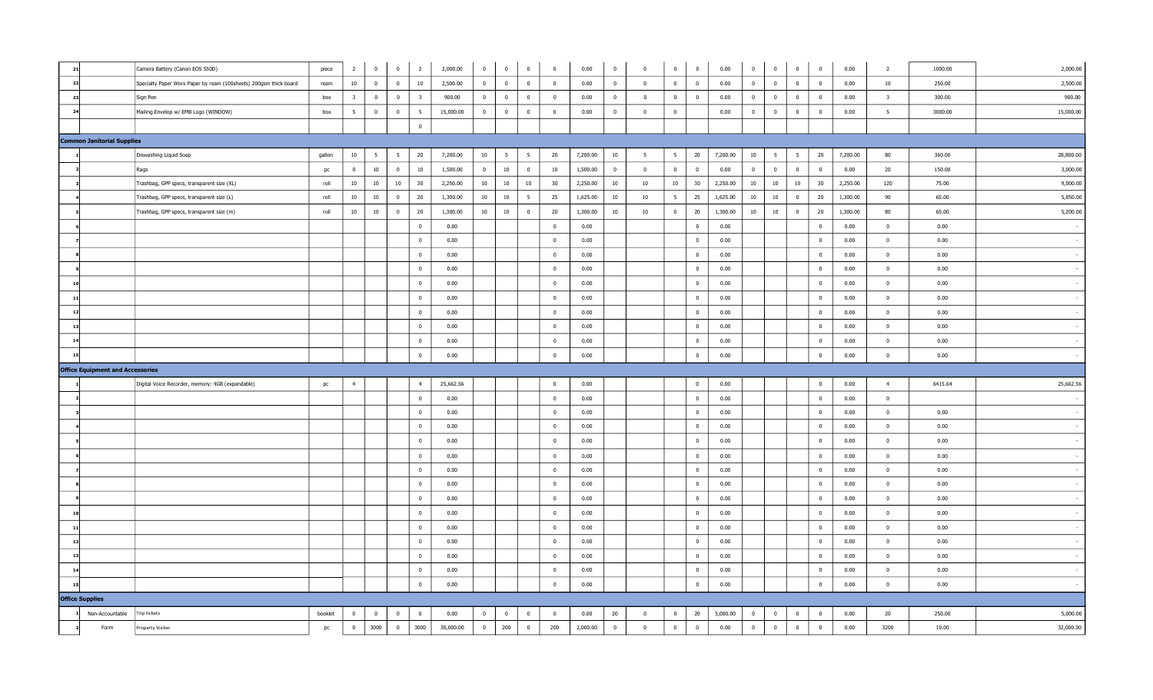| 21                                      | Camera Battery (Canon EOS 550D)                                   | piece   | $\overline{2}$          | $\overline{0}$          | $\overline{\mathbf{0}}$<br>$\overline{2}$          | 2,000.00  | $\overline{0}$ | $\mathbf 0$     | $\mathbf 0$     | $\mathbf{0}$   | 0.00     | $\bf{0}$                | $\mathbf 0$             | $\bf{0}$       | $\mathbf 0$             | 0.00     | $\mathbf 0$    | $\Omega$                | $\bf{0}$                | $\mathbf 0$             | 0.00     | $\overline{2}$          | 1000.00 | 2,000.00  |
|-----------------------------------------|-------------------------------------------------------------------|---------|-------------------------|-------------------------|----------------------------------------------------|-----------|----------------|-----------------|-----------------|----------------|----------|-------------------------|-------------------------|----------------|-------------------------|----------|----------------|-------------------------|-------------------------|-------------------------|----------|-------------------------|---------|-----------|
| 22                                      | Specialty Paper Worx Paper by ream (100sheets) 200gsm thick board | ream    | $10\,$                  | $\overline{\mathbf{0}}$ | $10\,$<br>$\overline{\mathbf{0}}$                  | 2,500.00  | $\overline{0}$ | $\overline{0}$  | $\overline{0}$  | $\mathbf{0}$   | 0.00     | $\overline{0}$          | $\overline{0}$          | $\overline{0}$ | $\overline{0}$          | 0.00     | $\overline{0}$ | $\overline{0}$          | $\overline{0}$          | $\overline{0}$          | 0.00     | 10                      | 250.00  | 2,500.00  |
| -23                                     | Sign Pen                                                          | box     | $\overline{\mathbf{3}}$ | $\overline{0}$          | $\overline{\mathbf{0}}$<br>$\overline{\mathbf{3}}$ | 900.00    | $\overline{0}$ | $\overline{0}$  | $\overline{0}$  | $\overline{0}$ | 0.00     | $\overline{\mathbf{0}}$ | $\overline{0}$          | $\overline{0}$ | $\overline{\mathbf{0}}$ | 0.00     | $\overline{0}$ | $\overline{0}$          | $\overline{0}$          | $\overline{\mathbf{0}}$ | 0.00     | $\overline{\mathbf{3}}$ | 300.00  | 900.00    |
| 24                                      | Mailing Envelop w/ EMB Logo (WINDOW)                              | box     | $5^{\circ}$             | $\overline{0}$          | $\overline{\mathbf{0}}$<br>$5\overline{5}$         | 15,000.00 | $\overline{0}$ | $\bf{0}$        | $\mathbf 0$     | $\overline{0}$ | 0.00     | $\overline{\mathbf{0}}$ | $\overline{\mathbf{0}}$ | $\overline{0}$ |                         | 0.00     | $\bf{0}$       | $\bf{0}$                | $\overline{\mathbf{0}}$ | $\bf{0}$                | 0.00     | $5\overline{5}$         | 3000.00 | 15,000.00 |
|                                         |                                                                   |         |                         |                         | $\overline{0}$                                     |           |                |                 |                 |                |          |                         |                         |                |                         |          |                |                         |                         |                         |          |                         |         |           |
| <b>Common Janitorial Supplies</b>       |                                                                   |         |                         |                         |                                                    |           |                |                 |                 |                |          |                         |                         |                |                         |          |                |                         |                         |                         |          |                         |         |           |
|                                         | Diswashing Liquid Soap                                            | gallon  | 10                      | 5                       | 20<br>$5^{\circ}$                                  | 7,200.00  | 10             | $5\overline{5}$ | $5\overline{5}$ | 20             | 7,200.00 | 10                      | 5                       | 5 <sup>5</sup> | 20                      | 7,200.00 | 10             | $5\overline{5}$         | $5\overline{5}$         | 20                      | 7,200.00 | 80                      | 360.00  | 28,800.00 |
|                                         | Rags                                                              | pc      | $\overline{0}$          | $10\,$                  | $10\,$<br>$\overline{0}$                           | 1,500.00  | $\overline{0}$ | $10\,$          | $\mathbf 0$     | 10             | 1,500.00 | $\overline{0}$          | $\overline{0}$          | $\bf{0}$       | $\overline{0}$          | 0.00     | $\overline{0}$ | $\bf{0}$                | $\overline{\mathbf{0}}$ | $\overline{\mathbf{0}}$ | 0.00     | 20                      | 150.00  | 3,000.00  |
|                                         | Trashbag, GPP specs, transparent size (XL)                        | roll    | 10                      | 10                      | 10<br>30                                           | 2,250.00  | 10             | 10              | 10              | 30             | 2,250.00 | 10                      | 10                      | 10             | 30                      | 2,250.00 | 10             | $10\,$                  | 10                      | 30                      | 2,250.00 | 120                     | 75.00   | 9,000.00  |
|                                         | Trashbag, GPP specs, transparent size (L)                         | roll    | 10                      | 10                      | 20<br>$\mathbf{0}$                                 | 1,300.00  | 10             | 10              | $5\overline{5}$ | 25             | 1,625.00 | 10                      | 10                      | 5 <sup>5</sup> | 25                      | 1,625.00 | 10             | 10                      | $\overline{0}$          | 20                      | 1,300.00 | 90                      | 65.00   | 5,850.00  |
|                                         | Trashbag, GPP specs, transparent size (m)                         | roll    | 10                      | $10\,$                  | $\overline{0}$<br>20                               | 1,300.00  | 10             | $10\,$          | $\overline{0}$  | 20             | 1,300.00 | 10                      | 10                      | $\overline{0}$ | 20                      | 1,300.00 | 10             | $10\,$                  | $\overline{\mathbf{0}}$ | 20                      | 1,300.00 | 80                      | 65.00   | 5,200.00  |
|                                         |                                                                   |         |                         |                         | $\overline{0}$                                     | 0.00      |                |                 |                 | $\overline{0}$ | 0.00     |                         |                         |                | $\overline{0}$          | 0.00     |                |                         |                         | $\mathbf 0$             | 0.00     | $\overline{0}$          | 0.00    |           |
|                                         |                                                                   |         |                         |                         | $\bf{0}$                                           | 0.00      |                |                 |                 | $\overline{0}$ | 0.00     |                         |                         |                | $\overline{\mathbf{0}}$ | 0.00     |                |                         |                         | $\overline{0}$          | 0.00     | $\overline{0}$          | 0.00    |           |
|                                         |                                                                   |         |                         |                         | $\overline{0}$                                     | 0.00      |                |                 |                 | $\bf{0}$       | 0.00     |                         |                         |                | $\bf{0}$                | 0.00     |                |                         |                         | $\bf{0}$                | 0.00     | $\bf{0}$                | 0.00    |           |
|                                         |                                                                   |         |                         |                         | $\bf{0}$                                           | 0.00      |                |                 |                 | $\mathbf{0}$   | 0.00     |                         |                         |                | $\overline{\mathbf{0}}$ | 0.00     |                |                         |                         | $\overline{\mathbf{0}}$ | 0.00     | $\bf{0}$                | 0.00    |           |
| 10                                      |                                                                   |         |                         |                         | $\bf{0}$                                           | 0.00      |                |                 |                 | $\bf{0}$       | 0.00     |                         |                         |                | $\bf{0}$                | 0.00     |                |                         |                         | $\bf{0}$                | 0.00     | $\bf{0}$                | 0.00    |           |
| 11                                      |                                                                   |         |                         |                         | $\bf{0}$                                           | 0.00      |                |                 |                 | $\overline{0}$ | 0.00     |                         |                         |                | $\overline{\mathbf{0}}$ | 0.00     |                |                         |                         | $\overline{\mathbf{0}}$ | 0.00     | $\bf{0}$                | 0.00    |           |
| $\overline{1}$                          |                                                                   |         |                         |                         | $\overline{0}$                                     | 0.00      |                |                 |                 | $\overline{0}$ | 0.00     |                         |                         |                | $\overline{0}$          | 0.00     |                |                         |                         | $\overline{0}$          | 0.00     | $\overline{0}$          | 0.00    |           |
| 13                                      |                                                                   |         |                         |                         | $\overline{0}$                                     | 0.00      |                |                 |                 | $\bf{0}$       | 0.00     |                         |                         |                | $\bf{0}$                | 0.00     |                |                         |                         | $\bf{0}$                | 0.00     | $\overline{0}$          | 0.00    |           |
| 14                                      |                                                                   |         |                         |                         | $\overline{0}$                                     | 0.00      |                |                 |                 | $\overline{0}$ | 0.00     |                         |                         |                | $\overline{\mathbf{0}}$ | 0.00     |                |                         |                         | $\overline{0}$          | 0.00     | $\bf{0}$                | 0.00    |           |
| 15                                      |                                                                   |         |                         |                         | $\overline{0}$                                     | 0.00      |                |                 |                 | $\overline{0}$ | 0.00     |                         |                         |                | $\overline{0}$          | 0.00     |                |                         |                         | $\mathbf 0$             | 0.00     | $\overline{0}$          | 0.00    |           |
| <b>Office Equipment and Accessories</b> |                                                                   |         |                         |                         |                                                    |           |                |                 |                 |                |          |                         |                         |                |                         |          |                |                         |                         |                         |          |                         |         |           |
|                                         | Digital Voice Recorder, memory: 4GB (expandable)                  | pc      | $\overline{4}$          |                         | 4                                                  | 25,662.56 |                |                 |                 | $\mathbf{0}$   | 0.00     |                         |                         |                | $\overline{0}$          | 0.00     |                |                         |                         | $\overline{0}$          | 0.00     | 4                       | 6415.64 | 25,662.56 |
|                                         |                                                                   |         |                         |                         | $\bf{0}$                                           | 0.00      |                |                 |                 | $\bf{0}$       | 0.00     |                         |                         |                | $\bf{0}$                | 0.00     |                |                         |                         | $\overline{0}$          | 0.00     | $\bf{0}$                |         |           |
|                                         |                                                                   |         |                         |                         | $\bf{0}$                                           | 0.00      |                |                 |                 | $\overline{0}$ | 0.00     |                         |                         |                | $\overline{0}$          | 0.00     |                |                         |                         | $\overline{0}$          | 0.00     | $\overline{0}$          | 0.00    |           |
|                                         |                                                                   |         |                         |                         | $\overline{0}$                                     | 0.00      |                |                 |                 | $\overline{0}$ | 0.00     |                         |                         |                | $\overline{0}$          | 0.00     |                |                         |                         | $\overline{\mathbf{0}}$ | 0.00     | $\overline{0}$          | 0.00    |           |
|                                         |                                                                   |         |                         |                         | $\bf{0}$                                           | 0.00      |                |                 |                 | $\mathbf{0}$   | 0.00     |                         |                         |                | $\overline{0}$          | 0.00     |                |                         |                         | $\mathbf{0}$            | 0.00     | $\overline{0}$          | 0.00    |           |
|                                         |                                                                   |         |                         |                         | $\overline{0}$                                     | 0.00      |                |                 |                 | $\overline{0}$ | 0.00     |                         |                         |                | $\overline{0}$          | 0.00     |                |                         |                         | $\overline{0}$          | 0.00     | $\overline{0}$          | 0.00    |           |
|                                         |                                                                   |         |                         |                         | $\bf{0}$                                           | 0.00      |                |                 |                 | $\bf{0}$       | 0.00     |                         |                         |                | $\bf{0}$                | 0.00     |                |                         |                         | $\bf{0}$                | 0.00     | $\overline{0}$          | 0.00    |           |
|                                         |                                                                   |         |                         |                         | $\bf{0}$                                           | 0.00      |                |                 |                 | $\mathbf 0$    | 0.00     |                         |                         |                | $\bf{0}$                | 0.00     |                |                         |                         | $\overline{\mathbf{0}}$ | 0.00     | $\overline{0}$          | 0.00    |           |
|                                         |                                                                   |         |                         |                         | $\bf{0}$                                           | 0.00      |                |                 |                 | $\mathbf{0}$   | 0.00     |                         |                         |                | $\bf{0}$                | 0.00     |                |                         |                         | $\mathbf{0}$            | 0.00     | $\bf{0}$                | 0.00    |           |
|                                         |                                                                   |         |                         |                         | $\bf{0}$                                           | 0.00      |                |                 |                 | $\mathbf 0$    | 0.00     |                         |                         |                | $\overline{0}$          | 0.00     |                |                         |                         | $\mathbf 0$             | 0.00     | $\overline{0}$          | 0.00    |           |
| $\mathbf{1}$                            |                                                                   |         |                         |                         | $\bf{0}$                                           | 0.00      |                |                 |                 | $\overline{0}$ | 0.00     |                         |                         |                | $\overline{0}$          | 0.00     |                |                         |                         | $\mathbf 0$             | 0.00     | $\overline{0}$          | 0.00    |           |
| 12                                      |                                                                   |         |                         |                         | $\bf{0}$                                           | 0.00      |                |                 |                 | $\mathbf{0}$   | 0.00     |                         |                         |                | $\bf{0}$                | 0.00     |                |                         |                         | $\bf{0}$                | 0.00     | $\bf{0}$                | 0.00    |           |
| 13                                      |                                                                   |         |                         |                         | $\overline{0}$                                     | 0.00      |                |                 |                 | $\mathbf{0}$   | 0.00     |                         |                         |                | $\overline{\mathbf{0}}$ | 0.00     |                |                         |                         | $\overline{0}$          | 0.00     | $\bf{0}$                | 0.00    |           |
| $\mathbf{1}$                            |                                                                   |         |                         |                         | $\bf{0}$                                           | 0.00      |                |                 |                 | $\mathbf{0}$   | 0.00     |                         |                         |                | $\bf{0}$                | 0.00     |                |                         |                         | $\bf{0}$                | 0.00     | $\overline{0}$          | 0.00    |           |
| 15                                      |                                                                   |         |                         |                         | $\bf{0}$                                           | 0.00      |                |                 |                 | $\mathbf{0}$   | 0.00     |                         |                         |                | $\mathbf 0$             | 0.00     |                |                         |                         | $\overline{\mathbf{0}}$ | $0.00\,$ | $\mathbf 0$             | 0.00    |           |
| <b>Office Supplies</b>                  |                                                                   |         |                         |                         |                                                    |           |                |                 |                 |                |          |                         |                         |                |                         |          |                |                         |                         |                         |          |                         |         |           |
| Non-Accountable                         | Trip tickets                                                      | booklet | $\overline{0}$          | $\overline{0}$          | $\overline{0}$<br>$\overline{0}$                   | 0.00      | $\mathbf{0}$   | $\overline{0}$  | $\overline{0}$  | $\mathbf{0}$   | 0.00     | 20                      | $\overline{\mathbf{0}}$ | $\mathbf{0}$   | 20                      | 5,000.00 | $\bf{0}$       | $\overline{\mathbf{0}}$ | $\overline{\mathbf{0}}$ | $\overline{\mathbf{0}}$ | 0.00     | 20                      | 250.00  | 5,000.00  |
| Form                                    | <b>Property Sticker</b>                                           | pc      | $\mathbf{0}$            | 3000                    | $\overline{0}$<br>3000                             | 30,000.00 | $\overline{0}$ | 200             | $\mathbf 0$     | 200            | 2,000.00 | $\overline{\mathbf{0}}$ | $\mathbf{0}$            | $\mathbf{0}$   | $\mathbf{0}$            | 0.00     | $\mathbf 0$    | $\bf{0}$                | $\bf{0}$                | $\bf{0}$                | 0.00     | 3200                    | 10.00   | 32,000.00 |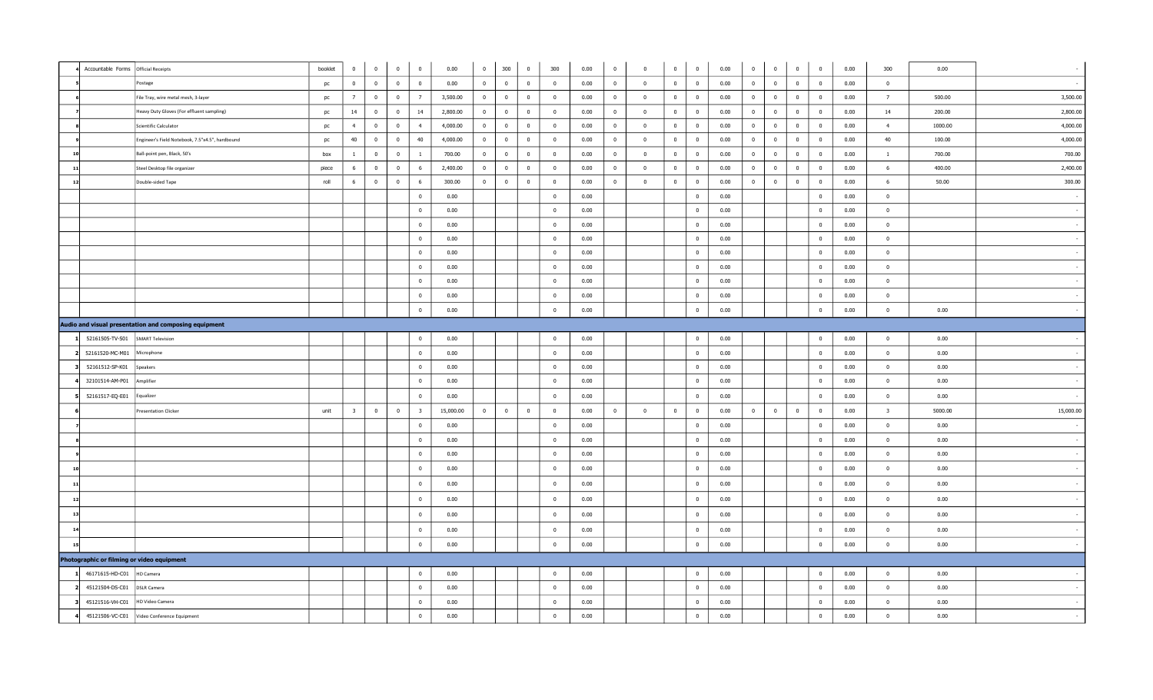|                | Accountable Forms Official Receipts                   | booklet | $\overline{0}$          | $\overline{0}$ | $\overline{0}$ | $\overline{0}$          | 0.00      | $\overline{0}$ | 300                     | $\overline{0}$ | 300            | 0.00 | $\bf{0}$       | $\overline{0}$          | $\overline{0}$ | $\bf{0}$       | 0.00 | $\overline{0}$ | $\overline{0}$          | $\overline{0}$ | $\overline{0}$          | 0.00 | 300                     | 0.00    |           |
|----------------|-------------------------------------------------------|---------|-------------------------|----------------|----------------|-------------------------|-----------|----------------|-------------------------|----------------|----------------|------|----------------|-------------------------|----------------|----------------|------|----------------|-------------------------|----------------|-------------------------|------|-------------------------|---------|-----------|
|                | Postage                                               | pc      | $\overline{0}$          | $\overline{0}$ | $\overline{0}$ | $\overline{\mathbf{0}}$ | 0.00      | $\overline{0}$ | $\overline{0}$          | $\bf{0}$       | $\overline{0}$ | 0.00 | $\overline{0}$ | $\overline{\mathbf{0}}$ | $\overline{0}$ | $\overline{0}$ | 0.00 | $\overline{0}$ | $\overline{\mathbf{0}}$ | $\overline{0}$ | $\overline{\mathbf{0}}$ | 0.00 | $\overline{\mathbf{0}}$ |         | $\sim$    |
|                | File Tray, wire metal mesh, 3-layer                   | pc      | $\overline{7}$          | $\bf{0}$       | $\overline{0}$ | $\overline{7}$          | 3,500.00  | $\overline{0}$ | $\overline{0}$          | $\overline{0}$ | $\overline{0}$ | 0.00 | $\overline{0}$ | $\overline{\mathbf{0}}$ | $\overline{0}$ | $\overline{0}$ | 0.00 | $\bf{0}$       | $\overline{0}$          | $\overline{0}$ | $\overline{0}$          | 0.00 | $\overline{7}$          | 500.00  | 3,500.00  |
|                | Heavy Duty Gloves (For effluent sampling)             | pc      | 14                      | $\overline{0}$ | $\overline{0}$ | 14                      | 2,800.00  | $\overline{0}$ | $\overline{0}$          | $\overline{0}$ | $\overline{0}$ | 0.00 | $\bf{0}$       | $\overline{\mathbf{0}}$ | $\overline{0}$ | $\overline{0}$ | 0.00 | $\overline{0}$ | $\overline{\mathbf{0}}$ | $\mathbf 0$    | $\overline{\mathbf{0}}$ | 0.00 | 14                      | 200.00  | 2,800.00  |
|                | Scientific Calculator                                 | pc      | $\overline{4}$          | $\overline{0}$ | $\overline{0}$ | $\overline{4}$          | 4,000.00  | $\overline{0}$ | $\overline{\mathbf{0}}$ | $\overline{0}$ | $\overline{0}$ | 0.00 | $\overline{0}$ | $\overline{\mathbf{0}}$ | $\overline{0}$ | $\overline{0}$ | 0.00 | $\mathbf{0}$   | $\mathbf{0}$            | $\overline{0}$ | $\overline{0}$          | 0.00 | $\overline{4}$          | 1000.00 | 4,000.00  |
|                | Engineer's Field Notebook, 7.5"x4.5", hardbound       | pc      | 40                      | $\overline{0}$ | $\mathbf{0}$   | 40                      | 4,000.00  | $\overline{0}$ | $\overline{0}$          | $\overline{0}$ | $\overline{0}$ | 0.00 | $\overline{0}$ | $\overline{0}$          | $\overline{0}$ | $\bf{0}$       | 0.00 | $\overline{0}$ | $\overline{0}$          | $\overline{0}$ | $\overline{0}$          | 0.00 | 40                      | 100.00  | 4,000.00  |
|                | Ball-point pen, Black, 50's                           | box     | $\overline{1}$          | $\bf{0}$       | $\mathbf{0}$   | $\mathbf{1}$            | 700.00    | $\overline{0}$ | $\overline{0}$          | $\overline{0}$ | $\overline{0}$ | 0.00 | $\mathbf{0}$   | $\overline{\mathbf{0}}$ | $\overline{0}$ | $\bf{0}$       | 0.00 | $\mathbf 0$    | $\overline{0}$          | $\mathbf{0}$   | $\overline{0}$          | 0.00 | $\mathbf{1}$            | 700.00  | 700.00    |
| $\mathbf{1}$   | Steel Desktop file organizer                          | piece   | 6                       | $\mathbf 0$    | $\bf{0}$       | $6\overline{6}$         | 2,400.00  | $\bf{0}$       | $\mathbf 0$             | $\overline{0}$ | $\overline{0}$ | 0.00 | $\overline{0}$ | $\mathbf 0$             | $\mathbf{0}$   | $\bf{0}$       | 0.00 | $\mathbf{0}$   | $\overline{\mathbf{0}}$ | $\bf{0}$       | $\bf{0}$                | 0.00 | 6                       | 400.00  | 2,400.00  |
| 12             | Double-sided Tape                                     | roll    | 6                       | $\overline{0}$ | $\mathbf{0}$   | 6                       | 300.00    | $\overline{0}$ | $\overline{\mathbf{0}}$ | $\overline{0}$ | $\overline{0}$ | 0.00 | $\mathbf{0}$   | $\overline{\mathbf{0}}$ | $\overline{0}$ | $\bf{0}$       | 0.00 | $\mathbf{0}$   | $\overline{\mathbf{0}}$ | $\bf{0}$       | $\overline{0}$          | 0.00 | 6                       | 50.00   | 300.00    |
|                |                                                       |         |                         |                |                | $\overline{0}$          | 0.00      |                |                         |                | $\mathbf{0}$   | 0.00 |                |                         |                | $\bf{0}$       | 0.00 |                |                         |                | $\bf{0}$                | 0.00 | $\overline{\mathbf{0}}$ |         |           |
|                |                                                       |         |                         |                |                | $\overline{0}$          | 0.00      |                |                         |                | $\overline{0}$ | 0.00 |                |                         |                | $\mathbf{0}$   | 0.00 |                |                         |                | $\mathbf 0$             | 0.00 | $\overline{0}$          |         |           |
|                |                                                       |         |                         |                |                | $\overline{0}$          | 0.00      |                |                         |                | $\overline{0}$ | 0.00 |                |                         |                | $\mathbf 0$    | 0.00 |                |                         |                | $\overline{\mathbf{0}}$ | 0.00 | $\overline{\mathbf{0}}$ |         |           |
|                |                                                       |         |                         |                |                | $\overline{0}$          | 0.00      |                |                         |                | $\overline{0}$ | 0.00 |                |                         |                | $\overline{0}$ | 0.00 |                |                         |                | $\mathbf 0$             | 0.00 | $\bf{0}$                |         |           |
|                |                                                       |         |                         |                |                | $\overline{0}$          | 0.00      |                |                         |                | $\overline{0}$ | 0.00 |                |                         |                | $\bf{0}$       | 0.00 |                |                         |                | $\overline{0}$          | 0.00 | $\overline{0}$          |         |           |
|                |                                                       |         |                         |                |                | $\overline{0}$          | 0.00      |                |                         |                | $\overline{0}$ | 0.00 |                |                         |                | $\bf{0}$       | 0.00 |                |                         |                | $\overline{0}$          | 0.00 | $\overline{0}$          |         |           |
|                |                                                       |         |                         |                |                | $\overline{0}$          | 0.00      |                |                         |                | $\overline{0}$ | 0.00 |                |                         |                | $\overline{0}$ | 0.00 |                |                         |                | $\overline{0}$          | 0.00 | $\overline{\mathbf{0}}$ |         |           |
|                |                                                       |         |                         |                |                | $\overline{0}$          | 0.00      |                |                         |                | $\overline{0}$ | 0.00 |                |                         |                | $\bf{0}$       | 0.00 |                |                         |                | $\mathbf 0$             | 0.00 | $\mathbf 0$             |         |           |
|                |                                                       |         |                         |                |                | $\overline{0}$          | 0.00      |                |                         |                | $\mathbf 0$    | 0.00 |                |                         |                | $\bf{0}$       | 0.00 |                |                         |                | $\bf{0}$                | 0.00 | $\overline{0}$          | 0.00    |           |
|                | Audio and visual presentation and composing equipment |         |                         |                |                |                         |           |                |                         |                |                |      |                |                         |                |                |      |                |                         |                |                         |      |                         |         |           |
|                | 52161505-TV-S01<br>SMART Television                   |         |                         |                |                | $\overline{0}$          | 0.00      |                |                         |                | $\overline{0}$ | 0.00 |                |                         |                | $\bf{0}$       | 0.00 |                |                         |                | $\overline{0}$          | 0.00 | $\overline{0}$          | 0.00    |           |
|                | 52161520-MC-M01<br>Microphone                         |         |                         |                |                | $\overline{0}$          | 0.00      |                |                         |                | $\overline{0}$ | 0.00 |                |                         |                | $\bf{0}$       | 0.00 |                |                         |                | $\bf{0}$                | 0.00 | $\overline{0}$          | 0.00    |           |
|                | 52161512-SP-K01<br>Speakers                           |         |                         |                |                | $\overline{\mathbf{0}}$ | 0.00      |                |                         |                | $\overline{0}$ | 0.00 |                |                         |                | $\bf{0}$       | 0.00 |                |                         |                | $\bf{0}$                | 0.00 | $\bf{0}$                | 0.00    |           |
|                | Amplifier<br>32101514-AM-P01                          |         |                         |                |                | $\overline{0}$          | 0.00      |                |                         |                | $\bf{0}$       | 0.00 |                |                         |                | $\bf{0}$       | 0.00 |                |                         |                | $\bf{0}$                | 0.00 | $\bf{0}$                | 0.00    |           |
|                | 52161517-EQ-E01<br>Equalizer                          |         |                         |                |                | $\overline{0}$          | 0.00      |                |                         |                | $\overline{0}$ | 0.00 |                |                         |                | $\overline{0}$ | 0.00 |                |                         |                | $\overline{0}$          | 0.00 | $\overline{\mathbf{0}}$ | 0.00    |           |
|                | <b>Presentation Clicker</b>                           | unit    | $\overline{\mathbf{3}}$ | $\bf{0}$       | $\bf{0}$       | $\overline{\mathbf{3}}$ | 15,000.00 | $\bf{0}$       | $\overline{0}$          | $\overline{0}$ | $\bf{0}$       | 0.00 | $\overline{0}$ | $\bf{0}$                | $\overline{0}$ | $\bf{0}$       | 0.00 | $\mathbf 0$    | $\overline{0}$          | $\bf{0}$       | $\bf{0}$                | 0.00 | $\overline{\mathbf{3}}$ | 5000.00 | 15,000.00 |
|                |                                                       |         |                         |                |                | $\overline{0}$          | 0.00      |                |                         |                | $\overline{0}$ | 0.00 |                |                         |                | $\overline{0}$ | 0.00 |                |                         |                | $\overline{0}$          | 0.00 | $\overline{0}$          | 0.00    |           |
|                |                                                       |         |                         |                |                | $\overline{0}$          | 0.00      |                |                         |                | $\overline{0}$ | 0.00 |                |                         |                | $\bf{0}$       | 0.00 |                |                         |                | $\overline{0}$          | 0.00 | $\overline{0}$          | 0.00    |           |
|                |                                                       |         |                         |                |                | $\overline{\mathbf{0}}$ | 0.00      |                |                         |                | $\overline{0}$ | 0.00 |                |                         |                | $\bf{0}$       | 0.00 |                |                         |                | $\overline{\mathbf{0}}$ | 0.00 | $\overline{\mathbf{0}}$ | 0.00    |           |
| $\mathbf{1}$   |                                                       |         |                         |                |                | $\overline{0}$          | 0.00      |                |                         |                | $\overline{0}$ | 0.00 |                |                         |                | $\mathbf 0$    | 0.00 |                |                         |                | $\overline{0}$          | 0.00 | $\overline{\mathbf{0}}$ | 0.00    |           |
| $\mathbf{1}$   |                                                       |         |                         |                |                | $\overline{0}$          | 0.00      |                |                         |                | $\overline{0}$ | 0.00 |                |                         |                | $\bf{0}$       | 0.00 |                |                         |                | $\overline{0}$          | 0.00 | $\bf{0}$                | 0.00    |           |
| $\mathbf{1}$   |                                                       |         |                         |                |                | $\overline{\mathbf{0}}$ | 0.00      |                |                         |                | $\overline{0}$ | 0.00 |                |                         |                | $\overline{0}$ | 0.00 |                |                         |                | $\overline{\mathbf{0}}$ | 0.00 | $\overline{0}$          | 0.00    |           |
| $\overline{1}$ |                                                       |         |                         |                |                | $\overline{0}$          | 0.00      |                |                         |                | $\overline{0}$ | 0.00 |                |                         |                | $\bf{0}$       | 0.00 |                |                         |                | $\bf{0}$                | 0.00 | $\overline{0}$          | 0.00    |           |
| 14             |                                                       |         |                         |                |                | $\overline{0}$          | 0.00      |                |                         |                | $\overline{0}$ | 0.00 |                |                         |                | $\overline{0}$ | 0.00 |                |                         |                | $\bf{0}$                | 0.00 | $\overline{0}$          | 0.00    |           |
| 15             |                                                       |         |                         |                |                | $\overline{0}$          | 0.00      |                |                         |                | $\overline{0}$ | 0.00 |                |                         |                | $\overline{0}$ | 0.00 |                |                         |                | $\bf{0}$                | 0.00 | $\mathbf 0$             | 0.00    |           |
|                | Photographic or filming or video equipment            |         |                         |                |                |                         |           |                |                         |                |                |      |                |                         |                |                |      |                |                         |                |                         |      |                         |         |           |
|                | 46171615-HD-C01<br>HD Camera                          |         |                         |                |                | $\overline{\mathbf{0}}$ | 0.00      |                |                         |                | $\overline{0}$ | 0.00 |                |                         |                | $\bf{0}$       | 0.00 |                |                         |                | $\bf{0}$                | 0.00 | $\overline{0}$          | 0.00    |           |
|                | 45121504-DS-C01<br><b>DSLR Camera</b>                 |         |                         |                |                | $\overline{0}$          | 0.00      |                |                         |                | $\overline{0}$ | 0.00 |                |                         |                | $\overline{0}$ | 0.00 |                |                         |                | $\overline{0}$          | 0.00 | $\overline{0}$          | 0.00    |           |
|                | 45121516-VH-C01<br>HD Video Camera                    |         |                         |                |                | $\overline{0}$          | 0.00      |                |                         |                | $\overline{0}$ | 0.00 |                |                         |                | $\overline{0}$ | 0.00 |                |                         |                | $\bf{0}$                | 0.00 | $\overline{\mathbf{0}}$ | 0.00    |           |
|                | 45121506-VC-C01<br>Video Conference Equipment         |         |                         |                |                | $\bf{0}$                | 0.00      |                |                         |                | $\mathbf 0$    | 0.00 |                |                         |                | $\bf{0}$       | 0.00 |                |                         |                | $\mathbf 0$             | 0.00 | $\bf{0}$                | 0.00    |           |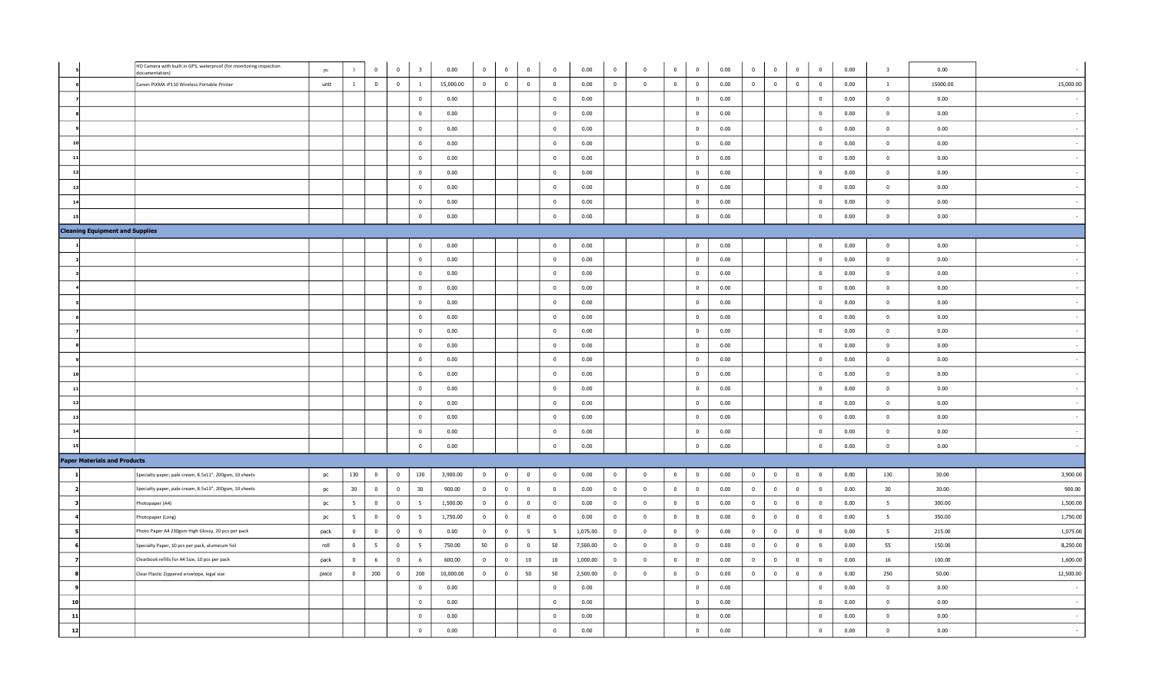|                |                                        | HD Camera with built in GPS, waterproof (for monitoring inspection<br>documentation) | pc    |                 | $\mathbf 0$     | $\mathbf{0}$   | $\overline{\mathbf{3}}$ | 0.00      | $\mathbf{0}$<br>$\overline{0}$ | $\mathbf 0$     | $\overline{0}$ | 0.00     | $\overline{0}$          | $\overline{\mathbf{0}}$ | $\mathbf{0}$   | $\bf{0}$                | 0.00 | $\mathbf{0}$   | $\bf{0}$                | $\overline{0}$          | $\overline{0}$          | 0.00 | $\overline{\mathbf{3}}$ | 0.00     |           |
|----------------|----------------------------------------|--------------------------------------------------------------------------------------|-------|-----------------|-----------------|----------------|-------------------------|-----------|--------------------------------|-----------------|----------------|----------|-------------------------|-------------------------|----------------|-------------------------|------|----------------|-------------------------|-------------------------|-------------------------|------|-------------------------|----------|-----------|
|                |                                        | Canon PIXMA iP110 Wireless Portable Printer                                          | unit  | $\mathbf{1}$    | $\overline{0}$  | $\overline{0}$ | $\mathbf{1}$            | 15,000.00 | $\bf{0}$<br>$\overline{0}$     | $\mathbf{0}$    | $\overline{0}$ | 0.00     | $\overline{0}$          | $\overline{0}$          | $\overline{0}$ | $\overline{\mathbf{0}}$ | 0.00 | $\overline{0}$ | $\bf{0}$                | $\overline{0}$          | $\overline{\mathbf{0}}$ | 0.00 | $\mathbf{1}$            | 15000.00 | 15,000.00 |
|                |                                        |                                                                                      |       |                 |                 |                | $\overline{0}$          | 0.00      |                                |                 | $\overline{0}$ | 0.00     |                         |                         |                | $\mathbf{0}$            | 0.00 |                |                         |                         | $\overline{0}$          | 0.00 | $\overline{0}$          | 0.00     |           |
|                |                                        |                                                                                      |       |                 |                 |                | $\overline{0}$          | 0.00      |                                |                 | $\mathbf{0}$   | 0.00     |                         |                         |                | $\overline{0}$          | 0.00 |                |                         |                         | $\bf{0}$                | 0.00 | $\bf{0}$                | 0.00     |           |
|                |                                        |                                                                                      |       |                 |                 |                | $\bf{0}$                | 0.00      |                                |                 | $\mathbf{0}$   | 0.00     |                         |                         |                | $\bf{0}$                | 0.00 |                |                         |                         | $\overline{\mathbf{0}}$ | 0.00 | $\bf{0}$                | 0.00     |           |
|                |                                        |                                                                                      |       |                 |                 |                | $\bf{0}$                | 0.00      |                                |                 | $\mathbf{0}$   | 0.00     |                         |                         |                | $\pmb{0}$               | 0.00 |                |                         |                         | $\overline{\mathbf{0}}$ | 0.00 | $\bf{0}$                | 0.00     |           |
|                |                                        |                                                                                      |       |                 |                 |                | $\bf{0}$                | 0.00      |                                |                 | $\bf{0}$       | 0.00     |                         |                         |                | $\bf{0}$                | 0.00 |                |                         |                         | $\mathbf 0$             | 0.00 | $\bf{0}$                | 0.00     |           |
|                |                                        |                                                                                      |       |                 |                 |                | $\bf{0}$                | 0.00      |                                |                 | $\mathbf{0}$   | 0.00     |                         |                         |                | $\overline{0}$          | 0.00 |                |                         |                         | $\mathbf{0}$            | 0.00 | $\bf{0}$                | 0.00     |           |
|                |                                        |                                                                                      |       |                 |                 |                | $\bf{0}$                | 0.00      |                                |                 | $\overline{0}$ | 0.00     |                         |                         |                | $\overline{0}$          | 0.00 |                |                         |                         | $\bf{0}$                | 0.00 | $\overline{0}$          | 0.00     |           |
| $\overline{1}$ |                                        |                                                                                      |       |                 |                 |                | $\overline{0}$          | 0.00      |                                |                 | $\overline{0}$ | 0.00     |                         |                         |                | $\overline{0}$          | 0.00 |                |                         |                         | $\bf{0}$                | 0.00 | $\bf{0}$                | 0.00     |           |
| 15             |                                        |                                                                                      |       |                 |                 |                | $\bf{0}$                | 0.00      |                                |                 | $\overline{0}$ | 0.00     |                         |                         |                | $\overline{0}$          | 0.00 |                |                         |                         | $\overline{0}$          | 0.00 | $\overline{0}$          | 0.00     |           |
|                | <b>Cleaning Equipment and Supplies</b> |                                                                                      |       |                 |                 |                |                         |           |                                |                 |                |          |                         |                         |                |                         |      |                |                         |                         |                         |      |                         |          |           |
|                |                                        |                                                                                      |       |                 |                 |                | $\overline{0}$          | 0.00      |                                |                 | $\bf{0}$       | 0.00     |                         |                         |                | $\overline{0}$          | 0.00 |                |                         |                         | $\overline{\mathbf{0}}$ | 0.00 | $\bf{0}$                | 0.00     |           |
|                |                                        |                                                                                      |       |                 |                 |                | $\mathbf{0}$            | 0.00      |                                |                 | $\overline{0}$ | 0.00     |                         |                         |                | $\overline{0}$          | 0.00 |                |                         |                         | $\overline{0}$          | 0.00 | $\overline{0}$          | 0.00     |           |
|                |                                        |                                                                                      |       |                 |                 |                | $\overline{0}$          | 0.00      |                                |                 | $\overline{0}$ | 0.00     |                         |                         |                | $\overline{0}$          | 0.00 |                |                         |                         | $\overline{0}$          | 0.00 | $\overline{0}$          | 0.00     |           |
|                |                                        |                                                                                      |       |                 |                 |                | $\bf{0}$                | 0.00      |                                |                 | $\bf{0}$       | 0.00     |                         |                         |                | $\overline{0}$          | 0.00 |                |                         |                         | $\overline{\mathbf{0}}$ | 0.00 | $\overline{0}$          | 0.00     |           |
|                |                                        |                                                                                      |       |                 |                 |                | $\overline{0}$          | 0.00      |                                |                 | $\bf{0}$       | 0.00     |                         |                         |                | $\bf{0}$                | 0.00 |                |                         |                         | $\overline{\mathbf{0}}$ | 0.00 | $\overline{0}$          | 0.00     |           |
|                |                                        |                                                                                      |       |                 |                 |                | $\overline{0}$          | 0.00      |                                |                 | $\bf{0}$       | 0.00     |                         |                         |                | $\bf{0}$                | 0.00 |                |                         |                         | $\bf{0}$                | 0.00 | $\bf{0}$                | 0.00     |           |
|                |                                        |                                                                                      |       |                 |                 |                | $\bf{0}$                | 0.00      |                                |                 | $\overline{0}$ | 0.00     |                         |                         |                | $\overline{0}$          | 0.00 |                |                         |                         | $\mathbf{0}$            | 0.00 | $\overline{0}$          | 0.00     |           |
|                |                                        |                                                                                      |       |                 |                 |                | $\bf{0}$                | 0.00      |                                |                 | $\overline{0}$ | 0.00     |                         |                         |                | $\overline{0}$          | 0.00 |                |                         |                         | $\overline{0}$          | 0.00 | $\mathbf{0}$            | 0.00     |           |
|                |                                        |                                                                                      |       |                 |                 |                | $\bf{0}$                | 0.00      |                                |                 | $\mathbf{0}$   | 0.00     |                         |                         |                | $\pmb{0}$               | 0.00 |                |                         |                         | $\overline{\mathbf{0}}$ | 0.00 | $\bf{0}$                | 0.00     |           |
|                |                                        |                                                                                      |       |                 |                 |                | $\overline{0}$          | 0.00      |                                |                 | $\overline{0}$ | 0.00     |                         |                         |                | $\overline{\mathbf{0}}$ | 0.00 |                |                         |                         | $\mathbf 0$             | 0.00 | $\overline{0}$          | 0.00     |           |
|                |                                        |                                                                                      |       |                 |                 |                | $\bf{0}$                | 0.00      |                                |                 | $\mathbf 0$    | 0.00     |                         |                         |                | $\overline{0}$          | 0.00 |                |                         |                         | $\mathbf{0}$            | 0.00 | $\bf{0}$                | 0.00     |           |
|                |                                        |                                                                                      |       |                 |                 |                | $\mathbf{0}$            | 0.00      |                                |                 | $\overline{0}$ | 0.00     |                         |                         |                | $\overline{0}$          | 0.00 |                |                         |                         | $\overline{\mathbf{0}}$ | 0.00 | $\bf{0}$                | 0.00     |           |
|                |                                        |                                                                                      |       |                 |                 |                | $\bf{0}$                | 0.00      |                                |                 | $\mathbf{0}$   | 0.00     |                         |                         |                | $\bf{0}$                | 0.00 |                |                         |                         | $\overline{\mathbf{0}}$ | 0.00 | $\bf{0}$                | 0.00     |           |
|                |                                        |                                                                                      |       |                 |                 |                | $\bf{0}$                | 0.00      |                                |                 | $\mathbf{0}$   | 0.00     |                         |                         |                | $\bf{0}$                | 0.00 |                |                         |                         | $\bf{0}$                | 0.00 | $\bf{0}$                | 0.00     |           |
|                |                                        |                                                                                      |       |                 |                 |                | $\bf{0}$                | 0.00      |                                |                 | $\bf{0}$       | 0.00     |                         |                         |                | $\bf{0}$                | 0.00 |                |                         |                         | $\mathbf 0$             | 0.00 | $\bf{0}$                | 0.00     |           |
|                | <b>Paper Materials and Products</b>    |                                                                                      |       |                 |                 |                |                         |           |                                |                 |                |          |                         |                         |                |                         |      |                |                         |                         |                         |      |                         |          |           |
|                |                                        | Specialty paper, pale cream, 8.5x11", 200gsm, 10 sheets                              | pc    | 130             | $\overline{0}$  | $\overline{0}$ | 130                     | 3,900.00  | $\overline{0}$<br>$\bf{0}$     | $\overline{0}$  | $\mathbf{0}$   | 0.00     | $\overline{\mathbf{0}}$ | $\overline{0}$          | $\bf{0}$       | $\overline{0}$          | 0.00 | $\mathbf{0}$   | $\bf{0}$                | $\overline{0}$          | $\overline{\mathbf{0}}$ | 0.00 | 130                     | 30.00    | 3,900.00  |
|                |                                        | Specialty paper, pale cream, 8.5x13", 200gsm, 10 sheets                              | pc    | 30              | $\overline{0}$  | $\bf{0}$       | 30                      | 900.00    | $\overline{0}$<br>$\bf{0}$     | $\overline{0}$  | $\bf{0}$       | 0.00     | $\overline{\mathbf{0}}$ | $\overline{\mathbf{0}}$ | $\bf{0}$       | $\overline{0}$          | 0.00 | $\bf{0}$       | $\overline{\mathbf{0}}$ | $\overline{\mathbf{0}}$ | $\overline{\mathbf{0}}$ | 0.00 | 30                      | 30.00    | 900.00    |
|                |                                        | Photopaper (A4)                                                                      | pc    | $5\overline{5}$ | $\overline{0}$  | $\overline{0}$ | 5 <sup>5</sup>          | 1,500.00  | $\mathbf{0}$<br>$\bf{0}$       | $\overline{0}$  | $\bf{0}$       | 0.00     | $\overline{\mathbf{0}}$ | $\overline{0}$          | $\overline{0}$ | $\overline{0}$          | 0.00 | $\bf{0}$       | $\bf{0}$                | $\overline{0}$          | $\overline{0}$          | 0.00 | 5 <sub>5</sub>          | 300.00   | 1,500.00  |
|                |                                        | Photopaper (Long)                                                                    | pc    | 5               | $\overline{0}$  | $\overline{0}$ | 5                       | 1,750.00  | $\overline{0}$<br>$\bf{0}$     | $\overline{0}$  | $\mathbf 0$    | 0.00     | $\overline{0}$          | $\overline{\mathbf{0}}$ | $\overline{0}$ | $\overline{0}$          | 0.00 | $\overline{0}$ | $\overline{0}$          | $\overline{0}$          | $\overline{0}$          | 0.00 | 5 <sup>5</sup>          | 350.00   | 1,750.00  |
|                |                                        | Photo Paper A4 230gsm High Glossy, 20 pcs per pack                                   | pack  | $\overline{0}$  | $\overline{0}$  | $\overline{0}$ | $\overline{0}$          | 0.00      | $\bf{0}$<br>$\overline{0}$     | $5\overline{5}$ | 5 <sup>5</sup> | 1,075.00 | $\overline{\mathbf{0}}$ | $\overline{\mathbf{0}}$ | $\overline{0}$ | $\overline{0}$          | 0.00 | $\overline{0}$ | $\overline{\mathbf{0}}$ | $\overline{\mathbf{0}}$ | $\overline{0}$          | 0.00 | 5 <sup>5</sup>          | 215.00   | 1,075.00  |
|                |                                        | Specialty Paper, 10 pcs per pack, aluminum foil                                      | roll  | $\mathbf 0$     | $5\overline{5}$ | $\bf{0}$       | $5^{\circ}$             | 750.00    | 50<br>$\bf{0}$                 | $\overline{0}$  | 50             | 7,500.00 | $\overline{\mathbf{0}}$ | $\overline{\mathbf{0}}$ | $\bf{0}$       | $\mathbf{0}$            | 0.00 | $\bf{0}$       | $\mathbf 0$             | $\mathbf 0$             | $\overline{\mathbf{0}}$ | 0.00 | 55                      | 150.00   | 8,250.00  |
|                |                                        | Clearbook refills for A4 Size, 10 pcs per pack                                       | pack  | $\overline{0}$  | 6               | $\overline{0}$ | 6                       | 600.00    | $\mathbf{0}$<br>$\bf{0}$       | $10\,$          | $10\,$         | 1,000.00 | $\overline{0}$          | $\overline{\mathbf{0}}$ | $\overline{0}$ | $\overline{0}$          | 0.00 | $\overline{0}$ | $\overline{\mathbf{0}}$ | $\overline{0}$          | $\overline{\mathbf{0}}$ | 0.00 | 16                      | 100.00   | 1,600.00  |
|                |                                        | Clear Plastic Zippered envelope, legal size                                          | piece | $\bf{0}$        | 200             | $\overline{0}$ | 200                     | 10,000.00 | $\mathbf{0}$<br>$\bf{0}$       | 50              | 50             | 2,500.00 | $\overline{0}$          | $\bf{0}$                | $\overline{0}$ | $\overline{0}$          | 0.00 | $\overline{0}$ | $\overline{0}$          | $\overline{0}$          | $\overline{\mathbf{0}}$ | 0.00 | 250                     | 50.00    | 12,500.00 |
|                |                                        |                                                                                      |       |                 |                 |                | $\bf{0}$                | 0.00      |                                |                 | $\bf{0}$       | 0.00     |                         |                         |                | $\bf{0}$                | 0.00 |                |                         |                         | $\overline{\mathbf{0}}$ | 0.00 | $\bf{0}$                | 0.00     |           |
| 10             |                                        |                                                                                      |       |                 |                 |                | $\bf{0}$                | 0.00      |                                |                 | $\mathbf{0}$   | 0.00     |                         |                         |                | $\overline{0}$          | 0.00 |                |                         |                         | $\overline{0}$          | 0.00 | $\overline{0}$          | 0.00     |           |
| 11             |                                        |                                                                                      |       |                 |                 |                | $\bf{0}$                | 0.00      |                                |                 | $\overline{0}$ | 0.00     |                         |                         |                | $\overline{\mathbf{0}}$ | 0.00 |                |                         |                         | $\overline{\mathbf{0}}$ | 0.00 | $\Omega$                | 0.00     |           |
| 12             |                                        |                                                                                      |       |                 |                 |                | $\mathbf{0}$            | 0.00      |                                |                 | $\overline{0}$ | 0.00     |                         |                         |                | $\mathbf 0$             | 0.00 |                |                         |                         | $\overline{0}$          | 0.00 | $\mathbf 0$             | 0.00     |           |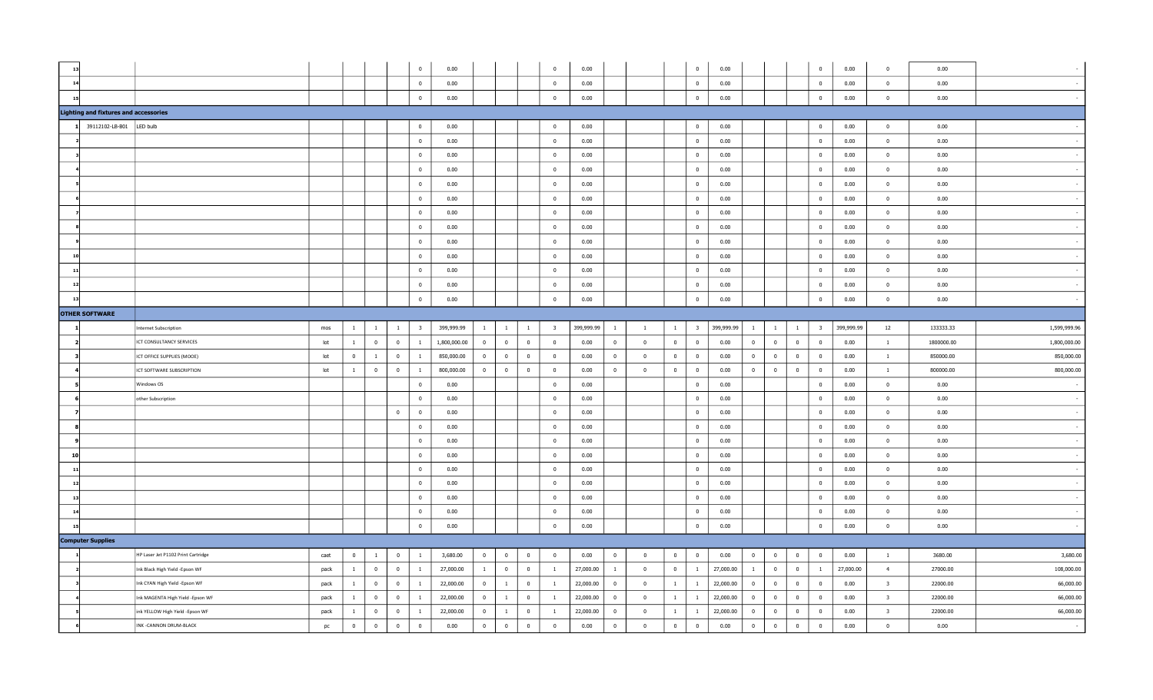|                |                                              |                                    |      |                |                         |                | $\overline{0}$          | 0.00         |                 |                |                | $\mathbf 0$             | 0.00       |                |                          |                         | $\overline{0}$          | 0.00       |                |                         |                | $\bf{0}$                | 0.00       | $\overline{0}$          | 0.00       |              |
|----------------|----------------------------------------------|------------------------------------|------|----------------|-------------------------|----------------|-------------------------|--------------|-----------------|----------------|----------------|-------------------------|------------|----------------|--------------------------|-------------------------|-------------------------|------------|----------------|-------------------------|----------------|-------------------------|------------|-------------------------|------------|--------------|
| 14             |                                              |                                    |      |                |                         |                | $\overline{0}$          | 0.00         |                 |                |                | $\mathbf 0$             | 0.00       |                |                          |                         | $\mathbf{0}$            | 0.00       |                |                         |                | $\overline{0}$          | 0.00       | $\overline{0}$          | 0.00       |              |
| 15             |                                              |                                    |      |                |                         |                | $\overline{0}$          | 0.00         |                 |                |                | $\mathbf 0$             | 0.00       |                |                          |                         | $\mathbf{0}$            | 0.00       |                |                         |                | $\overline{\mathbf{0}}$ | 0.00       | $\bf{0}$                | 0.00       |              |
|                | <b>Lighting and fixtures and accessories</b> |                                    |      |                |                         |                |                         |              |                 |                |                |                         |            |                |                          |                         |                         |            |                |                         |                |                         |            |                         |            |              |
|                | 39112102-LB-B01                              | LED bulb                           |      |                |                         |                | $\overline{0}$          | 0.00         |                 |                |                | $\mathbf{0}$            | 0.00       |                |                          |                         | $\bf{0}$                | 0.00       |                |                         |                | $\overline{\mathbf{0}}$ | 0.00       | $\bf{0}$                | 0.00       |              |
|                |                                              |                                    |      |                |                         |                | $\overline{0}$          | 0.00         |                 |                |                | $\overline{0}$          | 0.00       |                |                          |                         | $\overline{0}$          | 0.00       |                |                         |                | $\overline{0}$          | 0.00       | $\overline{0}$          | 0.00       |              |
|                |                                              |                                    |      |                |                         |                | $\overline{0}$          | 0.00         |                 |                |                | $\overline{0}$          | 0.00       |                |                          |                         | $\bf{0}$                | 0.00       |                |                         |                | $\overline{\mathbf{0}}$ | 0.00       | $\bf{0}$                | 0.00       |              |
|                |                                              |                                    |      |                |                         |                | $\overline{0}$          | 0.00         |                 |                |                | $\mathbf 0$             | 0.00       |                |                          |                         | $\mathbf{0}$            | 0.00       |                |                         |                | $\mathbf{0}$            | 0.00       | $\bf{0}$                | 0.00       |              |
|                |                                              |                                    |      |                |                         |                | $\overline{0}$          | 0.00         |                 |                |                | $\overline{0}$          | 0.00       |                |                          |                         | $\overline{0}$          | 0.00       |                |                         |                | $\overline{0}$          | 0.00       | $\overline{0}$          | 0.00       |              |
|                |                                              |                                    |      |                |                         |                | $\overline{\mathbf{0}}$ | 0.00         |                 |                |                | $\overline{0}$          | 0.00       |                |                          |                         | $\overline{0}$          | 0.00       |                |                         |                | $\overline{0}$          | 0.00       | $\overline{0}$          | 0.00       |              |
|                |                                              |                                    |      |                |                         |                | $\overline{\mathbf{0}}$ | 0.00         |                 |                |                | $\overline{0}$          | 0.00       |                |                          |                         | $\overline{\mathbf{0}}$ | 0.00       |                |                         |                | $\overline{\mathbf{0}}$ | 0.00       | $\overline{0}$          | 0.00       |              |
|                |                                              |                                    |      |                |                         |                | $\overline{0}$          | 0.00         |                 |                |                | $\overline{0}$          | 0.00       |                |                          |                         | $\overline{0}$          | 0.00       |                |                         |                | $\overline{0}$          | 0.00       | $\overline{0}$          | 0.00       |              |
|                |                                              |                                    |      |                |                         |                | $\overline{0}$          | 0.00         |                 |                |                | $\mathbf{0}$            | 0.00       |                |                          |                         | $\bf{0}$                | 0.00       |                |                         |                | $\,$ 0                  | 0.00       | $\overline{0}$          | 0.00       |              |
| $\overline{1}$ |                                              |                                    |      |                |                         |                | $\overline{0}$          | 0.00         |                 |                |                | $\overline{0}$          | 0.00       |                |                          |                         | $\overline{0}$          | 0.00       |                |                         |                | $\overline{0}$          | 0.00       | $\overline{0}$          | 0.00       |              |
| 11             |                                              |                                    |      |                |                         |                | $\overline{0}$          | 0.00         |                 |                |                | $\overline{0}$          | 0.00       |                |                          |                         | $\overline{0}$          | 0.00       |                |                         |                | $\overline{\mathbf{0}}$ | 0.00       | $\overline{0}$          | 0.00       |              |
| 12             |                                              |                                    |      |                |                         |                | $\overline{0}$          | 0.00         |                 |                |                | $\overline{0}$          | 0.00       |                |                          |                         | $\overline{0}$          | 0.00       |                |                         |                | $\overline{\mathbf{0}}$ | 0.00       | $\overline{0}$          | 0.00       |              |
| 13             |                                              |                                    |      |                |                         |                | $\overline{0}$          | 0.00         |                 |                |                | $\mathbf 0$             | 0.00       |                |                          |                         | $\overline{0}$          | 0.00       |                |                         |                | $\overline{\mathbf{0}}$ | 0.00       | $\overline{0}$          | 0.00       |              |
|                | <b>OTHER SOFTWARE</b>                        |                                    |      |                |                         |                |                         |              |                 |                |                |                         |            |                |                          |                         |                         |            |                |                         |                |                         |            |                         |            |              |
|                |                                              | Internet Subscription              | mos  | $\mathbf{1}$   | $\mathbf{1}$            | $\mathbf{1}$   | $\overline{\mathbf{3}}$ | 399,999.99   | $\vert 1 \vert$ | $\overline{1}$ | $\mathbf{1}$   | $\overline{\mathbf{3}}$ | 399,999.99 | $\mathbf{1}$   | $\overline{1}$           | $\mathbf{1}$            | $\vert$ 3               | 399,999.99 | $\mathbf{1}$   | $\mathbf{1}$            | $\mathbf{1}$   | $\overline{\mathbf{3}}$ | 399,999.99 | 12                      | 133333.33  | 1,599,999.96 |
|                |                                              | ICT CONSULTANCY SERVICES           | lot  | <sup>1</sup>   | $\overline{0}$          | $\overline{0}$ | $\mathbf{1}$            | 1,800,000.00 | $\overline{0}$  | $\overline{0}$ | $\overline{0}$ | $\overline{0}$          | 0.00       | $\bf{0}$       | $\overline{\phantom{0}}$ | $\overline{0}$          | $\overline{0}$          | 0.00       | $\overline{0}$ | $\overline{0}$          | $\overline{0}$ | $\overline{\mathbf{0}}$ | 0.00       | $\mathbf{1}$            | 1800000.00 | 1,800,000.00 |
|                |                                              | ICT OFFICE SUPPLIES (MOOE)         | lot  | $\mathbf{0}$   | $\mathbf{1}$            | $\overline{0}$ | $\mathbf{1}$            | 850,000.00   | $\overline{0}$  | $\overline{0}$ | $\overline{0}$ | $\overline{0}$          | 0.00       | $\overline{0}$ | $\overline{\mathbf{0}}$  | $\overline{\mathbf{0}}$ | $\overline{0}$          | 0.00       | $\overline{0}$ | $\overline{0}$          | $\overline{0}$ | $\overline{\mathbf{0}}$ | 0.00       | $\mathbf{1}$            | 850000.00  | 850,000.00   |
|                |                                              | ICT SOFTWARE SUBSCRIPTION          | lot  | <sup>1</sup>   | $\overline{0}$          | $\bf{0}$       | $\mathbf{1}$            | 800,000.00   | $\overline{0}$  | $\overline{0}$ | $\overline{0}$ | $\overline{0}$          | 0.00       | $\overline{0}$ | $\overline{\mathbf{0}}$  | $\overline{0}$          | $\overline{0}$          | 0.00       | $\mathbf{0}$   | $\overline{\mathbf{0}}$ | $\bf{0}$       | $\overline{\mathbf{0}}$ | 0.00       | $\overline{1}$          | 800000.00  | 800,000.00   |
|                |                                              | Windows OS                         |      |                |                         |                | $\overline{0}$          | 0.00         |                 |                |                | $\overline{0}$          | 0.00       |                |                          |                         | $\overline{0}$          | 0.00       |                |                         |                | $\overline{0}$          | 0.00       | $\overline{0}$          | 0.00       |              |
|                |                                              | other Subscription                 |      |                |                         |                | $\mathbf{0}$            | 0.00         |                 |                |                | $\overline{0}$          | 0.00       |                |                          |                         | $\overline{0}$          | 0.00       |                |                         |                | $\overline{0}$          | 0.00       | $\overline{0}$          | 0.00       |              |
|                |                                              |                                    |      |                |                         | $\bf{0}$       | $\overline{0}$          | 0.00         |                 |                |                | $\overline{0}$          | 0.00       |                |                          |                         | $\overline{0}$          | 0.00       |                |                         |                | $\overline{\mathbf{0}}$ | 0.00       | $\overline{0}$          | 0.00       |              |
|                |                                              |                                    |      |                |                         |                | $\mathbf{0}$            | 0.00         |                 |                |                | $\bf{0}$                | 0.00       |                |                          |                         | $\bf{0}$                | 0.00       |                |                         |                | $\mathbf 0$             | 0.00       | $\bf{0}$                | 0.00       |              |
|                |                                              |                                    |      |                |                         |                | $\overline{0}$          | 0.00         |                 |                |                | $\overline{0}$          | 0.00       |                |                          |                         | $\overline{0}$          | 0.00       |                |                         |                | $\overline{0}$          | 0.00       | $\overline{0}$          | 0.00       |              |
| 10             |                                              |                                    |      |                |                         |                | $\overline{0}$          | 0.00         |                 |                |                | $\mathbf{0}$            | 0.00       |                |                          |                         | $\overline{0}$          | 0.00       |                |                         |                | $\overline{\mathbf{0}}$ | 0.00       | $\bf{0}$                | 0.00       |              |
| $\mathbf{1}$   |                                              |                                    |      |                |                         |                | $\overline{0}$          | 0.00         |                 |                |                | $\mathbf 0$             | 0.00       |                |                          |                         | $\mathbf{0}$            | 0.00       |                |                         |                | $\mathbf{0}$            | 0.00       | $\overline{0}$          | 0.00       |              |
| 12             |                                              |                                    |      |                |                         |                | $\overline{0}$          | 0.00         |                 |                |                | $\overline{0}$          | 0.00       |                |                          |                         | $\overline{0}$          | 0.00       |                |                         |                | $\overline{0}$          | 0.00       | $\overline{0}$          | 0.00       |              |
| $\overline{1}$ |                                              |                                    |      |                |                         |                | $\overline{\mathbf{0}}$ | 0.00         |                 |                |                | $\mathbf 0$             | 0.00       |                |                          |                         | $\mathbf{0}$            | 0.00       |                |                         |                | $\overline{\mathbf{0}}$ | 0.00       | $\overline{0}$          | 0.00       |              |
| $\mathbf{1}$   |                                              |                                    |      |                |                         |                | $\overline{0}$          | 0.00         |                 |                |                | $\overline{0}$          | 0.00       |                |                          |                         | $\overline{0}$          | 0.00       |                |                         |                | $\overline{0}$          | 0.00       | $\overline{0}$          | 0.00       |              |
| 15             |                                              |                                    |      |                |                         |                | $\mathbf 0$             | 0.00         |                 |                |                | $\mathbf 0$             | 0.00       |                |                          |                         | $\mathbf 0$             | 0.00       |                |                         |                | $\mathbf 0$             | 0.00       | $\overline{0}$          | 0.00       |              |
|                | <b>Computer Supplies</b>                     |                                    |      |                |                         |                |                         |              |                 |                |                |                         |            |                |                          |                         |                         |            |                |                         |                |                         |            |                         |            |              |
|                |                                              | HP Laser Jet P1102 Print Cartridge | caet | $\overline{0}$ | $\mathbf{1}$            | $\bf{0}$       | $\mathbf{1}$            | 3,680.00     | $\overline{0}$  | $\overline{0}$ | $\overline{0}$ | $\overline{0}$          | 0.00       | $\overline{0}$ | $\overline{0}$           | $\overline{0}$          | $\bf{0}$                | 0.00       | $\overline{0}$ | $\overline{0}$          | $\bf{0}$       | $\overline{0}$          | 0.00       | $\mathbf{1}$            | 3680.00    | 3,680.00     |
|                |                                              | Ink Black High Yield -Epson WF     | pack | $\mathbf{1}$   | $\overline{0}$          | $\bf{0}$       | $\mathbf{1}$            | 27,000.00    | 1               | $\overline{0}$ | $\overline{0}$ | $\mathbf{1}$            | 27,000.00  | $\mathbf{1}$   | $\overline{0}$           | $\overline{0}$          | $\mathbf{1}$            | 27,000.00  | $\mathbf{1}$   | $\bf{0}$                | $\bf{0}$       | $\mathbf{1}$            | 27,000.00  | $\overline{4}$          | 27000.00   | 108,000.00   |
|                |                                              | Ink CYAN High Yield -Epson WF      | pack | $\overline{1}$ | $\overline{0}$          | $\bf{0}$       | $\mathbf{1}$            | 22,000.00    | $\mathbf{0}$    | $\mathbf{1}$   | $\overline{0}$ | $\overline{1}$          | 22,000.00  | $\overline{0}$ | $\overline{0}$           | 1                       | $\mathbf{1}$            | 22,000.00  | $\mathbf 0$    | $\overline{0}$          | $\mathbf{0}$   | $\overline{\mathbf{0}}$ | 0.00       | $\overline{3}$          | 22000.00   | 66,000.00    |
|                |                                              | Ink MAGENTA High Yield -Epson WF   | pack | $\mathbf{1}$   | $\overline{0}$          | $\bf{0}$       | $\mathbf{1}$            | 22,000.00    | $\overline{0}$  | $\mathbf{1}$   | $\overline{0}$ | $\mathbf{1}$            | 22,000.00  | $\overline{0}$ | $\overline{\mathbf{0}}$  | $\mathbf{1}$            | $\mathbf{1}$            | 22,000.00  | $\overline{0}$ | $\overline{0}$          | $\bf{0}$       | $\overline{\mathbf{0}}$ | 0.00       | $\overline{\mathbf{3}}$ | 22000.00   | 66,000.00    |
|                |                                              | ink YELLOW High Yield -Epson WF    | pack | $\overline{1}$ | $\overline{\mathbf{0}}$ | $\mathbf{0}$   | -1                      | 22,000.00    | $\mathbf{0}$    | $\mathbf{1}$   | $\mathbf 0$    | <sup>1</sup>            | 22,000.00  | $\mathbf 0$    | $\overline{0}$           | <sup>1</sup>            | $\mathbf{1}$            | 22,000.00  | $\Omega$       | $\mathbf 0$             | $\mathbf{0}$   | $\overline{0}$          | 0.00       | $\overline{\mathbf{3}}$ | 22000.00   | 66,000.00    |
|                |                                              |                                    |      |                |                         |                |                         |              |                 |                |                |                         |            |                |                          |                         |                         |            |                |                         |                |                         |            |                         |            |              |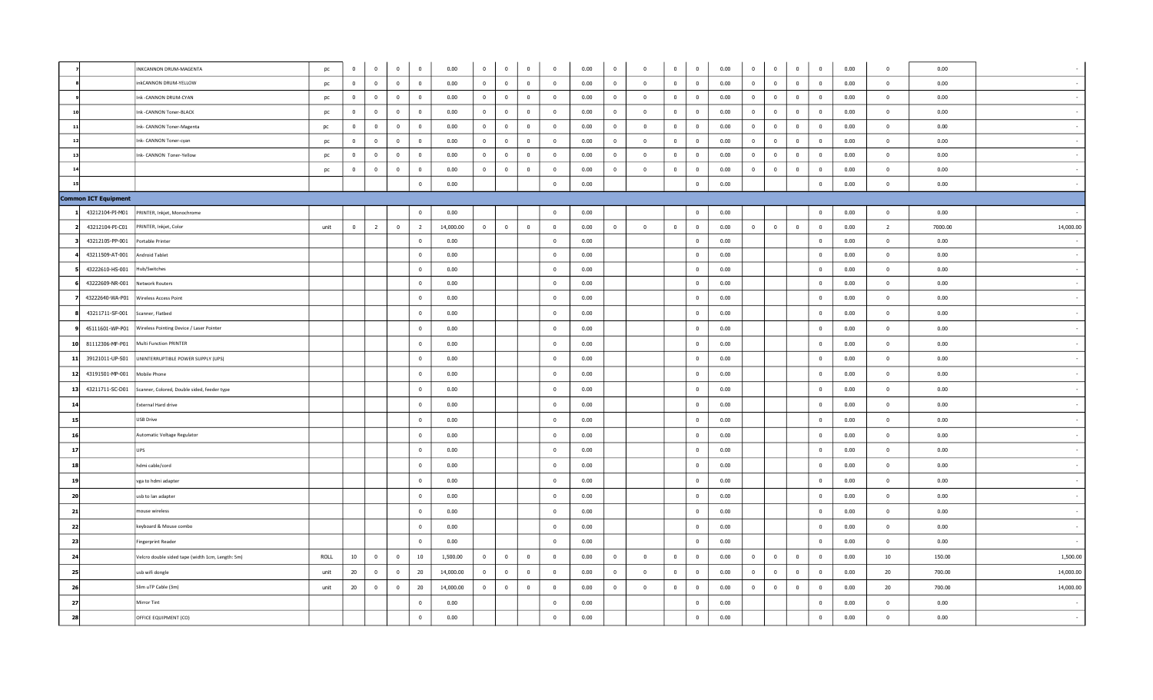|    |                      | INKCANNON DRUM-MAGENTA                           | pc   | $\mathbf 0$    | $\mathbf{0}$            | $\overline{\mathbf{0}}$<br>$\overline{0}$ | 0.00      | $\bf{0}$       | $\mathbf{0}$   | $\bf{0}$                | $\mathbf{0}$   | 0.00 | $\bf{0}$                | $\overline{\mathbf{0}}$ | $\mathbf 0$    | $\overline{0}$           | 0.00 | $\overline{0}$ | $\mathbf 0$             | $\overline{\mathbf{0}}$ | $\overline{0}$          | 0.00 | $\mathbf{0}$    | 0.00    |           |
|----|----------------------|--------------------------------------------------|------|----------------|-------------------------|-------------------------------------------|-----------|----------------|----------------|-------------------------|----------------|------|-------------------------|-------------------------|----------------|--------------------------|------|----------------|-------------------------|-------------------------|-------------------------|------|-----------------|---------|-----------|
|    |                      | inkCANNON DRUM-YELLOW                            | pc   | $\mathbf{0}$   | $\mathbf{0}$            | $\overline{\mathbf{0}}$<br>$\bf{0}$       | 0.00      | $\overline{0}$ | $\overline{0}$ | $\overline{\mathbf{0}}$ | $\overline{0}$ | 0.00 | $\overline{0}$          | $\overline{0}$          | $\mathbf{0}$   | $\overline{0}$           | 0.00 | $\mathbf{0}$   | $\mathbf 0$             | $\overline{0}$          | $\mathbf{0}$            | 0.00 | $\overline{0}$  | 0.00    |           |
|    |                      | Ink - CANNON DRUM-CYAN                           | pc   | $\overline{0}$ | $\overline{0}$          | $\overline{\mathbf{0}}$<br>$\bf{0}$       | 0.00      | $\overline{0}$ | $\overline{0}$ | $\overline{\mathbf{0}}$ | $\bf{0}$       | 0.00 | $\overline{0}$          | $\mathbf 0$             | $\overline{0}$ | $\overline{\mathbf{0}}$  | 0.00 | $\overline{0}$ | $\overline{\mathbf{0}}$ | $\overline{0}$          | $\overline{\mathbf{0}}$ | 0.00 | $\mathbf{0}$    | 0.00    |           |
|    |                      | Ink -CANNON Toner-BLACK                          | pc   | $\mathbf{0}$   | $\overline{0}$          | $\overline{0}$<br>$\bf{0}$                | 0.00      | $\overline{0}$ | $\overline{0}$ | $\overline{0}$          | $\overline{0}$ | 0.00 | $\overline{\mathbf{0}}$ | $\overline{\mathbf{0}}$ | $\overline{0}$ | $\overline{\mathbf{0}}$  | 0.00 | $\mathbf{0}$   | $\overline{0}$          | $\overline{0}$          | $\overline{0}$          | 0.00 | $\Omega$        | 0.00    |           |
|    |                      | nk- CANNON Toner-Magenta                         | pc   | $\mathbf{0}$   | $\mathbf{0}$            | $\overline{0}$<br>$\bf{0}$                | 0.00      | $\mathbf{0}$   | $\mathbf 0$    | $\mathbf 0$             | $\overline{0}$ | 0.00 | $\overline{\mathbf{0}}$ | $\overline{0}$          | $\mathbf 0$    | $\overline{\mathbf{0}}$  | 0.00 | $\mathbf{0}$   | $\overline{0}$          | $\bf{0}$                | $\overline{0}$          | 0.00 | $\mathbf{0}$    | 0.00    |           |
|    |                      | Ink- CANNON Toner-cyan                           | pc   | $\mathbf{0}$   | $\overline{0}$          | $\overline{0}$<br>$\overline{0}$          | 0.00      | $\bf{0}$       | $\overline{0}$ | $\overline{\mathbf{0}}$ | $\mathbf{0}$   | 0.00 | $\overline{\mathbf{0}}$ | $\mathbf 0$             | $\mathbf 0$    | $\overline{0}$           | 0.00 | $\bf{0}$       | $\mathbf 0$             | $\overline{0}$          | $\overline{\mathbf{0}}$ | 0.00 | $\mathbf{0}$    | 0.00    |           |
| 13 |                      | Ink- CANNON Toner-Yellow                         | pc   | $\mathbf{0}$   | $\mathbf{0}$            | $\overline{0}$<br>$\bf{0}$                | 0.00      | $\mathbf{0}$   | $\overline{0}$ | $\overline{0}$          | $\mathbf{0}$   | 0.00 | $\overline{0}$          | $\overline{0}$          | $\mathbf{0}$   | $\overline{0}$           | 0.00 | $\mathbf{0}$   | $\overline{0}$          | $\overline{0}$          | $\mathbf{0}$            | 0.00 | $\overline{0}$  | 0.00    |           |
| 14 |                      |                                                  | pc   | $\bf{0}$       | $\overline{\mathbf{0}}$ | $\overline{\mathbf{0}}$<br>$\bf{0}$       | 0.00      | $\mathbf{0}$   | $\overline{0}$ | $\overline{\mathbf{0}}$ | $\overline{0}$ | 0.00 | $\bf{0}$                | $\overline{\mathbf{0}}$ | $\overline{0}$ | $\overline{0}$           | 0.00 | $\mathbf{0}$   | $\overline{\mathbf{0}}$ | $\overline{0}$          | $\mathbf 0$             | 0.00 | $\overline{0}$  | 0.00    |           |
| 15 |                      |                                                  |      |                |                         | $\overline{0}$                            | 0.00      |                |                |                         | $\overline{0}$ | 0.00 |                         |                         |                | $\bf{0}$                 | 0.00 |                |                         |                         | $\mathbf{0}$            | 0.00 | $\overline{0}$  | 0.00    |           |
|    | Common ICT Equipment |                                                  |      |                |                         |                                           |           |                |                |                         |                |      |                         |                         |                |                          |      |                |                         |                         |                         |      |                 |         |           |
|    | 43212104-PI-M01      | PRINTER, Inkjet, Monochrome                      |      |                |                         | $\overline{0}$                            | 0.00      |                |                |                         | $\overline{0}$ | 0.00 |                         |                         |                | $\overline{\mathbf{0}}$  | 0.00 |                |                         |                         | $\mathbf 0$             | 0.00 | $\overline{0}$  | 0.00    |           |
|    | 43212104-PI-C01      | PRINTER, Inkjet, Color                           | unit | $\overline{0}$ | $\overline{2}$          | $\overline{0}$<br>$\overline{2}$          | 14,000.00 | $\overline{0}$ | $\overline{0}$ | $\overline{\mathbf{0}}$ | $\overline{0}$ | 0.00 | $\bf{0}$                | $\overline{0}$          | $\overline{0}$ | $\overline{\mathbf{0}}$  | 0.00 | $\overline{0}$ | $\bf{0}$                | $\bf{0}$                | $\overline{0}$          | 0.00 | $\overline{2}$  | 7000.00 | 14,000.00 |
|    | 43212105-PP-001      | Portable Printer                                 |      |                |                         | $\overline{0}$                            | 0.00      |                |                |                         | $\overline{0}$ | 0.00 |                         |                         |                | $\overline{0}$           | 0.00 |                |                         |                         | $\overline{0}$          | 0.00 | $\Omega$        | 0.00    |           |
|    | 43211509-AT-001      | Android Tablet                                   |      |                |                         | $\bf{0}$                                  | 0.00      |                |                |                         | $\overline{0}$ | 0.00 |                         |                         |                | $\overline{\mathbf{0}}$  | 0.00 |                |                         |                         | $\overline{0}$          | 0.00 | $\overline{0}$  | 0.00    |           |
|    | 43222610-HS-001      | Hub/Switches                                     |      |                |                         | $\bf{0}$                                  | 0.00      |                |                |                         | $\mathbf{0}$   | 0.00 |                         |                         |                | $\overline{0}$           | 0.00 |                |                         |                         | $\overline{0}$          | 0.00 | $\overline{0}$  | 0.00    |           |
|    | 43222609-NR-001      | Network Routers                                  |      |                |                         | $\bf{0}$                                  | 0.00      |                |                |                         | $\mathbf{0}$   | 0.00 |                         |                         |                | $\overline{\mathbf{0}}$  | 0.00 |                |                         |                         | $\overline{0}$          | 0.00 | $\mathbf{0}$    | 0.00    |           |
|    | 43222640-WA-P01      | Wireless Access Point                            |      |                |                         | $\overline{0}$                            | 0.00      |                |                |                         | $\mathbf{0}$   | 0.00 |                         |                         |                | $\overline{\mathbf{0}}$  | 0.00 |                |                         |                         | $\overline{0}$          | 0.00 | $\mathbf{0}$    | 0.00    |           |
|    | 43211711-SF-001      | Scanner, Flatbed                                 |      |                |                         | $\bf{0}$                                  | 0.00      |                |                |                         | $\overline{0}$ | 0.00 |                         |                         |                | $\overline{\mathbf{0}}$  | 0.00 |                |                         |                         | $\overline{0}$          | 0.00 | $\overline{0}$  | 0.00    |           |
|    | 45111601-WP-P01      | Wireless Pointing Device / Laser Pointer         |      |                |                         | $\bf{0}$                                  | 0.00      |                |                |                         | $\mathbf{0}$   | 0.00 |                         |                         |                | $\overline{\mathbf{0}}$  | 0.00 |                |                         |                         | $\overline{0}$          | 0.00 | $\mathbf{0}$    | 0.00    |           |
| 10 | 81112306-MF-P01      | Multi Function PRINTER                           |      |                |                         | $\bf{0}$                                  | 0.00      |                |                |                         | $\mathbf{0}$   | 0.00 |                         |                         |                | $\overline{0}$           | 0.00 |                |                         |                         | $\overline{0}$          | 0.00 | $\overline{0}$  | 0.00    |           |
| 11 | 39121011-UP-S01      | UNINTERRUPTIBLE POWER SUPPLY (UPS)               |      |                |                         | $\bf{0}$                                  | 0.00      |                |                |                         | $\bf{0}$       | 0.00 |                         |                         |                | $\overline{\mathbf{0}}$  | 0.00 |                |                         |                         | $\overline{\mathbf{0}}$ | 0.00 | $\overline{0}$  | 0.00    |           |
| 12 | 43191501-MP-001      | Mobile Phone                                     |      |                |                         | $\bf{0}$                                  | 0.00      |                |                |                         | $\mathbf{0}$   | 0.00 |                         |                         |                | $\overline{\mathbf{0}}$  | 0.00 |                |                         |                         | $\overline{0}$          | 0.00 | $\mathbf{0}$    | 0.00    |           |
| 13 | 43211711-SC-D01      | Scanner, Colored, Double sided, feeder type      |      |                |                         | $\bf{0}$                                  | 0.00      |                |                |                         | $\mathbf{0}$   | 0.00 |                         |                         |                | $\overline{0}$           | 0.00 |                |                         |                         | $\overline{0}$          | 0.00 | $\overline{0}$  | 0.00    |           |
| 14 |                      | External Hard drive                              |      |                |                         | $\bf{0}$                                  | 0.00      |                |                |                         | $\overline{0}$ | 0.00 |                         |                         |                | $\overline{\mathbf{0}}$  | 0.00 |                |                         |                         | $\overline{0}$          | 0.00 | $\overline{0}$  | 0.00    |           |
| 15 |                      | USB Drive                                        |      |                |                         | $\bf{0}$                                  | 0.00      |                |                |                         | $\mathbf{0}$   | 0.00 |                         |                         |                | $\overline{\mathbf{0}}$  | 0.00 |                |                         |                         | $\overline{0}$          | 0.00 | $\mathbf{0}$    | 0.00    |           |
| 16 |                      | Automatic Voltage Regulator                      |      |                |                         | $\bf{0}$                                  | 0.00      |                |                |                         | $\mathbf{0}$   | 0.00 |                         |                         |                | $\overline{\mathbf{0}}$  | 0.00 |                |                         |                         | $\overline{\mathbf{0}}$ | 0.00 | $\overline{0}$  | 0.00    |           |
| 17 |                      | <b>JPS</b>                                       |      |                |                         | $\bf{0}$                                  | 0.00      |                |                |                         | $\bf{0}$       | 0.00 |                         |                         |                | $\overline{0}$           | 0.00 |                |                         |                         | $\mathbf 0$             | 0.00 | $\bf{0}$        | 0.00    |           |
| 18 |                      | hdmi cable/cord                                  |      |                |                         | $\bf{0}$                                  | 0.00      |                |                |                         | $\mathbf{0}$   | 0.00 |                         |                         |                | $\overline{0}$           | 0.00 |                |                         |                         | $\overline{0}$          | 0.00 | $\mathbf{0}$    | 0.00    |           |
| 19 |                      | vga to hdmi adapter                              |      |                |                         | $\bf{0}$                                  | 0.00      |                |                |                         | $\mathbf{0}$   | 0.00 |                         |                         |                | $\overline{0}$           | 0.00 |                |                         |                         | $\overline{\mathbf{0}}$ | 0.00 | $\overline{0}$  | 0.00    |           |
| 20 |                      | usb to lan adapter                               |      |                |                         | $\overline{0}$                            | 0.00      |                |                |                         | $\overline{0}$ | 0.00 |                         |                         |                | $\overline{\mathbf{0}}$  | 0.00 |                |                         |                         | $\overline{0}$          | 0.00 | $\overline{0}$  | 0.00    |           |
| 21 |                      | nouse wireless                                   |      |                |                         | $\bf{0}$                                  | 0.00      |                |                |                         | $\mathbf{0}$   | 0.00 |                         |                         |                | $\overline{0}$           | 0.00 |                |                         |                         | $\overline{0}$          | 0.00 | $\mathbf{0}$    | 0.00    |           |
| 22 |                      | eyboard & Mouse combo                            |      |                |                         | $\bf{0}$                                  | 0.00      |                |                |                         | $\mathbf{0}$   | 0.00 |                         |                         |                | $\overline{\mathbf{0}}$  | 0.00 |                |                         |                         | $\overline{0}$          | 0.00 | $\overline{0}$  | 0.00    |           |
| 23 |                      | Fingerprint Reader                               |      |                |                         | $\overline{0}$                            | 0.00      |                |                |                         | $\overline{0}$ | 0.00 |                         |                         |                | $\overline{\mathbf{0}}$  | 0.00 |                |                         |                         | $\overline{0}$          | 0.00 | $\overline{0}$  | 0.00    |           |
| 24 |                      | Velcro double sided tape (width 1cm, Length: 5m) | ROLL | 10             | $\overline{0}$          | $\overline{\mathbf{0}}$<br>10             | 1,500.00  | $\overline{0}$ | $\overline{0}$ | $\overline{\mathbf{0}}$ | $\mathbf{0}$   | 0.00 | $\overline{\mathbf{0}}$ | $\overline{0}$          | $\mathbf{0}$   | $\overline{\mathbf{0}}$  | 0.00 | $\mathbf{0}$   | $\overline{0}$          | $\overline{0}$          | $\overline{\mathbf{0}}$ | 0.00 | 10 <sup>°</sup> | 150.00  | 1,500.00  |
| 25 |                      | usb wifi dongle                                  | unit | 20             | $\overline{0}$          | $\overline{0}$<br>20                      | 14,000.00 | $\overline{0}$ | $\overline{0}$ | $\overline{\mathbf{0}}$ | $\mathbf{0}$   | 0.00 | $\overline{\mathbf{0}}$ | $\overline{\mathbf{0}}$ | $\bf{0}$       | $\overline{\mathbf{0}}$  | 0.00 | $\mathbf{0}$   | $\overline{\mathbf{0}}$ | $\overline{\mathbf{0}}$ | $\overline{\mathbf{0}}$ | 0.00 | 20              | 700.00  | 14,000.00 |
| 26 |                      | Slim uTP Cable (3m)                              | unit | 20             | $\overline{0}$          | 20<br>$\overline{0}$                      | 14,000.00 | $\bf{0}$       | $\mathbf 0$    | $\mathbf 0$             | $\overline{0}$ | 0.00 | $\overline{\mathbf{0}}$ | $\mathbf 0$             | $\overline{0}$ | $\overline{\phantom{0}}$ | 0.00 | $\overline{0}$ | $\overline{0}$          | $\overline{\mathbf{0}}$ | $\mathbf 0$             | 0.00 | 20              | 700.00  | 14,000.00 |
| 27 |                      | Mirror Tint                                      |      |                |                         | $\bf{0}$                                  | 0.00      |                |                |                         | $\mathbf{0}$   | 0.00 |                         |                         |                | $\bf{0}$                 | 0.00 |                |                         |                         | $\mathbf 0$             | 0.00 | $\overline{0}$  | 0.00    |           |
| 28 |                      | OFFICE EQUIPMENT (CO)                            |      |                |                         | $\bf{0}$                                  | 0.00      |                |                |                         | $\mathbf 0$    | 0.00 |                         |                         |                | $\overline{\mathbf{0}}$  | 0.00 |                |                         |                         | $\mathbf 0$             | 0.00 | $\mathbf{0}$    | 0.00    |           |
|    |                      |                                                  |      |                |                         |                                           |           |                |                |                         |                |      |                         |                         |                |                          |      |                |                         |                         |                         |      |                 |         |           |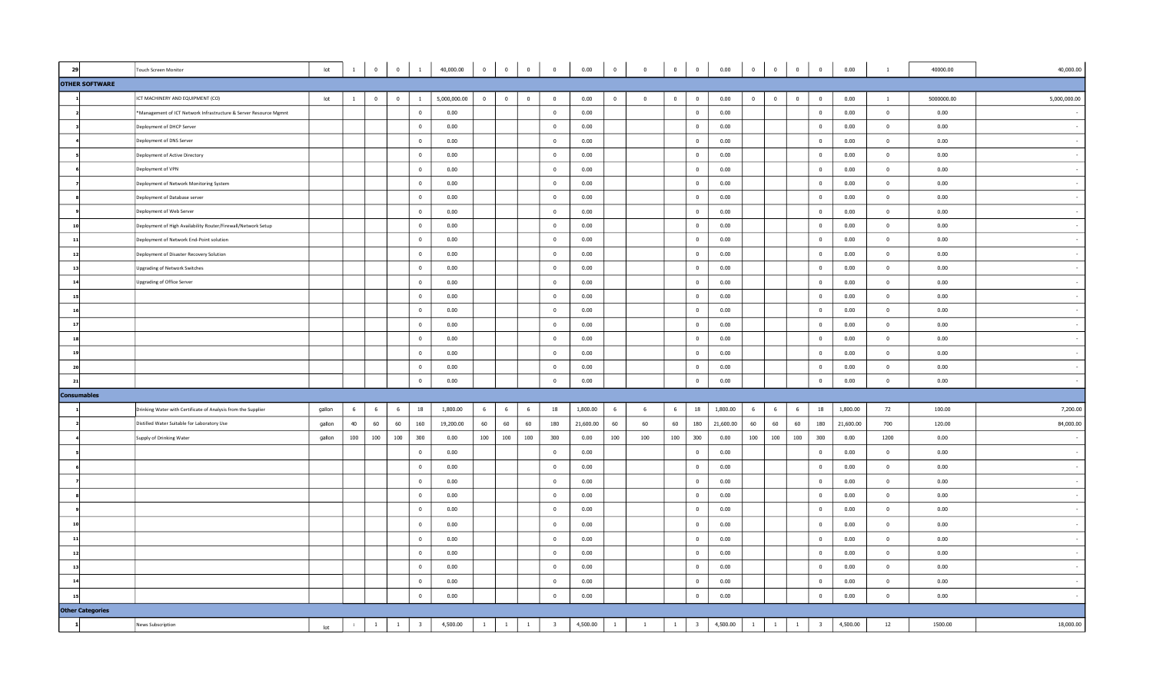| 29                      | <b>Touch Screen Monitor</b>                                       | lot    | $\mathbf{1}$ | $\overline{0}$          | $\overline{0}$ | $\mathbf{1}$            | 40,000.00    | $\overline{0}$ | $\overline{\mathbf{0}}$ | $\overline{\mathbf{0}}$ | $\overline{0}$          | 0.00      | $\circ$        | $\overline{0}$          | $\overline{\mathbf{0}}$ | $\overline{\mathbf{0}}$ | 0.00      | $\overline{0}$ | $\overline{0}$          | $\overline{0}$ | $\overline{0}$          | 0.00      | $\mathbf{1}$   | 40000.00   | 40,000.00    |
|-------------------------|-------------------------------------------------------------------|--------|--------------|-------------------------|----------------|-------------------------|--------------|----------------|-------------------------|-------------------------|-------------------------|-----------|----------------|-------------------------|-------------------------|-------------------------|-----------|----------------|-------------------------|----------------|-------------------------|-----------|----------------|------------|--------------|
| <b>OTHER SOFTWARE</b>   |                                                                   |        |              |                         |                |                         |              |                |                         |                         |                         |           |                |                         |                         |                         |           |                |                         |                |                         |           |                |            |              |
|                         | ICT MACHINERY AND EQUIPMENT (CO)                                  | lot    | $\mathbf{1}$ | $\overline{\mathbf{0}}$ | $\overline{0}$ | $\mathbf{1}$            | 5,000,000.00 | $\overline{0}$ | $\overline{0}$          | $\overline{0}$          | $\overline{\mathbf{0}}$ | 0.00      | $\overline{0}$ | $\overline{\mathbf{0}}$ | $\overline{0}$          | $\overline{0}$          | 0.00      | $\overline{0}$ | $\overline{\mathbf{0}}$ | $\overline{0}$ | $\overline{0}$          | 0.00      | $\mathbf{1}$   | 5000000.00 | 5,000,000.00 |
|                         | *Management of ICT Network Infrastructure & Server Resource Mgmnt |        |              |                         |                | $\overline{0}$          | 0.00         |                |                         |                         | $\overline{\mathbf{0}}$ | 0.00      |                |                         |                         | $\mathbf{0}$            | 0.00      |                |                         |                | $\overline{0}$          | 0.00      | $\mathbf{0}$   | 0.00       |              |
|                         | Deployment of DHCP Server                                         |        |              |                         |                | $\overline{0}$          | 0.00         |                |                         |                         | $\bf{0}$                | 0.00      |                |                         |                         | $\bf{0}$                | 0.00      |                |                         |                | $\mathbf 0$             | 0.00      | $\bf{0}$       | 0.00       |              |
|                         | Deployment of DNS Server                                          |        |              |                         |                | $\overline{\mathbf{0}}$ | 0.00         |                |                         |                         | $\mathbf{0}$            | 0.00      |                |                         |                         | $\overline{0}$          | 0.00      |                |                         |                | $\mathbf 0$             | 0.00      | $\overline{0}$ | 0.00       |              |
|                         | Deployment of Active Directory                                    |        |              |                         |                | $\overline{0}$          | 0.00         |                |                         |                         | $\overline{\mathbf{0}}$ | 0.00      |                |                         |                         | $\overline{0}$          | 0.00      |                |                         |                | $\overline{0}$          | 0.00      | $\overline{0}$ | 0.00       |              |
|                         | Deployment of VPN                                                 |        |              |                         |                | $\overline{0}$          | 0.00         |                |                         |                         | $\overline{0}$          | 0.00      |                |                         |                         | $\mathbf{0}$            | 0.00      |                |                         |                | $\mathbf{0}$            | 0.00      | $\mathbf{0}$   | 0.00       |              |
|                         | Deployment of Network Monitoring System                           |        |              |                         |                | $\overline{0}$          | 0.00         |                |                         |                         | $\overline{\mathbf{0}}$ | 0.00      |                |                         |                         | $\mathbf{0}$            | 0.00      |                |                         |                | $\overline{0}$          | 0.00      | $\mathbf{0}$   | 0.00       |              |
|                         | Deployment of Database server                                     |        |              |                         |                | $\overline{0}$          | 0.00         |                |                         |                         | $\bf{0}$                | 0.00      |                |                         |                         | $\bf{0}$                | 0.00      |                |                         |                | $\bf{0}$                | 0.00      | $\overline{0}$ | 0.00       |              |
|                         | Deployment of Web Server                                          |        |              |                         |                | $\overline{\mathbf{0}}$ | 0.00         |                |                         |                         | $\overline{0}$          | 0.00      |                |                         |                         | $\mathbf{0}$            | 0.00      |                |                         |                | $\mathbf{0}$            | 0.00      | $\Omega$       | 0.00       |              |
|                         | Deployment of High Availability Router/Firewall/Network Setup     |        |              |                         |                | $\overline{\mathbf{0}}$ | 0.00         |                |                         |                         | $\overline{0}$          | 0.00      |                |                         |                         | $\overline{0}$          | 0.00      |                |                         |                | $\overline{0}$          | 0.00      | $\overline{0}$ | 0.00       |              |
| 11                      | Deployment of Network End-Point solution                          |        |              |                         |                | $\overline{0}$          | 0.00         |                |                         |                         | $\overline{0}$          | 0.00      |                |                         |                         | $\overline{0}$          | 0.00      |                |                         |                | $\mathbf 0$             | 0.00      | $\overline{0}$ | 0.00       |              |
| 12                      | Deployment of Disaster Recovery Solution                          |        |              |                         |                | $\overline{0}$          | 0.00         |                |                         |                         | $\overline{0}$          | 0.00      |                |                         |                         | $\mathbf{0}$            | 0.00      |                |                         |                | $\overline{0}$          | 0.00      | $\mathbf{0}$   | 0.00       |              |
| 13                      | <b>Upgrading of Network Switches</b>                              |        |              |                         |                | $\overline{\mathbf{0}}$ | 0.00         |                |                         |                         | $\overline{0}$          | 0.00      |                |                         |                         | $\overline{0}$          | 0.00      |                |                         |                | $\overline{0}$          | 0.00      | $\overline{0}$ | 0.00       |              |
| 14                      | <b>Upgrading of Office Server</b>                                 |        |              |                         |                | $\overline{\mathbf{0}}$ | 0.00         |                |                         |                         | $\mathbf{0}$            | 0.00      |                |                         |                         | $\mathbf{0}$            | 0.00      |                |                         |                | $\mathbf 0$             | 0.00      | $\mathbf{0}$   | 0.00       |              |
| 15                      |                                                                   |        |              |                         |                | $\overline{\mathbf{0}}$ | 0.00         |                |                         |                         | $\overline{\mathbf{0}}$ | 0.00      |                |                         |                         | $\mathbf{0}$            | 0.00      |                |                         |                | $\overline{0}$          | 0.00      | $\Omega$       | 0.00       |              |
| 16                      |                                                                   |        |              |                         |                | $\overline{0}$          | 0.00         |                |                         |                         | $\overline{0}$          | 0.00      |                |                         |                         | $\overline{0}$          | 0.00      |                |                         |                | $\mathbf 0$             | 0.00      | $\mathbf{0}$   | 0.00       |              |
| 17                      |                                                                   |        |              |                         |                | $\overline{\mathbf{0}}$ | 0.00         |                |                         |                         | $\overline{0}$          | 0.00      |                |                         |                         | $\overline{0}$          | 0.00      |                |                         |                | $\mathbf 0$             | 0.00      | $\overline{0}$ | 0.00       |              |
| 18                      |                                                                   |        |              |                         |                | $\overline{0}$          | 0.00         |                |                         |                         | $\bf{0}$                | 0.00      |                |                         |                         | $\overline{0}$          | 0.00      |                |                         |                | $\overline{0}$          | 0.00      | $\overline{0}$ | 0.00       |              |
| 19                      |                                                                   |        |              |                         |                | $\overline{0}$          | 0.00         |                |                         |                         | $\overline{0}$          | 0.00      |                |                         |                         | $\mathbf{0}$            | 0.00      |                |                         |                | $\mathbf{0}$            | 0.00      | $\mathbf{0}$   | 0.00       |              |
| 20                      |                                                                   |        |              |                         |                | $\overline{\mathbf{0}}$ | 0.00         |                |                         |                         | $\overline{0}$          | 0.00      |                |                         |                         | $\mathbf{0}$            | 0.00      |                |                         |                | $\overline{0}$          | 0.00      | $\Omega$       | 0.00       |              |
| 21                      |                                                                   |        |              |                         |                | $\overline{0}$          | 0.00         |                |                         |                         | $\overline{0}$          | 0.00      |                |                         |                         | $\overline{0}$          | 0.00      |                |                         |                | $\overline{0}$          | 0.00      | $\mathbf{0}$   | 0.00       |              |
| <b>Consumables</b>      |                                                                   |        |              |                         |                |                         |              |                |                         |                         |                         |           |                |                         |                         |                         |           |                |                         |                |                         |           |                |            |              |
|                         | Drinking Water with Certificate of Analysis from the Supplier     | gallon | - 6          | 6                       | 6              | 18                      | 1,800.00     | 6              | 6                       | 6                       | 18                      | 1,800.00  | 6              | 6                       | 6                       | 18                      | 1,800.00  | 6              | 6                       | 6              | 18                      | 1,800.00  | 72             | 100.00     | 7,200.00     |
|                         | Distilled Water Suitable for Laboratory Use                       | gallon | 40           | 60                      | 60             | 160                     | 19,200.00    | 60             | 60                      | 60                      | 180                     | 21,600.00 | 60             | 60                      | 60                      | 180                     | 21,600.00 | 60             | 60                      | 60             | 180                     | 21,600.00 | 700            | 120.00     | 84,000.00    |
|                         | Supply of Drinking Water                                          | gallon | 100          | 100                     | 100            | 300                     | 0.00         | 100            | 100                     | 100                     | 300                     | 0.00      | 100            | 100                     | 100                     | 300                     | 0.00      | 100            | 100                     | 100            | 300                     | 0.00      | 1200           | 0.00       |              |
|                         |                                                                   |        |              |                         |                | $\overline{0}$          | 0.00         |                |                         |                         | $\overline{0}$          | 0.00      |                |                         |                         | $\mathbf{0}$            | 0.00      |                |                         |                | $\overline{0}$          | 0.00      | $\mathbf{0}$   | 0.00       |              |
|                         |                                                                   |        |              |                         |                | $\overline{\mathbf{0}}$ | 0.00         |                |                         |                         | $\overline{0}$          | 0.00      |                |                         |                         | $\overline{0}$          | 0.00      |                |                         |                | $\bf{0}$                | 0.00      | $\overline{0}$ | 0.00       |              |
|                         |                                                                   |        |              |                         |                | $\overline{0}$          | 0.00         |                |                         |                         | $\overline{0}$          | 0.00      |                |                         |                         | $\mathbf{0}$            | 0.00      |                |                         |                | $\overline{0}$          | 0.00      | $\mathbf{0}$   | 0.00       |              |
|                         |                                                                   |        |              |                         |                | $\overline{0}$          | 0.00         |                |                         |                         | $\overline{\mathbf{0}}$ | 0.00      |                |                         |                         | $\overline{0}$          | 0.00      |                |                         |                | $\overline{0}$          | 0.00      | $\mathbf{0}$   | 0.00       |              |
|                         |                                                                   |        |              |                         |                | $\overline{0}$          | 0.00         |                |                         |                         | $\bf{0}$                | 0.00      |                |                         |                         | $\bf{0}$                | 0.00      |                |                         |                | $\mathbf 0$             | 0.00      | $\bf{0}$       | 0.00       |              |
|                         |                                                                   |        |              |                         |                | $\overline{0}$          | 0.00         |                |                         |                         | $\overline{0}$          | 0.00      |                |                         |                         | $\mathbf{0}$            | 0.00      |                |                         |                | $\overline{0}$          | 0.00      | $\mathbf{0}$   | 0.00       |              |
| 11                      |                                                                   |        |              |                         |                | $\overline{0}$          | 0.00         |                |                         |                         | $\overline{0}$          | 0.00      |                |                         |                         | $\mathbf{0}$            | 0.00      |                |                         |                | $\overline{0}$          | 0.00      | $\mathbf{0}$   | 0.00       |              |
| 12                      |                                                                   |        |              |                         |                | $\overline{0}$          | 0.00         |                |                         |                         | $\overline{0}$          | 0.00      |                |                         |                         | $\overline{0}$          | 0.00      |                |                         |                | $\overline{0}$          | 0.00      | $\overline{0}$ | 0.00       |              |
| 13                      |                                                                   |        |              |                         |                | $\overline{0}$          | 0.00         |                |                         |                         | $\mathbf{0}$            | 0.00      |                |                         |                         | $\mathbf{0}$            | 0.00      |                |                         |                | $\mathbf{0}$            | 0.00      | $\overline{0}$ | 0.00       |              |
| 14                      |                                                                   |        |              |                         |                | $\overline{\mathbf{0}}$ | 0.00         |                |                         |                         | $\overline{0}$          | 0.00      |                |                         |                         | $\overline{0}$          | 0.00      |                |                         |                | $\overline{0}$          | 0.00      | $\overline{0}$ | 0.00       |              |
|                         |                                                                   |        |              |                         |                | $\overline{0}$          | 0.00         |                |                         |                         | $\overline{\mathbf{0}}$ | 0.00      |                |                         |                         | $\overline{0}$          | 0.00      |                |                         |                | $\bf{0}$                | 0.00      | $\overline{0}$ | 0.00       |              |
| <b>Other Categories</b> |                                                                   |        |              |                         |                |                         |              |                |                         |                         |                         |           |                |                         |                         |                         |           |                |                         |                |                         |           |                |            |              |
| $\mathbf{1}$            | News Subscription                                                 | lot    | $\mathbf{1}$ | $\mathbf{1}$            | 1              | $\overline{\mathbf{3}}$ | 4,500.00     | $\mathbf{1}$   | $\mathbf{1}$            | $\overline{1}$          | $\overline{\mathbf{3}}$ | 4,500.00  | $\mathbf{1}$   | $\overline{1}$          | $\mathbf{1}$            | $\overline{\mathbf{3}}$ | 4,500.00  | $\mathbf{1}$   | $\mathbf{1}$            | $\mathbf{1}$   | $\overline{\mathbf{3}}$ | 4,500.00  | 12             | 1500.00    | 18,000.00    |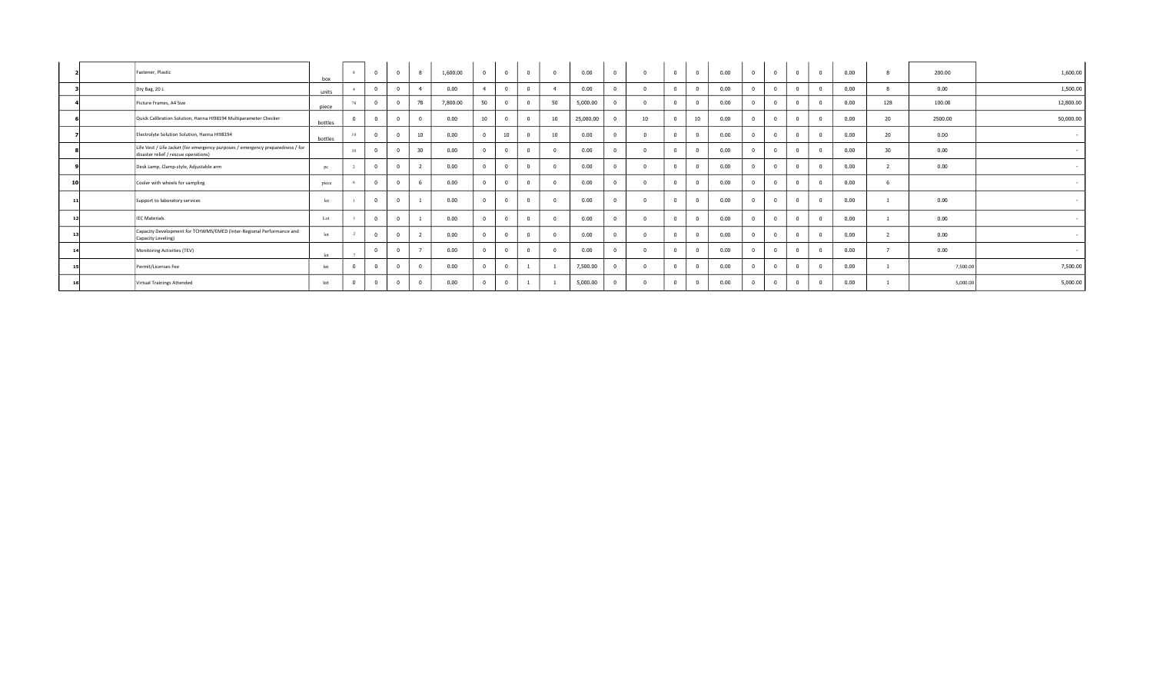|    | Fastener, Plastic                                                                                                      | box          |            | $\sqrt{2}$ | $\Omega$       | 8               | 1,600.00 | $\overline{0}$   | $\sim$ | $\overline{0}$ | $\sqrt{2}$ | 0.00      | $\mathbf 0$ |    | $\overline{0}$ | $\overline{0}$ | 0.00 | $\mathbf 0$ | $\mathbf{0}$   | $\Omega$ | 0.00 |     | 200.00   | 1,600.00  |
|----|------------------------------------------------------------------------------------------------------------------------|--------------|------------|------------|----------------|-----------------|----------|------------------|--------|----------------|------------|-----------|-------------|----|----------------|----------------|------|-------------|----------------|----------|------|-----|----------|-----------|
|    | Dry Bag, 20 L                                                                                                          | units        |            |            |                |                 | 0.00     |                  |        | $\sim$         |            | 0.00      | $\Omega$    |    | $\mathbf{0}$   |                | 0.00 | $\sim$      |                |          | 0.00 |     | 0.00     | 1,500.00  |
|    | Picture Frames, A4 Size                                                                                                | piece        | 78         |            |                | 78              | 7,800.00 | 50               |        |                | 50         | 5,000.00  |             |    | $\mathbf{0}$   |                | 0.00 |             | $\Omega$       |          | 0.00 | 128 | 100.00   | 12,800.00 |
|    | Quick Calibration Solution, Hanna HI98194 Multiparameter Checker                                                       | bottles      |            |            |                |                 | 0.00     | 10 <sup>10</sup> |        |                | 10         | 25,000.00 |             | 10 | $\Omega$       | 10             | 0.00 |             |                |          | 0.00 | 20  | 2500.00  | 50,000.00 |
|    | Electrolyte Solution Solution, Hanna HI98194                                                                           | bottles      |            |            |                | 10 <sup>°</sup> | 0.00     |                  | 10     |                | 10         | 0.00      |             |    | $\mathbf{0}$   |                | 0.00 |             |                |          | 0.00 | 20  | 0.00     | $\sim$    |
|    | Life Vest / Life Jacket (for emergency purposes / emergency preparedness / for<br>disaster relief / rescue operations) |              | 30         |            |                | 30 <sup>°</sup> | 0.00     |                  |        |                |            | 0.00      |             |    | $\Omega$       |                | 0.00 |             |                |          | 0.00 | 30  | 0.00     | $\sim$    |
|    | Desk Lamp, Clamp-style, Adjustable arm                                                                                 | pc           |            |            |                | $\sim$          | 0.00     |                  |        |                |            | 0.00      |             |    | $\mathbf{0}$   |                | 0.00 |             |                |          | 0.00 |     | 0.00     |           |
| 10 | Cooler with wheels for sampling                                                                                        | piece        |            |            | 0              |                 | 0.00     | $\Omega$         |        | $\mathbf 0$    |            | 0.00      |             |    | $\mathbf{0}$   |                | 0.00 |             | $\mathbf{0}$   |          | 0.00 |     |          |           |
|    | Support to laboratory services                                                                                         | $_{\rm lot}$ |            |            |                |                 | 0.00     |                  |        |                |            | 0.00      |             |    | $\mathbf 0$    |                | 0.00 |             |                |          | 0.00 |     | 0.00     | $\sim$    |
|    | <b>IEC Materials</b>                                                                                                   | Lot          |            |            |                |                 | 0.00     |                  |        |                |            | 0.00      |             |    | $\mathbf{0}$   |                | 0.00 |             |                |          | 0.00 |     | 0.00     | $\sim$    |
|    | Capacity Development for TCHWMS/EMED (Inter-Regional Performance and<br>Capacity Leveling)                             | $_{\rm lot}$ |            |            |                |                 | 0.00     |                  |        |                |            | 0.00      |             |    | $\mathbf{0}$   |                | 0.00 |             |                |          | 0.00 |     | 0.00     | . .       |
|    | Monitoring Activities (TEV)                                                                                            | let          |            |            | $\overline{0}$ |                 | 0.00     | $^{\circ}$       |        | $\mathbf 0$    |            | 0.00      |             |    | $\mathbf{0}$   |                | 0.00 |             | $\overline{0}$ |          | 0.00 |     | 0.00     | $\sim$    |
|    | Permit/Licenses Fee                                                                                                    | lot          | $\sqrt{ }$ |            |                |                 | 0.00     | $\Omega$         |        |                |            | 7,500.00  |             |    | $\overline{0}$ |                | 0.00 |             |                |          | 0.00 |     | 7,500.00 | 7,500.00  |
|    | Virtual Trainings Attended                                                                                             | lot          | $\Omega$   |            |                |                 | 0.00     | $\Omega$         |        |                |            | 5,000.00  |             |    | $\mathbf 0$    |                | 0.00 | $\Omega$    |                |          | 0.00 |     | 5,000.00 | 5,000.00  |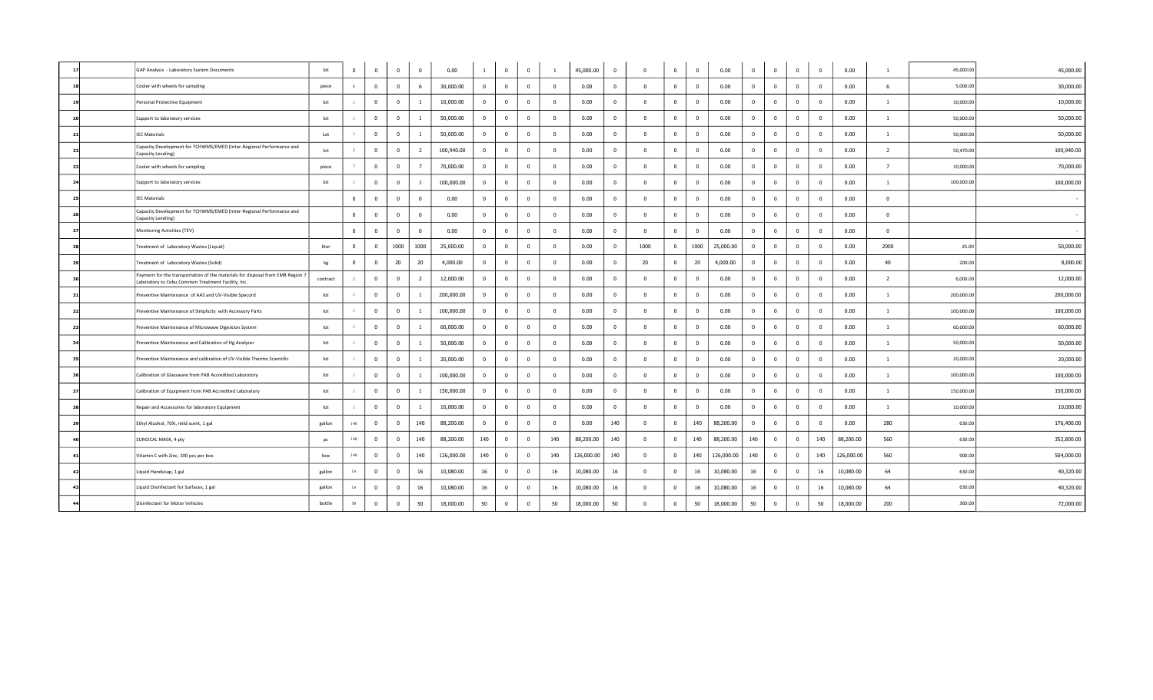| 17 | GAP Analysis - Laboratory System Documents                                                                                           | lot      | $^{\circ}$     | $^{\circ}$   | $\overline{\mathbf{0}}$ | $\Omega$       | 0.00       |                         | $\mathbf 0$  | $\overline{\mathbf{0}}$ |                | 45,000.00  | $\overline{0}$          | $\Omega$       | $\Omega$     | $\overline{\mathbf{0}}$  | 0.00       | $\overline{0}$          | $\Omega$       | $\Omega$                | $\overline{\mathbf{0}}$ | 0.00       | $\overline{1}$ | 45,000.00  | 45,000.00  |
|----|--------------------------------------------------------------------------------------------------------------------------------------|----------|----------------|--------------|-------------------------|----------------|------------|-------------------------|--------------|-------------------------|----------------|------------|-------------------------|----------------|--------------|--------------------------|------------|-------------------------|----------------|-------------------------|-------------------------|------------|----------------|------------|------------|
| 18 | Cooler with wheels for sampling                                                                                                      | piece    | -6             | $\mathbf 0$  | $\overline{0}$          | 6              | 30,000.00  | $\overline{0}$          | $\mathbf 0$  | $\overline{0}$          | $\mathbf{0}$   | 0.00       | $\overline{0}$          | $\Omega$       | $\Omega$     | $\overline{0}$           | 0.00       | $\mathbf 0$             | $\overline{0}$ | $\overline{0}$          | $\overline{0}$          | 0.00       | 6              | 5,000.00   | 30,000.00  |
| 15 | Personal Protective Equipment                                                                                                        | lot      |                | $\mathbf 0$  | $\bf{0}$                | -1             | 10,000.00  | $\overline{\mathbf{0}}$ | $\bf{0}$     | $\overline{0}$          | $\overline{0}$ | 0.00       | $\overline{\mathbf{0}}$ | $\Omega$       | $^{\circ}$   | $\overline{\mathbf{0}}$  | 0.00       | $\overline{\mathbf{0}}$ | $\mathbf 0$    | $\mathbf 0$             | $\overline{0}$          | 0.00       | $\mathbf{1}$   | 10,000.00  | 10,000.00  |
| 20 | Support to laboratory services                                                                                                       | lot      |                | $\mathbf 0$  | $\mathbf{0}$            |                | 50,000.00  | $\overline{0}$          | $\mathbf 0$  | $\overline{0}$          | $^{\circ}$     | 0.00       | $\mathbf 0$             | $\Omega$       | $\Omega$     | $\overline{0}$           | 0.00       | $\overline{0}$          | $\Omega$       | $\overline{0}$          | $\overline{0}$          | 0.00       | $\mathbf{1}$   | 50,000.00  | 50,000.00  |
| 21 | <b>IEC Materials</b>                                                                                                                 | Lot      |                | $\mathbf 0$  | $\mathbf 0$             |                | 50,000.00  | $\overline{0}$          | $\mathbf 0$  | $\overline{0}$          | $\mathbf{0}$   | 0.00       | $\overline{0}$          | $\Omega$       | $\Omega$     | $\overline{0}$           | 0.00       | $\overline{0}$          | $\Omega$       | $\overline{0}$          | $\overline{0}$          | 0.00       | $\overline{1}$ | 50,000.00  | 50,000.00  |
| 22 | Capacity Development for TCHWMS/EMED (Inter-Regional Performance and<br>Capacity Leveling)                                           | lot      |                | $\mathbf 0$  | $\overline{0}$          | $\overline{2}$ | 100,940.00 | $\overline{0}$          | $\bf{0}$     | $\overline{0}$          | $\Omega$       | 0.00       | $\overline{\mathbf{0}}$ | $\Omega$       | $^{\circ}$   | $\overline{\phantom{0}}$ | 0.00       | $\overline{\mathbf{0}}$ | $\mathbf{0}$   | $\overline{0}$          | $\overline{0}$          | 0.00       | $\overline{2}$ | 50,470.00  | 100,940.00 |
| 23 | Cooler with wheels for sampling                                                                                                      | piece    |                | $\mathbf 0$  | $\mathbf 0$             | $\overline{7}$ | 70,000.00  | $\overline{0}$          | $\bf{0}$     | $\mathbf 0$             | $\mathbf{0}$   | 0.00       | $\overline{0}$          | $\Omega$       | $\Omega$     | $\overline{0}$           | 0.00       | $\overline{\mathbf{0}}$ | $\Omega$       | $\overline{0}$          | $\mathbf 0$             | 0.00       | $7^{\circ}$    | 10,000.00  | 70,000.00  |
| 24 | Support to laboratory services                                                                                                       | lot      |                | $^{\circ}$   | $\overline{0}$          |                | 100,000.00 | $\mathbf 0$             | $\mathbf{0}$ | $\overline{0}$          | $\mathbf{0}$   | 0.00       | $\overline{0}$          | $\sqrt{2}$     | $^{\circ}$   | $\overline{0}$           | 0.00       | $\mathbf 0$             | $\Omega$       | $\overline{0}$          | $\overline{0}$          | 0.00       | 1              | 100,000.00 | 100,000.00 |
| 25 | <b>IEC Materials</b>                                                                                                                 |          | $\mathbf 0$    | $^{\circ}$   | $\overline{0}$          | $\overline{0}$ | 0.00       | $\overline{0}$          | $\bf{0}$     | $\overline{0}$          | $\Omega$       | 0.00       | $\overline{\mathbf{0}}$ | $\Omega$       | $^{\circ}$   | $\overline{\phantom{0}}$ | 0.00       | $\overline{\mathbf{0}}$ | $\overline{0}$ | $\overline{0}$          | $\overline{0}$          | 0.00       | $\mathbf{0}$   |            |            |
|    | Capacity Development for TCHWMS/EMED (Inter-Regional Performance and<br>Capacity Leveling)                                           |          | $\mathbf 0$    | $\mathbf 0$  | $\overline{0}$          | $\mathbf{0}$   | 0.00       | $\overline{0}$          | $\bf{0}$     | $\overline{0}$          | $\mathbf 0$    | 0.00       | $\mathbf 0$             | $\Omega$       | $\Omega$     | $\overline{\mathbf{0}}$  | 0.00       | $\overline{0}$          | $\Omega$       | $\overline{0}$          | $\overline{0}$          | 0.00       | $\mathbf{0}$   |            |            |
| 27 | Monitoring Activities (TEV)                                                                                                          |          | $\mathbf 0$    | $^{\circ}$   | $\mathbf{0}$            | $\mathbf{0}$   | 0.00       | $\mathbf 0$             | $\bf{0}$     | $\mathbf 0$             | $\mathbf{0}$   | 0.00       | $\mathbf 0$             | $\sqrt{2}$     | $^{\circ}$   | $\overline{0}$           | 0.00       | $\mathbf 0$             | $\Omega$       | $\overline{0}$          | $\mathbf 0$             | 0.00       | $\mathbf{0}$   |            |            |
| 28 | Treatment of Laboratory Wastes (Liquid)                                                                                              | liter    | $^{\circ}$     | $\mathbf 0$  | 1000                    | 1000           | 25,000.00  | $\overline{0}$          | $\mathbf 0$  | $\overline{0}$          | $\mathbf{0}$   | 0.00       | $\overline{\mathbf{0}}$ | 1000           | $^{\circ}$   | 1000                     | 25,000.00  | $\overline{\mathbf{0}}$ | $\Omega$       | $\overline{0}$          | $\overline{0}$          | 0.00       | 2000           | 25.00      | 50,000.00  |
| 2S | Treatment of Laboratory Wastes (Solid)                                                                                               | kg       | $^{\circ}$     | $\mathbf 0$  | 20                      | 20             | 4,000.00   | $\overline{0}$          | $\mathbf 0$  | $\overline{0}$          | $\mathbf{0}$   | 0.00       | $\mathbf 0$             | 20             | $\Omega$     | 20                       | 4,000.00   | $\overline{\mathbf{0}}$ | $\Omega$       | $^{\circ}$              | $\overline{\mathbf{0}}$ | 0.00       | 40             | 200.00     | 8,000.00   |
| 30 | Payment for the transportation of the materials for disposal from EMB Region 1<br>Laboratory to Cebu Common Treatment Facility, Inc. | contract | $\overline{2}$ | $\mathbf 0$  | $\overline{0}$          | $\overline{2}$ | 12,000.00  | $\overline{0}$          | $\mathbf 0$  | $\overline{0}$          | $\mathbf 0$    | 0.00       | $\overline{0}$          | $\sqrt{2}$     | $\Omega$     | $\overline{\mathbf{0}}$  | 0.00       | $\mathbf 0$             | $\Omega$       | $\overline{0}$          | $\overline{0}$          | 0.00       | $\overline{2}$ | 6,000.00   | 12,000.00  |
| 31 | Preventive Maintenance of AAS and UV-Visible Specord                                                                                 | lot      |                | $\mathbf 0$  | $\mathbf 0$             | -1             | 200,000.00 | $\overline{0}$          | $\bf{0}$     | $\mathbf 0$             | $\overline{0}$ | 0.00       | $\overline{0}$          | $\Omega$       | $^{\circ}$   | $\overline{\mathbf{0}}$  | 0.00       | $\overline{\mathbf{0}}$ | $\mathbf 0$    | $\overline{\mathbf{0}}$ | $\overline{0}$          | 0.00       | $\mathbf{1}$   | 200,000.00 | 200,000.00 |
| 32 | Preventive Maintenance of Simplicity with Accessory Parts                                                                            | lot      |                | $^{\circ}$   | $\mathbf 0$             |                | 100,000.00 | $\overline{0}$          | $\mathbf 0$  | $\overline{0}$          | $\overline{0}$ | 0.00       | $\overline{0}$          | $\Omega$       | $\Omega$     | $\overline{\mathbf{0}}$  | 0.00       | $\overline{0}$          | $\Omega$       | $\Omega$                | $\overline{0}$          | 0.00       | $\mathbf{1}$   | 100,000.00 | 100,000.00 |
| 33 | Preventive Maintenance of Microwave Digestion System                                                                                 | lot      |                | $^{\circ}$   | $\overline{0}$          |                | 60,000.00  | $\overline{0}$          | $\mathbf 0$  | $\overline{0}$          | $\overline{0}$ | 0.00       | $\overline{0}$          | $\sqrt{2}$     | $\Omega$     | $\overline{0}$           | 0.00       | $\overline{0}$          | $\Omega$       | $\overline{0}$          | $\overline{0}$          | 0.00       | $\overline{1}$ | 60,000.00  | 60,000.00  |
| 34 | Preventive Maintenance and Calibration of Hg Analyzer                                                                                | lot      |                | $\mathbf 0$  | $\bf{0}$                | $\overline{1}$ | 50,000.00  | $\overline{\mathbf{0}}$ | $\bf{0}$     | $\mathbf 0$             | $\overline{0}$ | 0.00       | $\overline{\mathbf{0}}$ | $\Omega$       | $\mathbf{0}$ | $\overline{\mathbf{0}}$  | 0.00       | $\overline{\mathbf{0}}$ | $\overline{0}$ | $\mathbf 0$             | $\overline{0}$          | 0.00       | $\mathbf{1}$   | 50,000.00  | 50,000.00  |
|    | Preventive Maintenance and calibration of UV-Visible Thermo Scientific                                                               | lot      |                | $\mathbf{0}$ | $\mathbf 0$             |                | 20,000.00  | $\overline{0}$          | $\mathbf 0$  | $\overline{0}$          | $\mathbf{0}$   | 0.00       | $\overline{\mathbf{0}}$ | $\Omega$       | $^{\circ}$   | $\overline{0}$           | 0.00       | $\overline{0}$          | $\overline{0}$ | $\overline{0}$          | $\overline{0}$          | 0.00       | $\mathbf{1}$   | 20,000.00  | 20,000.00  |
| 36 | Calibration of Glassware from PAB Accredited Laboratory                                                                              | lot      |                | $^{\circ}$   | $\overline{0}$          |                | 100,000.00 | $\Omega$                | $\mathbf{0}$ | $\Omega$                | $\mathbf{0}$   | 0.00       | $\overline{0}$          | $\sqrt{2}$     | $\Omega$     | $\overline{0}$           | 0.00       | $\Omega$                | $\Omega$       | $\Omega$                | $\overline{0}$          | 0.00       | $\overline{1}$ | 100,000.00 | 100,000.00 |
| 37 | Calibration of Equipment from PAB Accredited Laboratory                                                                              | lot      |                | $\mathbf 0$  | $\overline{0}$          | $\overline{1}$ | 150,000.00 | $\overline{0}$          | $\bf{0}$     | $\overline{0}$          | $\Omega$       | 0.00       | $\overline{\mathbf{0}}$ | $\overline{0}$ | $^{\circ}$   | $\overline{\phantom{0}}$ | 0.00       | $\overline{\mathbf{0}}$ | $\mathbf{0}$   | $\mathbf 0$             | $\overline{\mathbf{0}}$ | 0.00       | $\overline{1}$ | 150,000.00 | 150,000.00 |
|    | Repair and Accessories for laboratory Equipment                                                                                      | lot      |                | $\mathbf 0$  | $\mathbf 0$             |                | 10,000.00  | $\overline{0}$          | $\bf{0}$     | $\bf{0}$                | $\mathbf{0}$   | 0.00       | $\overline{\mathbf{0}}$ | $\Omega$       | $^{\circ}$   | $\overline{\mathbf{0}}$  | 0.00       | $\overline{\mathbf{0}}$ | $\overline{0}$ | $\overline{0}$          | $\overline{0}$          | 0.00       | $\mathbf{1}$   | 10,000.00  | 10,000.00  |
| 39 | Ethyl Alcohol, 70%, mild scent, 1 gal                                                                                                | gallon   | 140            | $^{\circ}$   | $\overline{0}$          | 140            | 88,200.00  | $\overline{0}$          | $\mathbf{0}$ | $\mathbf{0}$            | $\overline{0}$ | 0.00       | 140                     | $\sqrt{2}$     | $^{\circ}$   | 140                      | 88,200.00  | $\overline{0}$          | $\Omega$       | $\overline{0}$          | $\overline{0}$          | 0.00       | 280            | 630.00     | 176,400.00 |
|    | SURGICAL MASK, 4-ply                                                                                                                 | pc       | 140            | $\mathbf 0$  | $\overline{0}$          | 140            | 88,200.00  | 140                     | $\mathbf 0$  | $\overline{0}$          | 140            | 88,200.00  | 140                     | $\Omega$       | $\Omega$     | 140                      | 88,200.00  | 140                     | $\Omega$       | $^{\circ}$              | 140                     | 88,200.00  | 560            | 630.00     | 352,800.00 |
|    | Vitamin C with Zinc, 100 pcs per box                                                                                                 | box      | 140            | $\mathbf 0$  | $\overline{0}$          | 140            | 126,000.00 | 140                     | $\bf{0}$     | $\overline{0}$          | 140            | 126,000.00 | 140                     | $\overline{0}$ | $\Omega$     | 140                      | 126,000.00 | 140                     | $\mathbf{0}$   | $\overline{0}$          | 140                     | 126,000.00 | 560            | 900.00     | 504,000.00 |
|    | Liquid Handsoap, 1 gal                                                                                                               | gallon   | 16             | $^{\circ}$   | $\mathbf 0$             | 16             | 10,080.00  | 16                      | $\mathbf 0$  | $\overline{0}$          | 16             | 10,080.00  | 16                      | $\Omega$       | $^{\circ}$   | 16                       | 10,080.00  | 16                      | $\Omega$       | $\overline{0}$          | 16                      | 10,080.00  | 64             | 630.00     | 40,320.00  |
|    | Liquid Disinfectant for Surfaces, 1 gal                                                                                              | gallon   | 16             | $^{\circ}$   | $\overline{0}$          | 16             | 10,080.00  | 16                      | $\mathbf 0$  | $\overline{0}$          | 16             | 10,080.00  | 16                      | $\Omega$       | $^{\circ}$   | 16                       | 10,080.00  | 16                      | $\overline{0}$ | $\overline{0}$          | 16                      | 10,080.00  | 64             | 630.00     | 40,320.00  |
|    | Disinfectant for Motor Vehicles                                                                                                      | bottle   | 50             | $\mathbf 0$  | $\overline{0}$          | 50             | 18,000.00  | 50                      | $\mathbf 0$  | $\overline{0}$          | 50             | 18,000.00  | 50                      | $\Omega$       | $\Omega$     | 50                       | 18,000.00  | 50                      | $\overline{0}$ | $\mathbf 0$             | 50                      | 18,000.00  | 200            | 360.00     | 72,000.00  |